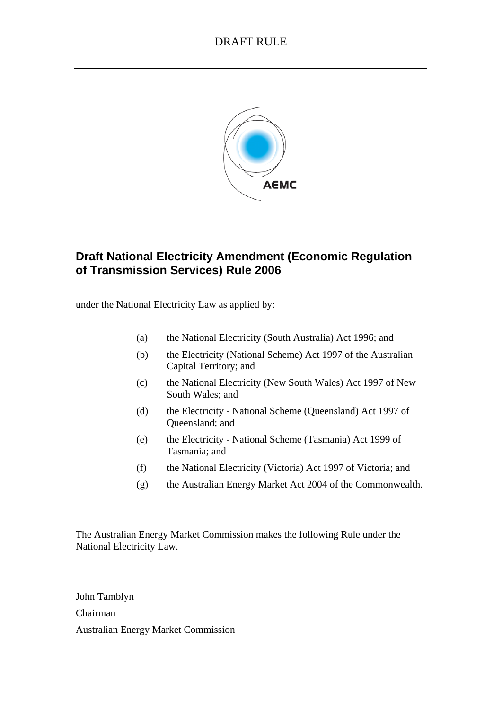

# **Draft National Electricity Amendment (Economic Regulation of Transmission Services) Rule 2006**

under the National Electricity Law as applied by:

- (a) the National Electricity (South Australia) Act 1996; and
- (b) the Electricity (National Scheme) Act 1997 of the Australian Capital Territory; and
- (c) the National Electricity (New South Wales) Act 1997 of New South Wales; and
- (d) the Electricity National Scheme (Queensland) Act 1997 of Queensland; and
- (e) the Electricity National Scheme (Tasmania) Act 1999 of Tasmania; and
- (f) the National Electricity (Victoria) Act 1997 of Victoria; and
- (g) the Australian Energy Market Act 2004 of the Commonwealth.

The Australian Energy Market Commission makes the following Rule under the National Electricity Law.

John Tamblyn Chairman Australian Energy Market Commission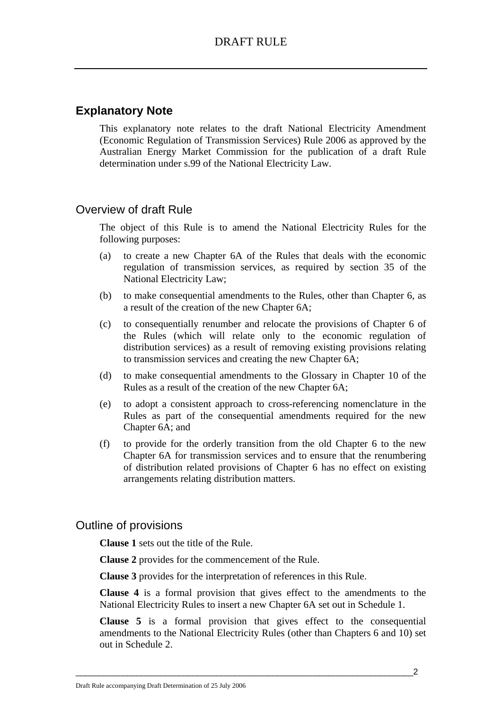# **Explanatory Note**

This explanatory note relates to the draft National Electricity Amendment (Economic Regulation of Transmission Services) Rule 2006 as approved by the Australian Energy Market Commission for the publication of a draft Rule determination under s.99 of the National Electricity Law.

# Overview of draft Rule

The object of this Rule is to amend the National Electricity Rules for the following purposes:

- (a) to create a new Chapter 6A of the Rules that deals with the economic regulation of transmission services, as required by section 35 of the National Electricity Law;
- (b) to make consequential amendments to the Rules, other than Chapter 6, as a result of the creation of the new Chapter 6A;
- (c) to consequentially renumber and relocate the provisions of Chapter 6 of the Rules (which will relate only to the economic regulation of distribution services) as a result of removing existing provisions relating to transmission services and creating the new Chapter 6A;
- (d) to make consequential amendments to the Glossary in Chapter 10 of the Rules as a result of the creation of the new Chapter 6A;
- (e) to adopt a consistent approach to cross-referencing nomenclature in the Rules as part of the consequential amendments required for the new Chapter 6A; and
- (f) to provide for the orderly transition from the old Chapter 6 to the new Chapter 6A for transmission services and to ensure that the renumbering of distribution related provisions of Chapter 6 has no effect on existing arrangements relating distribution matters.

# Outline of provisions

**Clause 1** sets out the title of the Rule.

**Clause 2** provides for the commencement of the Rule.

**Clause 3** provides for the interpretation of references in this Rule.

**Clause 4** is a formal provision that gives effect to the amendments to the National Electricity Rules to insert a new Chapter 6A set out in Schedule 1.

**Clause 5** is a formal provision that gives effect to the consequential amendments to the National Electricity Rules (other than Chapters 6 and 10) set out in Schedule 2.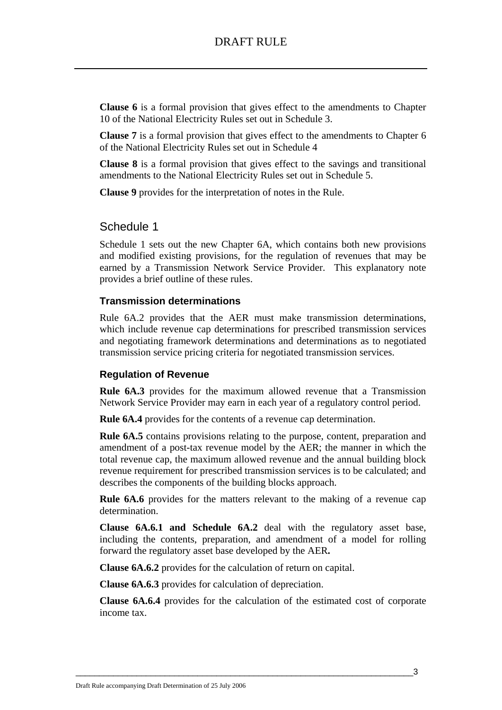**Clause 6** is a formal provision that gives effect to the amendments to Chapter 10 of the National Electricity Rules set out in Schedule 3.

**Clause 7** is a formal provision that gives effect to the amendments to Chapter 6 of the National Electricity Rules set out in Schedule 4

**Clause 8** is a formal provision that gives effect to the savings and transitional amendments to the National Electricity Rules set out in Schedule 5.

**Clause 9** provides for the interpretation of notes in the Rule.

### Schedule 1

Schedule 1 sets out the new Chapter 6A, which contains both new provisions and modified existing provisions, for the regulation of revenues that may be earned by a Transmission Network Service Provider. This explanatory note provides a brief outline of these rules.

### **Transmission determinations**

Rule 6A.2 provides that the AER must make transmission determinations, which include revenue cap determinations for prescribed transmission services and negotiating framework determinations and determinations as to negotiated transmission service pricing criteria for negotiated transmission services.

### **Regulation of Revenue**

**Rule 6A.3** provides for the maximum allowed revenue that a Transmission Network Service Provider may earn in each year of a regulatory control period.

**Rule 6A.4** provides for the contents of a revenue cap determination.

**Rule 6A.5** contains provisions relating to the purpose, content, preparation and amendment of a post-tax revenue model by the AER; the manner in which the total revenue cap, the maximum allowed revenue and the annual building block revenue requirement for prescribed transmission services is to be calculated; and describes the components of the building blocks approach.

**Rule 6A.6** provides for the matters relevant to the making of a revenue cap determination.

**Clause 6A.6.1 and Schedule 6A.2** deal with the regulatory asset base, including the contents, preparation, and amendment of a model for rolling forward the regulatory asset base developed by the AER**.**

**Clause 6A.6.2** provides for the calculation of return on capital.

**Clause 6A.6.3** provides for calculation of depreciation.

**Clause 6A.6.4** provides for the calculation of the estimated cost of corporate income tax.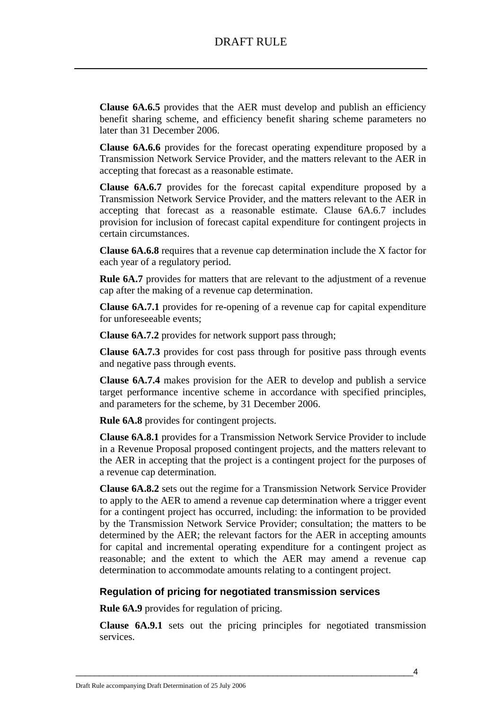**Clause 6A.6.5** provides that the AER must develop and publish an efficiency benefit sharing scheme, and efficiency benefit sharing scheme parameters no later than 31 December 2006.

**Clause 6A.6.6** provides for the forecast operating expenditure proposed by a Transmission Network Service Provider, and the matters relevant to the AER in accepting that forecast as a reasonable estimate.

**Clause 6A.6.7** provides for the forecast capital expenditure proposed by a Transmission Network Service Provider, and the matters relevant to the AER in accepting that forecast as a reasonable estimate. Clause 6A.6.7 includes provision for inclusion of forecast capital expenditure for contingent projects in certain circumstances.

**Clause 6A.6.8** requires that a revenue cap determination include the X factor for each year of a regulatory period.

**Rule 6A.7** provides for matters that are relevant to the adjustment of a revenue cap after the making of a revenue cap determination.

**Clause 6A.7.1** provides for re-opening of a revenue cap for capital expenditure for unforeseeable events;

**Clause 6A.7.2** provides for network support pass through;

**Clause 6A.7.3** provides for cost pass through for positive pass through events and negative pass through events.

**Clause 6A.7.4** makes provision for the AER to develop and publish a service target performance incentive scheme in accordance with specified principles, and parameters for the scheme, by 31 December 2006.

**Rule 6A.8** provides for contingent projects.

**Clause 6A.8.1** provides for a Transmission Network Service Provider to include in a Revenue Proposal proposed contingent projects, and the matters relevant to the AER in accepting that the project is a contingent project for the purposes of a revenue cap determination.

**Clause 6A.8.2** sets out the regime for a Transmission Network Service Provider to apply to the AER to amend a revenue cap determination where a trigger event for a contingent project has occurred, including: the information to be provided by the Transmission Network Service Provider; consultation; the matters to be determined by the AER; the relevant factors for the AER in accepting amounts for capital and incremental operating expenditure for a contingent project as reasonable; and the extent to which the AER may amend a revenue cap determination to accommodate amounts relating to a contingent project.

### **Regulation of pricing for negotiated transmission services**

**Rule 6A.9** provides for regulation of pricing.

**Clause 6A.9.1** sets out the pricing principles for negotiated transmission services.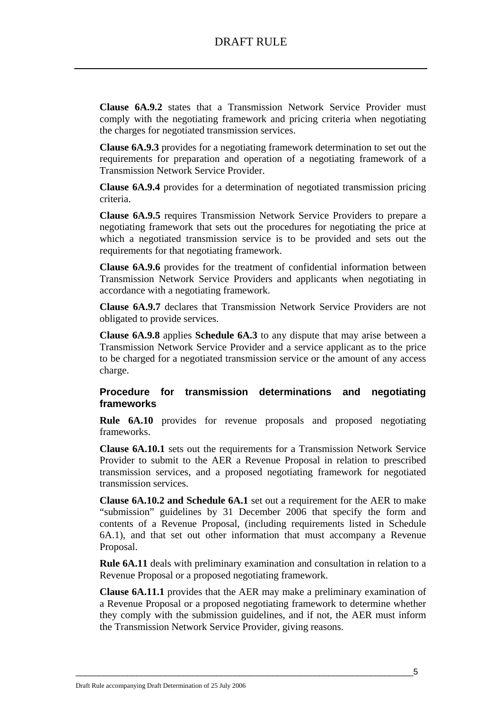**Clause 6A.9.2** states that a Transmission Network Service Provider must comply with the negotiating framework and pricing criteria when negotiating the charges for negotiated transmission services.

**Clause 6A.9.3** provides for a negotiating framework determination to set out the requirements for preparation and operation of a negotiating framework of a Transmission Network Service Provider.

**Clause 6A.9.4** provides for a determination of negotiated transmission pricing criteria.

**Clause 6A.9.5** requires Transmission Network Service Providers to prepare a negotiating framework that sets out the procedures for negotiating the price at which a negotiated transmission service is to be provided and sets out the requirements for that negotiating framework.

**Clause 6A.9.6** provides for the treatment of confidential information between Transmission Network Service Providers and applicants when negotiating in accordance with a negotiating framework.

**Clause 6A.9.7** declares that Transmission Network Service Providers are not obligated to provide services.

**Clause 6A.9.8** applies **Schedule 6A.3** to any dispute that may arise between a Transmission Network Service Provider and a service applicant as to the price to be charged for a negotiated transmission service or the amount of any access charge.

### **Procedure for transmission determinations and negotiating frameworks**

**Rule 6A.10** provides for revenue proposals and proposed negotiating frameworks.

**Clause 6A.10.1** sets out the requirements for a Transmission Network Service Provider to submit to the AER a Revenue Proposal in relation to prescribed transmission services, and a proposed negotiating framework for negotiated transmission services.

**Clause 6A.10.2 and Schedule 6A.1** set out a requirement for the AER to make "submission" guidelines by 31 December 2006 that specify the form and contents of a Revenue Proposal, (including requirements listed in Schedule 6A.1), and that set out other information that must accompany a Revenue Proposal.

**Rule 6A.11** deals with preliminary examination and consultation in relation to a Revenue Proposal or a proposed negotiating framework.

**Clause 6A.11.1** provides that the AER may make a preliminary examination of a Revenue Proposal or a proposed negotiating framework to determine whether they comply with the submission guidelines, and if not, the AER must inform the Transmission Network Service Provider, giving reasons.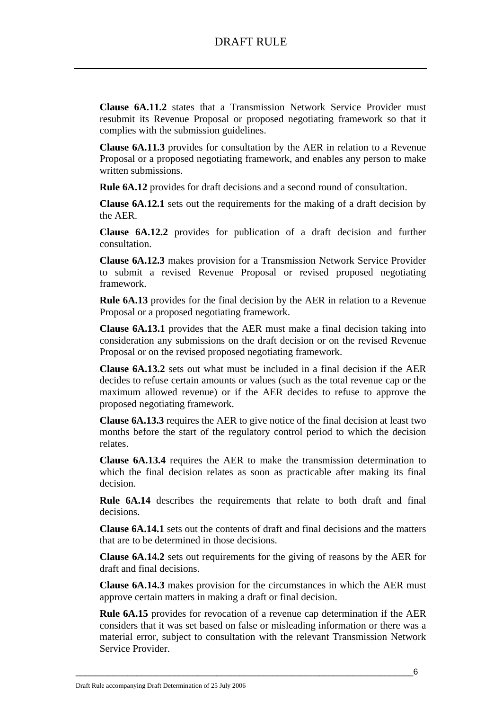**Clause 6A.11.2** states that a Transmission Network Service Provider must resubmit its Revenue Proposal or proposed negotiating framework so that it complies with the submission guidelines.

**Clause 6A.11.3** provides for consultation by the AER in relation to a Revenue Proposal or a proposed negotiating framework, and enables any person to make written submissions.

**Rule 6A.12** provides for draft decisions and a second round of consultation.

**Clause 6A.12.1** sets out the requirements for the making of a draft decision by the AER.

**Clause 6A.12.2** provides for publication of a draft decision and further consultation.

**Clause 6A.12.3** makes provision for a Transmission Network Service Provider to submit a revised Revenue Proposal or revised proposed negotiating framework.

**Rule 6A.13** provides for the final decision by the AER in relation to a Revenue Proposal or a proposed negotiating framework.

**Clause 6A.13.1** provides that the AER must make a final decision taking into consideration any submissions on the draft decision or on the revised Revenue Proposal or on the revised proposed negotiating framework.

**Clause 6A.13.2** sets out what must be included in a final decision if the AER decides to refuse certain amounts or values (such as the total revenue cap or the maximum allowed revenue) or if the AER decides to refuse to approve the proposed negotiating framework.

**Clause 6A.13.3** requires the AER to give notice of the final decision at least two months before the start of the regulatory control period to which the decision relates.

**Clause 6A.13.4** requires the AER to make the transmission determination to which the final decision relates as soon as practicable after making its final decision.

**Rule 6A.14** describes the requirements that relate to both draft and final decisions.

**Clause 6A.14.1** sets out the contents of draft and final decisions and the matters that are to be determined in those decisions.

**Clause 6A.14.2** sets out requirements for the giving of reasons by the AER for draft and final decisions.

**Clause 6A.14.3** makes provision for the circumstances in which the AER must approve certain matters in making a draft or final decision.

**Rule 6A.15** provides for revocation of a revenue cap determination if the AER considers that it was set based on false or misleading information or there was a material error, subject to consultation with the relevant Transmission Network Service Provider.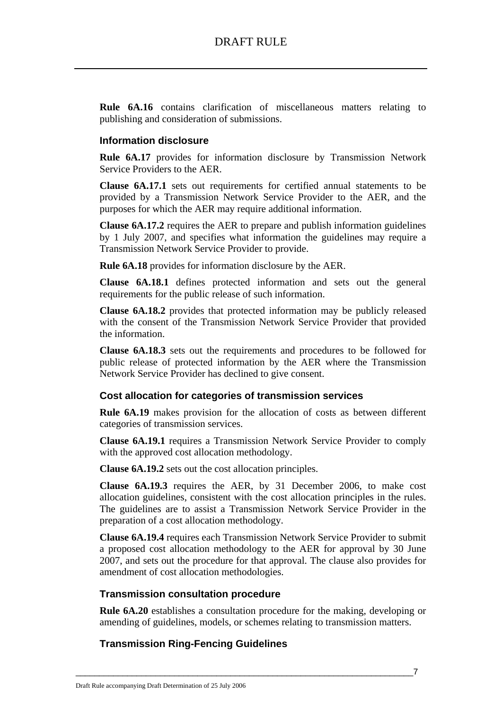**Rule 6A.16** contains clarification of miscellaneous matters relating to publishing and consideration of submissions.

### **Information disclosure**

**Rule 6A.17** provides for information disclosure by Transmission Network Service Providers to the AER.

**Clause 6A.17.1** sets out requirements for certified annual statements to be provided by a Transmission Network Service Provider to the AER, and the purposes for which the AER may require additional information.

**Clause 6A.17.2** requires the AER to prepare and publish information guidelines by 1 July 2007, and specifies what information the guidelines may require a Transmission Network Service Provider to provide.

**Rule 6A.18** provides for information disclosure by the AER.

**Clause 6A.18.1** defines protected information and sets out the general requirements for the public release of such information.

**Clause 6A.18.2** provides that protected information may be publicly released with the consent of the Transmission Network Service Provider that provided the information.

**Clause 6A.18.3** sets out the requirements and procedures to be followed for public release of protected information by the AER where the Transmission Network Service Provider has declined to give consent.

### **Cost allocation for categories of transmission services**

**Rule 6A.19** makes provision for the allocation of costs as between different categories of transmission services.

**Clause 6A.19.1** requires a Transmission Network Service Provider to comply with the approved cost allocation methodology.

**Clause 6A.19.2** sets out the cost allocation principles.

**Clause 6A.19.3** requires the AER, by 31 December 2006, to make cost allocation guidelines, consistent with the cost allocation principles in the rules. The guidelines are to assist a Transmission Network Service Provider in the preparation of a cost allocation methodology.

**Clause 6A.19.4** requires each Transmission Network Service Provider to submit a proposed cost allocation methodology to the AER for approval by 30 June 2007, and sets out the procedure for that approval. The clause also provides for amendment of cost allocation methodologies.

### **Transmission consultation procedure**

**Rule 6A.20** establishes a consultation procedure for the making, developing or amending of guidelines, models, or schemes relating to transmission matters.

### **Transmission Ring-Fencing Guidelines**

\_\_\_\_\_\_\_\_\_\_\_\_\_\_\_\_\_\_\_\_\_\_\_\_\_\_\_\_\_\_\_\_\_\_\_\_\_\_\_\_\_\_\_\_\_\_\_\_\_\_\_\_\_\_\_\_\_\_\_\_\_\_\_\_\_\_\_\_\_\_\_\_7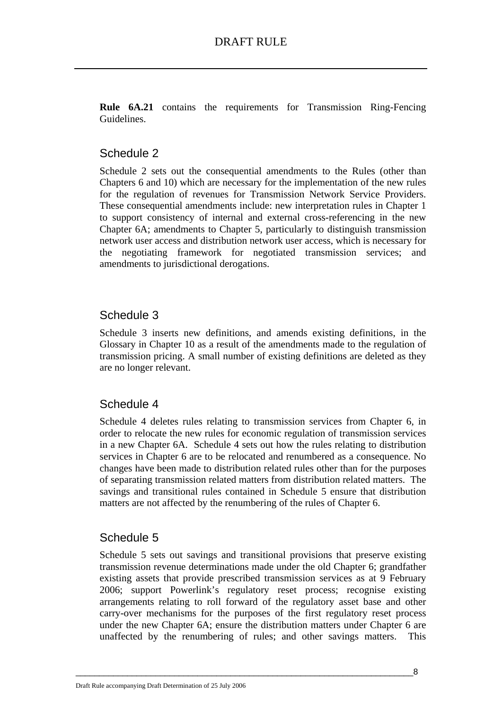**Rule 6A.21** contains the requirements for Transmission Ring-Fencing Guidelines.

# Schedule 2

Schedule 2 sets out the consequential amendments to the Rules (other than Chapters 6 and 10) which are necessary for the implementation of the new rules for the regulation of revenues for Transmission Network Service Providers. These consequential amendments include: new interpretation rules in Chapter 1 to support consistency of internal and external cross-referencing in the new Chapter 6A; amendments to Chapter 5, particularly to distinguish transmission network user access and distribution network user access, which is necessary for the negotiating framework for negotiated transmission services; and amendments to jurisdictional derogations.

# Schedule 3

Schedule 3 inserts new definitions, and amends existing definitions, in the Glossary in Chapter 10 as a result of the amendments made to the regulation of transmission pricing. A small number of existing definitions are deleted as they are no longer relevant.

# Schedule 4

Schedule 4 deletes rules relating to transmission services from Chapter 6, in order to relocate the new rules for economic regulation of transmission services in a new Chapter 6A. Schedule 4 sets out how the rules relating to distribution services in Chapter 6 are to be relocated and renumbered as a consequence. No changes have been made to distribution related rules other than for the purposes of separating transmission related matters from distribution related matters. The savings and transitional rules contained in Schedule 5 ensure that distribution matters are not affected by the renumbering of the rules of Chapter 6.

# Schedule 5

Schedule 5 sets out savings and transitional provisions that preserve existing transmission revenue determinations made under the old Chapter 6; grandfather existing assets that provide prescribed transmission services as at 9 February 2006; support Powerlink's regulatory reset process; recognise existing arrangements relating to roll forward of the regulatory asset base and other carry-over mechanisms for the purposes of the first regulatory reset process under the new Chapter 6A; ensure the distribution matters under Chapter 6 are unaffected by the renumbering of rules; and other savings matters. This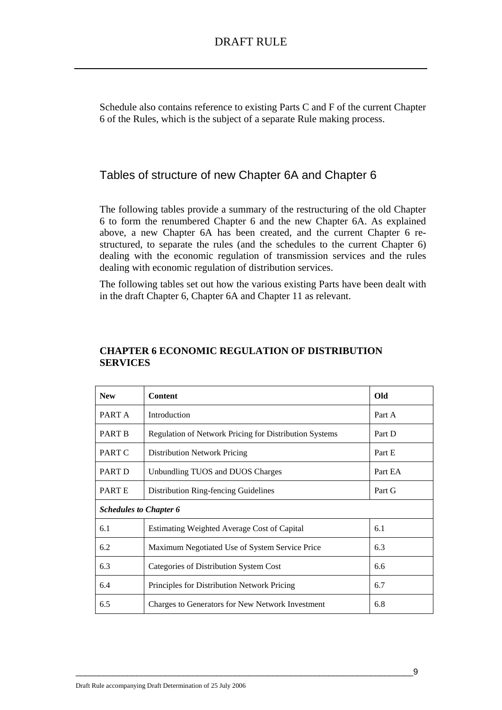Schedule also contains reference to existing Parts C and F of the current Chapter 6 of the Rules, which is the subject of a separate Rule making process.

# Tables of structure of new Chapter 6A and Chapter 6

The following tables provide a summary of the restructuring of the old Chapter 6 to form the renumbered Chapter 6 and the new Chapter 6A. As explained above, a new Chapter 6A has been created, and the current Chapter 6 restructured, to separate the rules (and the schedules to the current Chapter 6) dealing with the economic regulation of transmission services and the rules dealing with economic regulation of distribution services.

The following tables set out how the various existing Parts have been dealt with in the draft Chapter 6, Chapter 6A and Chapter 11 as relevant.

| <b>New</b>                    | <b>Content</b>                                         | Old     |
|-------------------------------|--------------------------------------------------------|---------|
| PART A                        | Introduction                                           | Part A  |
| <b>PART B</b>                 | Regulation of Network Pricing for Distribution Systems | Part D  |
| PART C                        | <b>Distribution Network Pricing</b>                    | Part E  |
| PART D                        | Unbundling TUOS and DUOS Charges                       | Part EA |
| PART E                        | Distribution Ring-fencing Guidelines                   | Part G  |
| <b>Schedules to Chapter 6</b> |                                                        |         |
| 6.1                           | Estimating Weighted Average Cost of Capital            | 6.1     |
| 6.2                           | Maximum Negotiated Use of System Service Price         | 6.3     |
| 6.3                           | Categories of Distribution System Cost                 | 6.6     |
| 6.4                           | Principles for Distribution Network Pricing            | 6.7     |
| 6.5                           | Charges to Generators for New Network Investment       | 6.8     |

### **CHAPTER 6 ECONOMIC REGULATION OF DISTRIBUTION SERVICES**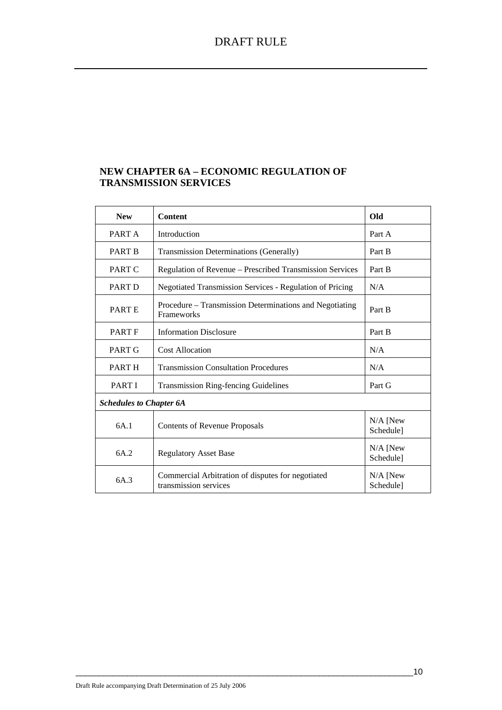### **NEW CHAPTER 6A – ECONOMIC REGULATION OF TRANSMISSION SERVICES**

| <b>New</b>                     | <b>Content</b>                                                               | <b>Old</b>              |  |
|--------------------------------|------------------------------------------------------------------------------|-------------------------|--|
| PART A                         | Introduction                                                                 | Part A                  |  |
| <b>PART B</b>                  | <b>Transmission Determinations (Generally)</b>                               | Part B                  |  |
| PART C                         | Regulation of Revenue - Prescribed Transmission Services                     | Part B                  |  |
| PART D                         | Negotiated Transmission Services - Regulation of Pricing                     | N/A                     |  |
| <b>PARTE</b>                   | Procedure – Transmission Determinations and Negotiating<br><b>Frameworks</b> | Part B                  |  |
| <b>PART F</b>                  | <b>Information Disclosure</b>                                                | Part B                  |  |
| PART G                         | <b>Cost Allocation</b>                                                       | N/A                     |  |
| PART H                         | <b>Transmission Consultation Procedures</b>                                  | N/A                     |  |
| <b>PARTI</b>                   | <b>Transmission Ring-fencing Guidelines</b>                                  | Part G                  |  |
| <b>Schedules to Chapter 6A</b> |                                                                              |                         |  |
| 6A.1                           | <b>Contents of Revenue Proposals</b>                                         | $N/A$ [New<br>Schedule] |  |
| 6A.2                           | <b>Regulatory Asset Base</b>                                                 | $N/A$ [New<br>Schedule] |  |
| 6A.3                           | Commercial Arbitration of disputes for negotiated<br>transmission services   | $N/A$ [New<br>Schedule] |  |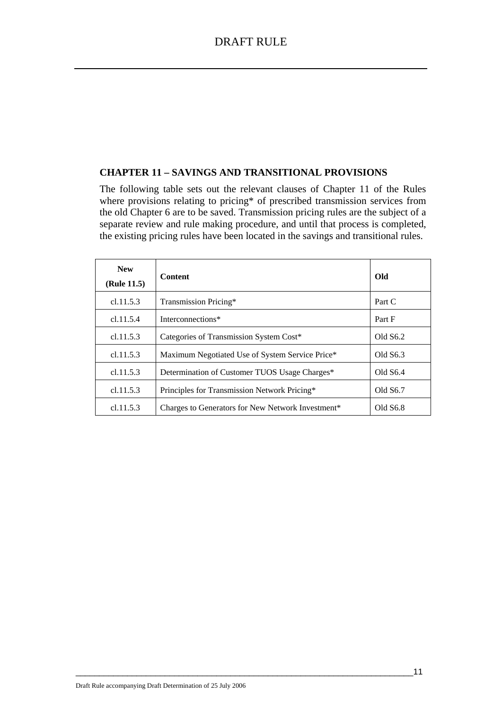### **CHAPTER 11 – SAVINGS AND TRANSITIONAL PROVISIONS**

The following table sets out the relevant clauses of Chapter 11 of the Rules where provisions relating to pricing\* of prescribed transmission services from the old Chapter 6 are to be saved. Transmission pricing rules are the subject of a separate review and rule making procedure, and until that process is completed, the existing pricing rules have been located in the savings and transitional rules.

| <b>New</b><br>(Rule 11.5) | <b>Content</b>                                                | Old        |
|---------------------------|---------------------------------------------------------------|------------|
| cl.11.5.3                 | Transmission Pricing*                                         | Part C     |
| cl.11.5.4                 | Interconnections*                                             | Part F     |
| cl.11.5.3                 | Categories of Transmission System Cost*                       | Old S6.2   |
| cl.11.5.3                 | Maximum Negotiated Use of System Service Price*               | Old S6.3   |
| cl.11.5.3                 | Determination of Customer TUOS Usage Charges*                 | Old $S6.4$ |
| cl.11.5.3                 | Principles for Transmission Network Pricing*                  | Old S6.7   |
| c1.11.5.3                 | Charges to Generators for New Network Investment <sup>*</sup> | Old S6.8   |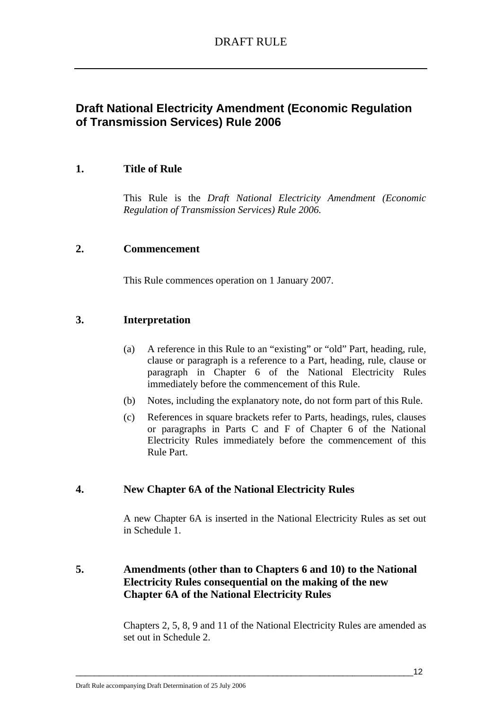# **Draft National Electricity Amendment (Economic Regulation of Transmission Services) Rule 2006**

# **1. Title of Rule**

This Rule is the *Draft National Electricity Amendment (Economic Regulation of Transmission Services) Rule 2006.* 

### **2. Commencement**

This Rule commences operation on 1 January 2007.

### **3. Interpretation**

- (a) A reference in this Rule to an "existing" or "old" Part, heading, rule, clause or paragraph is a reference to a Part, heading, rule, clause or paragraph in Chapter 6 of the National Electricity Rules immediately before the commencement of this Rule.
- (b) Notes, including the explanatory note, do not form part of this Rule.
- (c) References in square brackets refer to Parts, headings, rules, clauses or paragraphs in Parts C and F of Chapter 6 of the National Electricity Rules immediately before the commencement of this Rule Part.

# **4. New Chapter 6A of the National Electricity Rules**

A new Chapter 6A is inserted in the National Electricity Rules as set out in Schedule 1.

# **5. Amendments (other than to Chapters 6 and 10) to the National Electricity Rules consequential on the making of the new Chapter 6A of the National Electricity Rules**

Chapters 2, 5, 8, 9 and 11 of the National Electricity Rules are amended as set out in Schedule 2.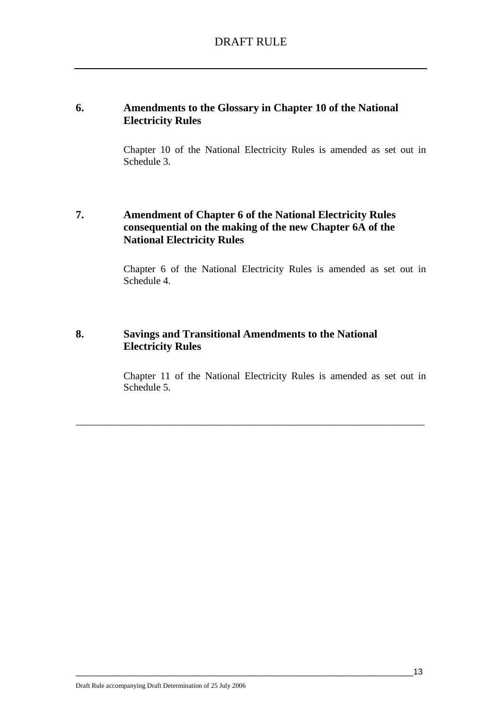### **6. Amendments to the Glossary in Chapter 10 of the National Electricity Rules**

Chapter 10 of the National Electricity Rules is amended as set out in Schedule 3.

# **7. Amendment of Chapter 6 of the National Electricity Rules consequential on the making of the new Chapter 6A of the National Electricity Rules**

Chapter 6 of the National Electricity Rules is amended as set out in Schedule 4.

# **8. Savings and Transitional Amendments to the National Electricity Rules**

Chapter 11 of the National Electricity Rules is amended as set out in Schedule 5.

\_\_\_\_\_\_\_\_\_\_\_\_\_\_\_\_\_\_\_\_\_\_\_\_\_\_\_\_\_\_\_\_\_\_\_\_\_\_\_\_\_\_\_\_\_\_\_\_\_\_\_\_\_\_\_\_\_\_\_\_\_\_\_\_\_\_\_\_\_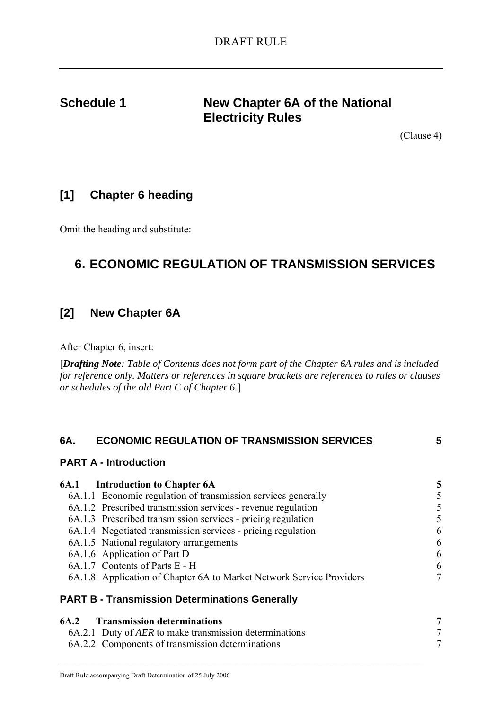# **Schedule 1** New Chapter 6A of the National **Electricity Rules**

(Clause 4)

# **[1] Chapter 6 heading**

Omit the heading and substitute:

# **6. ECONOMIC REGULATION OF TRANSMISSION SERVICES**

# **[2] New Chapter 6A**

After Chapter 6, insert:

[*Drafting Note: Table of Contents does not form part of the Chapter 6A rules and is included for reference only. Matters or references in square brackets are references to rules or clauses or schedules of the old Part C of Chapter 6.*]

| <b>ECONOMIC REGULATION OF TRANSMISSION SERVICES</b><br>6A.           | 5              |
|----------------------------------------------------------------------|----------------|
| <b>PART A - Introduction</b>                                         |                |
| <b>6A.1</b> Introduction to Chapter 6A                               | 5              |
| 6A.1.1 Economic regulation of transmission services generally        | 5              |
| 6A.1.2 Prescribed transmission services - revenue regulation         | 5              |
| 6A.1.3 Prescribed transmission services - pricing regulation         | 5              |
| 6A.1.4 Negotiated transmission services - pricing regulation         | 6              |
| 6A.1.5 National regulatory arrangements                              | 6              |
| 6A.1.6 Application of Part D                                         | 6              |
| 6A.1.7 Contents of Parts E - H                                       | 6              |
| 6A.1.8 Application of Chapter 6A to Market Network Service Providers | 7              |
| <b>PART B - Transmission Determinations Generally</b>                |                |
| <b>Transmission determinations</b><br>6A.2                           | $\overline{7}$ |
| 6A.2.1 Duty of AER to make transmission determinations               | $\tau$         |
| 6A.2.2 Components of transmission determinations                     | 7              |

 $\_$  , and the state of the state of the state of the state of the state of the state of the state of the state of the state of the state of the state of the state of the state of the state of the state of the state of the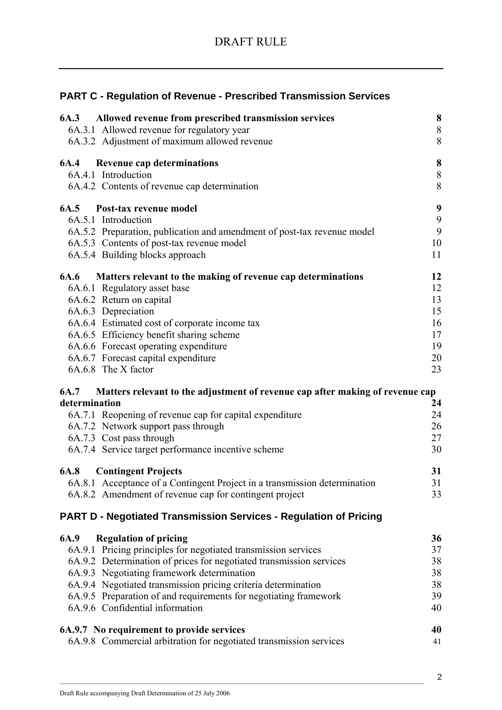|                                        | <b>PART C - Regulation of Revenue - Prescribed Transmission Services</b>      |         |
|----------------------------------------|-------------------------------------------------------------------------------|---------|
| 6A.3                                   | Allowed revenue from prescribed transmission services                         | 8       |
|                                        | 6A.3.1 Allowed revenue for regulatory year                                    | $8\,$   |
|                                        | 6A.3.2 Adjustment of maximum allowed revenue                                  | 8       |
| <b>6A.4</b> Revenue cap determinations |                                                                               | $\bf 8$ |
| 6A.4.1 Introduction                    |                                                                               | $8\,$   |
|                                        | 6A.4.2 Contents of revenue cap determination                                  | 8       |
| 6A.5 Post-tax revenue model            |                                                                               | 9       |
| 6A.5.1 Introduction                    |                                                                               | 9       |
|                                        | 6A.5.2 Preparation, publication and amendment of post-tax revenue model       | 9       |
|                                        | 6A.5.3 Contents of post-tax revenue model                                     | 10      |
| 6A.5.4 Building blocks approach        |                                                                               | 11      |
|                                        | 6A.6 Matters relevant to the making of revenue cap determinations             | 12      |
| 6A.6.1 Regulatory asset base           |                                                                               | 12      |
| 6A.6.2 Return on capital               |                                                                               | 13      |
| 6A.6.3 Depreciation                    |                                                                               | 15      |
|                                        | 6A.6.4 Estimated cost of corporate income tax                                 | 16      |
|                                        | 6A.6.5 Efficiency benefit sharing scheme                                      | 17      |
|                                        | 6A.6.6 Forecast operating expenditure                                         | 19      |
| 6A.6.7 Forecast capital expenditure    |                                                                               | 20      |
| 6A.6.8 The X factor                    |                                                                               | 23      |
| 6A.7                                   | Matters relevant to the adjustment of revenue cap after making of revenue cap |         |
| determination                          |                                                                               | 24      |
|                                        | 6A.7.1 Reopening of revenue cap for capital expenditure                       | 24      |
|                                        | 6A.7.2 Network support pass through                                           | 26      |
| 6A.7.3 Cost pass through               |                                                                               | 27      |
|                                        | 6A.7.4 Service target performance incentive scheme                            | 30      |
| 6A.8<br><b>Contingent Projects</b>     |                                                                               | 31      |
|                                        | 6A.8.1 Acceptance of a Contingent Project in a transmission determination     | 31      |
|                                        | 6A.8.2 Amendment of revenue cap for contingent project                        | 33      |
|                                        | PART D - Negotiated Transmission Services - Regulation of Pricing             |         |
| <b>Regulation of pricing</b><br>6A.9   |                                                                               | 36      |
|                                        | 6A.9.1 Pricing principles for negotiated transmission services                | 37      |
|                                        | 6A.9.2 Determination of prices for negotiated transmission services           | 38      |
|                                        | 6A.9.3 Negotiating framework determination                                    | 38      |
|                                        | 6A.9.4 Negotiated transmission pricing criteria determination                 | 38      |
|                                        | 6A.9.5 Preparation of and requirements for negotiating framework              | 39      |
| 6A.9.6 Confidential information        |                                                                               | 40      |
|                                        | 6A.9.7 No requirement to provide services                                     | 40      |
|                                        | 6A.9.8 Commercial arbitration for negotiated transmission services            | 41      |
|                                        |                                                                               |         |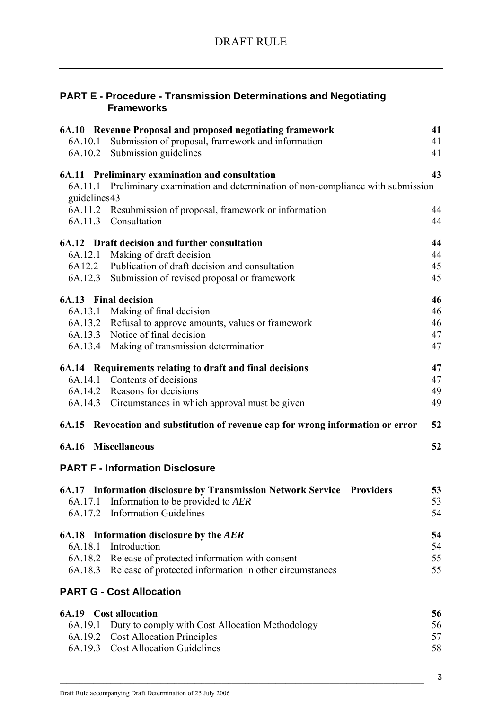|                   | <b>PART E - Procedure - Transmission Determinations and Negotiating</b> |
|-------------------|-------------------------------------------------------------------------|
| <b>Frameworks</b> |                                                                         |

|              | 6A.10 Revenue Proposal and proposed negotiating framework                           | 41 |
|--------------|-------------------------------------------------------------------------------------|----|
| 6A.10.1      | Submission of proposal, framework and information                                   | 41 |
| 6A.10.2      | Submission guidelines                                                               | 41 |
|              | 6A.11 Preliminary examination and consultation                                      | 43 |
| guidelines43 | 6A.11.1 Preliminary examination and determination of non-compliance with submission |    |
|              | 6A.11.2 Resubmission of proposal, framework or information                          | 44 |
|              | 6A.11.3 Consultation                                                                | 44 |
|              | 6A.12 Draft decision and further consultation                                       | 44 |
| 6A.12.1      | Making of draft decision                                                            | 44 |
| 6A12.2       | Publication of draft decision and consultation                                      | 45 |
|              | 6A.12.3 Submission of revised proposal or framework                                 | 45 |
|              | <b>6A.13</b> Final decision                                                         | 46 |
|              | 6A.13.1 Making of final decision                                                    | 46 |
|              | 6A.13.2 Refusal to approve amounts, values or framework                             | 46 |
|              | 6A.13.3 Notice of final decision                                                    | 47 |
|              | 6A.13.4 Making of transmission determination                                        | 47 |
|              | 6A.14 Requirements relating to draft and final decisions                            | 47 |
|              | 6A.14.1 Contents of decisions                                                       | 47 |
|              | 6A.14.2 Reasons for decisions                                                       | 49 |
|              | 6A.14.3 Circumstances in which approval must be given                               | 49 |
|              | 6A.15 Revocation and substitution of revenue cap for wrong information or error     | 52 |
|              | <b>6A.16 Miscellaneous</b>                                                          | 52 |
|              | <b>PART F - Information Disclosure</b>                                              |    |
|              | 6A.17 Information disclosure by Transmission Network Service Providers              | 53 |
|              | 6A.17.1 Information to be provided to AER                                           | 53 |
|              | 6A.17.2 Information Guidelines                                                      | 54 |
|              | 6A.18 Information disclosure by the AER                                             | 54 |
|              | 6A.18.1 Introduction                                                                | 54 |
| 6A.18.2      | Release of protected information with consent                                       | 55 |
|              | 6A.18.3 Release of protected information in other circumstances                     | 55 |
|              | <b>PART G - Cost Allocation</b>                                                     |    |
|              | <b>6A.19</b> Cost allocation                                                        | 56 |
| 6A.19.1      | Duty to comply with Cost Allocation Methodology                                     | 56 |
|              | 6A.19.2 Cost Allocation Principles                                                  | 57 |
|              | 6A.19.3 Cost Allocation Guidelines                                                  | 58 |
|              |                                                                                     |    |

 $\mathcal{L}_\text{max}$ 

3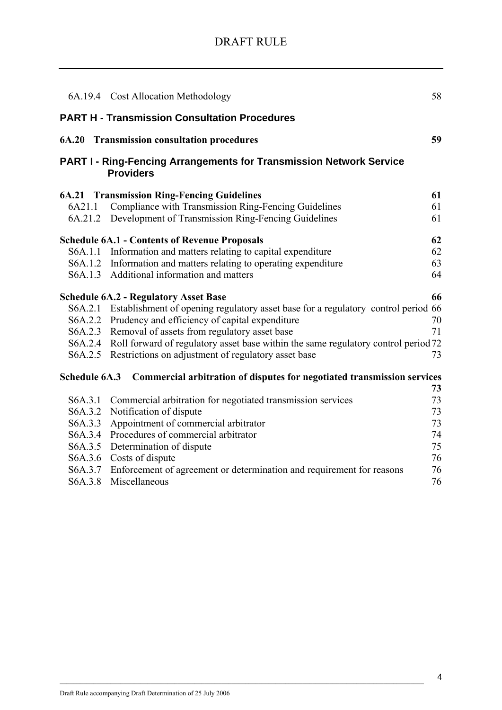|         | 6A.19.4 Cost Allocation Methodology                                                            | 58 |
|---------|------------------------------------------------------------------------------------------------|----|
|         | <b>PART H - Transmission Consultation Procedures</b>                                           |    |
|         | <b>6A.20 Transmission consultation procedures</b>                                              | 59 |
|         | <b>PART I - Ring-Fencing Arrangements for Transmission Network Service</b><br><b>Providers</b> |    |
|         | <b>6A.21 Transmission Ring-Fencing Guidelines</b>                                              | 61 |
| 6A21.1  | Compliance with Transmission Ring-Fencing Guidelines                                           | 61 |
|         | 6A.21.2 Development of Transmission Ring-Fencing Guidelines                                    | 61 |
|         | <b>Schedule 6A.1 - Contents of Revenue Proposals</b>                                           | 62 |
|         | S6A.1.1 Information and matters relating to capital expenditure                                | 62 |
|         | S6A.1.2 Information and matters relating to operating expenditure                              | 63 |
|         | S6A.1.3 Additional information and matters                                                     | 64 |
|         | <b>Schedule 6A.2 - Regulatory Asset Base</b>                                                   | 66 |
|         | S6A.2.1 Establishment of opening regulatory asset base for a regulatory control period 66      |    |
|         | S6A.2.2 Prudency and efficiency of capital expenditure                                         | 70 |
|         | S6A.2.3 Removal of assets from regulatory asset base                                           | 71 |
|         | S6A.2.4 Roll forward of regulatory asset base within the same regulatory control period 72     |    |
|         | S6A.2.5 Restrictions on adjustment of regulatory asset base                                    | 73 |
|         | Schedule 6A.3 Commercial arbitration of disputes for negotiated transmission services          |    |
|         |                                                                                                | 73 |
| S6A.3.1 | Commercial arbitration for negotiated transmission services                                    | 73 |
| S6A.3.2 | Notification of dispute                                                                        | 73 |
| S6A.3.3 | Appointment of commercial arbitrator                                                           | 73 |
| S6A.3.4 | Procedures of commercial arbitrator                                                            | 74 |
| S6A.3.5 | Determination of dispute                                                                       | 75 |
| S6A.3.6 | Costs of dispute                                                                               | 76 |
| S6A.3.7 | Enforcement of agreement or determination and requirement for reasons                          | 76 |
| S6A.3.8 | Miscellaneous                                                                                  | 76 |
|         |                                                                                                |    |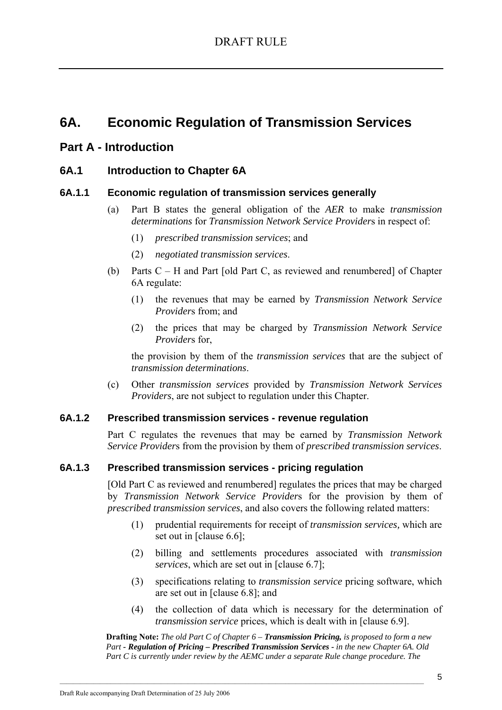# **6A. Economic Regulation of Transmission Services**

# **Part A - Introduction**

### **6A.1 Introduction to Chapter 6A**

### **6A.1.1 Economic regulation of transmission services generally**

- (a) Part B states the general obligation of the *AER* to make *transmission determinations* for *Transmission Network Service Provider*s in respect of:
	- (1) *prescribed transmission services*; and
	- (2) *negotiated transmission services*.
- (b) Parts C H and Part [old Part C, as reviewed and renumbered] of Chapter 6A regulate:
	- (1) the revenues that may be earned by *Transmission Network Service Provider*s from; and
	- (2) the prices that may be charged by *Transmission Network Service Provider*s for,

the provision by them of the *transmission services* that are the subject of *transmission determinations*.

(c) Other *transmission services* provided by *Transmission Network Services Providers*, are not subject to regulation under this Chapter.

### **6A.1.2 Prescribed transmission services - revenue regulation**

Part C regulates the revenues that may be earned by *Transmission Network Service Provider*s from the provision by them of *prescribed transmission services*.

### **6A.1.3 Prescribed transmission services - pricing regulation**

[Old Part C as reviewed and renumbered] regulates the prices that may be charged by *Transmission Network Service Provider*s for the provision by them of *prescribed transmission services*, and also covers the following related matters:

- (1) prudential requirements for receipt of *transmission services,* which are set out in [clause 6.6];
- (2) billing and settlements procedures associated with *transmission services*, which are set out in [clause 6.7];
- (3) specifications relating to *transmission service* pricing software, which are set out in [clause 6.8]; and
- (4) the collection of data which is necessary for the determination of *transmission service* prices, which is dealt with in [clause 6.9].

**Drafting Note:** *The old Part C of Chapter 6 – Transmission Pricing, is proposed to form a new Part - Regulation of Pricing – Prescribed Transmission Services - in the new Chapter 6A. Old Part C is currently under review by the AEMC under a separate Rule change procedure. The*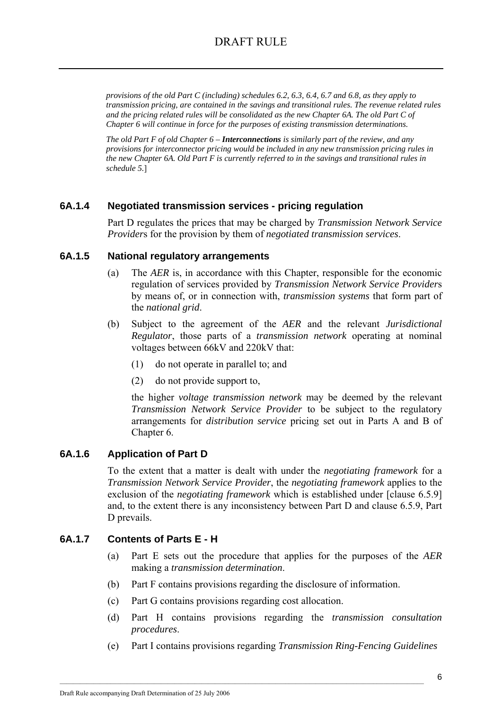*provisions of the old Part C (including) schedules 6.2, 6.3, 6.4, 6.7 and 6.8, as they apply to transmission pricing, are contained in the savings and transitional rules. The revenue related rules and the pricing related rules will be consolidated as the new Chapter 6A. The old Part C of Chapter 6 will continue in force for the purposes of existing transmission determinations.*

*The old Part F of old Chapter 6 – Interconnections is similarly part of the review, and any provisions for interconnector pricing would be included in any new transmission pricing rules in the new Chapter 6A. Old Part F is currently referred to in the savings and transitional rules in schedule 5.*]

### **6A.1.4 Negotiated transmission services - pricing regulation**

Part D regulates the prices that may be charged by *Transmission Network Service Provider*s for the provision by them of *negotiated transmission services*.

### **6A.1.5 National regulatory arrangements**

- (a) The *AER* is, in accordance with this Chapter, responsible for the economic regulation of services provided by *Transmission Network Service Provider*s by means of, or in connection with, *transmission systems* that form part of the *national grid*.
- (b) Subject to the agreement of the *AER* and the relevant *Jurisdictional Regulator*, those parts of a *transmission network* operating at nominal voltages between 66kV and 220kV that:
	- (1) do not operate in parallel to; and
	- (2) do not provide support to,

the higher *voltage transmission network* may be deemed by the relevant *Transmission Network Service Provider* to be subject to the regulatory arrangements for *distribution service* pricing set out in Parts A and B of Chapter 6.

### **6A.1.6 Application of Part D**

To the extent that a matter is dealt with under the *negotiating framework* for a *Transmission Network Service Provider*, the *negotiating framework* applies to the exclusion of the *negotiating framework* which is established under [clause 6.5.9] and, to the extent there is any inconsistency between Part D and clause 6.5.9, Part D prevails.

# **6A.1.7 Contents of Parts E - H**

- (a) Part E sets out the procedure that applies for the purposes of the *AER* making a *transmission determination*.
- (b) Part F contains provisions regarding the disclosure of information.

- (c) Part G contains provisions regarding cost allocation.
- (d) Part H contains provisions regarding the *transmission consultation procedures*.
- (e) Part I contains provisions regarding *Transmission Ring-Fencing Guidelines*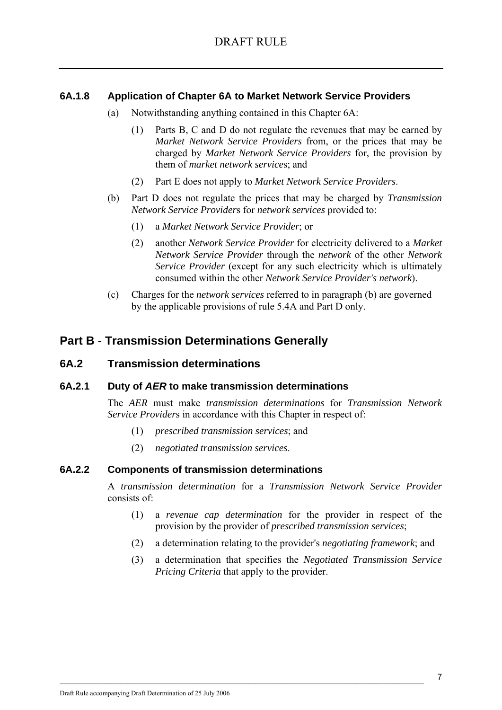### **6A.1.8 Application of Chapter 6A to Market Network Service Providers**

- (a) Notwithstanding anything contained in this Chapter 6A:
	- (1) Parts B, C and D do not regulate the revenues that may be earned by *Market Network Service Providers* from, or the prices that may be charged by *Market Network Service Providers* for, the provision by them of *market network service*s; and
	- (2) Part E does not apply to *Market Network Service Providers*.
- (b) Part D does not regulate the prices that may be charged by *Transmission Network Service Provider*s for *network services* provided to:
	- (1) a *Market Network Service Provider*; or
	- (2) another *Network Service Provider* for electricity delivered to a *Market Network Service Provider* through the *network* of the other *Network Service Provider* (except for any such electricity which is ultimately consumed within the other *Network Service Provider's network*).
- (c) Charges for the *network services* referred to in paragraph (b) are governed by the applicable provisions of rule 5.4A and Part D only.

# **Part B - Transmission Determinations Generally**

### **6A.2 Transmission determinations**

### **6A.2.1 Duty of** *AER* **to make transmission determinations**

The *AER* must make *transmission determinations* for *Transmission Network Service Providers* in accordance with this Chapter in respect of:

- (1) *prescribed transmission services*; and
- (2) *negotiated transmission services*.

### **6A.2.2 Components of transmission determinations**

A *transmission determination* for a *Transmission Network Service Provider* consists of:

- (1) a *revenue cap determination* for the provider in respect of the provision by the provider of *prescribed transmission services*;
- (2) a determination relating to the provider's *negotiating framework*; and
- (3) a determination that specifies the *Negotiated Transmission Service Pricing Criteria* that apply to the provider.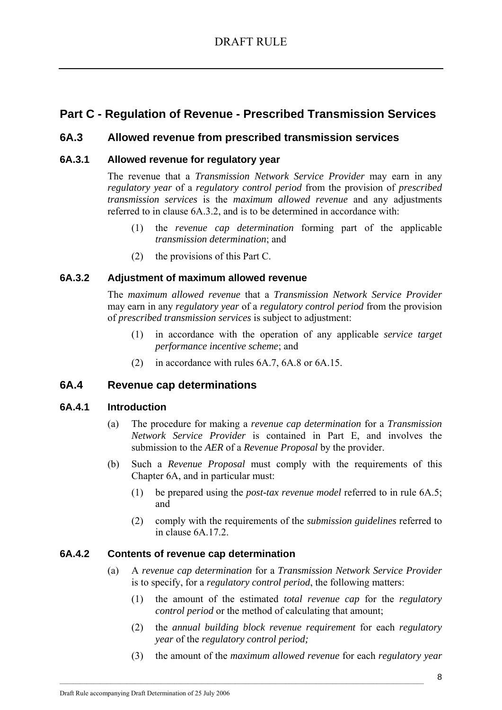# **Part C - Regulation of Revenue - Prescribed Transmission Services**

# **6A.3 Allowed revenue from prescribed transmission services**

### **6A.3.1 Allowed revenue for regulatory year**

The revenue that a *Transmission Network Service Provider* may earn in any *regulatory year* of a *regulatory control period* from the provision of *prescribed transmission services* is the *maximum allowed revenue* and any adjustments referred to in clause 6A.3.2, and is to be determined in accordance with:

- (1) the *revenue cap determination* forming part of the applicable *transmission determination*; and
- (2) the provisions of this Part C.

### **6A.3.2 Adjustment of maximum allowed revenue**

The *maximum allowed revenue* that a *Transmission Network Service Provider* may earn in any *regulatory year* of a *regulatory control period* from the provision of *prescribed transmission services* is subject to adjustment:

- (1) in accordance with the operation of any applicable *service target performance incentive scheme*; and
- (2) in accordance with rules 6A.7, 6A.8 or 6A.15.

# **6A.4 Revenue cap determinations**

### **6A.4.1 Introduction**

- (a) The procedure for making a *revenue cap determination* for a *Transmission Network Service Provider* is contained in Part E, and involves the submission to the *AER* of a *Revenue Proposal* by the provider.
- (b) Such a *Revenue Proposal* must comply with the requirements of this Chapter 6A, and in particular must:
	- (1) be prepared using the *post-tax revenue model* referred to in rule 6A.5; and
	- (2) comply with the requirements of the *submission guidelines* referred to in clause 6A.17.2.

### **6A.4.2 Contents of revenue cap determination**

- (a) A *revenue cap determination* for a *Transmission Network Service Provider* is to specify, for a *regulatory control period*, the following matters:
	- (1) the amount of the estimated *total revenue cap* for the *regulatory control period* or the method of calculating that amount;
	- (2) the *annual building block revenue requirement* for each *regulatory year* of the *regulatory control period;*
	- (3) the amount of the *maximum allowed revenue* for each *regulatory year*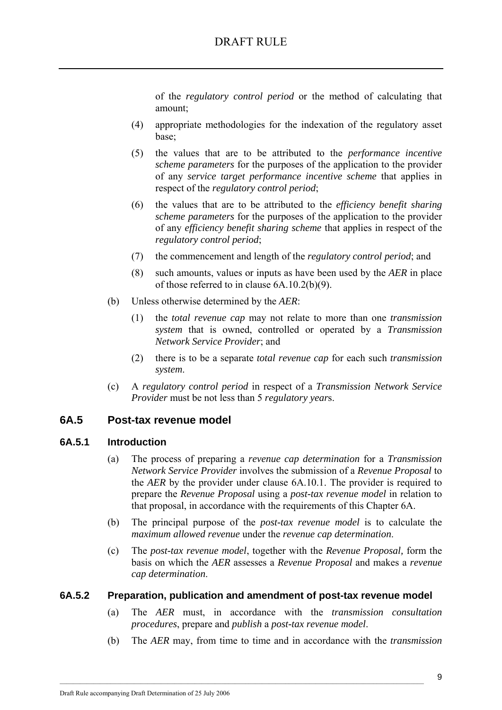of the *regulatory control period* or the method of calculating that amount;

- (4) appropriate methodologies for the indexation of the regulatory asset base;
- (5) the values that are to be attributed to the *performance incentive scheme parameters* for the purposes of the application to the provider of any *service target performance incentive scheme* that applies in respect of the *regulatory control period*;
- (6) the values that are to be attributed to the *efficiency benefit sharing scheme parameters* for the purposes of the application to the provider of any *efficiency benefit sharing scheme* that applies in respect of the *regulatory control period*;
- (7) the commencement and length of the *regulatory control period*; and
- (8) such amounts, values or inputs as have been used by the *AER* in place of those referred to in clause 6A.10.2(b)(9).
- (b) Unless otherwise determined by the *AER*:
	- (1) the *total revenue cap* may not relate to more than one *transmission system* that is owned, controlled or operated by a *Transmission Network Service Provider*; and
	- (2) there is to be a separate *total revenue cap* for each such *transmission system*.
- (c) A *regulatory control period* in respect of a *Transmission Network Service Provider* must be not less than 5 *regulatory year*s.

# **6A.5 Post-tax revenue model**

### **6A.5.1 Introduction**

- (a) The process of preparing a *revenue cap determination* for a *Transmission Network Service Provider* involves the submission of a *Revenue Proposal* to the *AER* by the provider under clause 6A.10.1. The provider is required to prepare the *Revenue Proposal* using a *post-tax revenue model* in relation to that proposal, in accordance with the requirements of this Chapter 6A.
- (b) The principal purpose of the *post-tax revenue model* is to calculate the *maximum allowed revenue* under the *revenue cap determination*.
- (c) The *post-tax revenue model*, together with the *Revenue Proposal,* form the basis on which the *AER* assesses a *Revenue Proposal* and makes a *revenue cap determination*.

### **6A.5.2 Preparation, publication and amendment of post-tax revenue model**

- (a) The *AER* must, in accordance with the *transmission consultation procedures*, prepare and *publish* a *post-tax revenue model*.
- (b) The *AER* may, from time to time and in accordance with the *transmission*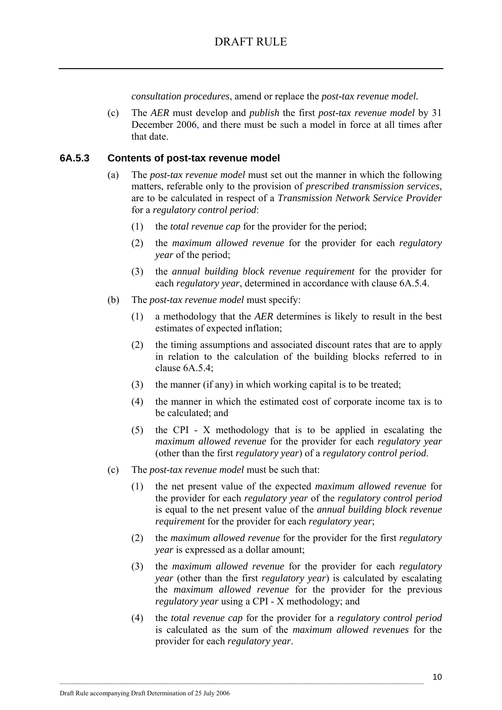*consultation procedures*, amend or replace the *post-tax revenue model.*

(c) The *AER* must develop and *publish* the first *post-tax revenue model* by 31 December 2006, and there must be such a model in force at all times after that date.

#### **6A.5.3 Contents of post-tax revenue model**

- (a) The *post-tax revenue model* must set out the manner in which the following matters, referable only to the provision of *prescribed transmission services*, are to be calculated in respect of a *Transmission Network Service Provider* for a *regulatory control period*:
	- (1) the *total revenue cap* for the provider for the period;
	- (2) the *maximum allowed revenue* for the provider for each *regulatory year* of the period;
	- (3) the *annual building block revenue requirement* for the provider for each *regulatory year*, determined in accordance with clause 6A.5.4.
- (b) The *post-tax revenue model* must specify:
	- (1) a methodology that the *AER* determines is likely to result in the best estimates of expected inflation;
	- (2) the timing assumptions and associated discount rates that are to apply in relation to the calculation of the building blocks referred to in clause  $6A.5.4$ ;
	- (3) the manner (if any) in which working capital is to be treated;
	- (4) the manner in which the estimated cost of corporate income tax is to be calculated; and
	- (5) the CPI X methodology that is to be applied in escalating the *maximum allowed revenue* for the provider for each *regulatory year* (other than the first *regulatory year*) of a *regulatory control period*.
- (c) The *post-tax revenue model* must be such that:
	- (1) the net present value of the expected *maximum allowed revenue* for the provider for each *regulatory year* of the *regulatory control period* is equal to the net present value of the *annual building block revenue requirement* for the provider for each *regulatory year*;
	- (2) the *maximum allowed revenue* for the provider for the first *regulatory year* is expressed as a dollar amount;
	- (3) the *maximum allowed revenue* for the provider for each *regulatory year* (other than the first *regulatory year*) is calculated by escalating the *maximum allowed revenue* for the provider for the previous *regulatory year* using a CPI - X methodology; and
	- (4) the *total revenue cap* for the provider for a *regulatory control period* is calculated as the sum of the *maximum allowed revenues* for the provider for each *regulatory year*.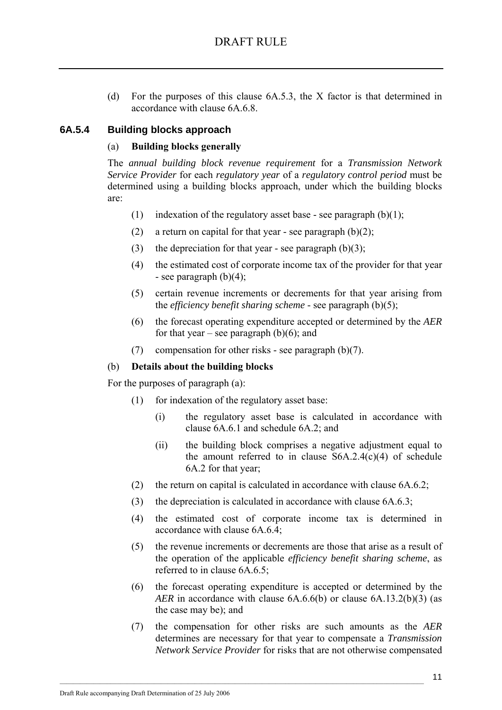(d) For the purposes of this clause 6A.5.3, the X factor is that determined in accordance with clause 6A.6.8.

# **6A.5.4 Building blocks approach**

### (a) **Building blocks generally**

The *annual building block revenue requirement* for a *Transmission Network Service Provider* for each *regulatory year* of a *regulatory control period* must be determined using a building blocks approach, under which the building blocks are:

- (1) indexation of the regulatory asset base see paragraph  $(b)(1)$ ;
- (2) a return on capital for that year see paragraph  $(b)(2)$ ;
- (3) the depreciation for that year see paragraph  $(b)(3)$ ;
- (4) the estimated cost of corporate income tax of the provider for that year - see paragraph  $(b)(4)$ ;
- (5) certain revenue increments or decrements for that year arising from the *efficiency benefit sharing scheme* - see paragraph (b)(5);
- (6) the forecast operating expenditure accepted or determined by the *AER* for that year – see paragraph  $(b)(6)$ ; and
- (7) compensation for other risks see paragraph (b)(7).

### (b) **Details about the building blocks**

For the purposes of paragraph (a):

- (1) for indexation of the regulatory asset base:
	- (i) the regulatory asset base is calculated in accordance with clause 6A.6.1 and schedule 6A.2; and
	- (ii) the building block comprises a negative adjustment equal to the amount referred to in clause  $S6A.2.4(c)(4)$  of schedule 6A.2 for that year;
- (2) the return on capital is calculated in accordance with clause 6A.6.2;
- (3) the depreciation is calculated in accordance with clause 6A.6.3;
- (4) the estimated cost of corporate income tax is determined in accordance with clause 6A.6.4;
- (5) the revenue increments or decrements are those that arise as a result of the operation of the applicable *efficiency benefit sharing scheme*, as referred to in clause 6A.6.5;
- (6) the forecast operating expenditure is accepted or determined by the *AER* in accordance with clause 6A.6.6(b) or clause 6A.13.2(b)(3) (as the case may be); and
- (7) the compensation for other risks are such amounts as the *AER* determines are necessary for that year to compensate a *Transmission Network Service Provider* for risks that are not otherwise compensated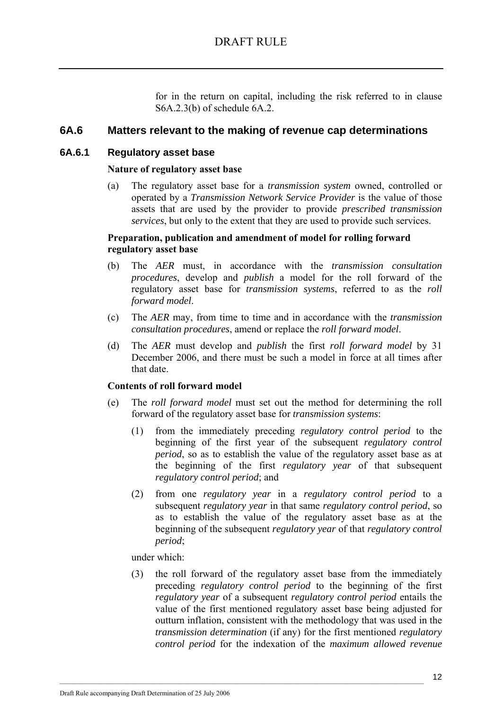for in the return on capital, including the risk referred to in clause S6A.2.3(b) of schedule 6A.2.

### **6A.6 Matters relevant to the making of revenue cap determinations**

### **6A.6.1 Regulatory asset base**

### **Nature of regulatory asset base**

(a) The regulatory asset base for a *transmission system* owned, controlled or operated by a *Transmission Network Service Provider* is the value of those assets that are used by the provider to provide *prescribed transmission services*, but only to the extent that they are used to provide such services.

### **Preparation, publication and amendment of model for rolling forward regulatory asset base**

- (b) The *AER* must, in accordance with the *transmission consultation procedures*, develop and *publish* a model for the roll forward of the regulatory asset base for *transmission systems*, referred to as the *roll forward model*.
- (c) The *AER* may, from time to time and in accordance with the *transmission consultation procedures*, amend or replace the *roll forward model*.
- (d) The *AER* must develop and *publish* the first *roll forward model* by 31 December 2006, and there must be such a model in force at all times after that date.

### **Contents of roll forward model**

- (e) The *roll forward model* must set out the method for determining the roll forward of the regulatory asset base for *transmission systems*:
	- (1) from the immediately preceding *regulatory control period* to the beginning of the first year of the subsequent *regulatory control period*, so as to establish the value of the regulatory asset base as at the beginning of the first *regulatory year* of that subsequent *regulatory control period*; and
	- (2) from one *regulatory year* in a *regulatory control period* to a subsequent *regulatory year* in that same *regulatory control period*, so as to establish the value of the regulatory asset base as at the beginning of the subsequent *regulatory year* of that *regulatory control period*;

under which:

(3) the roll forward of the regulatory asset base from the immediately preceding *regulatory control period* to the beginning of the first *regulatory year* of a subsequent *regulatory control period* entails the value of the first mentioned regulatory asset base being adjusted for outturn inflation, consistent with the methodology that was used in the *transmission determination* (if any) for the first mentioned *regulatory control period* for the indexation of the *maximum allowed revenue*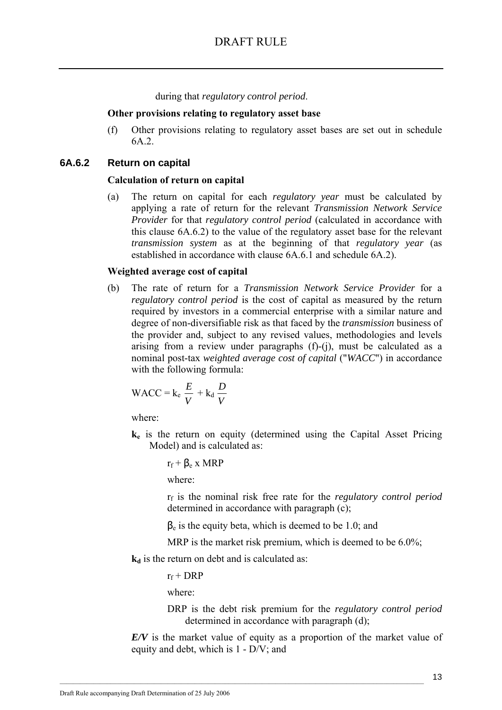during that *regulatory control period*.

#### **Other provisions relating to regulatory asset base**

(f) Other provisions relating to regulatory asset bases are set out in schedule 6A.2.

### **6A.6.2 Return on capital**

#### **Calculation of return on capital**

(a) The return on capital for each *regulatory year* must be calculated by applying a rate of return for the relevant *Transmission Network Service Provider* for that *regulatory control period* (calculated in accordance with this clause 6A.6.2) to the value of the regulatory asset base for the relevant *transmission system* as at the beginning of that *regulatory year* (as established in accordance with clause 6A.6.1 and schedule 6A.2).

#### **Weighted average cost of capital**

(b) The rate of return for a *Transmission Network Service Provider* for a *regulatory control period* is the cost of capital as measured by the return required by investors in a commercial enterprise with a similar nature and degree of non-diversifiable risk as that faced by the *transmission* business of the provider and, subject to any revised values, methodologies and levels arising from a review under paragraphs (f)-(j), must be calculated as a nominal post-tax *weighted average cost of capital* ("*WACC*") in accordance with the following formula:

WACC = 
$$
k_e \frac{E}{V} + k_d \frac{D}{V}
$$

where:

**ke** is the return on equity (determined using the Capital Asset Pricing Model) and is calculated as:

$$
r_f + \beta_e \ge MRP
$$

where:

rf is the nominal risk free rate for the *regulatory control period* determined in accordance with paragraph (c);

 $\beta_e$  is the equity beta, which is deemed to be 1.0; and

MRP is the market risk premium, which is deemed to be 6.0%;

**k**<sub>d</sub> is the return on debt and is calculated as:

 $\mathcal{L}_\text{max}$ 

 $r_f$  + DRP

where:

DRP is the debt risk premium for the *regulatory control period* determined in accordance with paragraph (d);

*E/V* is the market value of equity as a proportion of the market value of equity and debt, which is 1 - D/V; and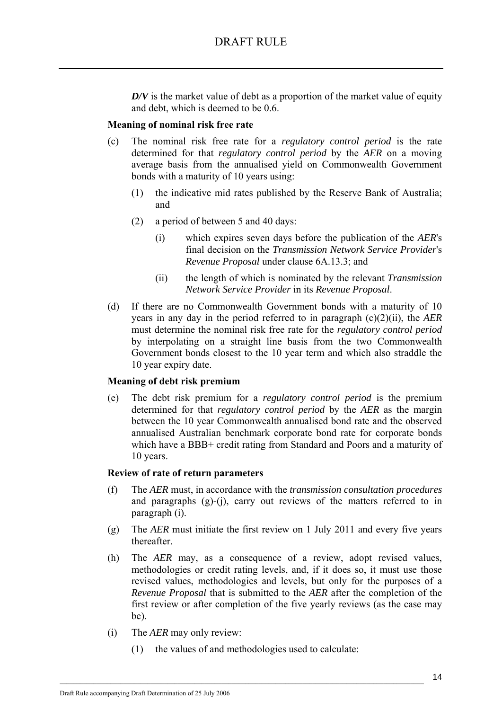*D/V* is the market value of debt as a proportion of the market value of equity and debt, which is deemed to be 0.6.

### **Meaning of nominal risk free rate**

- (c) The nominal risk free rate for a *regulatory control period* is the rate determined for that *regulatory control period* by the *AER* on a moving average basis from the annualised yield on Commonwealth Government bonds with a maturity of 10 years using:
	- (1) the indicative mid rates published by the Reserve Bank of Australia; and
	- (2) a period of between 5 and 40 days:
		- (i) which expires seven days before the publication of the *AER*'s final decision on the *Transmission Network Service Provider*'s *Revenue Proposal* under clause 6A.13.3; and
		- (ii) the length of which is nominated by the relevant *Transmission Network Service Provider* in its *Revenue Proposal*.
- (d) If there are no Commonwealth Government bonds with a maturity of 10 years in any day in the period referred to in paragraph (c)(2)(ii), the *AER* must determine the nominal risk free rate for the *regulatory control period* by interpolating on a straight line basis from the two Commonwealth Government bonds closest to the 10 year term and which also straddle the 10 year expiry date.

### **Meaning of debt risk premium**

(e) The debt risk premium for a *regulatory control period* is the premium determined for that *regulatory control period* by the *AER* as the margin between the 10 year Commonwealth annualised bond rate and the observed annualised Australian benchmark corporate bond rate for corporate bonds which have a BBB+ credit rating from Standard and Poors and a maturity of 10 years.

### **Review of rate of return parameters**

- (f) The *AER* must, in accordance with the *transmission consultation procedures* and paragraphs  $(g)-(i)$ , carry out reviews of the matters referred to in paragraph (i).
- (g) The *AER* must initiate the first review on 1 July 2011 and every five years thereafter.
- (h) The *AER* may, as a consequence of a review, adopt revised values, methodologies or credit rating levels, and, if it does so, it must use those revised values, methodologies and levels, but only for the purposes of a *Revenue Proposal* that is submitted to the *AER* after the completion of the first review or after completion of the five yearly reviews (as the case may be).
- (i) The *AER* may only review:
	- (1) the values of and methodologies used to calculate: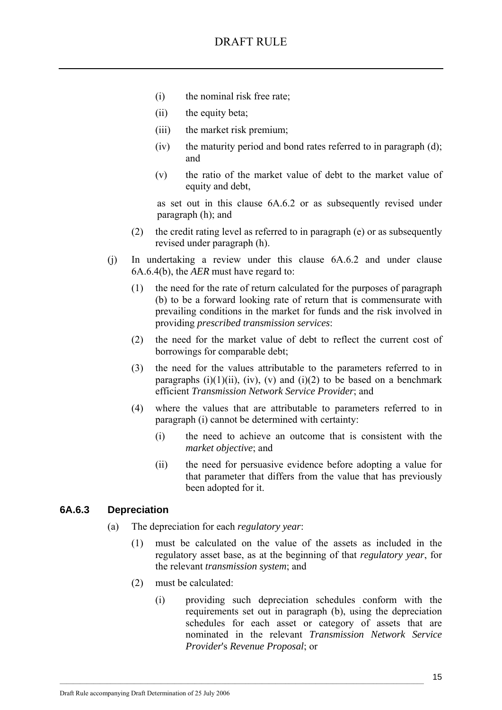- (i) the nominal risk free rate;
- (ii) the equity beta;
- (iii) the market risk premium;
- (iv) the maturity period and bond rates referred to in paragraph (d); and
- (v) the ratio of the market value of debt to the market value of equity and debt,

as set out in this clause 6A.6.2 or as subsequently revised under paragraph (h); and

- (2) the credit rating level as referred to in paragraph (e) or as subsequently revised under paragraph (h).
- (j) In undertaking a review under this clause 6A.6.2 and under clause 6A.6.4(b), the *AER* must have regard to:
	- (1) the need for the rate of return calculated for the purposes of paragraph (b) to be a forward looking rate of return that is commensurate with prevailing conditions in the market for funds and the risk involved in providing *prescribed transmission services*:
	- (2) the need for the market value of debt to reflect the current cost of borrowings for comparable debt;
	- (3) the need for the values attributable to the parameters referred to in paragraphs (i)(1)(ii), (iv), (v) and (i)(2) to be based on a benchmark efficient *Transmission Network Service Provider*; and
	- (4) where the values that are attributable to parameters referred to in paragraph (i) cannot be determined with certainty:
		- (i) the need to achieve an outcome that is consistent with the *market objective*; and
		- (ii) the need for persuasive evidence before adopting a value for that parameter that differs from the value that has previously been adopted for it.

### **6A.6.3 Depreciation**

(a) The depreciation for each *regulatory year*:

- (1) must be calculated on the value of the assets as included in the regulatory asset base, as at the beginning of that *regulatory year*, for the relevant *transmission system*; and
- (2) must be calculated:
	- (i) providing such depreciation schedules conform with the requirements set out in paragraph (b), using the depreciation schedules for each asset or category of assets that are nominated in the relevant *Transmission Network Service Provider*'s *Revenue Proposal*; or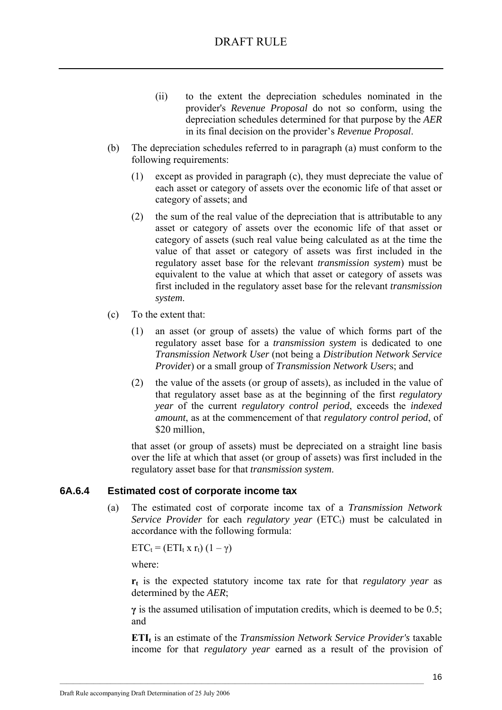- (ii) to the extent the depreciation schedules nominated in the provider's *Revenue Proposal* do not so conform, using the depreciation schedules determined for that purpose by the *AER* in its final decision on the provider's *Revenue Proposal*.
- (b) The depreciation schedules referred to in paragraph (a) must conform to the following requirements:
	- (1) except as provided in paragraph (c), they must depreciate the value of each asset or category of assets over the economic life of that asset or category of assets; and
	- (2) the sum of the real value of the depreciation that is attributable to any asset or category of assets over the economic life of that asset or category of assets (such real value being calculated as at the time the value of that asset or category of assets was first included in the regulatory asset base for the relevant *transmission system*) must be equivalent to the value at which that asset or category of assets was first included in the regulatory asset base for the relevant *transmission system*.
- (c) To the extent that:
	- (1) an asset (or group of assets) the value of which forms part of the regulatory asset base for a *transmission system* is dedicated to one *Transmission Network User* (not being a *Distribution Network Service Provide*r) or a small group of *Transmission Network User*s; and
	- (2) the value of the assets (or group of assets), as included in the value of that regulatory asset base as at the beginning of the first *regulatory year* of the current *regulatory control period*, exceeds the *indexed amount*, as at the commencement of that *regulatory control period*, of \$20 million.

that asset (or group of assets) must be depreciated on a straight line basis over the life at which that asset (or group of assets) was first included in the regulatory asset base for that *transmission system*.

### **6A.6.4 Estimated cost of corporate income tax**

(a) The estimated cost of corporate income tax of a *Transmission Network Service Provider* for each *regulatory year* (ETC<sub>t</sub>) must be calculated in accordance with the following formula:

 $ETC_t = (ETI_t \times r_t) (1 - \gamma)$ 

where:

**rt** is the expected statutory income tax rate for that *regulatory year* as determined by the *AER*;

**γ** is the assumed utilisation of imputation credits, which is deemed to be 0.5; and

**ETIt** is an estimate of the *Transmission Network Service Provider's* taxable income for that *regulatory year* earned as a result of the provision of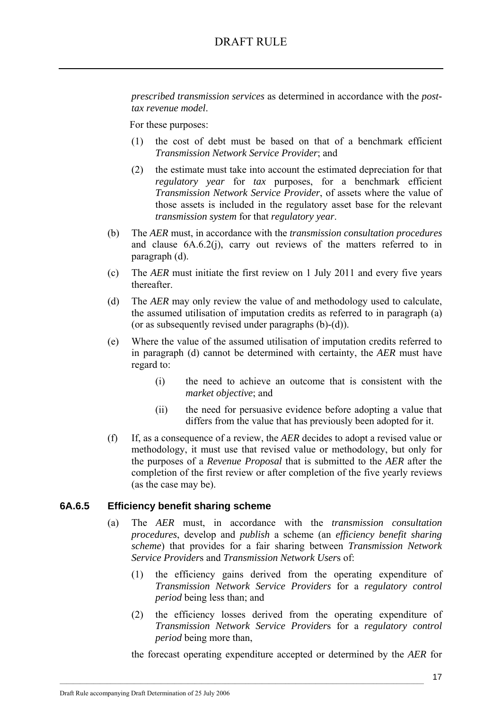*prescribed transmission services* as determined in accordance with the *posttax revenue model*.

For these purposes:

- (1) the cost of debt must be based on that of a benchmark efficient *Transmission Network Service Provider*; and
- (2) the estimate must take into account the estimated depreciation for that *regulatory year* for *tax* purposes, for a benchmark efficient *Transmission Network Service Provider*, of assets where the value of those assets is included in the regulatory asset base for the relevant *transmission system* for that *regulatory year*.
- (b) The *AER* must, in accordance with the *transmission consultation procedures* and clause 6A.6.2(j), carry out reviews of the matters referred to in paragraph (d).
- (c) The *AER* must initiate the first review on 1 July 2011 and every five years thereafter.
- (d) The *AER* may only review the value of and methodology used to calculate, the assumed utilisation of imputation credits as referred to in paragraph (a) (or as subsequently revised under paragraphs (b)-(d)).
- (e) Where the value of the assumed utilisation of imputation credits referred to in paragraph (d) cannot be determined with certainty, the *AER* must have regard to:
	- (i) the need to achieve an outcome that is consistent with the *market objective*; and
	- (ii) the need for persuasive evidence before adopting a value that differs from the value that has previously been adopted for it.
- (f) If, as a consequence of a review, the *AER* decides to adopt a revised value or methodology, it must use that revised value or methodology, but only for the purposes of a *Revenue Proposal* that is submitted to the *AER* after the completion of the first review or after completion of the five yearly reviews (as the case may be).

### **6A.6.5 Efficiency benefit sharing scheme**

- (a) The *AER* must, in accordance with the *transmission consultation procedures*, develop and *publish* a scheme (an *efficiency benefit sharing scheme*) that provides for a fair sharing between *Transmission Network Service Provider*s and *Transmission Network User*s of:
	- (1) the efficiency gains derived from the operating expenditure of *Transmission Network Service Providers* for a *regulatory control period* being less than; and
	- (2) the efficiency losses derived from the operating expenditure of *Transmission Network Service Provider*s for a *regulatory control period* being more than,

the forecast operating expenditure accepted or determined by the *AER* for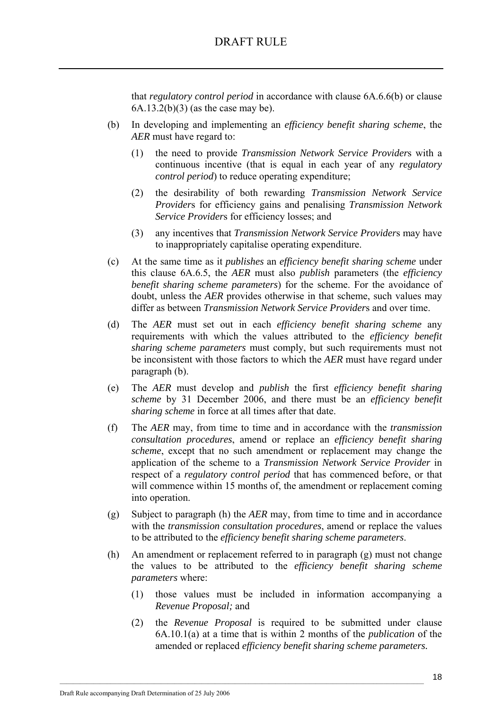that *regulatory control period* in accordance with clause 6A.6.6(b) or clause 6A.13.2(b)(3) (as the case may be).

- (b) In developing and implementing an *efficiency benefit sharing scheme*, the *AER* must have regard to:
	- (1) the need to provide *Transmission Network Service Provider*s with a continuous incentive (that is equal in each year of any *regulatory control period*) to reduce operating expenditure;
	- (2) the desirability of both rewarding *Transmission Network Service Provider*s for efficiency gains and penalising *Transmission Network Service Provider*s for efficiency losses; and
	- (3) any incentives that *Transmission Network Service Provider*s may have to inappropriately capitalise operating expenditure.
- (c) At the same time as it *publishes* an *efficiency benefit sharing scheme* under this clause 6A.6.5, the *AER* must also *publish* parameters (the *efficiency benefit sharing scheme parameters*) for the scheme. For the avoidance of doubt, unless the *AER* provides otherwise in that scheme, such values may differ as between *Transmission Network Service Provider*s and over time.
- (d) The *AER* must set out in each *efficiency benefit sharing scheme* any requirements with which the values attributed to the *efficiency benefit sharing scheme parameters* must comply, but such requirements must not be inconsistent with those factors to which the *AER* must have regard under paragraph (b).
- (e) The *AER* must develop and *publish* the first *efficiency benefit sharing scheme* by 31 December 2006, and there must be an *efficiency benefit sharing scheme* in force at all times after that date.
- (f) The *AER* may, from time to time and in accordance with the *transmission consultation procedures*, amend or replace an *efficiency benefit sharing scheme*, except that no such amendment or replacement may change the application of the scheme to a *Transmission Network Service Provider* in respect of a *regulatory control period* that has commenced before, or that will commence within 15 months of, the amendment or replacement coming into operation.
- (g) Subject to paragraph (h) the *AER* may, from time to time and in accordance with the *transmission consultation procedures*, amend or replace the values to be attributed to the *efficiency benefit sharing scheme parameters*.
- (h) An amendment or replacement referred to in paragraph (g) must not change the values to be attributed to the *efficiency benefit sharing scheme parameters* where:
	- (1) those values must be included in information accompanying a *Revenue Proposal;* and
	- (2) the *Revenue Proposal* is required to be submitted under clause 6A.10.1(a) at a time that is within 2 months of the *publication* of the amended or replaced *efficiency benefit sharing scheme parameters.*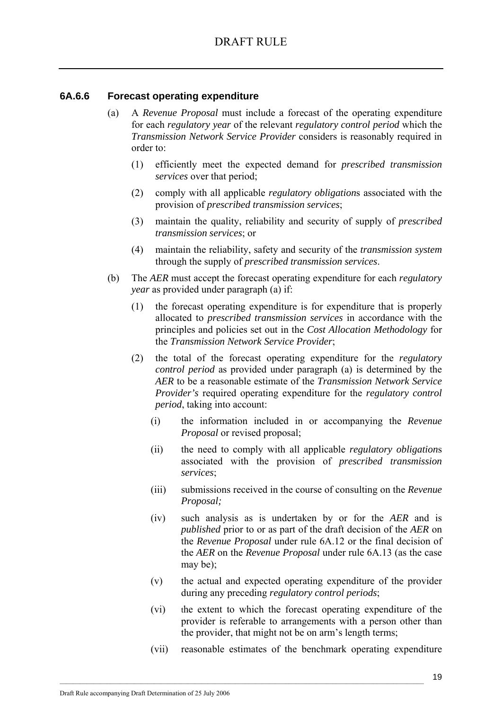### **6A.6.6 Forecast operating expenditure**

- (a) A *Revenue Proposal* must include a forecast of the operating expenditure for each *regulatory year* of the relevant *regulatory control period* which the *Transmission Network Service Provider* considers is reasonably required in order to:
	- (1) efficiently meet the expected demand for *prescribed transmission services* over that period;
	- (2) comply with all applicable *regulatory obligation*s associated with the provision of *prescribed transmission services*;
	- (3) maintain the quality, reliability and security of supply of *prescribed transmission services*; or
	- (4) maintain the reliability, safety and security of the *transmission system* through the supply of *prescribed transmission services*.
- (b) The *AER* must accept the forecast operating expenditure for each *regulatory year* as provided under paragraph (a) if:
	- (1) the forecast operating expenditure is for expenditure that is properly allocated to *prescribed transmission services* in accordance with the principles and policies set out in the *Cost Allocation Methodology* for the *Transmission Network Service Provider*;
	- (2) the total of the forecast operating expenditure for the *regulatory control period* as provided under paragraph (a) is determined by the *AER* to be a reasonable estimate of the *Transmission Network Service Provider's* required operating expenditure for the *regulatory control period*, taking into account:
		- (i) the information included in or accompanying the *Revenue Proposal* or revised proposal;
		- (ii) the need to comply with all applicable *regulatory obligation*s associated with the provision of *prescribed transmission services*;
		- (iii) submissions received in the course of consulting on the *Revenue Proposal;*
		- (iv) such analysis as is undertaken by or for the *AER* and is *published* prior to or as part of the draft decision of the *AER* on the *Revenue Proposal* under rule 6A.12 or the final decision of the *AER* on the *Revenue Proposal* under rule 6A.13 (as the case may be);
		- (v) the actual and expected operating expenditure of the provider during any preceding *regulatory control periods*;
		- (vi) the extent to which the forecast operating expenditure of the provider is referable to arrangements with a person other than the provider, that might not be on arm's length terms;
		- (vii) reasonable estimates of the benchmark operating expenditure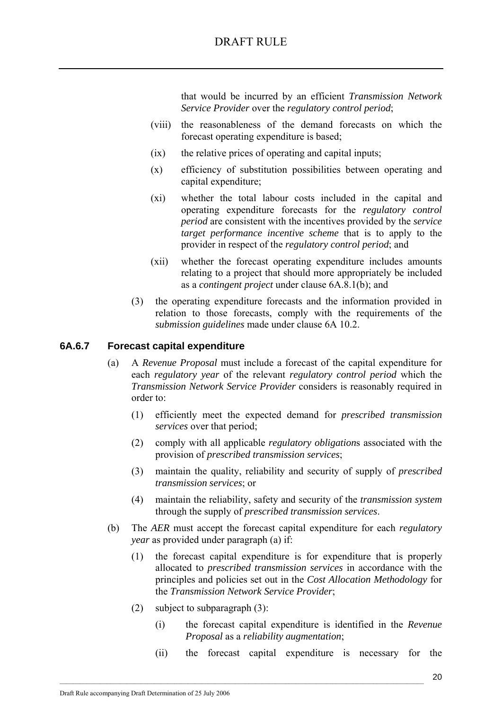# DRAFT RULE

that would be incurred by an efficient *Transmission Network Service Provider* over the *regulatory control period*;

- (viii) the reasonableness of the demand forecasts on which the forecast operating expenditure is based;
- (ix) the relative prices of operating and capital inputs;
- (x) efficiency of substitution possibilities between operating and capital expenditure;
- (xi) whether the total labour costs included in the capital and operating expenditure forecasts for the *regulatory control period* are consistent with the incentives provided by the *service target performance incentive scheme* that is to apply to the provider in respect of the *regulatory control period*; and
- (xii) whether the forecast operating expenditure includes amounts relating to a project that should more appropriately be included as a *contingent project* under clause 6A.8.1(b); and
- (3) the operating expenditure forecasts and the information provided in relation to those forecasts, comply with the requirements of the *submission guidelines* made under clause 6A 10.2.

### **6A.6.7 Forecast capital expenditure**

- (a) A *Revenue Proposal* must include a forecast of the capital expenditure for each *regulatory year* of the relevant *regulatory control period* which the *Transmission Network Service Provider* considers is reasonably required in order to:
	- (1) efficiently meet the expected demand for *prescribed transmission services* over that period;
	- (2) comply with all applicable *regulatory obligation*s associated with the provision of *prescribed transmission services*;
	- (3) maintain the quality, reliability and security of supply of *prescribed transmission services*; or
	- (4) maintain the reliability, safety and security of the *transmission system* through the supply of *prescribed transmission services*.
- (b) The *AER* must accept the forecast capital expenditure for each *regulatory year* as provided under paragraph (a) if:
	- (1) the forecast capital expenditure is for expenditure that is properly allocated to *prescribed transmission services* in accordance with the principles and policies set out in the *Cost Allocation Methodology* for the *Transmission Network Service Provider*;
	- (2) subject to subparagraph (3):

- (i) the forecast capital expenditure is identified in the *Revenue Proposal* as a *reliability augmentation*;
- (ii) the forecast capital expenditure is necessary for the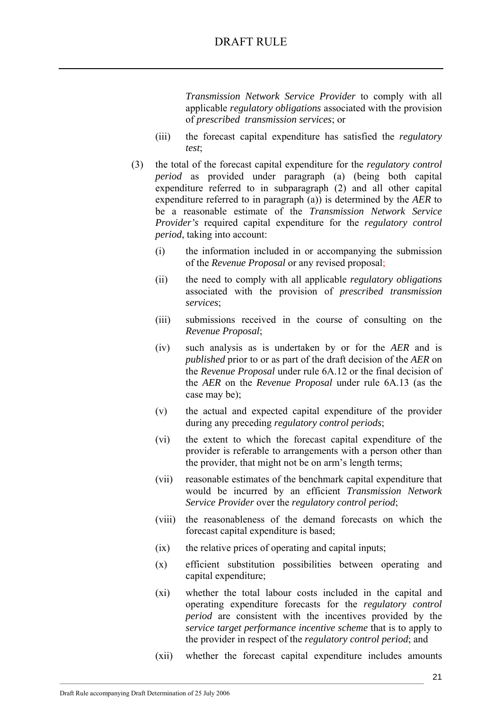*Transmission Network Service Provider* to comply with all applicable *regulatory obligations* associated with the provision of *prescribed transmission services*; or

- (iii) the forecast capital expenditure has satisfied the *regulatory test*;
- (3) the total of the forecast capital expenditure for the *regulatory control period* as provided under paragraph (a) (being both capital expenditure referred to in subparagraph (2) and all other capital expenditure referred to in paragraph (a)) is determined by the *AER* to be a reasonable estimate of the *Transmission Network Service Provider's* required capital expenditure for the *regulatory control period*, taking into account:
	- (i) the information included in or accompanying the submission of the *Revenue Proposal* or any revised proposal;
	- (ii) the need to comply with all applicable *regulatory obligations*  associated with the provision of *prescribed transmission services*;
	- (iii) submissions received in the course of consulting on the *Revenue Proposal*;
	- (iv) such analysis as is undertaken by or for the *AER* and is *published* prior to or as part of the draft decision of the *AER* on the *Revenue Proposal* under rule 6A.12 or the final decision of the *AER* on the *Revenue Proposal* under rule 6A.13 (as the case may be);
	- (v) the actual and expected capital expenditure of the provider during any preceding *regulatory control periods*;
	- (vi) the extent to which the forecast capital expenditure of the provider is referable to arrangements with a person other than the provider, that might not be on arm's length terms;
	- (vii) reasonable estimates of the benchmark capital expenditure that would be incurred by an efficient *Transmission Network Service Provider* over the *regulatory control period*;
	- (viii) the reasonableness of the demand forecasts on which the forecast capital expenditure is based;
	- (ix) the relative prices of operating and capital inputs;

- (x) efficient substitution possibilities between operating and capital expenditure;
- (xi) whether the total labour costs included in the capital and operating expenditure forecasts for the *regulatory control period* are consistent with the incentives provided by the *service target performance incentive scheme* that is to apply to the provider in respect of the *regulatory control period*; and
- (xii) whether the forecast capital expenditure includes amounts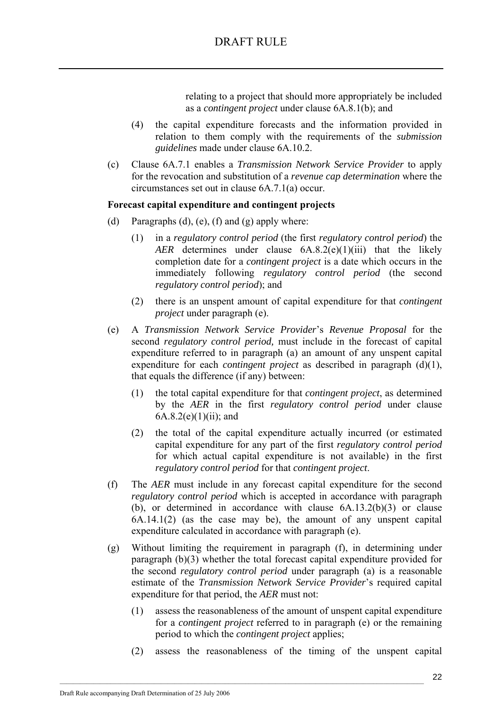relating to a project that should more appropriately be included as a *contingent project* under clause 6A.8.1(b); and

- (4) the capital expenditure forecasts and the information provided in relation to them comply with the requirements of the *submission guidelines* made under clause 6A.10.2.
- (c) Clause 6A.7.1 enables a *Transmission Network Service Provider* to apply for the revocation and substitution of a *revenue cap determination* where the circumstances set out in clause 6A.7.1(a) occur.

### **Forecast capital expenditure and contingent projects**

- (d) Paragraphs (d), (e), (f) and (g) apply where:
	- (1) in a *regulatory control period* (the first *regulatory control period*) the *AER* determines under clause 6A.8.2(e)(1)(iii) that the likely completion date for a *contingent project* is a date which occurs in the immediately following *regulatory control period* (the second *regulatory control period*); and
	- (2) there is an unspent amount of capital expenditure for that *contingent project* under paragraph (e).
- (e) A *Transmission Network Service Provider*'s *Revenue Proposal* for the second *regulatory control period,* must include in the forecast of capital expenditure referred to in paragraph (a) an amount of any unspent capital expenditure for each *contingent project* as described in paragraph (d)(1), that equals the difference (if any) between:
	- (1) the total capital expenditure for that *contingent project*, as determined by the *AER* in the first *regulatory control period* under clause  $6A.8.2(e)(1)(ii)$ ; and
	- (2) the total of the capital expenditure actually incurred (or estimated capital expenditure for any part of the first *regulatory control period*  for which actual capital expenditure is not available) in the first *regulatory control period* for that *contingent project*.
- (f) The *AER* must include in any forecast capital expenditure for the second *regulatory control period* which is accepted in accordance with paragraph (b), or determined in accordance with clause 6A.13.2(b)(3) or clause 6A.14.1(2) (as the case may be), the amount of any unspent capital expenditure calculated in accordance with paragraph (e).
- (g) Without limiting the requirement in paragraph (f), in determining under paragraph (b)(3) whether the total forecast capital expenditure provided for the second *regulatory control period* under paragraph (a) is a reasonable estimate of the *Transmission Network Service Provider*'s required capital expenditure for that period, the *AER* must not:
	- (1) assess the reasonableness of the amount of unspent capital expenditure for a *contingent project* referred to in paragraph (e) or the remaining period to which the *contingent project* applies;
	- (2) assess the reasonableness of the timing of the unspent capital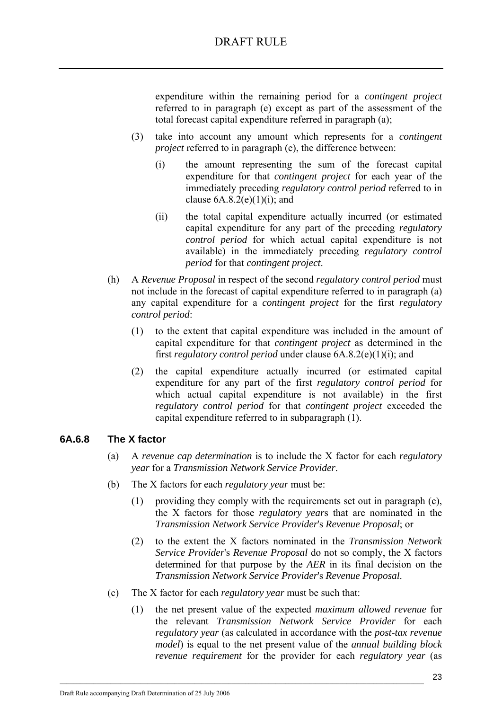expenditure within the remaining period for a *contingent project* referred to in paragraph (e) except as part of the assessment of the total forecast capital expenditure referred in paragraph (a);

- (3) take into account any amount which represents for a *contingent project* referred to in paragraph (e), the difference between:
	- (i) the amount representing the sum of the forecast capital expenditure for that *contingent project* for each year of the immediately preceding *regulatory control period* referred to in clause  $6A.8.2(e)(1)(i)$ ; and
	- (ii) the total capital expenditure actually incurred (or estimated capital expenditure for any part of the preceding *regulatory control period* for which actual capital expenditure is not available) in the immediately preceding *regulatory control period* for that *contingent project*.
- (h) A *Revenue Proposal* in respect of the second *regulatory control period* must not include in the forecast of capital expenditure referred to in paragraph (a) any capital expenditure for a *contingent project* for the first *regulatory control period*:
	- (1) to the extent that capital expenditure was included in the amount of capital expenditure for that *contingent project* as determined in the first *regulatory control period* under clause 6A.8.2(e)(1)(i); and
	- (2) the capital expenditure actually incurred (or estimated capital expenditure for any part of the first *regulatory control period* for which actual capital expenditure is not available) in the first *regulatory control period* for that *contingent project* exceeded the capital expenditure referred to in subparagraph (1).

### **6A.6.8 The X factor**

- (a) A *revenue cap determination* is to include the X factor for each *regulatory year* for a *Transmission Network Service Provider*.
- (b) The X factors for each *regulatory year* must be:
	- (1) providing they comply with the requirements set out in paragraph (c), the X factors for those *regulatory year*s that are nominated in the *Transmission Network Service Provider*'s *Revenue Proposal*; or
	- (2) to the extent the X factors nominated in the *Transmission Network Service Provider*'s *Revenue Proposal* do not so comply, the X factors determined for that purpose by the *AER* in its final decision on the *Transmission Network Service Provider*'s *Revenue Proposal*.
- (c) The X factor for each *regulatory year* must be such that:

 $\mathcal{L}_\text{max}$ 

(1) the net present value of the expected *maximum allowed revenue* for the relevant *Transmission Network Service Provider* for each *regulatory year* (as calculated in accordance with the *post-tax revenue model*) is equal to the net present value of the *annual building block revenue requirement* for the provider for each *regulatory year* (as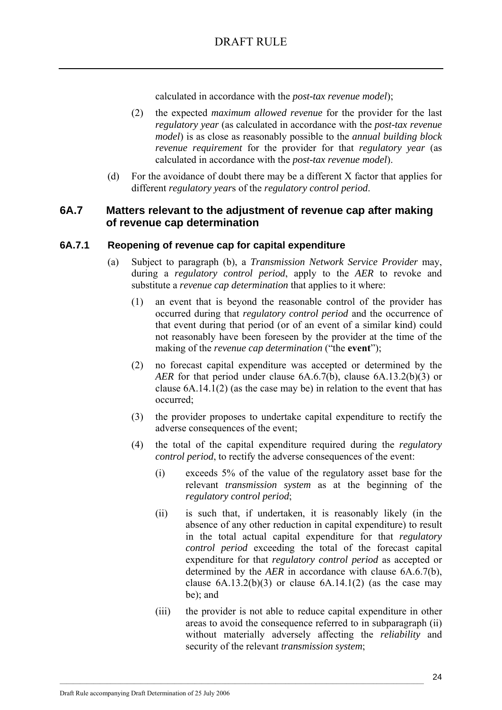calculated in accordance with the *post-tax revenue model*);

- (2) the expected *maximum allowed revenue* for the provider for the last *regulatory year* (as calculated in accordance with the *post-tax revenue model*) is as close as reasonably possible to the *annual building block revenue requirement* for the provider for that *regulatory year* (as calculated in accordance with the *post-tax revenue model*).
- (d) For the avoidance of doubt there may be a different X factor that applies for different *regulatory year*s of the *regulatory control period*.

## **6A.7 Matters relevant to the adjustment of revenue cap after making of revenue cap determination**

### **6A.7.1 Reopening of revenue cap for capital expenditure**

- (a) Subject to paragraph (b), a *Transmission Network Service Provider* may, during a *regulatory control period*, apply to the *AER* to revoke and substitute a *revenue cap determination* that applies to it where:
	- (1) an event that is beyond the reasonable control of the provider has occurred during that *regulatory control period* and the occurrence of that event during that period (or of an event of a similar kind) could not reasonably have been foreseen by the provider at the time of the making of the *revenue cap determination* ("the **event**");
	- (2) no forecast capital expenditure was accepted or determined by the *AER* for that period under clause 6A.6.7(b), clause 6A.13.2(b)(3) or clause 6A.14.1(2) (as the case may be) in relation to the event that has occurred;
	- (3) the provider proposes to undertake capital expenditure to rectify the adverse consequences of the event;
	- (4) the total of the capital expenditure required during the *regulatory control period*, to rectify the adverse consequences of the event:
		- (i) exceeds 5% of the value of the regulatory asset base for the relevant *transmission system* as at the beginning of the *regulatory control period*;
		- (ii) is such that, if undertaken, it is reasonably likely (in the absence of any other reduction in capital expenditure) to result in the total actual capital expenditure for that *regulatory control period* exceeding the total of the forecast capital expenditure for that *regulatory control period* as accepted or determined by the *AER* in accordance with clause 6A.6.7(b), clause  $6A.13.2(b)(3)$  or clause  $6A.14.1(2)$  (as the case may be); and
		- (iii) the provider is not able to reduce capital expenditure in other areas to avoid the consequence referred to in subparagraph (ii) without materially adversely affecting the *reliability* and security of the relevant *transmission system*;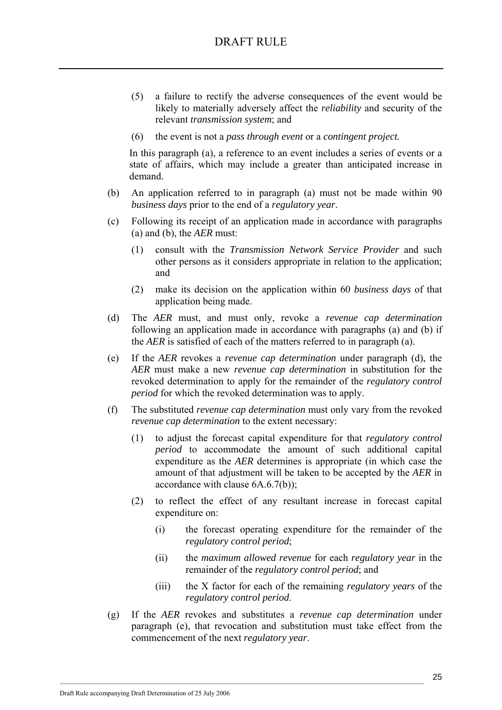- (5) a failure to rectify the adverse consequences of the event would be likely to materially adversely affect the *reliability* and security of the relevant *transmission system*; and
- (6) the event is not a *pass through event* or a *contingent project.*

In this paragraph (a), a reference to an event includes a series of events or a state of affairs, which may include a greater than anticipated increase in demand.

- (b) An application referred to in paragraph (a) must not be made within 90 *business days* prior to the end of a *regulatory year*.
- (c) Following its receipt of an application made in accordance with paragraphs (a) and (b), the *AER* must:
	- (1) consult with the *Transmission Network Service Provider* and such other persons as it considers appropriate in relation to the application; and
	- (2) make its decision on the application within 60 *business days* of that application being made.
- (d) The *AER* must, and must only, revoke a *revenue cap determination* following an application made in accordance with paragraphs (a) and (b) if the *AER* is satisfied of each of the matters referred to in paragraph (a).
- (e) If the *AER* revokes a *revenue cap determination* under paragraph (d), the *AER* must make a new *revenue cap determination* in substitution for the revoked determination to apply for the remainder of the *regulatory control period* for which the revoked determination was to apply.
- (f) The substituted *revenue cap determination* must only vary from the revoked *revenue cap determination* to the extent necessary:
	- (1) to adjust the forecast capital expenditure for that *regulatory control period* to accommodate the amount of such additional capital expenditure as the *AER* determines is appropriate (in which case the amount of that adjustment will be taken to be accepted by the *AER* in accordance with clause 6A.6.7(b));
	- (2) to reflect the effect of any resultant increase in forecast capital expenditure on:
		- (i) the forecast operating expenditure for the remainder of the *regulatory control period*;
		- (ii) the *maximum allowed revenue* for each *regulatory year* in the remainder of the *regulatory control period*; and
		- (iii) the X factor for each of the remaining *regulatory years* of the *regulatory control period*.
- (g) If the *AER* revokes and substitutes a *revenue cap determination* under paragraph (e), that revocation and substitution must take effect from the commencement of the next *regulatory year*.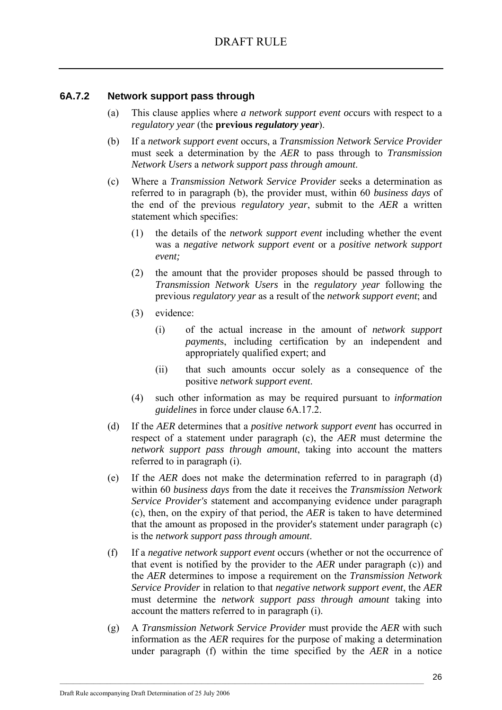### **6A.7.2 Network support pass through**

- (a) This clause applies where *a network support event oc*curs with respect to a *regulatory year* (the **previous** *regulatory year*).
- (b) If a *network support event* occurs, a *Transmission Network Service Provider* must seek a determination by the *AER* to pass through to *Transmission Network Users* a *network support pass through amount*.
- (c) Where a *Transmission Network Service Provider* seeks a determination as referred to in paragraph (b), the provider must, within 60 *business days* of the end of the previous *regulatory year*, submit to the *AER* a written statement which specifies:
	- (1) the details of the *network support event* including whether the event was a *negative network support event* or a *positive network support event;*
	- (2) the amount that the provider proposes should be passed through to *Transmission Network Users* in the *regulatory year* following the previous *regulatory year* as a result of the *network support event*; and
	- (3) evidence:
		- (i) of the actual increase in the amount of *network support payment*s, including certification by an independent and appropriately qualified expert; and
		- (ii) that such amounts occur solely as a consequence of the positive *network support event*.
	- (4) such other information as may be required pursuant to *information guidelines* in force under clause 6A.17.2.
- (d) If the *AER* determines that a *positive network support event* has occurred in respect of a statement under paragraph (c), the *AER* must determine the *network support pass through amount*, taking into account the matters referred to in paragraph (i).
- (e) If the *AER* does not make the determination referred to in paragraph (d) within 60 *business days* from the date it receives the *Transmission Network Service Provider's* statement and accompanying evidence under paragraph (c), then, on the expiry of that period, the *AER* is taken to have determined that the amount as proposed in the provider's statement under paragraph (c) is the *network support pass through amount*.
- (f) If a *negative network support event* occurs (whether or not the occurrence of that event is notified by the provider to the *AER* under paragraph (c)) and the *AER* determines to impose a requirement on the *Transmission Network Service Provider* in relation to that *negative network support event*, the *AER* must determine the *network support pass through amount* taking into account the matters referred to in paragraph (i).
- (g) A *Transmission Network Service Provider* must provide the *AER* with such information as the *AER* requires for the purpose of making a determination under paragraph (f) within the time specified by the *AER* in a notice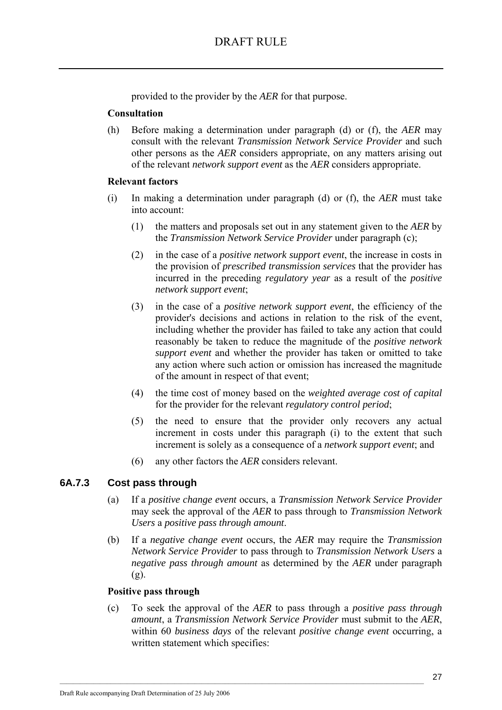provided to the provider by the *AER* for that purpose.

#### **Consultation**

(h) Before making a determination under paragraph (d) or (f), the *AER* may consult with the relevant *Transmission Network Service Provider* and such other persons as the *AER* considers appropriate, on any matters arising out of the relevant *network support event* as the *AER* considers appropriate.

#### **Relevant factors**

- (i) In making a determination under paragraph (d) or (f), the *AER* must take into account:
	- (1) the matters and proposals set out in any statement given to the *AER* by the *Transmission Network Service Provider* under paragraph (c);
	- (2) in the case of a *positive network support event*, the increase in costs in the provision of *prescribed transmission services* that the provider has incurred in the preceding *regulatory year* as a result of the *positive network support event*;
	- (3) in the case of a *positive network support event*, the efficiency of the provider's decisions and actions in relation to the risk of the event, including whether the provider has failed to take any action that could reasonably be taken to reduce the magnitude of the *positive network support event* and whether the provider has taken or omitted to take any action where such action or omission has increased the magnitude of the amount in respect of that event;
	- (4) the time cost of money based on the *weighted average cost of capital* for the provider for the relevant *regulatory control period*;
	- (5) the need to ensure that the provider only recovers any actual increment in costs under this paragraph (i) to the extent that such increment is solely as a consequence of a *network support event*; and
	- (6) any other factors the *AER* considers relevant.

### **6A.7.3 Cost pass through**

- (a) If a *positive change event* occurs, a *Transmission Network Service Provider* may seek the approval of the *AER* to pass through to *Transmission Network Users* a *positive pass through amount*.
- (b) If a *negative change event* occurs, the *AER* may require the *Transmission Network Service Provider* to pass through to *Transmission Network Users* a *negative pass through amount* as determined by the *AER* under paragraph (g).

#### **Positive pass through**

(c) To seek the approval of the *AER* to pass through a *positive pass through amount*, a *Transmission Network Service Provider* must submit to the *AER*, within 60 *business days* of the relevant *positive change event* occurring, a written statement which specifies: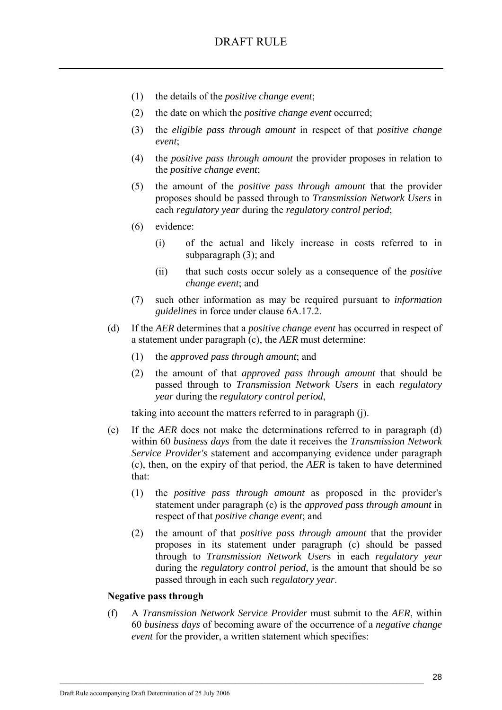- (1) the details of the *positive change event*;
- (2) the date on which the *positive change event* occurred;
- (3) the *eligible pass through amount* in respect of that *positive change event*;
- (4) the *positive pass through amount* the provider proposes in relation to the *positive change event*;
- (5) the amount of the *positive pass through amount* that the provider proposes should be passed through to *Transmission Network Users* in each *regulatory year* during the *regulatory control period*;
- (6) evidence:
	- (i) of the actual and likely increase in costs referred to in subparagraph (3); and
	- (ii) that such costs occur solely as a consequence of the *positive change event*; and
- (7) such other information as may be required pursuant to *information guidelines* in force under clause 6A.17.2.
- (d) If the *AER* determines that a *positive change event* has occurred in respect of a statement under paragraph (c), the *AER* must determine:
	- (1) the *approved pass through amount*; and
	- (2) the amount of that *approved pass through amount* that should be passed through to *Transmission Network Users* in each *regulatory year* during the *regulatory control period*,

taking into account the matters referred to in paragraph (j).

- (e) If the *AER* does not make the determinations referred to in paragraph (d) within 60 *business days* from the date it receives the *Transmission Network Service Provider's* statement and accompanying evidence under paragraph (c), then, on the expiry of that period, the *AER* is taken to have determined that:
	- (1) the *positive pass through amount* as proposed in the provider's statement under paragraph (c) is the *approved pass through amount* in respect of that *positive change event*; and
	- (2) the amount of that *positive pass through amount* that the provider proposes in its statement under paragraph (c) should be passed through to *Transmission Network User*s in each *regulatory year* during the *regulatory control period*, is the amount that should be so passed through in each such *regulatory year*.

#### **Negative pass through**

(f) A *Transmission Network Service Provider* must submit to the *AER*, within 60 *business days* of becoming aware of the occurrence of a *negative change event* for the provider, a written statement which specifies: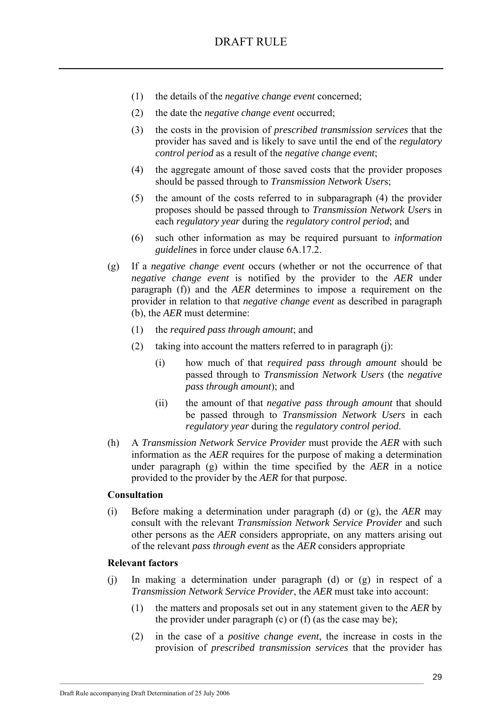- (1) the details of the *negative change event* concerned;
- (2) the date the *negative change event* occurred;
- (3) the costs in the provision of *prescribed transmission services* that the provider has saved and is likely to save until the end of the *regulatory control period* as a result of the *negative change event*;
- (4) the aggregate amount of those saved costs that the provider proposes should be passed through to *Transmission Network User*s;
- (5) the amount of the costs referred to in subparagraph (4) the provider proposes should be passed through to *Transmission Network User*s in each *regulatory year* during the *regulatory control period*; and
- (6) such other information as may be required pursuant to *information guidelines* in force under clause 6A.17.2.
- (g) If a *negative change event* occurs (whether or not the occurrence of that *negative change event* is notified by the provider to the *AER* under paragraph (f)) and the *AER* determines to impose a requirement on the provider in relation to that *negative change event* as described in paragraph (b), the *AER* must determine:
	- (1) the *required pass through amount*; and
	- (2) taking into account the matters referred to in paragraph (j):
		- (i) how much of that *required pass through amount* should be passed through to *Transmission Network Users* (the *negative pass through amount*); and
		- (ii) the amount of that *negative pass through amount* that should be passed through to *Transmission Network Users* in each *regulatory year* during the *regulatory control period*.
- (h) A *Transmission Network Service Provider* must provide the *AER* with such information as the *AER* requires for the purpose of making a determination under paragraph (g) within the time specified by the *AER* in a notice provided to the provider by the *AER* for that purpose.

#### **Consultation**

(i) Before making a determination under paragraph (d) or (g), the *AER* may consult with the relevant *Transmission Network Service Provider* and such other persons as the *AER* considers appropriate, on any matters arising out of the relevant *pass through event* as the *AER* considers appropriate

#### **Relevant factors**

(j) In making a determination under paragraph (d) or (g) in respect of a *Transmission Network Service Provider*, the *AER* must take into account:

- (1) the matters and proposals set out in any statement given to the *AER* by the provider under paragraph  $(c)$  or  $(f)$  (as the case may be);
- (2) in the case of a *positive change event*, the increase in costs in the provision of *prescribed transmission services* that the provider has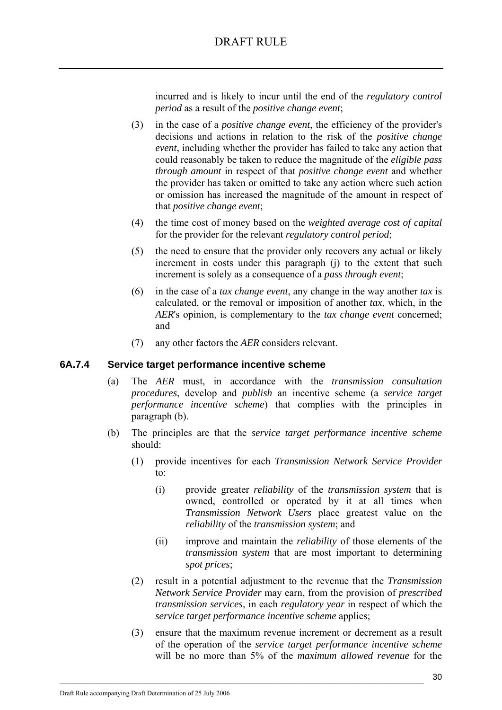incurred and is likely to incur until the end of the *regulatory control period* as a result of the *positive change event*;

- (3) in the case of a *positive change event*, the efficiency of the provider's decisions and actions in relation to the risk of the *positive change event*, including whether the provider has failed to take any action that could reasonably be taken to reduce the magnitude of the *eligible pass through amount* in respect of that *positive change event* and whether the provider has taken or omitted to take any action where such action or omission has increased the magnitude of the amount in respect of that *positive change event*;
- (4) the time cost of money based on the *weighted average cost of capital* for the provider for the relevant *regulatory control period*;
- (5) the need to ensure that the provider only recovers any actual or likely increment in costs under this paragraph (i) to the extent that such increment is solely as a consequence of a *pass through event*;
- (6) in the case of a *tax change event*, any change in the way another *tax* is calculated, or the removal or imposition of another *tax*, which, in the *AER*'s opinion, is complementary to the *tax change event* concerned; and
- (7) any other factors the *AER* considers relevant.

### **6A.7.4 Service target performance incentive scheme**

- (a) The *AER* must, in accordance with the *transmission consultation procedures*, develop and *publish* an incentive scheme (a *service target performance incentive scheme*) that complies with the principles in paragraph (b).
- (b) The principles are that the *service target performance incentive scheme* should:
	- (1) provide incentives for each *Transmission Network Service Provider* to:
		- (i) provide greater *reliability* of the *transmission system* that is owned, controlled or operated by it at all times when *Transmission Network Users* place greatest value on the *reliability* of the *transmission system*; and
		- (ii) improve and maintain the *reliability* of those elements of the *transmission system* that are most important to determining *spot prices*;
	- (2) result in a potential adjustment to the revenue that the *Transmission Network Service Provider* may earn, from the provision of *prescribed transmission services*, in each *regulatory year* in respect of which the *service target performance incentive scheme* applies;
	- (3) ensure that the maximum revenue increment or decrement as a result of the operation of the *service target performance incentive scheme* will be no more than 5% of the *maximum allowed revenue* for the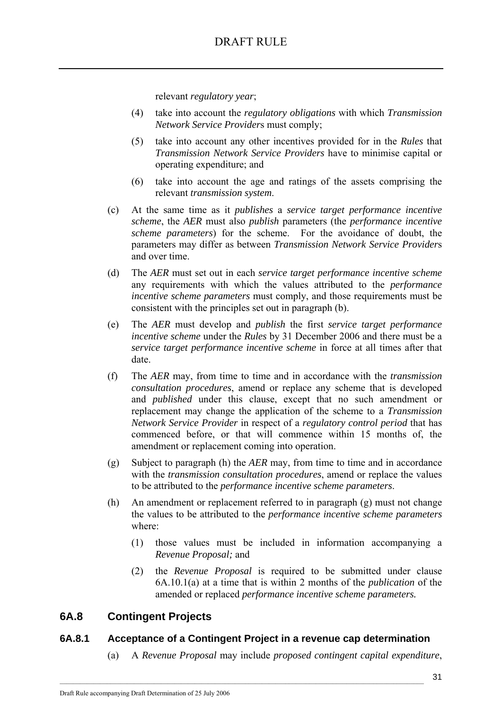relevant *regulatory year*;

- (4) take into account the *regulatory obligations* with which *Transmission Network Service Provider*s must comply;
- (5) take into account any other incentives provided for in the *Rules* that *Transmission Network Service Providers* have to minimise capital or operating expenditure; and
- (6) take into account the age and ratings of the assets comprising the relevant *transmission system*.
- (c) At the same time as it *publishes* a *service target performance incentive scheme*, the *AER* must also *publish* parameters (the *performance incentive scheme parameters*) for the scheme. For the avoidance of doubt, the parameters may differ as between *Transmission Network Service Provider*s and over time.
- (d) The *AER* must set out in each *service target performance incentive scheme* any requirements with which the values attributed to the *performance incentive scheme parameters* must comply, and those requirements must be consistent with the principles set out in paragraph (b).
- (e) The *AER* must develop and *publish* the first *service target performance incentive scheme* under the *Rules* by 31 December 2006 and there must be a *service target performance incentive scheme* in force at all times after that date.
- (f) The *AER* may, from time to time and in accordance with the *transmission consultation procedures*, amend or replace any scheme that is developed and *published* under this clause, except that no such amendment or replacement may change the application of the scheme to a *Transmission Network Service Provider* in respect of a *regulatory control period* that has commenced before, or that will commence within 15 months of, the amendment or replacement coming into operation.
- (g) Subject to paragraph (h) the *AER* may, from time to time and in accordance with the *transmission consultation procedures*, amend or replace the values to be attributed to the *performance incentive scheme parameters*.
- (h) An amendment or replacement referred to in paragraph (g) must not change the values to be attributed to the *performance incentive scheme parameters*  where:
	- (1) those values must be included in information accompanying a *Revenue Proposal;* and
	- (2) the *Revenue Proposal* is required to be submitted under clause 6A.10.1(a) at a time that is within 2 months of the *publication* of the amended or replaced *performance incentive scheme parameters.*

# **6A.8 Contingent Projects**

### **6A.8.1 Acceptance of a Contingent Project in a revenue cap determination**

 $\mathcal{L}_\text{max}$ 

(a) A *Revenue Proposal* may include *proposed contingent capital expenditure*,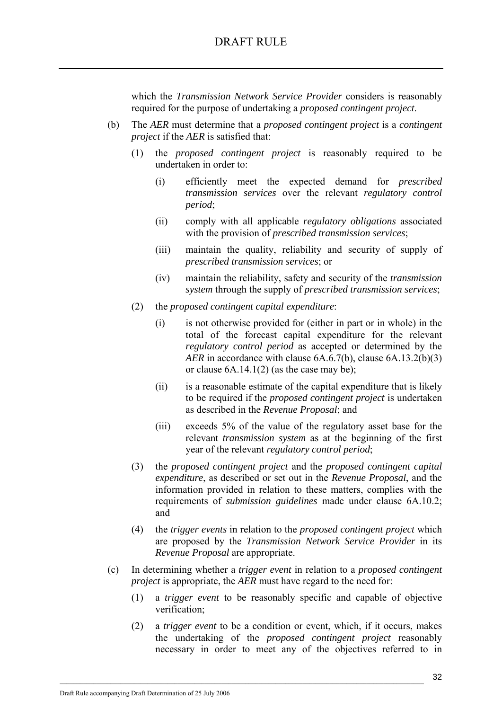which the *Transmission Network Service Provider* considers is reasonably required for the purpose of undertaking a *proposed contingent project*.

- (b) The *AER* must determine that a *proposed contingent project* is a *contingent project* if the *AER* is satisfied that:
	- (1) the *proposed contingent project* is reasonably required to be undertaken in order to:
		- (i) efficiently meet the expected demand for *prescribed transmission services* over the relevant *regulatory control period*;
		- (ii) comply with all applicable *regulatory obligations* associated with the provision of *prescribed transmission services*;
		- (iii) maintain the quality, reliability and security of supply of *prescribed transmission services*; or
		- (iv) maintain the reliability, safety and security of the *transmission system* through the supply of *prescribed transmission services*;
	- (2) the *proposed contingent capital expenditure*:
		- (i) is not otherwise provided for (either in part or in whole) in the total of the forecast capital expenditure for the relevant *regulatory control period* as accepted or determined by the *AER* in accordance with clause 6A.6.7(b), clause 6A.13.2(b)(3) or clause  $6A.14.1(2)$  (as the case may be);
		- (ii) is a reasonable estimate of the capital expenditure that is likely to be required if the *proposed contingent project* is undertaken as described in the *Revenue Proposal*; and
		- (iii) exceeds 5% of the value of the regulatory asset base for the relevant *transmission system* as at the beginning of the first year of the relevant *regulatory control period*;
	- (3) the *proposed contingent project* and the *proposed contingent capital expenditure*, as described or set out in the *Revenue Proposal*, and the information provided in relation to these matters, complies with the requirements of *submission guidelines* made under clause 6A.10.2; and
	- (4) the *trigger events* in relation to the *proposed contingent project* which are proposed by the *Transmission Network Service Provider* in its *Revenue Proposal* are appropriate.
- (c) In determining whether a *trigger event* in relation to a *proposed contingent project* is appropriate, the *AER* must have regard to the need for:
	- (1) a *trigger event* to be reasonably specific and capable of objective verification;
	- (2) a *trigger event* to be a condition or event, which, if it occurs, makes the undertaking of the *proposed contingent project* reasonably necessary in order to meet any of the objectives referred to in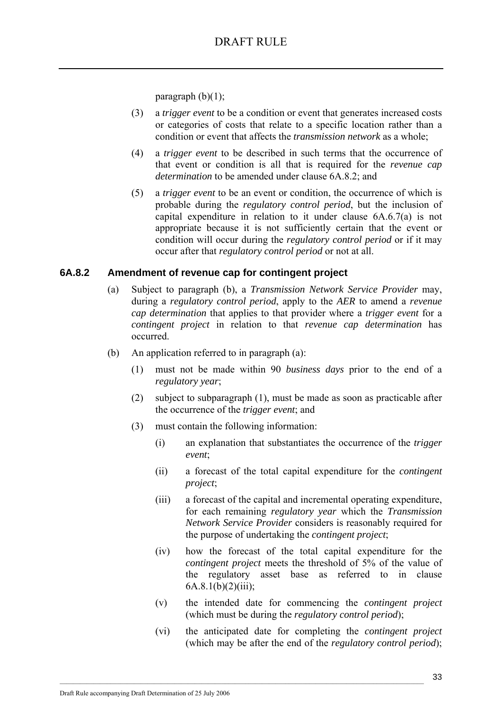paragraph  $(b)(1)$ ;

- (3) a *trigger event* to be a condition or event that generates increased costs or categories of costs that relate to a specific location rather than a condition or event that affects the *transmission network* as a whole;
- (4) a *trigger event* to be described in such terms that the occurrence of that event or condition is all that is required for the *revenue cap determination* to be amended under clause 6A.8.2; and
- (5) a *trigger event* to be an event or condition, the occurrence of which is probable during the *regulatory control period*, but the inclusion of capital expenditure in relation to it under clause 6A.6.7(a) is not appropriate because it is not sufficiently certain that the event or condition will occur during the *regulatory control period* or if it may occur after that *regulatory control period* or not at all.

### **6A.8.2 Amendment of revenue cap for contingent project**

- (a) Subject to paragraph (b), a *Transmission Network Service Provider* may, during a *regulatory control period*, apply to the *AER* to amend a *revenue cap determination* that applies to that provider where a *trigger event* for a *contingent project* in relation to that *revenue cap determination* has occurred.
- (b) An application referred to in paragraph (a):
	- (1) must not be made within 90 *business days* prior to the end of a *regulatory year*;
	- (2) subject to subparagraph (1), must be made as soon as practicable after the occurrence of the *trigger event*; and
	- (3) must contain the following information:
		- (i) an explanation that substantiates the occurrence of the *trigger event*;
		- (ii) a forecast of the total capital expenditure for the *contingent project*;
		- (iii) a forecast of the capital and incremental operating expenditure, for each remaining *regulatory year* which the *Transmission Network Service Provider* considers is reasonably required for the purpose of undertaking the *contingent project*;
		- (iv) how the forecast of the total capital expenditure for the *contingent project* meets the threshold of 5% of the value of the regulatory asset base as referred to in clause  $6A.8.1(b)(2)(iii);$
		- (v) the intended date for commencing the *contingent project* (which must be during the *regulatory control period*);
		- (vi) the anticipated date for completing the *contingent project* (which may be after the end of the *regulatory control period*);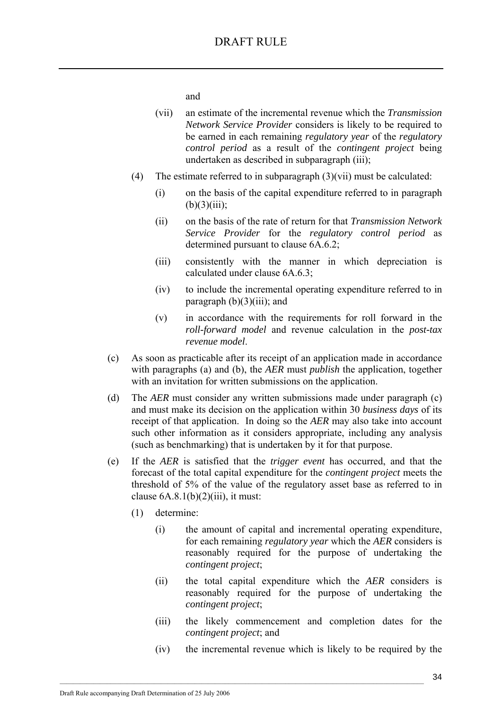and

- (vii) an estimate of the incremental revenue which the *Transmission Network Service Provider* considers is likely to be required to be earned in each remaining *regulatory year* of the *regulatory control period* as a result of the *contingent project* being undertaken as described in subparagraph (iii);
- (4) The estimate referred to in subparagraph (3)(vii) must be calculated:
	- (i) on the basis of the capital expenditure referred to in paragraph  $(b)(3)(iii);$
	- (ii) on the basis of the rate of return for that *Transmission Network Service Provider* for the *regulatory control period* as determined pursuant to clause 6A.6.2;
	- (iii) consistently with the manner in which depreciation is calculated under clause 6A.6.3;
	- (iv) to include the incremental operating expenditure referred to in paragraph  $(b)(3)(iii)$ ; and
	- (v) in accordance with the requirements for roll forward in the *roll-forward model* and revenue calculation in the *post-tax revenue model*.
- (c) As soon as practicable after its receipt of an application made in accordance with paragraphs (a) and (b), the *AER* must *publish* the application, together with an invitation for written submissions on the application.
- (d) The *AER* must consider any written submissions made under paragraph (c) and must make its decision on the application within 30 *business days* of its receipt of that application. In doing so the *AER* may also take into account such other information as it considers appropriate, including any analysis (such as benchmarking) that is undertaken by it for that purpose.
- (e) If the *AER* is satisfied that the *trigger event* has occurred, and that the forecast of the total capital expenditure for the *contingent project* meets the threshold of 5% of the value of the regulatory asset base as referred to in clause  $6A.8.1(b)(2)(iii)$ , it must:
	- (1) determine:
		- (i) the amount of capital and incremental operating expenditure, for each remaining *regulatory year* which the *AER* considers is reasonably required for the purpose of undertaking the *contingent project*;
		- (ii) the total capital expenditure which the *AER* considers is reasonably required for the purpose of undertaking the *contingent project*;
		- (iii) the likely commencement and completion dates for the *contingent project*; and
		- (iv) the incremental revenue which is likely to be required by the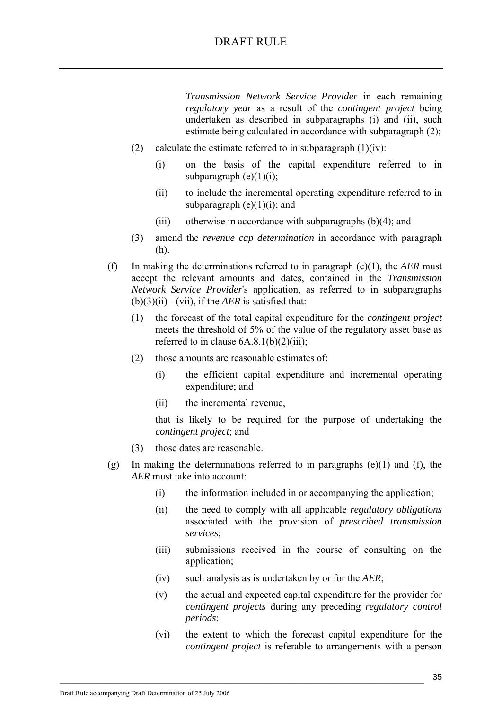*Transmission Network Service Provider* in each remaining *regulatory year* as a result of the *contingent project* being undertaken as described in subparagraphs (i) and (ii), such estimate being calculated in accordance with subparagraph (2);

- (2) calculate the estimate referred to in subparagraph  $(1)(iv)$ :
	- (i) on the basis of the capital expenditure referred to in subparagraph  $(e)(1)(i)$ ;
	- (ii) to include the incremental operating expenditure referred to in subparagraph  $(e)(1)(i)$ ; and
	- (iii) otherwise in accordance with subparagraphs  $(b)(4)$ ; and
- (3) amend the *revenue cap determination* in accordance with paragraph (h).
- (f) In making the determinations referred to in paragraph (e)(1), the *AER* must accept the relevant amounts and dates, contained in the *Transmission Network Service Provider*'s application, as referred to in subparagraphs (b)(3)(ii) - (vii), if the *AER* is satisfied that:
	- (1) the forecast of the total capital expenditure for the *contingent project* meets the threshold of 5% of the value of the regulatory asset base as referred to in clause  $6A.8.1(b)(2)(iii)$ ;
	- (2) those amounts are reasonable estimates of:
		- (i) the efficient capital expenditure and incremental operating expenditure; and
		- (ii) the incremental revenue,

that is likely to be required for the purpose of undertaking the *contingent project*; and

- (3) those dates are reasonable.
- (g) In making the determinations referred to in paragraphs  $(e)(1)$  and  $(f)$ , the *AER* must take into account:
	- (i) the information included in or accompanying the application;
	- (ii) the need to comply with all applicable *regulatory obligations*  associated with the provision of *prescribed transmission services*;
	- (iii) submissions received in the course of consulting on the application;
	- (iv) such analysis as is undertaken by or for the *AER*;

- (v) the actual and expected capital expenditure for the provider for *contingent projects* during any preceding *regulatory control periods*;
- (vi) the extent to which the forecast capital expenditure for the *contingent project* is referable to arrangements with a person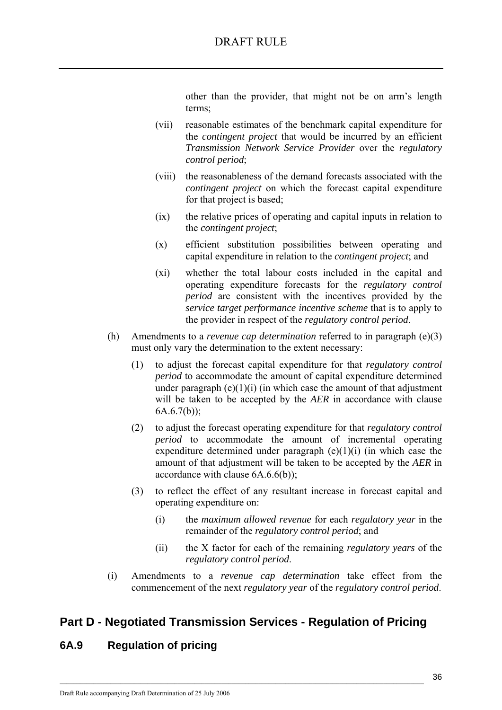other than the provider, that might not be on arm's length terms;

- (vii) reasonable estimates of the benchmark capital expenditure for the *contingent project* that would be incurred by an efficient *Transmission Network Service Provider* over the *regulatory control period*;
- (viii) the reasonableness of the demand forecasts associated with the *contingent project* on which the forecast capital expenditure for that project is based;
- (ix) the relative prices of operating and capital inputs in relation to the *contingent project*;
- (x) efficient substitution possibilities between operating and capital expenditure in relation to the *contingent project*; and
- (xi) whether the total labour costs included in the capital and operating expenditure forecasts for the *regulatory control period* are consistent with the incentives provided by the *service target performance incentive scheme* that is to apply to the provider in respect of the *regulatory control period*.
- (h) Amendments to a *revenue cap determination* referred to in paragraph (e)(3) must only vary the determination to the extent necessary:
	- (1) to adjust the forecast capital expenditure for that *regulatory control period* to accommodate the amount of capital expenditure determined under paragraph  $(e)(1)(i)$  (in which case the amount of that adjustment will be taken to be accepted by the *AER* in accordance with clause 6A.6.7(b));
	- (2) to adjust the forecast operating expenditure for that *regulatory control period* to accommodate the amount of incremental operating expenditure determined under paragraph  $(e)(1)(i)$  (in which case the amount of that adjustment will be taken to be accepted by the *AER* in accordance with clause 6A.6.6(b));
	- (3) to reflect the effect of any resultant increase in forecast capital and operating expenditure on:
		- (i) the *maximum allowed revenue* for each *regulatory year* in the remainder of the *regulatory control period*; and
		- (ii) the X factor for each of the remaining *regulatory years* of the *regulatory control period*.
- (i) Amendments to a *revenue cap determination* take effect from the commencement of the next *regulatory year* of the *regulatory control period*.

# **Part D - Negotiated Transmission Services - Regulation of Pricing**

 $\mathcal{L}_\text{max}$ 

# **6A.9 Regulation of pricing**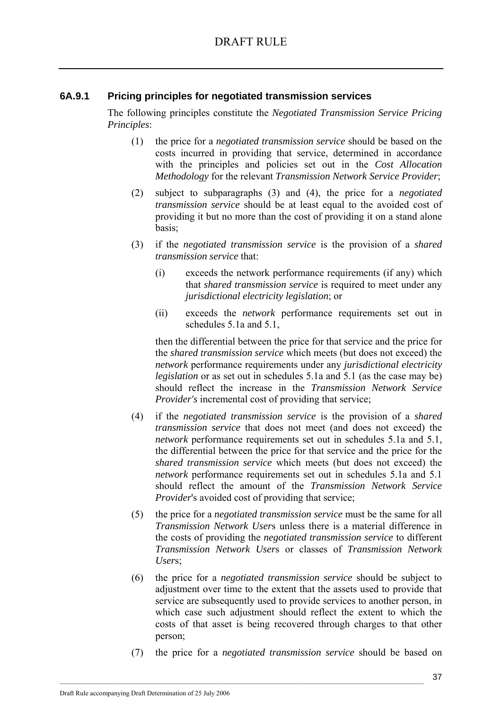## **6A.9.1 Pricing principles for negotiated transmission services**

The following principles constitute the *Negotiated Transmission Service Pricing Principles*:

- (1) the price for a *negotiated transmission service* should be based on the costs incurred in providing that service, determined in accordance with the principles and policies set out in the *Cost Allocation Methodology* for the relevant *Transmission Network Service Provider*;
- (2) subject to subparagraphs (3) and (4), the price for a *negotiated transmission service* should be at least equal to the avoided cost of providing it but no more than the cost of providing it on a stand alone basis;
- (3) if the *negotiated transmission service* is the provision of a *shared transmission service* that:
	- (i) exceeds the network performance requirements (if any) which that *shared transmission service* is required to meet under any *jurisdictional electricity legislation*; or
	- (ii) exceeds the *network* performance requirements set out in schedules 5.1a and 5.1,

then the differential between the price for that service and the price for the *shared transmission service* which meets (but does not exceed) the *network* performance requirements under any *jurisdictional electricity legislation* or as set out in schedules 5.1a and 5.1 (as the case may be) should reflect the increase in the *Transmission Network Service Provider's* incremental cost of providing that service;

- (4) if the *negotiated transmission service* is the provision of a *shared transmission service* that does not meet (and does not exceed) the *network* performance requirements set out in schedules 5.1a and 5.1, the differential between the price for that service and the price for the *shared transmission service* which meets (but does not exceed) the *network* performance requirements set out in schedules 5.1a and 5.1 should reflect the amount of the *Transmission Network Service Provider's* avoided cost of providing that service;
- (5) the price for a *negotiated transmission service* must be the same for all *Transmission Network User*s unless there is a material difference in the costs of providing the *negotiated transmission service* to different *Transmission Network User*s or classes of *Transmission Network User*s;
- (6) the price for a *negotiated transmission service* should be subject to adjustment over time to the extent that the assets used to provide that service are subsequently used to provide services to another person, in which case such adjustment should reflect the extent to which the costs of that asset is being recovered through charges to that other person;
- (7) the price for a *negotiated transmission service* should be based on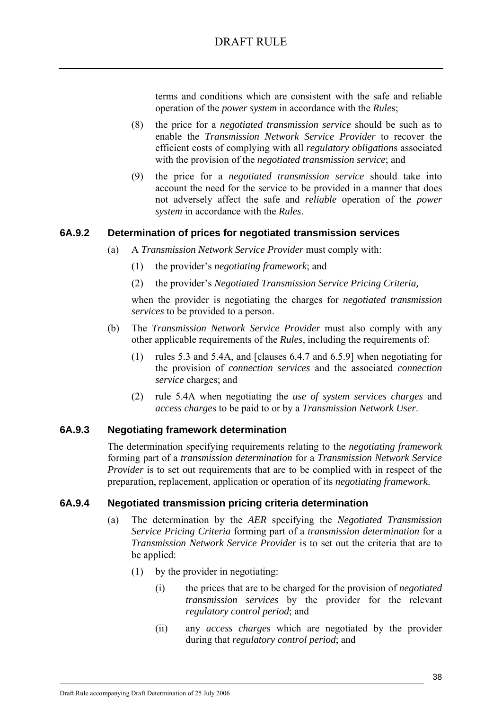terms and conditions which are consistent with the safe and reliable operation of the *power system* in accordance with the *Rule*s;

- (8) the price for a *negotiated transmission service* should be such as to enable the *Transmission Network Service Provider* to recover the efficient costs of complying with all *regulatory obligation*s associated with the provision of the *negotiated transmission service*; and
- (9) the price for a *negotiated transmission service* should take into account the need for the service to be provided in a manner that does not adversely affect the safe and *reliable* operation of the *power system* in accordance with the *Rules*.

## **6A.9.2 Determination of prices for negotiated transmission services**

- (a) A *Transmission Network Service Provider* must comply with:
	- (1) the provider's *negotiating framework*; and
	- (2) the provider's *Negotiated Transmission Service Pricing Criteria,*

when the provider is negotiating the charges for *negotiated transmission services* to be provided to a person.

- (b) The *Transmission Network Service Provider* must also comply with any other applicable requirements of the *Rules*, including the requirements of:
	- (1) rules 5.3 and 5.4A, and [clauses 6.4.7 and 6.5.9] when negotiating for the provision of *connection services* and the associated *connection service* charges; and
	- (2) rule 5.4A when negotiating the *use of system services charges* and *access charge*s to be paid to or by a *Transmission Network User*.

### **6A.9.3 Negotiating framework determination**

The determination specifying requirements relating to the *negotiating framework* forming part of a *transmission determination* for a *Transmission Network Service Provider* is to set out requirements that are to be complied with in respect of the preparation, replacement, application or operation of its *negotiating framework*.

### **6A.9.4 Negotiated transmission pricing criteria determination**

- (a) The determination by the *AER* specifying the *Negotiated Transmission Service Pricing Criteria* forming part of a *transmission determination* for a *Transmission Network Service Provider* is to set out the criteria that are to be applied:
	- (1) by the provider in negotiating:

- (i) the prices that are to be charged for the provision of *negotiated transmission services* by the provider for the relevant *regulatory control period*; and
- (ii) any *access charge*s which are negotiated by the provider during that *regulatory control period*; and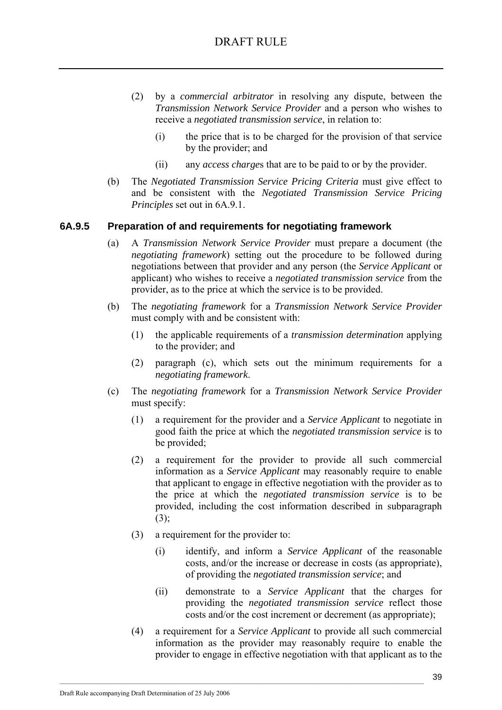- (2) by a *commercial arbitrator* in resolving any dispute, between the *Transmission Network Service Provider* and a person who wishes to receive a *negotiated transmission service*, in relation to:
	- (i) the price that is to be charged for the provision of that service by the provider; and
	- (ii) any *access charge*s that are to be paid to or by the provider.
- (b) The *Negotiated Transmission Service Pricing Criteria* must give effect to and be consistent with the *Negotiated Transmission Service Pricing Principles* set out in 6A.9.1.

### **6A.9.5 Preparation of and requirements for negotiating framework**

- (a) A *Transmission Network Service Provider* must prepare a document (the *negotiating framework*) setting out the procedure to be followed during negotiations between that provider and any person (the *Service Applicant* or applicant) who wishes to receive a *negotiated transmission service* from the provider, as to the price at which the service is to be provided.
- (b) The *negotiating framework* for a *Transmission Network Service Provider* must comply with and be consistent with:
	- (1) the applicable requirements of a *transmission determination* applying to the provider; and
	- (2) paragraph (c), which sets out the minimum requirements for a *negotiating framework*.
- (c) The *negotiating framework* for a *Transmission Network Service Provider* must specify:
	- (1) a requirement for the provider and a *Service Applicant* to negotiate in good faith the price at which the *negotiated transmission service* is to be provided;
	- (2) a requirement for the provider to provide all such commercial information as a *Service Applicant* may reasonably require to enable that applicant to engage in effective negotiation with the provider as to the price at which the *negotiated transmission service* is to be provided, including the cost information described in subparagraph (3);
	- (3) a requirement for the provider to:
		- (i) identify, and inform a *Service Applicant* of the reasonable costs, and/or the increase or decrease in costs (as appropriate), of providing the *negotiated transmission service*; and
		- (ii) demonstrate to a *Service Applicant* that the charges for providing the *negotiated transmission service* reflect those costs and/or the cost increment or decrement (as appropriate);
	- (4) a requirement for a *Service Applicant* to provide all such commercial information as the provider may reasonably require to enable the provider to engage in effective negotiation with that applicant as to the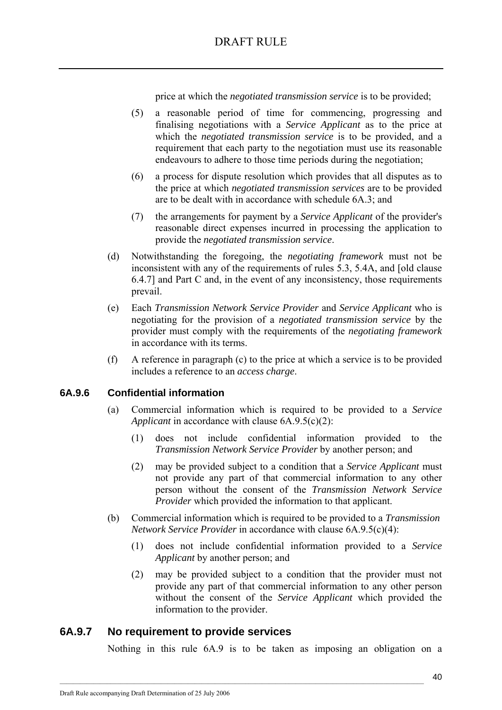price at which the *negotiated transmission service* is to be provided;

- (5) a reasonable period of time for commencing, progressing and finalising negotiations with a *Service Applicant* as to the price at which the *negotiated transmission service* is to be provided, and a requirement that each party to the negotiation must use its reasonable endeavours to adhere to those time periods during the negotiation;
- (6) a process for dispute resolution which provides that all disputes as to the price at which *negotiated transmission services* are to be provided are to be dealt with in accordance with schedule 6A.3; and
- (7) the arrangements for payment by a *Service Applicant* of the provider's reasonable direct expenses incurred in processing the application to provide the *negotiated transmission service*.
- (d) Notwithstanding the foregoing, the *negotiating framework* must not be inconsistent with any of the requirements of rules 5.3, 5.4A, and [old clause 6.4.7] and Part C and, in the event of any inconsistency, those requirements prevail.
- (e) Each *Transmission Network Service Provider* and *Service Applicant* who is negotiating for the provision of a *negotiated transmission service* by the provider must comply with the requirements of the *negotiating framework* in accordance with its terms.
- (f) A reference in paragraph (c) to the price at which a service is to be provided includes a reference to an *access charge*.

### **6A.9.6 Confidential information**

- (a) Commercial information which is required to be provided to a *Service Applicant* in accordance with clause 6A.9.5(c)(2):
	- (1) does not include confidential information provided to the *Transmission Network Service Provider* by another person; and
	- (2) may be provided subject to a condition that a *Service Applicant* must not provide any part of that commercial information to any other person without the consent of the *Transmission Network Service Provider* which provided the information to that applicant.
- (b) Commercial information which is required to be provided to a *Transmission Network Service Provider* in accordance with clause 6A.9.5(c)(4):
	- (1) does not include confidential information provided to a *Service Applicant* by another person; and
	- (2) may be provided subject to a condition that the provider must not provide any part of that commercial information to any other person without the consent of the *Service Applicant* which provided the information to the provider.

## **6A.9.7 No requirement to provide services**

Nothing in this rule 6A.9 is to be taken as imposing an obligation on a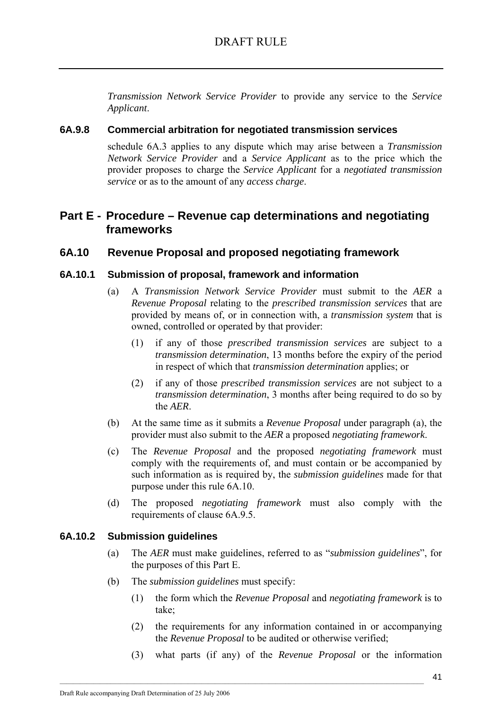*Transmission Network Service Provider* to provide any service to the *Service Applicant*.

## **6A.9.8 Commercial arbitration for negotiated transmission services**

schedule 6A.3 applies to any dispute which may arise between a *Transmission Network Service Provider* and a *Service Applicant* as to the price which the provider proposes to charge the *Service Applicant* for a *negotiated transmission service* or as to the amount of any *access charge*.

# **Part E - Procedure – Revenue cap determinations and negotiating frameworks**

## **6A.10 Revenue Proposal and proposed negotiating framework**

### **6A.10.1 Submission of proposal, framework and information**

- (a) A *Transmission Network Service Provider* must submit to the *AER* a *Revenue Proposal* relating to the *prescribed transmission services* that are provided by means of, or in connection with, a *transmission system* that is owned, controlled or operated by that provider:
	- (1) if any of those *prescribed transmission services* are subject to a *transmission determination*, 13 months before the expiry of the period in respect of which that *transmission determination* applies; or
	- (2) if any of those *prescribed transmission services* are not subject to a *transmission determination*, 3 months after being required to do so by the *AER*.
- (b) At the same time as it submits a *Revenue Proposal* under paragraph (a), the provider must also submit to the *AER* a proposed *negotiating framework*.
- (c) The *Revenue Proposal* and the proposed *negotiating framework* must comply with the requirements of, and must contain or be accompanied by such information as is required by, the *submission guidelines* made for that purpose under this rule 6A.10.
- (d) The proposed *negotiating framework* must also comply with the requirements of clause 6A.9.5.

### **6A.10.2 Submission guidelines**

- (a) The *AER* must make guidelines, referred to as "*submission guidelines*", for the purposes of this Part E.
- (b) The *submission guidelines* must specify:
	- (1) the form which the *Revenue Proposal* and *negotiating framework* is to take;
	- (2) the requirements for any information contained in or accompanying the *Revenue Proposal* to be audited or otherwise verified;
	- (3) what parts (if any) of the *Revenue Proposal* or the information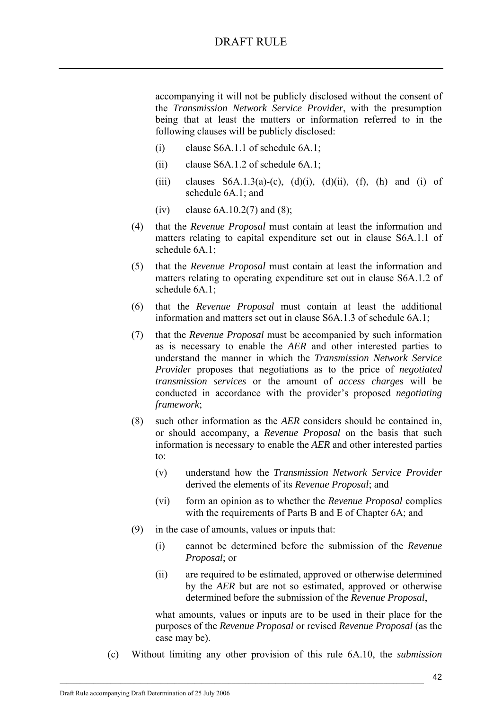accompanying it will not be publicly disclosed without the consent of the *Transmission Network Service Provider*, with the presumption being that at least the matters or information referred to in the following clauses will be publicly disclosed:

- (i) clause S6A.1.1 of schedule 6A.1;
- (ii) clause S6A.1.2 of schedule 6A.1;
- (iii) clauses  $S6A.1.3(a)-(c)$ ,  $(d)(i)$ ,  $(d)(ii)$ ,  $(f)$ ,  $(h)$  and  $(i)$  of schedule 6A.1; and
- (iv) clause  $6A.10.2(7)$  and  $(8)$ ;
- (4) that the *Revenue Proposal* must contain at least the information and matters relating to capital expenditure set out in clause S6A.1.1 of schedule 6A.1;
- (5) that the *Revenue Proposal* must contain at least the information and matters relating to operating expenditure set out in clause S6A.1.2 of schedule 6A.1;
- (6) that the *Revenue Proposal* must contain at least the additional information and matters set out in clause S6A.1.3 of schedule 6A.1;
- (7) that the *Revenue Proposal* must be accompanied by such information as is necessary to enable the *AER* and other interested parties to understand the manner in which the *Transmission Network Service Provider* proposes that negotiations as to the price of *negotiated transmission services* or the amount of *access charge*s will be conducted in accordance with the provider's proposed *negotiating framework*;
- (8) such other information as the *AER* considers should be contained in, or should accompany, a *Revenue Proposal* on the basis that such information is necessary to enable the *AER* and other interested parties to:
	- (v) understand how the *Transmission Network Service Provider* derived the elements of its *Revenue Proposal*; and
	- (vi) form an opinion as to whether the *Revenue Proposal* complies with the requirements of Parts B and E of Chapter 6A; and
- (9) in the case of amounts, values or inputs that:

 $\mathcal{L}_\text{max}$ 

- (i) cannot be determined before the submission of the *Revenue Proposal*; or
- (ii) are required to be estimated, approved or otherwise determined by the *AER* but are not so estimated, approved or otherwise determined before the submission of the *Revenue Proposal*,

what amounts, values or inputs are to be used in their place for the purposes of the *Revenue Proposal* or revised *Revenue Proposal* (as the case may be).

(c) Without limiting any other provision of this rule 6A.10, the *submission*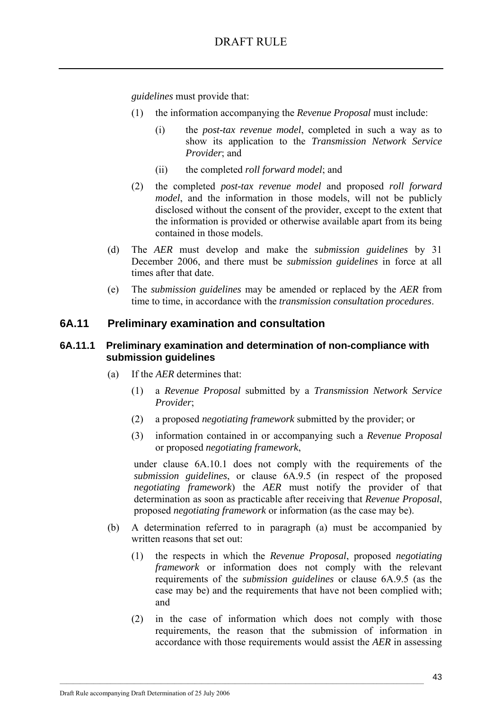*guidelines* must provide that:

- (1) the information accompanying the *Revenue Proposal* must include:
	- (i) the *post-tax revenue model*, completed in such a way as to show its application to the *Transmission Network Service Provider*; and
	- (ii) the completed *roll forward model*; and
- (2) the completed *post-tax revenue model* and proposed *roll forward model*, and the information in those models, will not be publicly disclosed without the consent of the provider, except to the extent that the information is provided or otherwise available apart from its being contained in those models.
- (d) The *AER* must develop and make the *submission guidelines* by 31 December 2006, and there must be *submission guidelines* in force at all times after that date.
- (e) The *submission guidelines* may be amended or replaced by the *AER* from time to time, in accordance with the *transmission consultation procedures*.

## **6A.11 Preliminary examination and consultation**

### **6A.11.1 Preliminary examination and determination of non-compliance with submission guidelines**

- (a) If the *AER* determines that:
	- (1) a *Revenue Proposal* submitted by a *Transmission Network Service Provider*;
	- (2) a proposed *negotiating framework* submitted by the provider; or
	- (3) information contained in or accompanying such a *Revenue Proposal* or proposed *negotiating framework*,

under clause 6A.10.1 does not comply with the requirements of the *submission guidelines*, or clause 6A.9.5 (in respect of the proposed *negotiating framework*) the *AER* must notify the provider of that determination as soon as practicable after receiving that *Revenue Proposal*, proposed *negotiating framework* or information (as the case may be).

- (b) A determination referred to in paragraph (a) must be accompanied by written reasons that set out:
	- (1) the respects in which the *Revenue Proposal*, proposed *negotiating framework* or information does not comply with the relevant requirements of the *submission guidelines* or clause 6A.9.5 (as the case may be) and the requirements that have not been complied with; and
	- (2) in the case of information which does not comply with those requirements, the reason that the submission of information in accordance with those requirements would assist the *AER* in assessing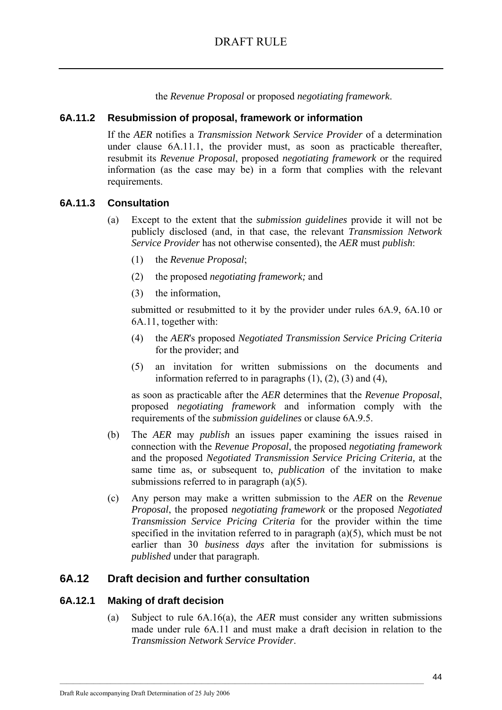the *Revenue Proposal* or proposed *negotiating framework*.

### **6A.11.2 Resubmission of proposal, framework or information**

If the *AER* notifies a *Transmission Network Service Provider* of a determination under clause 6A.11.1, the provider must, as soon as practicable thereafter, resubmit its *Revenue Proposal*, proposed *negotiating framework* or the required information (as the case may be) in a form that complies with the relevant requirements.

#### **6A.11.3 Consultation**

- (a) Except to the extent that the *submission guidelines* provide it will not be publicly disclosed (and, in that case, the relevant *Transmission Network Service Provider* has not otherwise consented), the *AER* must *publish*:
	- (1) the *Revenue Proposal*;
	- (2) the proposed *negotiating framework;* and
	- (3) the information,

submitted or resubmitted to it by the provider under rules 6A.9, 6A.10 or 6A.11, together with:

- (4) the *AER*'s proposed *Negotiated Transmission Service Pricing Criteria* for the provider; and
- (5) an invitation for written submissions on the documents and information referred to in paragraphs  $(1)$ ,  $(2)$ ,  $(3)$  and  $(4)$ ,

as soon as practicable after the *AER* determines that the *Revenue Proposal*, proposed *negotiating framework* and information comply with the requirements of the *submission guidelines* or clause 6A.9.5.

- (b) The *AER* may *publish* an issues paper examining the issues raised in connection with the *Revenue Proposal*, the proposed *negotiating framework* and the proposed *Negotiated Transmission Service Pricing Criteria,* at the same time as, or subsequent to, *publication* of the invitation to make submissions referred to in paragraph  $(a)(5)$ .
- (c) Any person may make a written submission to the *AER* on the *Revenue Proposal*, the proposed *negotiating framework* or the proposed *Negotiated Transmission Service Pricing Criteria* for the provider within the time specified in the invitation referred to in paragraph (a)(5), which must be not earlier than 30 *business days* after the invitation for submissions is *published* under that paragraph.

## **6A.12 Draft decision and further consultation**

### **6A.12.1 Making of draft decision**

(a) Subject to rule 6A.16(a), the *AER* must consider any written submissions made under rule 6A.11 and must make a draft decision in relation to the *Transmission Network Service Provider*.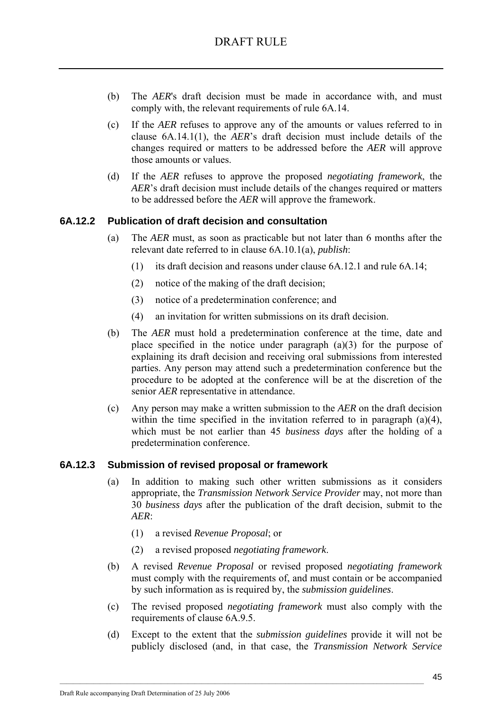- (b) The *AER*'s draft decision must be made in accordance with, and must comply with, the relevant requirements of rule 6A.14.
- (c) If the *AER* refuses to approve any of the amounts or values referred to in clause 6A.14.1(1), the *AER*'s draft decision must include details of the changes required or matters to be addressed before the *AER* will approve those amounts or values.
- (d) If the *AER* refuses to approve the proposed *negotiating framework*, the *AER*'s draft decision must include details of the changes required or matters to be addressed before the *AER* will approve the framework.

## **6A.12.2 Publication of draft decision and consultation**

- (a) The *AER* must, as soon as practicable but not later than 6 months after the relevant date referred to in clause 6A.10.1(a), *publish*:
	- (1) its draft decision and reasons under clause 6A.12.1 and rule 6A.14;
	- (2) notice of the making of the draft decision;
	- (3) notice of a predetermination conference; and
	- (4) an invitation for written submissions on its draft decision.
- (b) The *AER* must hold a predetermination conference at the time, date and place specified in the notice under paragraph (a)(3) for the purpose of explaining its draft decision and receiving oral submissions from interested parties. Any person may attend such a predetermination conference but the procedure to be adopted at the conference will be at the discretion of the senior *AER* representative in attendance.
- (c) Any person may make a written submission to the *AER* on the draft decision within the time specified in the invitation referred to in paragraph (a)(4), which must be not earlier than 45 *business days* after the holding of a predetermination conference.

### **6A.12.3 Submission of revised proposal or framework**

- (a) In addition to making such other written submissions as it considers appropriate, the *Transmission Network Service Provider* may, not more than 30 *business days* after the publication of the draft decision, submit to the *AER*:
	- (1) a revised *Revenue Proposal*; or
	- (2) a revised proposed *negotiating framework*.

- (b) A revised *Revenue Proposal* or revised proposed *negotiating framework*  must comply with the requirements of, and must contain or be accompanied by such information as is required by, the *submission guidelines*.
- (c) The revised proposed *negotiating framework* must also comply with the requirements of clause 6A.9.5.
- (d) Except to the extent that the *submission guidelines* provide it will not be publicly disclosed (and, in that case, the *Transmission Network Service*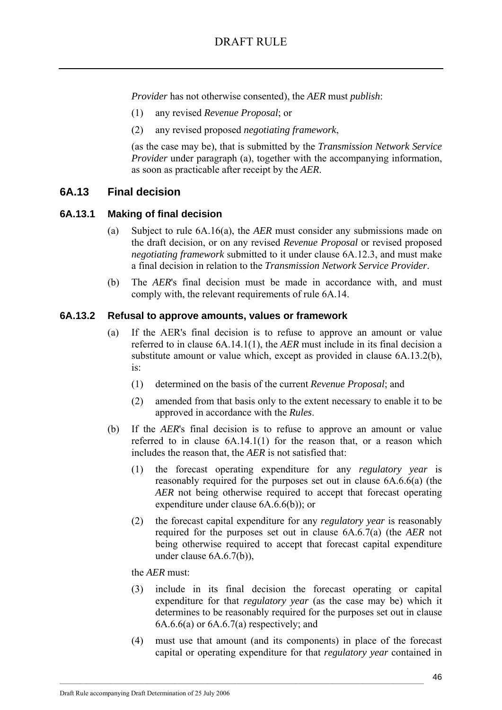*Provider* has not otherwise consented), the *AER* must *publish*:

- (1) any revised *Revenue Proposal*; or
- (2) any revised proposed *negotiating framework*,

(as the case may be), that is submitted by the *Transmission Network Service Provider* under paragraph (a), together with the accompanying information, as soon as practicable after receipt by the *AER*.

## **6A.13 Final decision**

#### **6A.13.1 Making of final decision**

- (a) Subject to rule 6A.16(a), the *AER* must consider any submissions made on the draft decision, or on any revised *Revenue Proposal* or revised proposed *negotiating framework* submitted to it under clause 6A.12.3, and must make a final decision in relation to the *Transmission Network Service Provider*.
- (b) The *AER*'s final decision must be made in accordance with, and must comply with, the relevant requirements of rule 6A.14.

#### **6A.13.2 Refusal to approve amounts, values or framework**

- (a) If the AER's final decision is to refuse to approve an amount or value referred to in clause 6A.14.1(1), the *AER* must include in its final decision a substitute amount or value which, except as provided in clause 6A.13.2(b), is:
	- (1) determined on the basis of the current *Revenue Proposal*; and
	- (2) amended from that basis only to the extent necessary to enable it to be approved in accordance with the *Rules*.
- (b) If the *AER*'s final decision is to refuse to approve an amount or value referred to in clause 6A.14.1(1) for the reason that, or a reason which includes the reason that, the *AER* is not satisfied that:
	- (1) the forecast operating expenditure for any *regulatory year* is reasonably required for the purposes set out in clause 6A.6.6(a) (the *AER* not being otherwise required to accept that forecast operating expenditure under clause 6A.6.6(b)); or
	- (2) the forecast capital expenditure for any *regulatory year* is reasonably required for the purposes set out in clause 6A.6.7(a) (the *AER* not being otherwise required to accept that forecast capital expenditure under clause 6A.6.7(b)),

the *AER* must:

- (3) include in its final decision the forecast operating or capital expenditure for that *regulatory year* (as the case may be) which it determines to be reasonably required for the purposes set out in clause 6A.6.6(a) or 6A.6.7(a) respectively; and
- (4) must use that amount (and its components) in place of the forecast capital or operating expenditure for that *regulatory year* contained in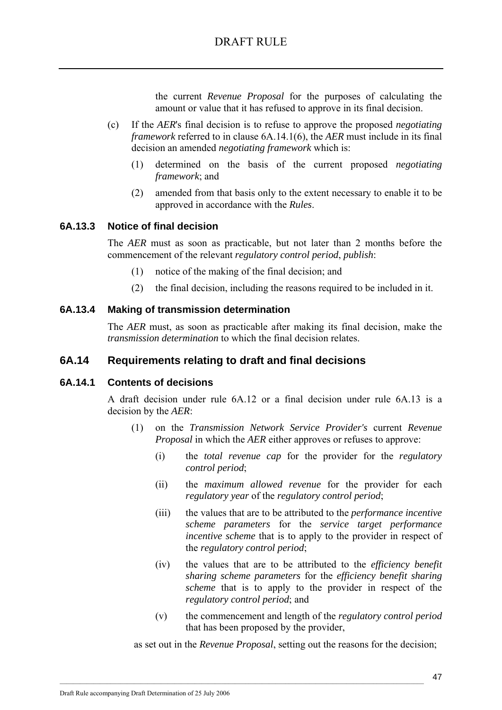the current *Revenue Proposal* for the purposes of calculating the amount or value that it has refused to approve in its final decision.

- (c) If the *AER*'s final decision is to refuse to approve the proposed *negotiating framework* referred to in clause 6A.14.1(6), the *AER* must include in its final decision an amended *negotiating framework* which is:
	- (1) determined on the basis of the current proposed *negotiating framework*; and
	- (2) amended from that basis only to the extent necessary to enable it to be approved in accordance with the *Rules*.

#### **6A.13.3 Notice of final decision**

The *AER* must as soon as practicable, but not later than 2 months before the commencement of the relevant *regulatory control period*, *publish*:

- (1) notice of the making of the final decision; and
- (2) the final decision, including the reasons required to be included in it.

#### **6A.13.4 Making of transmission determination**

The *AER* must, as soon as practicable after making its final decision, make the *transmission determination* to which the final decision relates.

## **6A.14 Requirements relating to draft and final decisions**

#### **6A.14.1 Contents of decisions**

A draft decision under rule 6A.12 or a final decision under rule 6A.13 is a decision by the *AER*:

- (1) on the *Transmission Network Service Provider's* current *Revenue Proposal* in which the *AER* either approves or refuses to approve:
	- (i) the *total revenue cap* for the provider for the *regulatory control period*;
	- (ii) the *maximum allowed revenue* for the provider for each *regulatory year* of the *regulatory control period*;
	- (iii) the values that are to be attributed to the *performance incentive scheme parameters* for the *service target performance incentive scheme* that is to apply to the provider in respect of the *regulatory control period*;
	- (iv) the values that are to be attributed to the *efficiency benefit sharing scheme parameters* for the *efficiency benefit sharing scheme* that is to apply to the provider in respect of the *regulatory control period*; and
	- (v) the commencement and length of the *regulatory control period* that has been proposed by the provider,

as set out in the *Revenue Proposal*, setting out the reasons for the decision;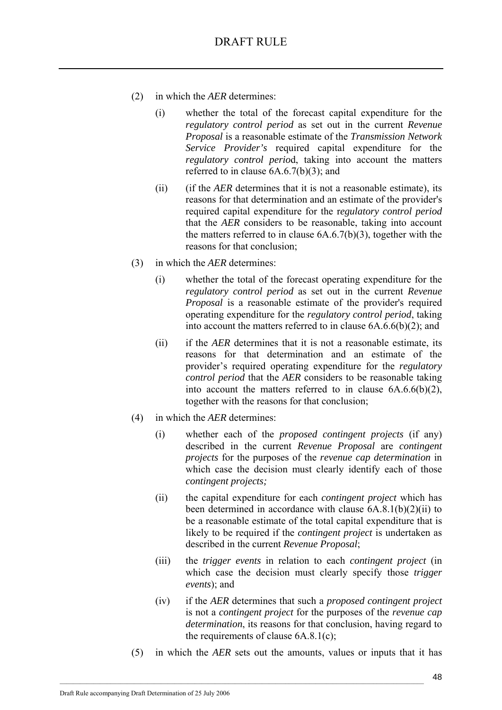- (2) in which the *AER* determines:
	- (i) whether the total of the forecast capital expenditure for the *regulatory control period* as set out in the current *Revenue Proposal* is a reasonable estimate of the *Transmission Network Service Provider's* required capital expenditure for the *regulatory control perio*d, taking into account the matters referred to in clause 6A.6.7(b)(3); and
	- (ii) (if the *AER* determines that it is not a reasonable estimate), its reasons for that determination and an estimate of the provider's required capital expenditure for the r*egulatory control period* that the *AER* considers to be reasonable, taking into account the matters referred to in clause  $6A.6.7(b)(3)$ , together with the reasons for that conclusion;
- (3) in which the *AER* determines:
	- (i) whether the total of the forecast operating expenditure for the *regulatory control period* as set out in the current *Revenue Proposal* is a reasonable estimate of the provider's required operating expenditure for the *regulatory control period*, taking into account the matters referred to in clause 6A.6.6(b)(2); and
	- (ii) if the *AER* determines that it is not a reasonable estimate, its reasons for that determination and an estimate of the provider's required operating expenditure for the *regulatory control period* that the *AER* considers to be reasonable taking into account the matters referred to in clause 6A.6.6(b)(2), together with the reasons for that conclusion;
- (4) in which the *AER* determines:
	- (i) whether each of the *proposed contingent projects* (if any) described in the current *Revenue Proposal* are *contingent projects* for the purposes of the *revenue cap determination* in which case the decision must clearly identify each of those *contingent projects;*
	- (ii) the capital expenditure for each *contingent project* which has been determined in accordance with clause 6A.8.1(b)(2)(ii) to be a reasonable estimate of the total capital expenditure that is likely to be required if the *contingent project* is undertaken as described in the current *Revenue Proposal*;
	- (iii) the *trigger events* in relation to each *contingent project* (in which case the decision must clearly specify those *trigger events*); and
	- (iv) if the *AER* determines that such a *proposed contingent project*  is not a *contingent project* for the purposes of the *revenue cap determination*, its reasons for that conclusion, having regard to the requirements of clause  $6A.8.1(c)$ ;
- (5) in which the *AER* sets out the amounts, values or inputs that it has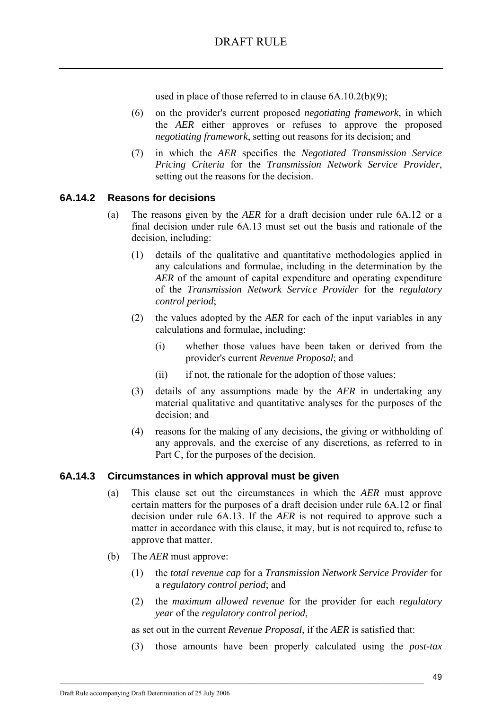used in place of those referred to in clause 6A.10.2(b)(9);

- (6) on the provider's current proposed *negotiating framework*, in which the *AER* either approves or refuses to approve the proposed *negotiating framework*, setting out reasons for its decision; and
- (7) in which the *AER* specifies the *Negotiated Transmission Service Pricing Criteria* for the *Transmission Network Service Provider*, setting out the reasons for the decision.

## **6A.14.2 Reasons for decisions**

- (a) The reasons given by the *AER* for a draft decision under rule 6A.12 or a final decision under rule 6A.13 must set out the basis and rationale of the decision, including:
	- (1) details of the qualitative and quantitative methodologies applied in any calculations and formulae, including in the determination by the *AER* of the amount of capital expenditure and operating expenditure of the *Transmission Network Service Provider* for the *regulatory control period*;
	- (2) the values adopted by the *AER* for each of the input variables in any calculations and formulae, including:
		- (i) whether those values have been taken or derived from the provider's current *Revenue Proposal*; and
		- (ii) if not, the rationale for the adoption of those values;
	- (3) details of any assumptions made by the *AER* in undertaking any material qualitative and quantitative analyses for the purposes of the decision; and
	- (4) reasons for the making of any decisions, the giving or withholding of any approvals, and the exercise of any discretions, as referred to in Part C, for the purposes of the decision.

### **6A.14.3 Circumstances in which approval must be given**

- (a) This clause set out the circumstances in which the *AER* must approve certain matters for the purposes of a draft decision under rule 6A.12 or final decision under rule 6A.13. If the *AER* is not required to approve such a matter in accordance with this clause, it may, but is not required to, refuse to approve that matter.
- (b) The *AER* must approve:
	- (1) the *total revenue cap* for a *Transmission Network Service Provider* for a *regulatory control period*; and
	- (2) the *maximum allowed revenue* for the provider for each *regulatory year* of the *regulatory control period*,

as set out in the current *Revenue Proposal*, if the *AER* is satisfied that:

 $\mathcal{L}_\text{max}$ 

(3) those amounts have been properly calculated using the *post-tax*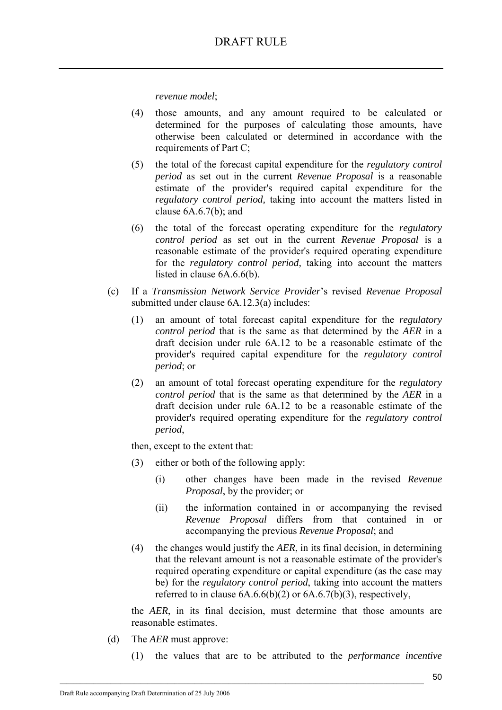*revenue model*;

- (4) those amounts, and any amount required to be calculated or determined for the purposes of calculating those amounts, have otherwise been calculated or determined in accordance with the requirements of Part C;
- (5) the total of the forecast capital expenditure for the *regulatory control period* as set out in the current *Revenue Proposal* is a reasonable estimate of the provider's required capital expenditure for the *regulatory control period,* taking into account the matters listed in clause 6A.6.7(b); and
- (6) the total of the forecast operating expenditure for the *regulatory control period* as set out in the current *Revenue Proposal* is a reasonable estimate of the provider's required operating expenditure for the *regulatory control period,* taking into account the matters listed in clause  $6A.66(b)$ .
- (c) If a *Transmission Network Service Provider*'s revised *Revenue Proposal* submitted under clause 6A.12.3(a) includes:
	- (1) an amount of total forecast capital expenditure for the *regulatory control period* that is the same as that determined by the *AER* in a draft decision under rule 6A.12 to be a reasonable estimate of the provider's required capital expenditure for the *regulatory control period*; or
	- (2) an amount of total forecast operating expenditure for the *regulatory control period* that is the same as that determined by the *AER* in a draft decision under rule 6A.12 to be a reasonable estimate of the provider's required operating expenditure for the *regulatory control period*,

then, except to the extent that:

- (3) either or both of the following apply:
	- (i) other changes have been made in the revised *Revenue Proposal*, by the provider; or
	- (ii) the information contained in or accompanying the revised *Revenue Proposal* differs from that contained in or accompanying the previous *Revenue Proposal*; and
- (4) the changes would justify the *AER*, in its final decision, in determining that the relevant amount is not a reasonable estimate of the provider's required operating expenditure or capital expenditure (as the case may be) for the *regulatory control period*, taking into account the matters referred to in clause  $6A.6.6(b)(2)$  or  $6A.6.7(b)(3)$ , respectively,

the *AER*, in its final decision, must determine that those amounts are reasonable estimates.

- (d) The *AER* must approve:
	- (1) the values that are to be attributed to the *performance incentive*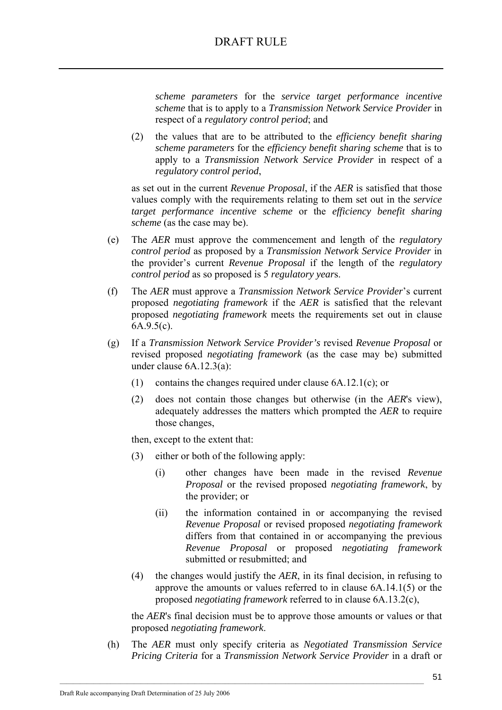*scheme parameters* for the *service target performance incentive scheme* that is to apply to a *Transmission Network Service Provider* in respect of a *regulatory control period*; and

(2) the values that are to be attributed to the *efficiency benefit sharing scheme parameters* for the *efficiency benefit sharing scheme* that is to apply to a *Transmission Network Service Provider* in respect of a *regulatory control period*,

as set out in the current *Revenue Proposal*, if the *AER* is satisfied that those values comply with the requirements relating to them set out in the *service target performance incentive scheme* or the *efficiency benefit sharing scheme* (as the case may be).

- (e) The *AER* must approve the commencement and length of the *regulatory control period* as proposed by a *Transmission Network Service Provider* in the provider's current *Revenue Proposal* if the length of the *regulatory control period* as so proposed is 5 *regulatory year*s.
- (f) The *AER* must approve a *Transmission Network Service Provider*'s current proposed *negotiating framework* if the *AER* is satisfied that the relevant proposed *negotiating framework* meets the requirements set out in clause 6A.9.5(c).
- (g) If a *Transmission Network Service Provider's* revised *Revenue Proposal* or revised proposed *negotiating framework* (as the case may be) submitted under clause 6A.12.3(a):
	- (1) contains the changes required under clause 6A.12.1(c); or
	- (2) does not contain those changes but otherwise (in the *AER*'s view), adequately addresses the matters which prompted the *AER* to require those changes,

then, except to the extent that:

- (3) either or both of the following apply:
	- (i) other changes have been made in the revised *Revenue Proposal* or the revised proposed *negotiating framework*, by the provider; or
	- (ii) the information contained in or accompanying the revised *Revenue Proposal* or revised proposed *negotiating framework* differs from that contained in or accompanying the previous *Revenue Proposal* or proposed *negotiating framework* submitted or resubmitted; and
- (4) the changes would justify the *AER*, in its final decision, in refusing to approve the amounts or values referred to in clause 6A.14.1(5) or the proposed *negotiating framework* referred to in clause 6A.13.2(c),

the *AER*'s final decision must be to approve those amounts or values or that proposed *negotiating framework*.

(h) The *AER* must only specify criteria as *Negotiated Transmission Service Pricing Criteria* for a *Transmission Network Service Provider* in a draft or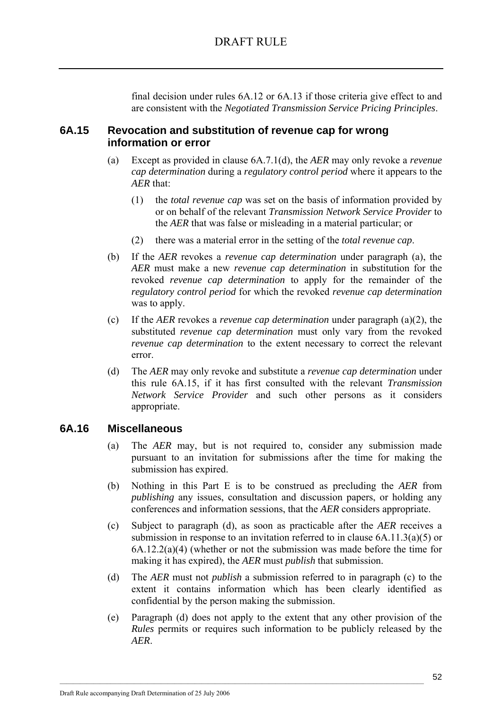final decision under rules 6A.12 or 6A.13 if those criteria give effect to and are consistent with the *Negotiated Transmission Service Pricing Principles*.

## **6A.15 Revocation and substitution of revenue cap for wrong information or error**

- (a) Except as provided in clause 6A.7.1(d), the *AER* may only revoke a *revenue cap determination* during a *regulatory control period* where it appears to the *AER* that:
	- (1) the *total revenue cap* was set on the basis of information provided by or on behalf of the relevant *Transmission Network Service Provider* to the *AER* that was false or misleading in a material particular; or
	- (2) there was a material error in the setting of the *total revenue cap*.
- (b) If the *AER* revokes a *revenue cap determination* under paragraph (a), the *AER* must make a new *revenue cap determination* in substitution for the revoked *revenue cap determination* to apply for the remainder of the *regulatory control period* for which the revoked *revenue cap determination* was to apply.
- (c) If the *AER* revokes a *revenue cap determination* under paragraph (a)(2), the substituted *revenue cap determination* must only vary from the revoked *revenue cap determination* to the extent necessary to correct the relevant error.
- (d) The *AER* may only revoke and substitute a *revenue cap determination* under this rule 6A.15, if it has first consulted with the relevant *Transmission Network Service Provider* and such other persons as it considers appropriate.

### **6A.16 Miscellaneous**

- (a) The *AER* may, but is not required to, consider any submission made pursuant to an invitation for submissions after the time for making the submission has expired.
- (b) Nothing in this Part E is to be construed as precluding the *AER* from *publishing* any issues, consultation and discussion papers, or holding any conferences and information sessions, that the *AER* considers appropriate.
- (c) Subject to paragraph (d), as soon as practicable after the *AER* receives a submission in response to an invitation referred to in clause 6A.11.3(a)(5) or 6A.12.2(a)(4) (whether or not the submission was made before the time for making it has expired), the *AER* must *publish* that submission.
- (d) The *AER* must not *publish* a submission referred to in paragraph (c) to the extent it contains information which has been clearly identified as confidential by the person making the submission.
- (e) Paragraph (d) does not apply to the extent that any other provision of the *Rules* permits or requires such information to be publicly released by the *AER*.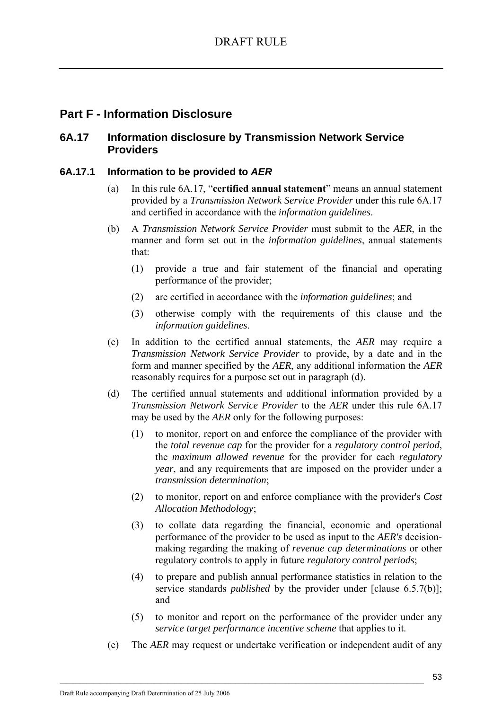# **Part F - Information Disclosure**

## **6A.17 Information disclosure by Transmission Network Service Providers**

## **6A.17.1 Information to be provided to** *AER*

- (a) In this rule 6A.17, "**certified annual statement**" means an annual statement provided by a *Transmission Network Service Provider* under this rule 6A.17 and certified in accordance with the *information guidelines*.
- (b) A *Transmission Network Service Provider* must submit to the *AER*, in the manner and form set out in the *information guidelines*, annual statements that:
	- (1) provide a true and fair statement of the financial and operating performance of the provider;
	- (2) are certified in accordance with the *information guidelines*; and
	- (3) otherwise comply with the requirements of this clause and the *information guidelines*.
- (c) In addition to the certified annual statements, the *AER* may require a *Transmission Network Service Provider* to provide, by a date and in the form and manner specified by the *AER*, any additional information the *AER* reasonably requires for a purpose set out in paragraph (d).
- (d) The certified annual statements and additional information provided by a *Transmission Network Service Provider* to the *AER* under this rule 6A.17 may be used by the *AER* only for the following purposes:
	- (1) to monitor, report on and enforce the compliance of the provider with the *total revenue cap* for the provider for a *regulatory control period*, the *maximum allowed revenue* for the provider for each *regulatory year*, and any requirements that are imposed on the provider under a *transmission determination*;
	- (2) to monitor, report on and enforce compliance with the provider's *Cost Allocation Methodology*;
	- (3) to collate data regarding the financial, economic and operational performance of the provider to be used as input to the *AER's* decisionmaking regarding the making of *revenue cap determinations* or other regulatory controls to apply in future *regulatory control periods*;
	- (4) to prepare and publish annual performance statistics in relation to the service standards *published* by the provider under [clause 6.5.7(b)]; and
	- (5) to monitor and report on the performance of the provider under any *service target performance incentive scheme* that applies to it.
- (e) The *AER* may request or undertake verification or independent audit of any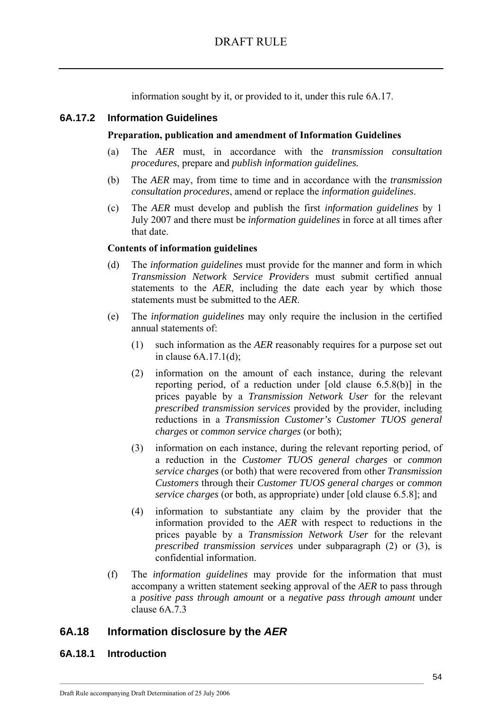information sought by it, or provided to it, under this rule 6A.17.

#### **6A.17.2 Information Guidelines**

#### **Preparation, publication and amendment of Information Guidelines**

- (a) The *AER* must, in accordance with the *transmission consultation procedures*, prepare and *publish information guidelines.*
- (b) The *AER* may, from time to time and in accordance with the *transmission consultation procedures*, amend or replace the *information guidelines*.
- (c) The *AER* must develop and publish the first *information guidelines* by 1 July 2007 and there must be *information guidelines* in force at all times after that date.

#### **Contents of information guidelines**

- (d) The *information guidelines* must provide for the manner and form in which *Transmission Network Service Provider*s must submit certified annual statements to the *AER*, including the date each year by which those statements must be submitted to the *AER*.
- (e) The *information guidelines* may only require the inclusion in the certified annual statements of:
	- (1) such information as the *AER* reasonably requires for a purpose set out in clause 6A.17.1(d);
	- (2) information on the amount of each instance, during the relevant reporting period, of a reduction under [old clause 6.5.8(b)] in the prices payable by a *Transmission Network User* for the relevant *prescribed transmission services* provided by the provider, including reductions in a *Transmission Customer's Customer TUOS general charges* or *common service charges* (or both);
	- (3) information on each instance, during the relevant reporting period, of a reduction in the *Customer TUOS general charges* or *common service charges* (or both) that were recovered from other *Transmission Customers* through their *Customer TUOS general charges* or *common service charges* (or both, as appropriate) under [old clause 6.5.8]; and
	- (4) information to substantiate any claim by the provider that the information provided to the *AER* with respect to reductions in the prices payable by a *Transmission Network User* for the relevant *prescribed transmission services* under subparagraph (2) or (3), is confidential information.
- (f) The *information guidelines* may provide for the information that must accompany a written statement seeking approval of the *AER* to pass through a *positive pass through amount* or a *negative pass through amount* under clause 6A.7.3

 $\mathcal{L}_\text{max}$ 

### **6A.18 Information disclosure by the** *AER*

#### **6A.18.1 Introduction**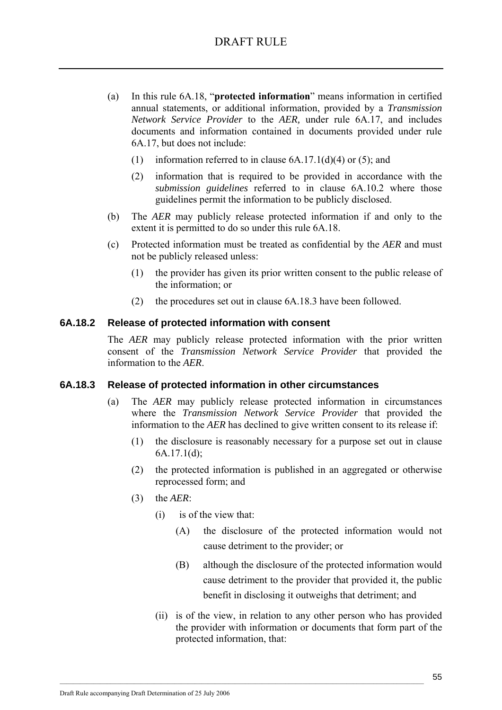- (a) In this rule 6A.18, "**protected information**" means information in certified annual statements, or additional information, provided by a *Transmission Network Service Provider* to the *AER,* under rule 6A.17, and includes documents and information contained in documents provided under rule 6A.17, but does not include:
	- (1) information referred to in clause  $6A.17.1(d)(4)$  or  $(5)$ ; and
	- (2) information that is required to be provided in accordance with the *submission guidelines* referred to in clause 6A.10.2 where those guidelines permit the information to be publicly disclosed.
- (b) The *AER* may publicly release protected information if and only to the extent it is permitted to do so under this rule 6A.18.
- (c) Protected information must be treated as confidential by the *AER* and must not be publicly released unless:
	- (1) the provider has given its prior written consent to the public release of the information; or
	- (2) the procedures set out in clause 6A.18.3 have been followed.

#### **6A.18.2 Release of protected information with consent**

The *AER* may publicly release protected information with the prior written consent of the *Transmission Network Service Provider* that provided the information to the *AER*.

### **6A.18.3 Release of protected information in other circumstances**

- (a) The *AER* may publicly release protected information in circumstances where the *Transmission Network Service Provider* that provided the information to the *AER* has declined to give written consent to its release if:
	- (1) the disclosure is reasonably necessary for a purpose set out in clause 6A.17.1(d);
	- (2) the protected information is published in an aggregated or otherwise reprocessed form; and
	- (3) the *AER*:
		- (i) is of the view that:
			- (A) the disclosure of the protected information would not cause detriment to the provider; or
			- (B) although the disclosure of the protected information would cause detriment to the provider that provided it, the public benefit in disclosing it outweighs that detriment; and
		- (ii) is of the view, in relation to any other person who has provided the provider with information or documents that form part of the protected information, that: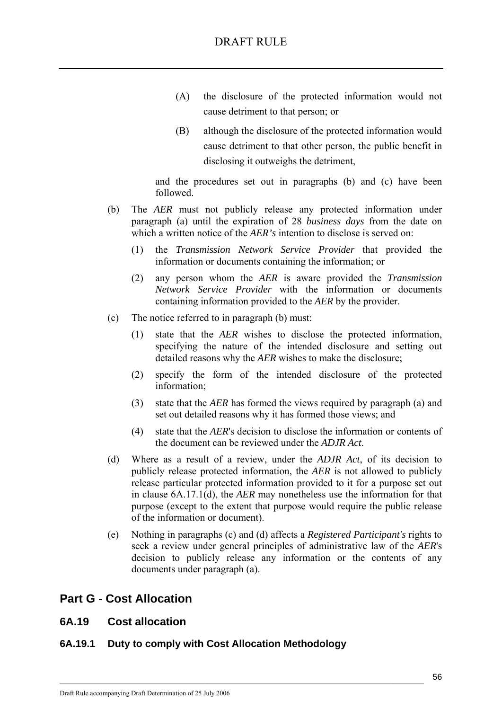- (A) the disclosure of the protected information would not cause detriment to that person; or
- (B) although the disclosure of the protected information would cause detriment to that other person, the public benefit in disclosing it outweighs the detriment,

and the procedures set out in paragraphs (b) and (c) have been followed.

- (b) The *AER* must not publicly release any protected information under paragraph (a) until the expiration of 28 *business days* from the date on which a written notice of the *AER's* intention to disclose is served on:
	- (1) the *Transmission Network Service Provider* that provided the information or documents containing the information; or
	- (2) any person whom the *AER* is aware provided the *Transmission Network Service Provider* with the information or documents containing information provided to the *AER* by the provider.
- (c) The notice referred to in paragraph (b) must:
	- (1) state that the *AER* wishes to disclose the protected information, specifying the nature of the intended disclosure and setting out detailed reasons why the *AER* wishes to make the disclosure;
	- (2) specify the form of the intended disclosure of the protected information;
	- (3) state that the *AER* has formed the views required by paragraph (a) and set out detailed reasons why it has formed those views; and
	- (4) state that the *AER*'s decision to disclose the information or contents of the document can be reviewed under the *ADJR Act*.
- (d) Where as a result of a review, under the *ADJR Act*, of its decision to publicly release protected information, the *AER* is not allowed to publicly release particular protected information provided to it for a purpose set out in clause 6A.17.1(d), the *AER* may nonetheless use the information for that purpose (except to the extent that purpose would require the public release of the information or document).
- (e) Nothing in paragraphs (c) and (d) affects a *Registered Participant's* rights to seek a review under general principles of administrative law of the *AER*'s decision to publicly release any information or the contents of any documents under paragraph (a).

# **Part G - Cost Allocation**

## **6A.19 Cost allocation**

### **6A.19.1 Duty to comply with Cost Allocation Methodology**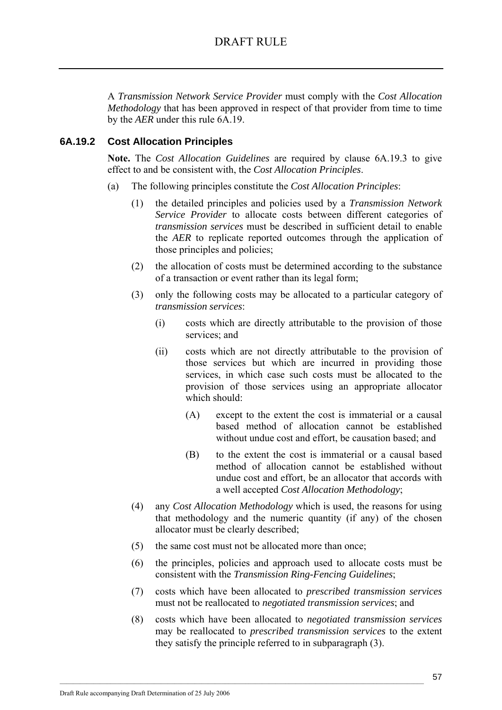A *Transmission Network Service Provider* must comply with the *Cost Allocation Methodology* that has been approved in respect of that provider from time to time by the *AER* under this rule 6A.19.

## **6A.19.2 Cost Allocation Principles**

**Note.** The *Cost Allocation Guidelines* are required by clause 6A.19.3 to give effect to and be consistent with, the *Cost Allocation Principles*.

- (a) The following principles constitute the *Cost Allocation Principles*:
	- (1) the detailed principles and policies used by a *Transmission Network Service Provider* to allocate costs between different categories of *transmission services* must be described in sufficient detail to enable the *AER* to replicate reported outcomes through the application of those principles and policies;
	- (2) the allocation of costs must be determined according to the substance of a transaction or event rather than its legal form;
	- (3) only the following costs may be allocated to a particular category of *transmission services*:
		- (i) costs which are directly attributable to the provision of those services; and
		- (ii) costs which are not directly attributable to the provision of those services but which are incurred in providing those services, in which case such costs must be allocated to the provision of those services using an appropriate allocator which should:
			- (A) except to the extent the cost is immaterial or a causal based method of allocation cannot be established without undue cost and effort, be causation based; and
			- (B) to the extent the cost is immaterial or a causal based method of allocation cannot be established without undue cost and effort, be an allocator that accords with a well accepted *Cost Allocation Methodology*;
	- (4) any *Cost Allocation Methodology* which is used, the reasons for using that methodology and the numeric quantity (if any) of the chosen allocator must be clearly described;
	- (5) the same cost must not be allocated more than once;

- (6) the principles, policies and approach used to allocate costs must be consistent with the *Transmission Ring-Fencing Guidelines*;
- (7) costs which have been allocated to *prescribed transmission services* must not be reallocated to *negotiated transmission services*; and
- (8) costs which have been allocated to *negotiated transmission services* may be reallocated to *prescribed transmission services* to the extent they satisfy the principle referred to in subparagraph (3).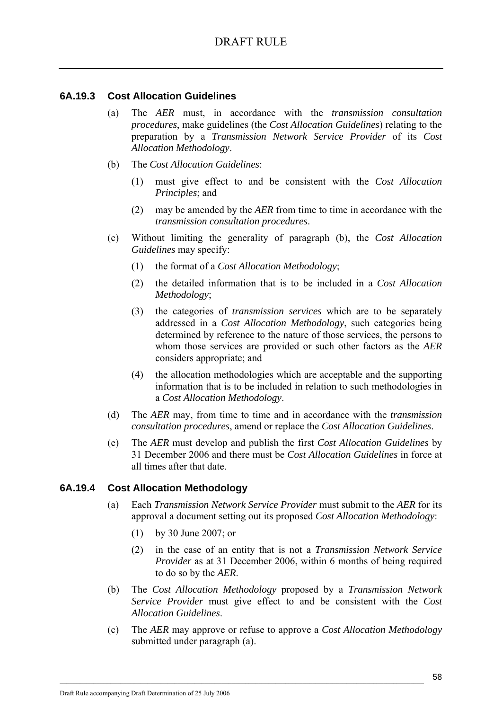## **6A.19.3 Cost Allocation Guidelines**

- (a) The *AER* must, in accordance with the *transmission consultation procedures*, make guidelines (the *Cost Allocation Guidelines*) relating to the preparation by a *Transmission Network Service Provider* of its *Cost Allocation Methodology*.
- (b) The *Cost Allocation Guidelines*:
	- (1) must give effect to and be consistent with the *Cost Allocation Principles*; and
	- (2) may be amended by the *AER* from time to time in accordance with the *transmission consultation procedures*.
- (c) Without limiting the generality of paragraph (b), the *Cost Allocation Guidelines* may specify:
	- (1) the format of a *Cost Allocation Methodology*;
	- (2) the detailed information that is to be included in a *Cost Allocation Methodology*;
	- (3) the categories of *transmission services* which are to be separately addressed in a *Cost Allocation Methodology*, such categories being determined by reference to the nature of those services, the persons to whom those services are provided or such other factors as the *AER* considers appropriate; and
	- (4) the allocation methodologies which are acceptable and the supporting information that is to be included in relation to such methodologies in a *Cost Allocation Methodology*.
- (d) The *AER* may, from time to time and in accordance with the *transmission consultation procedures*, amend or replace the *Cost Allocation Guidelines*.
- (e) The *AER* must develop and publish the first *Cost Allocation Guidelines* by 31 December 2006 and there must be *Cost Allocation Guidelines* in force at all times after that date.

### **6A.19.4 Cost Allocation Methodology**

- (a) Each *Transmission Network Service Provider* must submit to the *AER* for its approval a document setting out its proposed *Cost Allocation Methodology*:
	- (1) by 30 June 2007; or
	- (2) in the case of an entity that is not a *Transmission Network Service Provider* as at 31 December 2006, within 6 months of being required to do so by the *AER*.
- (b) The *Cost Allocation Methodology* proposed by a *Transmission Network Service Provider* must give effect to and be consistent with the *Cost Allocation Guidelines*.
- (c) The *AER* may approve or refuse to approve a *Cost Allocation Methodology* submitted under paragraph (a).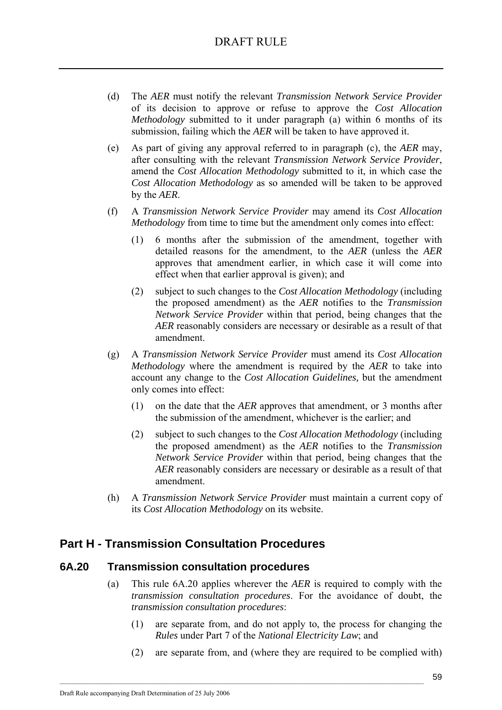- (d) The *AER* must notify the relevant *Transmission Network Service Provider* of its decision to approve or refuse to approve the *Cost Allocation Methodology* submitted to it under paragraph (a) within 6 months of its submission, failing which the *AER* will be taken to have approved it.
- (e) As part of giving any approval referred to in paragraph (c), the *AER* may, after consulting with the relevant *Transmission Network Service Provider*, amend the *Cost Allocation Methodology* submitted to it, in which case the *Cost Allocation Methodology* as so amended will be taken to be approved by the *AER*.
- (f) A *Transmission Network Service Provider* may amend its *Cost Allocation Methodology* from time to time but the amendment only comes into effect:
	- (1) 6 months after the submission of the amendment, together with detailed reasons for the amendment, to the *AER* (unless the *AER* approves that amendment earlier, in which case it will come into effect when that earlier approval is given); and
	- (2) subject to such changes to the *Cost Allocation Methodology* (including the proposed amendment) as the *AER* notifies to the *Transmission Network Service Provider* within that period, being changes that the *AER* reasonably considers are necessary or desirable as a result of that amendment.
- (g) A *Transmission Network Service Provider* must amend its *Cost Allocation Methodology* where the amendment is required by the *AER* to take into account any change to the *Cost Allocation Guidelines,* but the amendment only comes into effect:
	- (1) on the date that the *AER* approves that amendment, or 3 months after the submission of the amendment, whichever is the earlier; and
	- (2) subject to such changes to the *Cost Allocation Methodology* (including the proposed amendment) as the *AER* notifies to the *Transmission Network Service Provider* within that period, being changes that the *AER* reasonably considers are necessary or desirable as a result of that amendment.
- (h) A *Transmission Network Service Provider* must maintain a current copy of its *Cost Allocation Methodology* on its website.

# **Part H - Transmission Consultation Procedures**

## **6A.20 Transmission consultation procedures**

- (a) This rule 6A.20 applies wherever the *AER* is required to comply with the *transmission consultation procedures*. For the avoidance of doubt, the *transmission consultation procedures*:
	- (1) are separate from, and do not apply to, the process for changing the *Rules* under Part 7 of the *National Electricity Law*; and
	- (2) are separate from, and (where they are required to be complied with)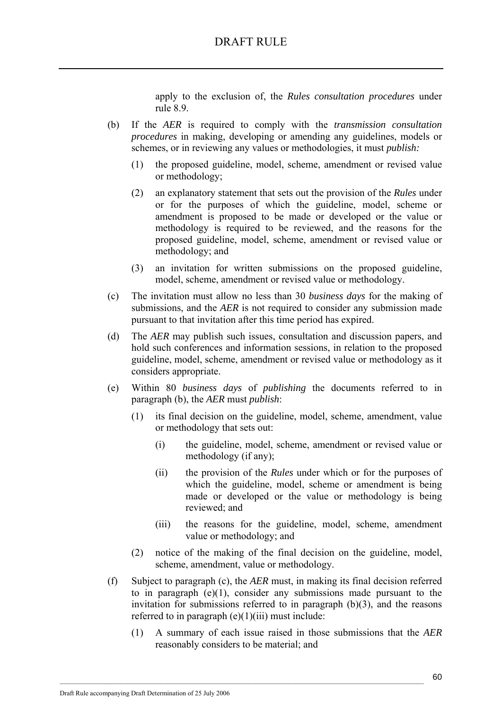apply to the exclusion of, the *Rules consultation procedures* under rule 8.9.

- (b) If the *AER* is required to comply with the *transmission consultation procedures* in making, developing or amending any guidelines, models or schemes, or in reviewing any values or methodologies, it must *publish:*
	- (1) the proposed guideline, model, scheme, amendment or revised value or methodology;
	- (2) an explanatory statement that sets out the provision of the *Rules* under or for the purposes of which the guideline, model, scheme or amendment is proposed to be made or developed or the value or methodology is required to be reviewed, and the reasons for the proposed guideline, model, scheme, amendment or revised value or methodology; and
	- (3) an invitation for written submissions on the proposed guideline, model, scheme, amendment or revised value or methodology.
- (c) The invitation must allow no less than 30 *business days* for the making of submissions, and the *AER* is not required to consider any submission made pursuant to that invitation after this time period has expired.
- (d) The *AER* may publish such issues, consultation and discussion papers, and hold such conferences and information sessions, in relation to the proposed guideline, model, scheme, amendment or revised value or methodology as it considers appropriate.
- (e) Within 80 *business days* of *publishing* the documents referred to in paragraph (b), the *AER* must *publish*:
	- (1) its final decision on the guideline, model, scheme, amendment, value or methodology that sets out:
		- (i) the guideline, model, scheme, amendment or revised value or methodology (if any);
		- (ii) the provision of the *Rules* under which or for the purposes of which the guideline, model, scheme or amendment is being made or developed or the value or methodology is being reviewed; and
		- (iii) the reasons for the guideline, model, scheme, amendment value or methodology; and
	- (2) notice of the making of the final decision on the guideline, model, scheme, amendment, value or methodology.
- (f) Subject to paragraph (c), the *AER* must, in making its final decision referred to in paragraph  $(e)(1)$ , consider any submissions made pursuant to the invitation for submissions referred to in paragraph (b)(3), and the reasons referred to in paragraph  $(e)(1)(iii)$  must include:

 $\mathcal{L}_\text{max}$ 

(1) A summary of each issue raised in those submissions that the *AER* reasonably considers to be material; and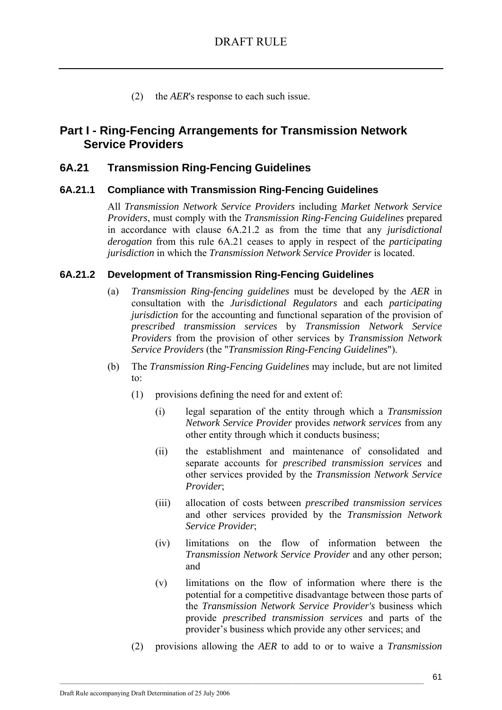(2) the *AER*'s response to each such issue.

### **Part I - Ring-Fencing Arrangements for Transmission Network Service Providers**

### **6A.21 Transmission Ring-Fencing Guidelines**

### **6A.21.1 Compliance with Transmission Ring-Fencing Guidelines**

All *Transmission Network Service Providers* including *Market Network Service Providers*, must comply with the *Transmission Ring-Fencing Guidelines* prepared in accordance with clause 6A.21.2 as from the time that any *jurisdictional derogation* from this rule 6A.21 ceases to apply in respect of the *participating jurisdiction* in which the *Transmission Network Service Provider* is located.

### **6A.21.2 Development of Transmission Ring-Fencing Guidelines**

- (a) *Transmission Ring-fencing guidelines* must be developed by the *AER* in consultation with the *Jurisdictional Regulators* and each *participating jurisdiction* for the accounting and functional separation of the provision of *prescribed transmission services* by *Transmission Network Service Providers* from the provision of other services by *Transmission Network Service Providers* (the "*Transmission Ring-Fencing Guidelines*").
- (b) The *Transmission Ring-Fencing Guidelines* may include, but are not limited to:
	- (1) provisions defining the need for and extent of:
		- (i) legal separation of the entity through which a *Transmission Network Service Provider* provides *network services* from any other entity through which it conducts business;
		- (ii) the establishment and maintenance of consolidated and separate accounts for *prescribed transmission services* and other services provided by the *Transmission Network Service Provider*;
		- (iii) allocation of costs between *prescribed transmission services* and other services provided by the *Transmission Network Service Provider*;
		- (iv) limitations on the flow of information between the *Transmission Network Service Provider* and any other person; and
		- (v) limitations on the flow of information where there is the potential for a competitive disadvantage between those parts of the *Transmission Network Service Provider's* business which provide *prescribed transmission services* and parts of the provider's business which provide any other services; and
	- (2) provisions allowing the *AER* to add to or to waive a *Transmission*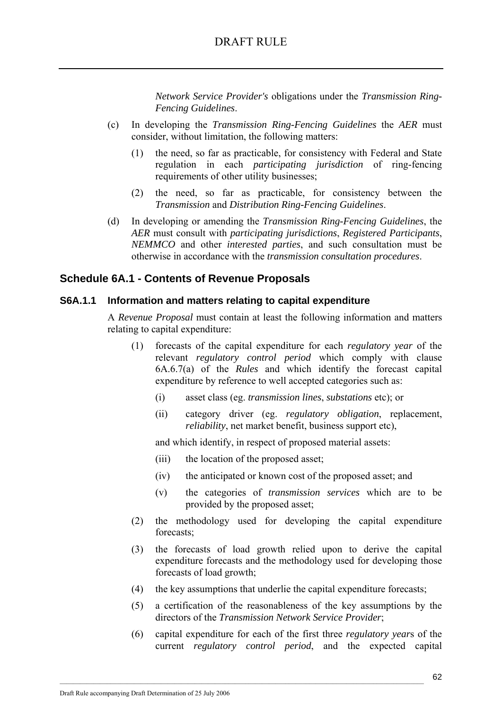### DRAFT RULE

*Network Service Provider's* obligations under the *Transmission Ring-Fencing Guidelines*.

- (c) In developing the *Transmission Ring-Fencing Guidelines* the *AER* must consider, without limitation, the following matters:
	- (1) the need, so far as practicable, for consistency with Federal and State regulation in each *participating jurisdiction* of ring-fencing requirements of other utility businesses;
	- (2) the need, so far as practicable, for consistency between the *Transmission* and *Distribution Ring-Fencing Guidelines*.
- (d) In developing or amending the *Transmission Ring-Fencing Guidelines*, the *AER* must consult with *participating jurisdictions*, *Registered Participants*, *NEMMCO* and other *interested parties*, and such consultation must be otherwise in accordance with the *transmission consultation procedures*.

### **Schedule 6A.1 - Contents of Revenue Proposals**

#### **S6A.1.1 Information and matters relating to capital expenditure**

A *Revenue Proposal* must contain at least the following information and matters relating to capital expenditure:

- (1) forecasts of the capital expenditure for each *regulatory year* of the relevant *regulatory control period* which comply with clause 6A.6.7(a) of the *Rules* and which identify the forecast capital expenditure by reference to well accepted categories such as:
	- (i) asset class (eg. *transmission lines*, *substations* etc); or
	- (ii) category driver (eg. *regulatory obligation*, replacement, *reliability*, net market benefit, business support etc),

and which identify, in respect of proposed material assets:

(iii) the location of the proposed asset;

- (iv) the anticipated or known cost of the proposed asset; and
- (v) the categories of *transmission services* which are to be provided by the proposed asset;
- (2) the methodology used for developing the capital expenditure forecasts;
- (3) the forecasts of load growth relied upon to derive the capital expenditure forecasts and the methodology used for developing those forecasts of load growth;
- (4) the key assumptions that underlie the capital expenditure forecasts;
- (5) a certification of the reasonableness of the key assumptions by the directors of the *Transmission Network Service Provider*;
- (6) capital expenditure for each of the first three *regulatory year*s of the current *regulatory control period*, and the expected capital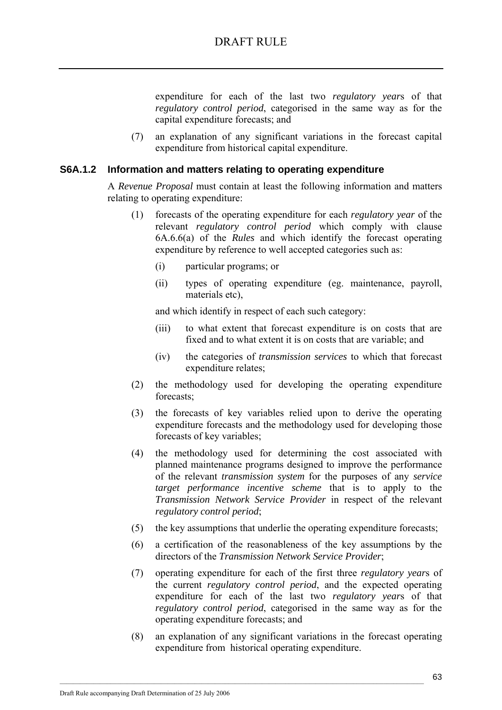expenditure for each of the last two *regulatory year*s of that *regulatory control period*, categorised in the same way as for the capital expenditure forecasts; and

(7) an explanation of any significant variations in the forecast capital expenditure from historical capital expenditure.

#### **S6A.1.2 Information and matters relating to operating expenditure**

A *Revenue Proposal* must contain at least the following information and matters relating to operating expenditure:

- (1) forecasts of the operating expenditure for each *regulatory year* of the relevant *regulatory control period* which comply with clause 6A.6.6(a) of the *Rules* and which identify the forecast operating expenditure by reference to well accepted categories such as:
	- (i) particular programs; or
	- (ii) types of operating expenditure (eg. maintenance, payroll, materials etc),

and which identify in respect of each such category:

- (iii) to what extent that forecast expenditure is on costs that are fixed and to what extent it is on costs that are variable; and
- (iv) the categories of *transmission services* to which that forecast expenditure relates;
- (2) the methodology used for developing the operating expenditure forecasts;
- (3) the forecasts of key variables relied upon to derive the operating expenditure forecasts and the methodology used for developing those forecasts of key variables;
- (4) the methodology used for determining the cost associated with planned maintenance programs designed to improve the performance of the relevant *transmission system* for the purposes of any *service target performance incentive scheme* that is to apply to the *Transmission Network Service Provider* in respect of the relevant *regulatory control period*;
- (5) the key assumptions that underlie the operating expenditure forecasts;
- (6) a certification of the reasonableness of the key assumptions by the directors of the *Transmission Network Service Provider*;
- (7) operating expenditure for each of the first three *regulatory year*s of the current *regulatory control period*, and the expected operating expenditure for each of the last two *regulatory year*s of that *regulatory control period*, categorised in the same way as for the operating expenditure forecasts; and
- (8) an explanation of any significant variations in the forecast operating expenditure from historical operating expenditure.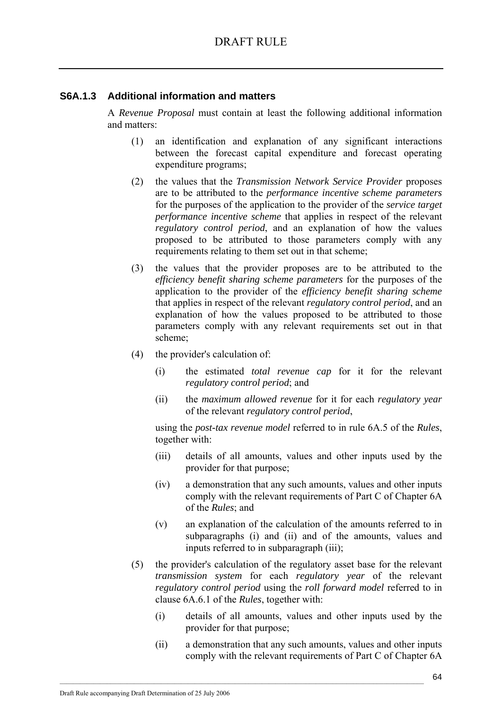### **S6A.1.3 Additional information and matters**

A *Revenue Proposal* must contain at least the following additional information and matters:

- (1) an identification and explanation of any significant interactions between the forecast capital expenditure and forecast operating expenditure programs;
- (2) the values that the *Transmission Network Service Provider* proposes are to be attributed to the *performance incentive scheme parameters*  for the purposes of the application to the provider of the *service target performance incentive scheme* that applies in respect of the relevant *regulatory control period*, and an explanation of how the values proposed to be attributed to those parameters comply with any requirements relating to them set out in that scheme;
- (3) the values that the provider proposes are to be attributed to the *efficiency benefit sharing scheme parameters* for the purposes of the application to the provider of the *efficiency benefit sharing scheme* that applies in respect of the relevant *regulatory control period*, and an explanation of how the values proposed to be attributed to those parameters comply with any relevant requirements set out in that scheme;
- (4) the provider's calculation of:
	- (i) the estimated *total revenue cap* for it for the relevant *regulatory control period*; and
	- (ii) the *maximum allowed revenue* for it for each *regulatory year* of the relevant *regulatory control period*,

using the *post-tax revenue model* referred to in rule 6A.5 of the *Rules*, together with:

- (iii) details of all amounts, values and other inputs used by the provider for that purpose;
- (iv) a demonstration that any such amounts, values and other inputs comply with the relevant requirements of Part C of Chapter 6A of the *Rules*; and
- (v) an explanation of the calculation of the amounts referred to in subparagraphs (i) and (ii) and of the amounts, values and inputs referred to in subparagraph (iii);
- (5) the provider's calculation of the regulatory asset base for the relevant *transmission system* for each *regulatory year* of the relevant *regulatory control period* using the *roll forward model* referred to in clause 6A.6.1 of the *Rules*, together with:
	- (i) details of all amounts, values and other inputs used by the provider for that purpose;
	- (ii) a demonstration that any such amounts, values and other inputs comply with the relevant requirements of Part C of Chapter 6A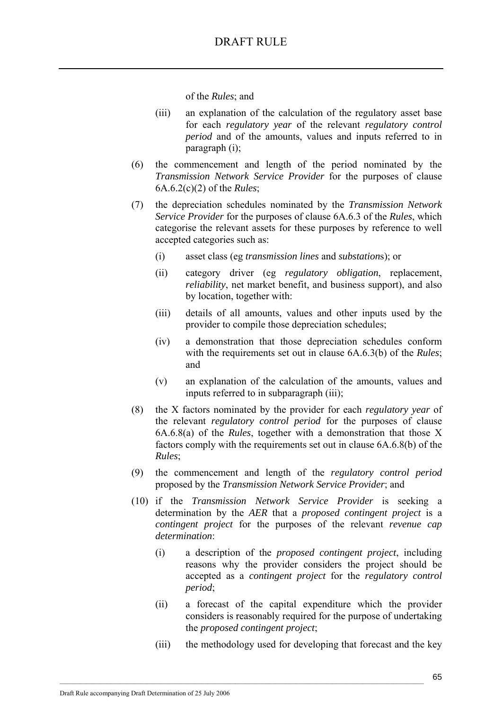of the *Rules*; and

- (iii) an explanation of the calculation of the regulatory asset base for each *regulatory year* of the relevant *regulatory control period* and of the amounts, values and inputs referred to in paragraph (i);
- (6) the commencement and length of the period nominated by the *Transmission Network Service Provider* for the purposes of clause 6A.6.2(c)(2) of the *Rules*;
- (7) the depreciation schedules nominated by the *Transmission Network Service Provider* for the purposes of clause 6A.6.3 of the *Rules*, which categorise the relevant assets for these purposes by reference to well accepted categories such as:
	- (i) asset class (eg *transmission lines* and *substation*s); or
	- (ii) category driver (eg *regulatory obligation*, replacement, *reliability*, net market benefit, and business support), and also by location, together with:
	- (iii) details of all amounts, values and other inputs used by the provider to compile those depreciation schedules;
	- (iv) a demonstration that those depreciation schedules conform with the requirements set out in clause 6A.6.3(b) of the *Rules*; and
	- (v) an explanation of the calculation of the amounts, values and inputs referred to in subparagraph (iii);
- (8) the X factors nominated by the provider for each *regulatory year* of the relevant *regulatory control period* for the purposes of clause 6A.6.8(a) of the *Rules*, together with a demonstration that those X factors comply with the requirements set out in clause 6A.6.8(b) of the *Rules*;
- (9) the commencement and length of the *regulatory control period* proposed by the *Transmission Network Service Provider*; and
- (10) if the *Transmission Network Service Provider* is seeking a determination by the *AER* that a *proposed contingent project* is a *contingent project* for the purposes of the relevant *revenue cap determination*:
	- (i) a description of the *proposed contingent project*, including reasons why the provider considers the project should be accepted as a *contingent project* for the *regulatory control period*;
	- (ii) a forecast of the capital expenditure which the provider considers is reasonably required for the purpose of undertaking the *proposed contingent project*;
	- (iii) the methodology used for developing that forecast and the key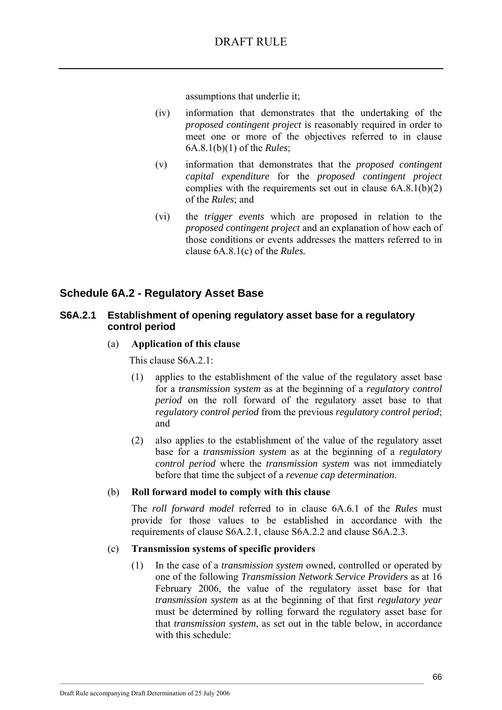assumptions that underlie it;

- (iv) information that demonstrates that the undertaking of the *proposed contingent project* is reasonably required in order to meet one or more of the objectives referred to in clause 6A.8.1(b)(1) of the *Rules*;
- (v) information that demonstrates that the *proposed contingent capital expenditure* for the *proposed contingent project* complies with the requirements set out in clause  $6A.8.1(b)(2)$ of the *Rules*; and
- (vi) the *trigger events* which are proposed in relation to the *proposed contingent project* and an explanation of how each of those conditions or events addresses the matters referred to in clause 6A.8.1(c) of the *Rules.*

### **Schedule 6A.2 - Regulatory Asset Base**

### **S6A.2.1 Establishment of opening regulatory asset base for a regulatory control period**

### (a) **Application of this clause**

This clause S6A 2.1:

- (1) applies to the establishment of the value of the regulatory asset base for a *transmission system* as at the beginning of a *regulatory control period* on the roll forward of the regulatory asset base to that *regulatory control period* from the previous *regulatory control period*; and
- (2) also applies to the establishment of the value of the regulatory asset base for a *transmission system* as at the beginning of a *regulatory control period* where the *transmission system* was not immediately before that time the subject of a *revenue cap determination*.

#### (b) **Roll forward model to comply with this clause**

The *roll forward model* referred to in clause 6A.6.1 of the *Rules* must provide for those values to be established in accordance with the requirements of clause S6A.2.1, clause S6A.2.2 and clause S6A.2.3.

#### (c) **Transmission systems of specific providers**

 $\mathcal{L}_\text{max}$ 

(1) In the case of a *transmission system* owned, controlled or operated by one of the following *Transmission Network Service Provider*s as at 16 February 2006, the value of the regulatory asset base for that *transmission system* as at the beginning of that first *regulatory year* must be determined by rolling forward the regulatory asset base for that *transmission system*, as set out in the table below, in accordance with this schedule: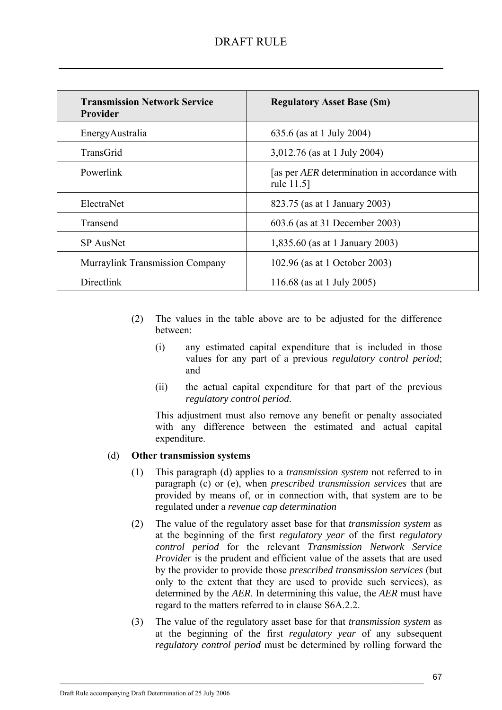| <b>Transmission Network Service</b><br>Provider | <b>Regulatory Asset Base (Sm)</b>                                 |
|-------------------------------------------------|-------------------------------------------------------------------|
| EnergyAustralia                                 | 635.6 (as at 1 July 2004)                                         |
| TransGrid                                       | 3,012.76 (as at 1 July 2004)                                      |
| Powerlink                                       | [as per <i>AER</i> determination in accordance with<br>rule 11.5] |
| ElectraNet                                      | 823.75 (as at 1 January 2003)                                     |
| Transend                                        | 603.6 (as at 31 December 2003)                                    |
| <b>SP</b> AusNet                                | 1,835.60 (as at 1 January 2003)                                   |
| <b>Murraylink Transmission Company</b>          | 102.96 (as at 1 October 2003)                                     |
| Directlink                                      | 116.68 (as at 1 July 2005)                                        |

- (2) The values in the table above are to be adjusted for the difference between:
	- (i) any estimated capital expenditure that is included in those values for any part of a previous *regulatory control period*; and
	- (ii) the actual capital expenditure for that part of the previous *regulatory control period*.

This adjustment must also remove any benefit or penalty associated with any difference between the estimated and actual capital expenditure.

### (d) **Other transmission systems**

- (1) This paragraph (d) applies to a *transmission system* not referred to in paragraph (c) or (e), when *prescribed transmission services* that are provided by means of, or in connection with, that system are to be regulated under a *revenue cap determination*
- (2) The value of the regulatory asset base for that *transmission system* as at the beginning of the first *regulatory year* of the first *regulatory control period* for the relevant *Transmission Network Service Provider* is the prudent and efficient value of the assets that are used by the provider to provide those *prescribed transmission services* (but only to the extent that they are used to provide such services), as determined by the *AER*. In determining this value, the *AER* must have regard to the matters referred to in clause S6A.2.2.
- (3) The value of the regulatory asset base for that *transmission system* as at the beginning of the first *regulatory year* of any subsequent *regulatory control period* must be determined by rolling forward the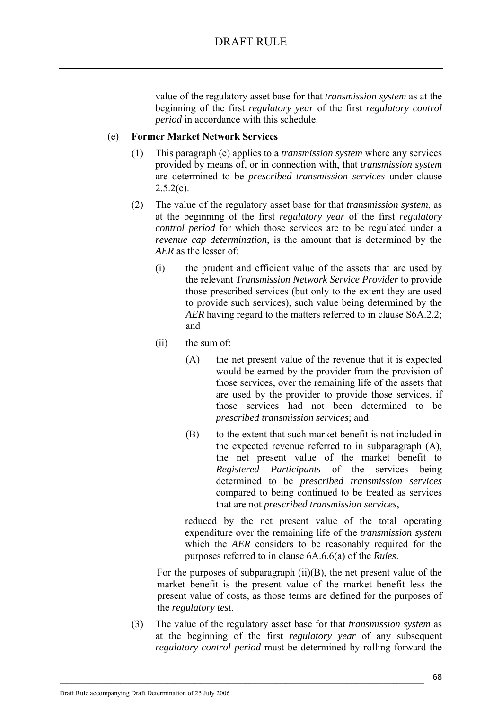value of the regulatory asset base for that *transmission system* as at the beginning of the first *regulatory year* of the first *regulatory control period* in accordance with this schedule.

### (e) **Former Market Network Services**

- (1) This paragraph (e) applies to a *transmission system* where any services provided by means of, or in connection with, that *transmission system* are determined to be *prescribed transmission services* under clause  $2.5.2(c)$ .
- (2) The value of the regulatory asset base for that *transmission system*, as at the beginning of the first *regulatory year* of the first *regulatory control period* for which those services are to be regulated under a *revenue cap determination*, is the amount that is determined by the *AER* as the lesser of:
	- (i) the prudent and efficient value of the assets that are used by the relevant *Transmission Network Service Provider* to provide those prescribed services (but only to the extent they are used to provide such services), such value being determined by the *AER* having regard to the matters referred to in clause S6A.2.2; and
	- (ii) the sum of:
		- (A) the net present value of the revenue that it is expected would be earned by the provider from the provision of those services, over the remaining life of the assets that are used by the provider to provide those services, if those services had not been determined to be *prescribed transmission services*; and
		- (B) to the extent that such market benefit is not included in the expected revenue referred to in subparagraph (A), the net present value of the market benefit to *Registered Participants* of the services being determined to be *prescribed transmission services* compared to being continued to be treated as services that are not *prescribed transmission services*,

reduced by the net present value of the total operating expenditure over the remaining life of the *transmission system* which the *AER* considers to be reasonably required for the purposes referred to in clause 6A.6.6(a) of the *Rules*.

For the purposes of subparagraph  $(ii)(B)$ , the net present value of the market benefit is the present value of the market benefit less the present value of costs, as those terms are defined for the purposes of the *regulatory test*.

(3) The value of the regulatory asset base for that *transmission system* as at the beginning of the first *regulatory year* of any subsequent *regulatory control period* must be determined by rolling forward the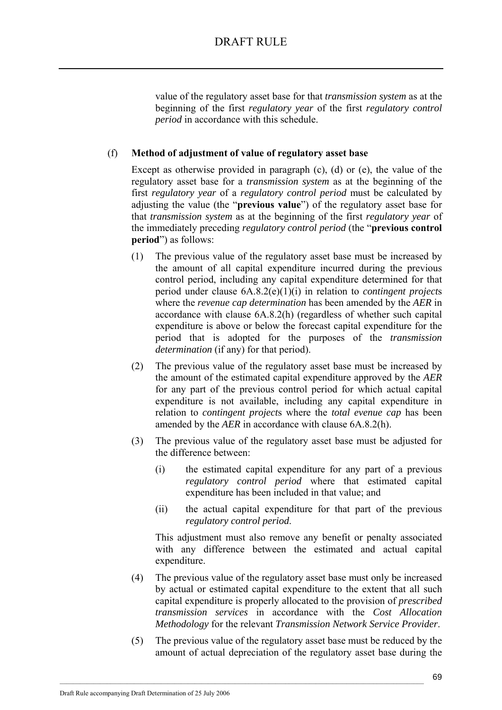value of the regulatory asset base for that *transmission system* as at the beginning of the first *regulatory year* of the first *regulatory control period* in accordance with this schedule.

### (f) **Method of adjustment of value of regulatory asset base**

Except as otherwise provided in paragraph (c), (d) or (e), the value of the regulatory asset base for a *transmission system* as at the beginning of the first *regulatory year* of a *regulatory control period* must be calculated by adjusting the value (the "**previous value**") of the regulatory asset base for that *transmission system* as at the beginning of the first *regulatory year* of the immediately preceding *regulatory control period* (the "**previous control period**") as follows:

- (1) The previous value of the regulatory asset base must be increased by the amount of all capital expenditure incurred during the previous control period, including any capital expenditure determined for that period under clause 6A.8.2(e)(1)(i) in relation to *contingent project*s where the *revenue cap determination* has been amended by the *AER* in accordance with clause 6A.8.2(h) (regardless of whether such capital expenditure is above or below the forecast capital expenditure for the period that is adopted for the purposes of the *transmission determination* (if any) for that period).
- (2) The previous value of the regulatory asset base must be increased by the amount of the estimated capital expenditure approved by the *AER* for any part of the previous control period for which actual capital expenditure is not available, including any capital expenditure in relation to *contingent project*s where the *total evenue cap* has been amended by the *AER* in accordance with clause 6A.8.2(h).
- (3) The previous value of the regulatory asset base must be adjusted for the difference between:
	- (i) the estimated capital expenditure for any part of a previous *regulatory control period* where that estimated capital expenditure has been included in that value; and
	- (ii) the actual capital expenditure for that part of the previous *regulatory control period*.

This adjustment must also remove any benefit or penalty associated with any difference between the estimated and actual capital expenditure.

- (4) The previous value of the regulatory asset base must only be increased by actual or estimated capital expenditure to the extent that all such capital expenditure is properly allocated to the provision of *prescribed transmission services* in accordance with the *Cost Allocation Methodology* for the relevant *Transmission Network Service Provider*.
- (5) The previous value of the regulatory asset base must be reduced by the amount of actual depreciation of the regulatory asset base during the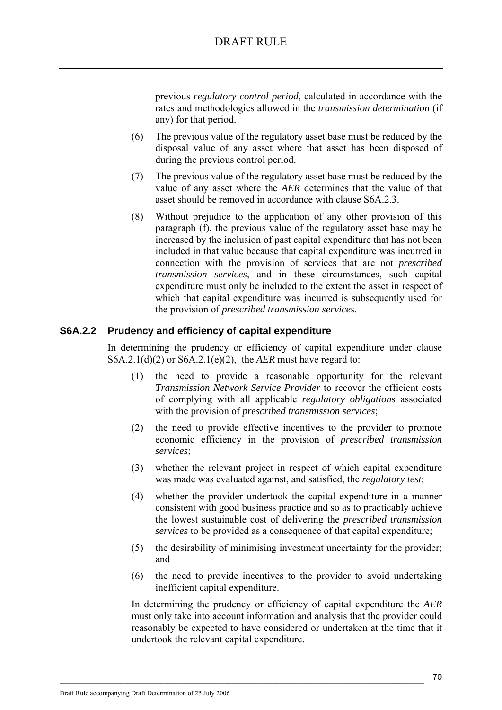previous *regulatory control period*, calculated in accordance with the rates and methodologies allowed in the *transmission determination* (if any) for that period.

- (6) The previous value of the regulatory asset base must be reduced by the disposal value of any asset where that asset has been disposed of during the previous control period.
- (7) The previous value of the regulatory asset base must be reduced by the value of any asset where the *AER* determines that the value of that asset should be removed in accordance with clause S6A.2.3.
- (8) Without prejudice to the application of any other provision of this paragraph (f), the previous value of the regulatory asset base may be increased by the inclusion of past capital expenditure that has not been included in that value because that capital expenditure was incurred in connection with the provision of services that are not *prescribed transmission services*, and in these circumstances, such capital expenditure must only be included to the extent the asset in respect of which that capital expenditure was incurred is subsequently used for the provision of *prescribed transmission services*.

### **S6A.2.2 Prudency and efficiency of capital expenditure**

In determining the prudency or efficiency of capital expenditure under clause S6A.2.1(d)(2) or S6A.2.1(e)(2), the *AER* must have regard to:

- (1) the need to provide a reasonable opportunity for the relevant *Transmission Network Service Provider* to recover the efficient costs of complying with all applicable *regulatory obligation*s associated with the provision of *prescribed transmission services*;
- (2) the need to provide effective incentives to the provider to promote economic efficiency in the provision of *prescribed transmission services*;
- (3) whether the relevant project in respect of which capital expenditure was made was evaluated against, and satisfied, the *regulatory test*;
- (4) whether the provider undertook the capital expenditure in a manner consistent with good business practice and so as to practicably achieve the lowest sustainable cost of delivering the *prescribed transmission services* to be provided as a consequence of that capital expenditure;
- (5) the desirability of minimising investment uncertainty for the provider; and
- (6) the need to provide incentives to the provider to avoid undertaking inefficient capital expenditure.

In determining the prudency or efficiency of capital expenditure the *AER* must only take into account information and analysis that the provider could reasonably be expected to have considered or undertaken at the time that it undertook the relevant capital expenditure.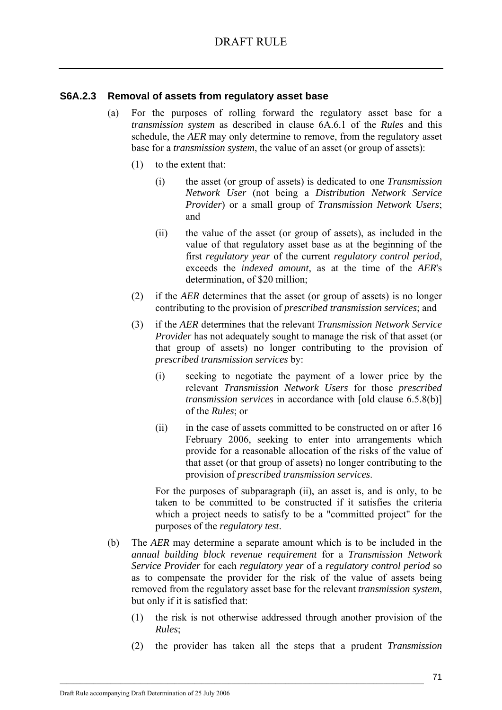### **S6A.2.3 Removal of assets from regulatory asset base**

- (a) For the purposes of rolling forward the regulatory asset base for a *transmission system* as described in clause 6A.6.1 of the *Rules* and this schedule, the *AER* may only determine to remove, from the regulatory asset base for a *transmission system*, the value of an asset (or group of assets):
	- (1) to the extent that:
		- (i) the asset (or group of assets) is dedicated to one *Transmission Network User* (not being a *Distribution Network Service Provider*) or a small group of *Transmission Network Users*; and
		- (ii) the value of the asset (or group of assets), as included in the value of that regulatory asset base as at the beginning of the first *regulatory year* of the current *regulatory control period*, exceeds the *indexed amount*, as at the time of the *AER*'s determination, of \$20 million;
	- (2) if the *AER* determines that the asset (or group of assets) is no longer contributing to the provision of *prescribed transmission services*; and
	- (3) if the *AER* determines that the relevant *Transmission Network Service Provider* has not adequately sought to manage the risk of that asset (or that group of assets) no longer contributing to the provision of *prescribed transmission services* by:
		- (i) seeking to negotiate the payment of a lower price by the relevant *Transmission Network Users* for those *prescribed transmission services* in accordance with [old clause 6.5.8(b)] of the *Rules*; or
		- (ii) in the case of assets committed to be constructed on or after 16 February 2006, seeking to enter into arrangements which provide for a reasonable allocation of the risks of the value of that asset (or that group of assets) no longer contributing to the provision of *prescribed transmission services*.

For the purposes of subparagraph (ii), an asset is, and is only, to be taken to be committed to be constructed if it satisfies the criteria which a project needs to satisfy to be a "committed project" for the purposes of the *regulatory test*.

- (b) The *AER* may determine a separate amount which is to be included in the *annual building block revenue requirement* for a *Transmission Network Service Provider* for each *regulatory year* of a *regulatory control period* so as to compensate the provider for the risk of the value of assets being removed from the regulatory asset base for the relevant *transmission system*, but only if it is satisfied that:
	- (1) the risk is not otherwise addressed through another provision of the *Rules*;
	- (2) the provider has taken all the steps that a prudent *Transmission*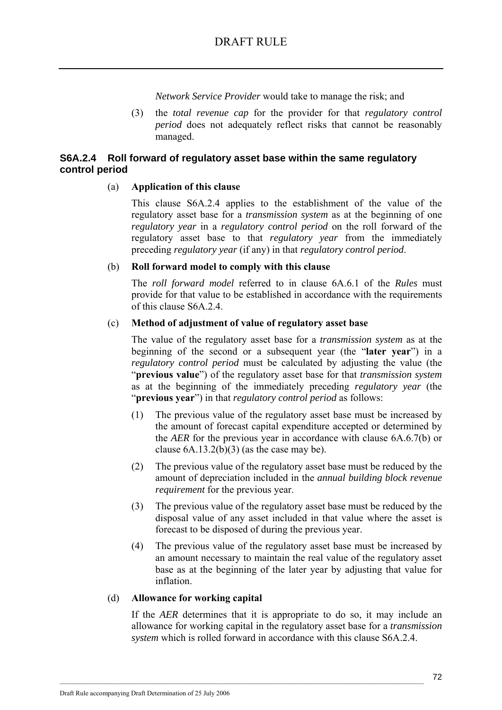*Network Service Provider* would take to manage the risk; and

(3) the *total revenue cap* for the provider for that *regulatory control period* does not adequately reflect risks that cannot be reasonably managed.

### **S6A.2.4 Roll forward of regulatory asset base within the same regulatory control period**

#### (a) **Application of this clause**

This clause S6A.2.4 applies to the establishment of the value of the regulatory asset base for a *transmission system* as at the beginning of one *regulatory year* in a *regulatory control period* on the roll forward of the regulatory asset base to that *regulatory year* from the immediately preceding *regulatory year* (if any) in that *regulatory control period*.

#### (b) **Roll forward model to comply with this clause**

The *roll forward model* referred to in clause 6A.6.1 of the *Rules* must provide for that value to be established in accordance with the requirements of this clause S6A.2.4.

#### (c) **Method of adjustment of value of regulatory asset base**

The value of the regulatory asset base for a *transmission system* as at the beginning of the second or a subsequent year (the "**later year**") in a *regulatory control period* must be calculated by adjusting the value (the "**previous value**") of the regulatory asset base for that *transmission system* as at the beginning of the immediately preceding *regulatory year* (the "**previous year**") in that *regulatory control period* as follows:

- (1) The previous value of the regulatory asset base must be increased by the amount of forecast capital expenditure accepted or determined by the *AER* for the previous year in accordance with clause 6A.6.7(b) or clause  $6A.13.2(b)(3)$  (as the case may be).
- (2) The previous value of the regulatory asset base must be reduced by the amount of depreciation included in the *annual building block revenue requirement* for the previous year.
- (3) The previous value of the regulatory asset base must be reduced by the disposal value of any asset included in that value where the asset is forecast to be disposed of during the previous year.
- (4) The previous value of the regulatory asset base must be increased by an amount necessary to maintain the real value of the regulatory asset base as at the beginning of the later year by adjusting that value for inflation.

#### (d) **Allowance for working capital**

If the *AER* determines that it is appropriate to do so, it may include an allowance for working capital in the regulatory asset base for a *transmission system* which is rolled forward in accordance with this clause S6A.2.4.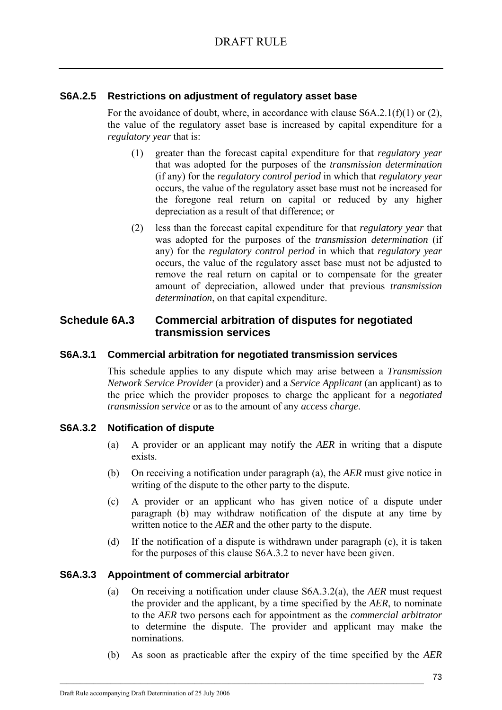### **S6A.2.5 Restrictions on adjustment of regulatory asset base**

For the avoidance of doubt, where, in accordance with clause  $S6A.2.1(f)(1)$  or (2), the value of the regulatory asset base is increased by capital expenditure for a *regulatory year* that is:

- (1) greater than the forecast capital expenditure for that *regulatory year* that was adopted for the purposes of the *transmission determination* (if any) for the *regulatory control period* in which that *regulatory year* occurs, the value of the regulatory asset base must not be increased for the foregone real return on capital or reduced by any higher depreciation as a result of that difference; or
- (2) less than the forecast capital expenditure for that *regulatory year* that was adopted for the purposes of the *transmission determination* (if any) for the *regulatory control period* in which that *regulatory year* occurs, the value of the regulatory asset base must not be adjusted to remove the real return on capital or to compensate for the greater amount of depreciation, allowed under that previous *transmission determination*, on that capital expenditure.

### **Schedule 6A.3 Commercial arbitration of disputes for negotiated transmission services**

### **S6A.3.1 Commercial arbitration for negotiated transmission services**

This schedule applies to any dispute which may arise between a *Transmission Network Service Provider* (a provider) and a *Service Applicant* (an applicant) as to the price which the provider proposes to charge the applicant for a *negotiated transmission service* or as to the amount of any *access charge*.

### **S6A.3.2 Notification of dispute**

- (a) A provider or an applicant may notify the *AER* in writing that a dispute exists.
- (b) On receiving a notification under paragraph (a), the *AER* must give notice in writing of the dispute to the other party to the dispute.
- (c) A provider or an applicant who has given notice of a dispute under paragraph (b) may withdraw notification of the dispute at any time by written notice to the *AER* and the other party to the dispute.
- (d) If the notification of a dispute is withdrawn under paragraph (c), it is taken for the purposes of this clause S6A.3.2 to never have been given.

### **S6A.3.3 Appointment of commercial arbitrator**

- (a) On receiving a notification under clause S6A.3.2(a), the *AER* must request the provider and the applicant, by a time specified by the *AER*, to nominate to the *AER* two persons each for appointment as the *commercial arbitrator* to determine the dispute. The provider and applicant may make the nominations.
- (b) As soon as practicable after the expiry of the time specified by the *AER*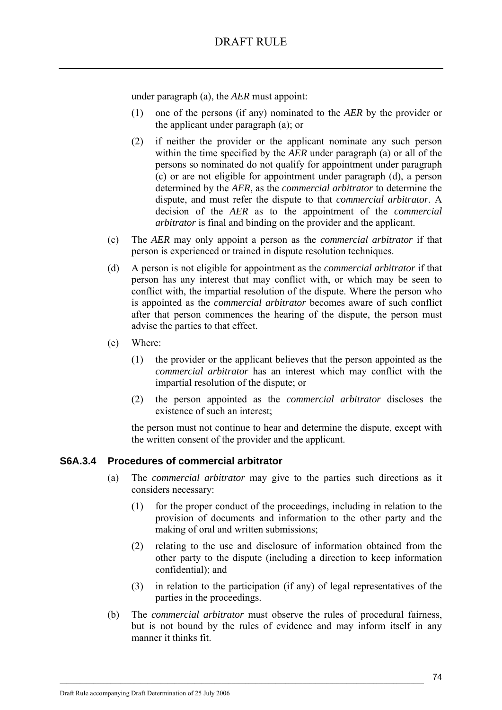under paragraph (a), the *AER* must appoint:

- (1) one of the persons (if any) nominated to the *AER* by the provider or the applicant under paragraph (a); or
- (2) if neither the provider or the applicant nominate any such person within the time specified by the *AER* under paragraph (a) or all of the persons so nominated do not qualify for appointment under paragraph (c) or are not eligible for appointment under paragraph (d), a person determined by the *AER*, as the *commercial arbitrator* to determine the dispute, and must refer the dispute to that *commercial arbitrator*. A decision of the *AER* as to the appointment of the *commercial arbitrator* is final and binding on the provider and the applicant.
- (c) The *AER* may only appoint a person as the *commercial arbitrator* if that person is experienced or trained in dispute resolution techniques.
- (d) A person is not eligible for appointment as the *commercial arbitrator* if that person has any interest that may conflict with, or which may be seen to conflict with, the impartial resolution of the dispute. Where the person who is appointed as the *commercial arbitrator* becomes aware of such conflict after that person commences the hearing of the dispute, the person must advise the parties to that effect.
- (e) Where:
	- (1) the provider or the applicant believes that the person appointed as the *commercial arbitrator* has an interest which may conflict with the impartial resolution of the dispute; or
	- (2) the person appointed as the *commercial arbitrator* discloses the existence of such an interest;

the person must not continue to hear and determine the dispute, except with the written consent of the provider and the applicant.

### **S6A.3.4 Procedures of commercial arbitrator**

- (a) The *commercial arbitrator* may give to the parties such directions as it considers necessary:
	- (1) for the proper conduct of the proceedings, including in relation to the provision of documents and information to the other party and the making of oral and written submissions;
	- (2) relating to the use and disclosure of information obtained from the other party to the dispute (including a direction to keep information confidential); and
	- (3) in relation to the participation (if any) of legal representatives of the parties in the proceedings.
- (b) The *commercial arbitrator* must observe the rules of procedural fairness, but is not bound by the rules of evidence and may inform itself in any manner it thinks fit.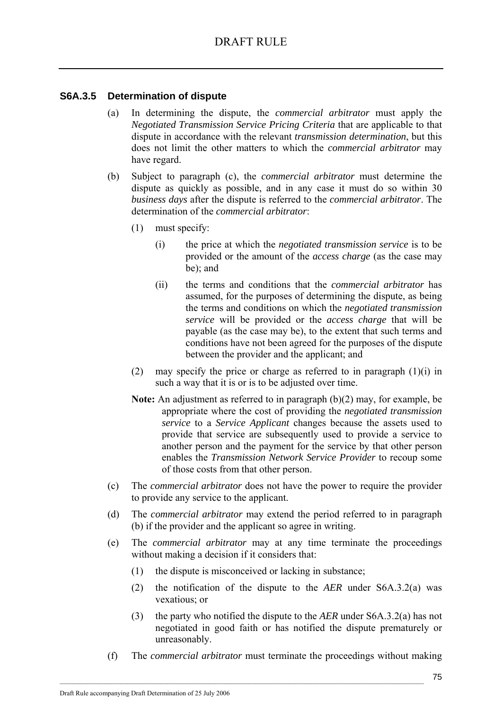### **S6A.3.5 Determination of dispute**

- (a) In determining the dispute, the *commercial arbitrator* must apply the *Negotiated Transmission Service Pricing Criteria* that are applicable to that dispute in accordance with the relevant *transmission determination*, but this does not limit the other matters to which the *commercial arbitrator* may have regard.
- (b) Subject to paragraph (c), the *commercial arbitrator* must determine the dispute as quickly as possible, and in any case it must do so within 30 *business days* after the dispute is referred to the *commercial arbitrator*. The determination of the *commercial arbitrator*:
	- (1) must specify:
		- (i) the price at which the *negotiated transmission service* is to be provided or the amount of the *access charge* (as the case may be); and
		- (ii) the terms and conditions that the *commercial arbitrator* has assumed, for the purposes of determining the dispute, as being the terms and conditions on which the *negotiated transmission service* will be provided or the *access charge* that will be payable (as the case may be), to the extent that such terms and conditions have not been agreed for the purposes of the dispute between the provider and the applicant; and
	- (2) may specify the price or charge as referred to in paragraph  $(1)(i)$  in such a way that it is or is to be adjusted over time.
	- **Note:** An adjustment as referred to in paragraph (b)(2) may, for example, be appropriate where the cost of providing the *negotiated transmission service* to a *Service Applicant* changes because the assets used to provide that service are subsequently used to provide a service to another person and the payment for the service by that other person enables the *Transmission Network Service Provider* to recoup some of those costs from that other person.
- (c) The *commercial arbitrator* does not have the power to require the provider to provide any service to the applicant.
- (d) The *commercial arbitrator* may extend the period referred to in paragraph (b) if the provider and the applicant so agree in writing.
- (e) The *commercial arbitrator* may at any time terminate the proceedings without making a decision if it considers that:
	- (1) the dispute is misconceived or lacking in substance;

- (2) the notification of the dispute to the *AER* under S6A.3.2(a) was vexatious; or
- (3) the party who notified the dispute to the *AER* under S6A.3.2(a) has not negotiated in good faith or has notified the dispute prematurely or unreasonably.
- (f) The *commercial arbitrator* must terminate the proceedings without making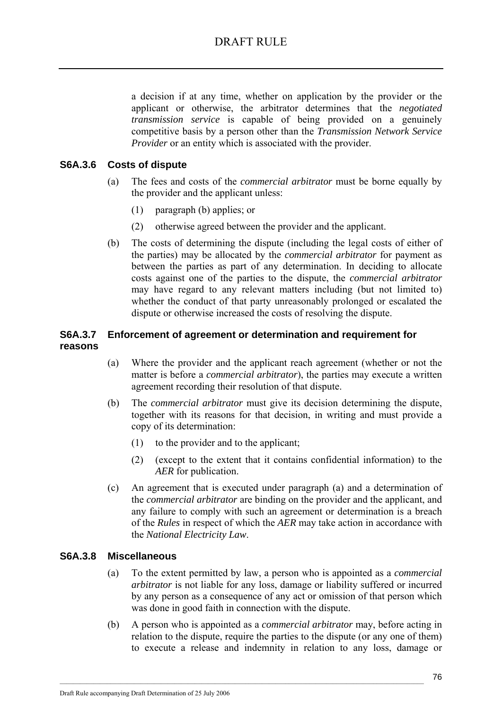a decision if at any time, whether on application by the provider or the applicant or otherwise, the arbitrator determines that the *negotiated transmission service* is capable of being provided on a genuinely competitive basis by a person other than the *Transmission Network Service Provider* or an entity which is associated with the provider.

### **S6A.3.6 Costs of dispute**

- (a) The fees and costs of the *commercial arbitrator* must be borne equally by the provider and the applicant unless:
	- (1) paragraph (b) applies; or
	- (2) otherwise agreed between the provider and the applicant.
- (b) The costs of determining the dispute (including the legal costs of either of the parties) may be allocated by the *commercial arbitrator* for payment as between the parties as part of any determination. In deciding to allocate costs against one of the parties to the dispute, the *commercial arbitrator* may have regard to any relevant matters including (but not limited to) whether the conduct of that party unreasonably prolonged or escalated the dispute or otherwise increased the costs of resolving the dispute.

### **S6A.3.7 Enforcement of agreement or determination and requirement for reasons**

- (a) Where the provider and the applicant reach agreement (whether or not the matter is before a *commercial arbitrator*), the parties may execute a written agreement recording their resolution of that dispute.
- (b) The *commercial arbitrator* must give its decision determining the dispute, together with its reasons for that decision, in writing and must provide a copy of its determination:
	- (1) to the provider and to the applicant;
	- (2) (except to the extent that it contains confidential information) to the *AER* for publication.
- (c) An agreement that is executed under paragraph (a) and a determination of the *commercial arbitrator* are binding on the provider and the applicant, and any failure to comply with such an agreement or determination is a breach of the *Rules* in respect of which the *AER* may take action in accordance with the *National Electricity Law*.

### **S6A.3.8 Miscellaneous**

- (a) To the extent permitted by law, a person who is appointed as a *commercial arbitrator* is not liable for any loss, damage or liability suffered or incurred by any person as a consequence of any act or omission of that person which was done in good faith in connection with the dispute.
- (b) A person who is appointed as a *commercial arbitrator* may, before acting in relation to the dispute, require the parties to the dispute (or any one of them) to execute a release and indemnity in relation to any loss, damage or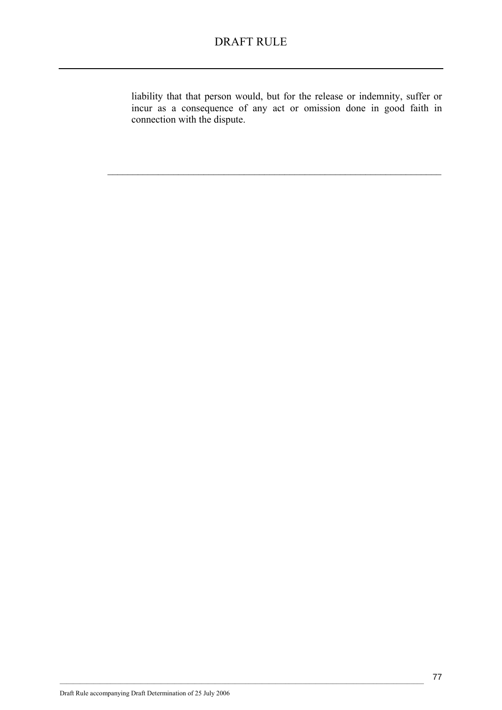liability that that person would, but for the release or indemnity, suffer or incur as a consequence of any act or omission done in good faith in connection with the dispute.

 $\mathcal{L}_\text{max} = \mathcal{L}_\text{max} = \mathcal{L}_\text{max} = \mathcal{L}_\text{max} = \mathcal{L}_\text{max} = \mathcal{L}_\text{max} = \mathcal{L}_\text{max} = \mathcal{L}_\text{max} = \mathcal{L}_\text{max} = \mathcal{L}_\text{max} = \mathcal{L}_\text{max} = \mathcal{L}_\text{max} = \mathcal{L}_\text{max} = \mathcal{L}_\text{max} = \mathcal{L}_\text{max} = \mathcal{L}_\text{max} = \mathcal{L}_\text{max} = \mathcal{L}_\text{max} = \mathcal{$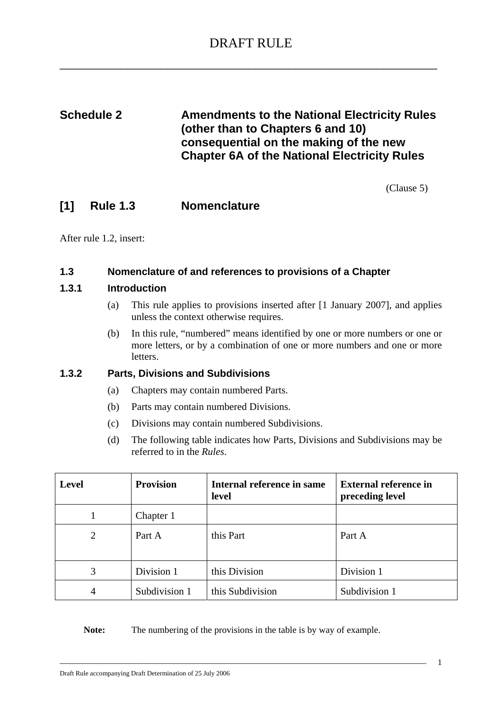# **Schedule 2 Amendments to the National Electricity Rules (other than to Chapters 6 and 10) consequential on the making of the new Chapter 6A of the National Electricity Rules**

(Clause 5)

### **[1] Rule 1.3 Nomenclature**

After rule 1.2, insert:

#### **1.3 Nomenclature of and references to provisions of a Chapter**

#### **1.3.1 Introduction**

- (a) This rule applies to provisions inserted after [1 January 2007], and applies unless the context otherwise requires.
- (b) In this rule, "numbered" means identified by one or more numbers or one or more letters, or by a combination of one or more numbers and one or more letters.

### **1.3.2 Parts, Divisions and Subdivisions**

- (a) Chapters may contain numbered Parts.
- (b) Parts may contain numbered Divisions.
- (c) Divisions may contain numbered Subdivisions.
- (d) The following table indicates how Parts, Divisions and Subdivisions may be referred to in the *Rules*.

| <b>Level</b> | <b>Provision</b> | Internal reference in same<br>level | <b>External reference in</b><br>preceding level |
|--------------|------------------|-------------------------------------|-------------------------------------------------|
|              | Chapter 1        |                                     |                                                 |
| 2            | Part A           | this Part                           | Part A                                          |
| 3            | Division 1       | this Division                       | Division 1                                      |
| 4            | Subdivision 1    | this Subdivision                    | Subdivision 1                                   |

Note: The numbering of the provisions in the table is by way of example.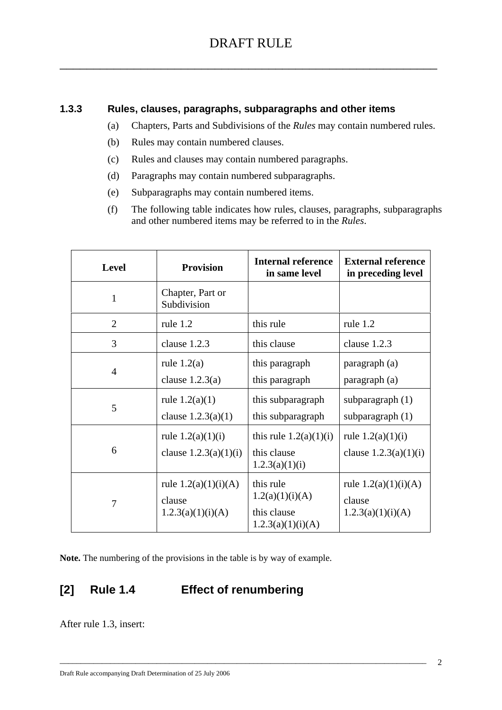### **1.3.3 Rules, clauses, paragraphs, subparagraphs and other items**

- (a) Chapters, Parts and Subdivisions of the *Rules* may contain numbered rules.
- (b) Rules may contain numbered clauses.
- (c) Rules and clauses may contain numbered paragraphs.
- (d) Paragraphs may contain numbered subparagraphs.
- (e) Subparagraphs may contain numbered items.
- (f) The following table indicates how rules, clauses, paragraphs, subparagraphs and other numbered items may be referred to in the *Rules*.

| Level          | <b>Provision</b>                                      | <b>Internal reference</b><br>in same level                       | <b>External reference</b><br>in preceding level       |
|----------------|-------------------------------------------------------|------------------------------------------------------------------|-------------------------------------------------------|
| $\mathbf{1}$   | Chapter, Part or<br>Subdivision                       |                                                                  |                                                       |
| $\overline{2}$ | rule 1.2                                              | this rule                                                        | rule 1.2                                              |
| 3              | clause 1.2.3                                          | this clause                                                      | clause 1.2.3                                          |
| $\overline{4}$ | rule $1.2(a)$<br>clause $1.2.3(a)$                    | this paragraph<br>this paragraph                                 | paragraph (a)<br>paragraph (a)                        |
| 5              | rule $1.2(a)(1)$<br>clause $1.2.3(a)(1)$              | this subparagraph<br>this subparagraph                           | subparagraph $(1)$<br>subparagraph $(1)$              |
| 6              | rule $1.2(a)(1)(i)$<br>clause $1.2.3(a)(1)(i)$        | this rule $1.2(a)(1)(i)$<br>this clause<br>1.2.3(a)(1)(i)        | rule $1.2(a)(1)(i)$<br>clause $1.2.3(a)(1)(i)$        |
| 7              | rule $1.2(a)(1)(i)(A)$<br>clause<br>1.2.3(a)(1)(i)(A) | this rule<br>1.2(a)(1)(i)(A)<br>this clause<br>1.2.3(a)(1)(i)(A) | rule $1.2(a)(1)(i)(A)$<br>clause<br>1.2.3(a)(1)(i)(A) |

\_\_\_\_\_\_\_\_\_\_\_\_\_\_\_\_\_\_\_\_\_\_\_\_\_\_\_\_\_\_\_\_\_\_\_\_\_\_\_\_\_\_\_\_\_\_\_\_\_\_\_\_\_\_\_\_\_\_\_\_\_\_\_\_\_\_\_\_\_\_\_\_\_\_\_\_\_\_\_\_\_\_\_\_\_\_\_

**Note.** The numbering of the provisions in the table is by way of example.

# **[2] Rule 1.4 Effect of renumbering**

After rule 1.3, insert: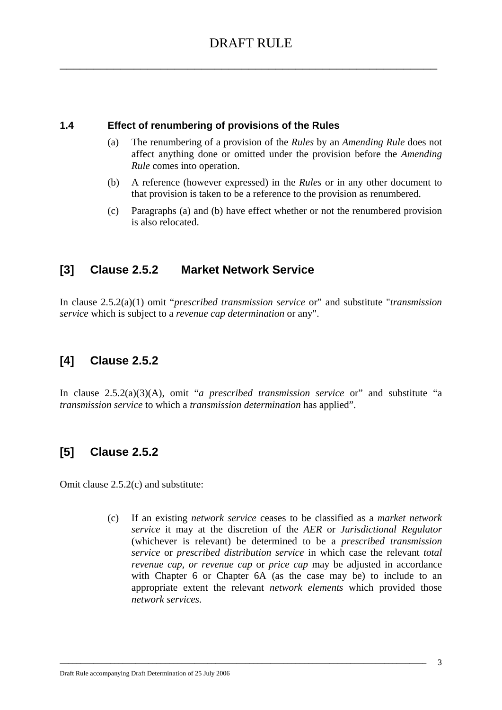### **1.4 Effect of renumbering of provisions of the Rules**

- (a) The renumbering of a provision of the *Rules* by an *Amending Rule* does not affect anything done or omitted under the provision before the *Amending Rule* comes into operation.
- (b) A reference (however expressed) in the *Rules* or in any other document to that provision is taken to be a reference to the provision as renumbered.
- (c) Paragraphs (a) and (b) have effect whether or not the renumbered provision is also relocated.

### **[3] Clause 2.5.2 Market Network Service**

In clause 2.5.2(a)(1) omit "*prescribed transmission service* or" and substitute "*transmission service* which is subject to a *revenue cap determination* or any".

# **[4] Clause 2.5.2**

In clause 2.5.2(a)(3)(A), omit "*a prescribed transmission service* or" and substitute "a *transmission service* to which a *transmission determination* has applied".

### **[5] Clause 2.5.2**

Omit clause 2.5.2(c) and substitute:

(c) If an existing *network service* ceases to be classified as a *market network service* it may at the discretion of the *AER* or *Jurisdictional Regulator*  (whichever is relevant) be determined to be a *prescribed transmission service* or *prescribed distribution service* in which case the relevant *total revenue cap, or revenue cap or price cap may be adjusted in accordance* with Chapter 6 or Chapter 6A (as the case may be) to include to an appropriate extent the relevant *network elements* which provided those *network services*.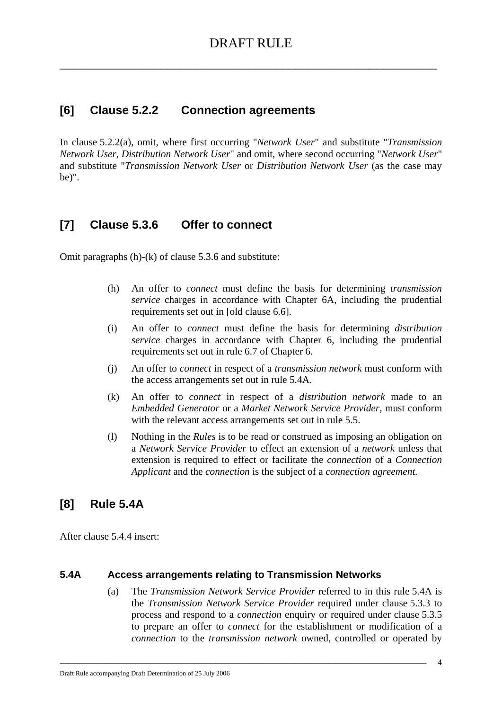# **[6] Clause 5.2.2 Connection agreements**

In clause 5.2.2(a), omit, where first occurring "*Network User*" and substitute "*Transmission Network User*, *Distribution Network User*" and omit, where second occurring "*Network User*" and substitute "*Transmission Network User* or *Distribution Network User* (as the case may be)".

# **[7] Clause 5.3.6 Offer to connect**

Omit paragraphs (h)-(k) of clause 5.3.6 and substitute:

- (h) An offer to *connect* must define the basis for determining *transmission service* charges in accordance with Chapter 6A, including the prudential requirements set out in [old clause 6.6].
- (i) An offer to *connect* must define the basis for determining *distribution service* charges in accordance with Chapter 6, including the prudential requirements set out in rule 6.7 of Chapter 6.
- (j) An offer to *connect* in respect of a *transmission network* must conform with the access arrangements set out in rule 5.4A.
- (k) An offer to *connect* in respect of a *distribution network* made to an *Embedded Generator* or a *Market Network Service Provider*, must conform with the relevant access arrangements set out in rule 5.5.
- (l) Nothing in the *Rules* is to be read or construed as imposing an obligation on a *Network Service Provider* to effect an extension of a *network* unless that extension is required to effect or facilitate the *connection* of a *Connection Applicant* and the *connection* is the subject of a *connection agreement.*

# **[8] Rule 5.4A**

After clause 5.4.4 insert:

### **5.4A Access arrangements relating to Transmission Networks**

\_\_\_\_\_\_\_\_\_\_\_\_\_\_\_\_\_\_\_\_\_\_\_\_\_\_\_\_\_\_\_\_\_\_\_\_\_\_\_\_\_\_\_\_\_\_\_\_\_\_\_\_\_\_\_\_\_\_\_\_\_\_\_\_\_\_\_\_\_\_\_\_\_\_\_\_\_\_\_\_\_\_\_\_\_\_\_

(a) The *Transmission Network Service Provider* referred to in this rule 5.4A is the *Transmission Network Service Provider* required under clause 5.3.3 to process and respond to a *connection* enquiry or required under clause 5.3.5 to prepare an offer to *connect* for the establishment or modification of a *connection* to the *transmission network* owned, controlled or operated by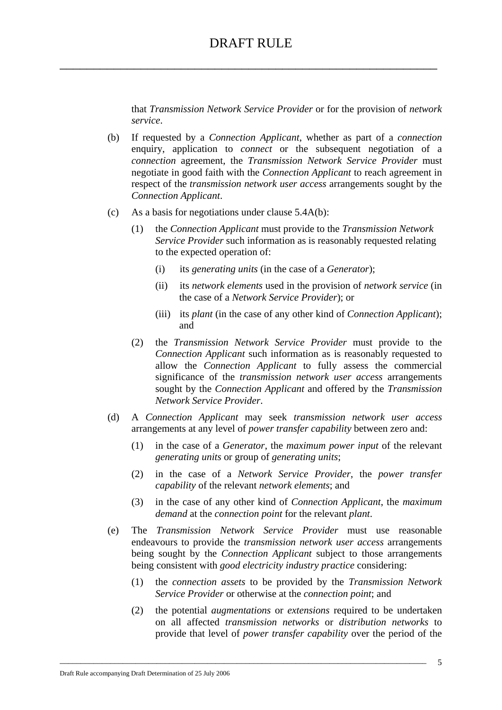that *Transmission Network Service Provider* or for the provision of *network service*.

- (b) If requested by a *Connection Applicant*, whether as part of a *connection*  enquiry, application to *connect* or the subsequent negotiation of a *connection* agreement, the *Transmission Network Service Provider* must negotiate in good faith with the *Connection Applicant* to reach agreement in respect of the *transmission network user access* arrangements sought by the *Connection Applicant*.
- (c) As a basis for negotiations under clause 5.4A(b):
	- (1) the *Connection Applicant* must provide to the *Transmission Network Service Provider* such information as is reasonably requested relating to the expected operation of:
		- (i) its *generating units* (in the case of a *Generator*);
		- (ii) its *network elements* used in the provision of *network service* (in the case of a *Network Service Provider*); or
		- (iii) its *plant* (in the case of any other kind of *Connection Applicant*); and
	- (2) the *Transmission Network Service Provider* must provide to the *Connection Applicant* such information as is reasonably requested to allow the *Connection Applicant* to fully assess the commercial significance of the *transmission network user access* arrangements sought by the *Connection Applicant* and offered by the *Transmission Network Service Provider*.
- (d) A *Connection Applicant* may seek *transmission network user access* arrangements at any level of *power transfer capability* between zero and:
	- (1) in the case of a *Generator*, the *maximum power input* of the relevant *generating units* or group of *generating units*;
	- (2) in the case of a *Network Service Provider*, the *power transfer capability* of the relevant *network elements*; and
	- (3) in the case of any other kind of *Connection Applicant*, the *maximum demand* at the *connection point* for the relevant *plant*.
- (e) The *Transmission Network Service Provider* must use reasonable endeavours to provide the *transmission network user access* arrangements being sought by the *Connection Applicant* subject to those arrangements being consistent with *good electricity industry practice* considering:
	- (1) the *connection assets* to be provided by the *Transmission Network Service Provider* or otherwise at the *connection point*; and
	- (2) the potential *augmentations* or *extensions* required to be undertaken on all affected *transmission networks* or *distribution networks* to provide that level of *power transfer capability* over the period of the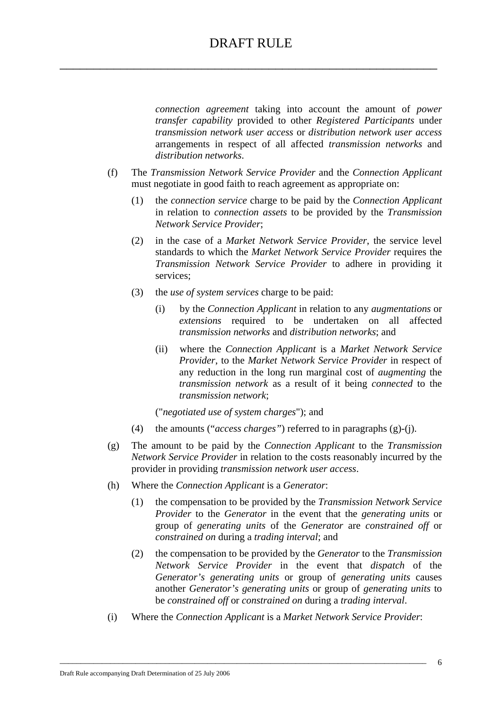*connection agreement* taking into account the amount of *power transfer capability* provided to other *Registered Participants* under *transmission network user access* or *distribution network user access* arrangements in respect of all affected *transmission networks* and *distribution networks*.

- (f) The *Transmission Network Service Provider* and the *Connection Applicant*  must negotiate in good faith to reach agreement as appropriate on:
	- (1) the *connection service* charge to be paid by the *Connection Applicant*  in relation to *connection assets* to be provided by the *Transmission Network Service Provider*;
	- (2) in the case of a *Market Network Service Provider*, the service level standards to which the *Market Network Service Provider* requires the *Transmission Network Service Provider* to adhere in providing it services;
	- (3) the *use of system services* charge to be paid:
		- (i) by the *Connection Applicant* in relation to any *augmentations* or *extensions* required to be undertaken on all affected *transmission networks* and *distribution networks*; and
		- (ii) where the *Connection Applicant* is a *Market Network Service Provider*, to the *Market Network Service Provider* in respect of any reduction in the long run marginal cost of *augmenting* the *transmission network* as a result of it being *connected* to the *transmission network*;

("*negotiated use of system charges*"); and

- (4) the amounts ("*access charges"*) referred to in paragraphs (g)-(j).
- (g) The amount to be paid by the *Connection Applicant* to the *Transmission Network Service Provider* in relation to the costs reasonably incurred by the provider in providing *transmission network user access*.
- (h) Where the *Connection Applicant* is a *Generator*:
	- (1) the compensation to be provided by the *Transmission Network Service Provider* to the *Generator* in the event that the *generating units* or group of *generating units* of the *Generator* are *constrained off* or *constrained on* during a *trading interval*; and
	- (2) the compensation to be provided by the *Generator* to the *Transmission Network Service Provider* in the event that *dispatch* of the *Generator's generating units* or group of *generating units* causes another *Generator's generating units* or group of *generating units* to be *constrained off* or *constrained on* during a *trading interval*.
- (i) Where the *Connection Applicant* is a *Market Network Service Provider*: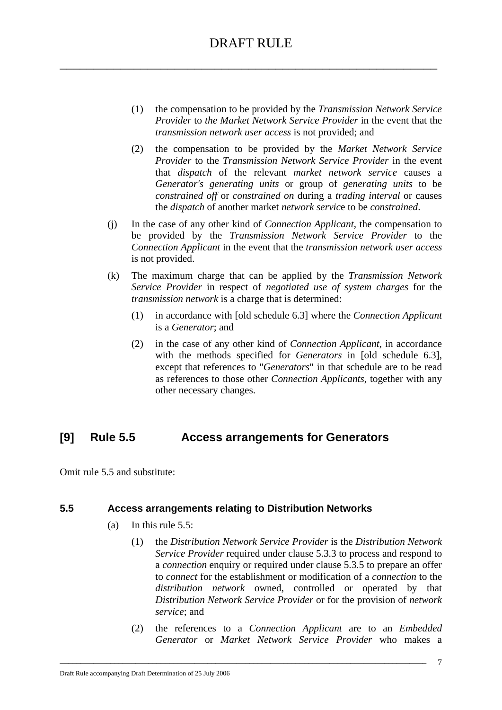- (1) the compensation to be provided by the *Transmission Network Service Provider* to *the Market Network Service Provider* in the event that the *transmission network user access* is not provided; and
- (2) the compensation to be provided by the *Market Network Service Provider* to the *Transmission Network Service Provider* in the event that *dispatch* of the relevant *market network service* causes a *Generator's generating units* or group of *generating units* to be *constrained off* or *constrained on* during a *trading interval* or causes the *dispatch* of another market *network servic*e to be *constrained*.
- (j) In the case of any other kind of *Connection Applicant*, the compensation to be provided by the *Transmission Network Service Provider* to the *Connection Applicant* in the event that the *transmission network user access* is not provided.
- (k) The maximum charge that can be applied by the *Transmission Network Service Provider* in respect of *negotiated use of system charges* for the *transmission network* is a charge that is determined:
	- (1) in accordance with [old schedule 6.3] where the *Connection Applicant* is a *Generator*; and
	- (2) in the case of any other kind of *Connection Applicant*, in accordance with the methods specified for *Generators* in [old schedule 6.3], except that references to "*Generators*" in that schedule are to be read as references to those other *Connection Applicants*, together with any other necessary changes.

# **[9] Rule 5.5 Access arrangements for Generators**

Omit rule 5.5 and substitute:

### **5.5 Access arrangements relating to Distribution Networks**

- (a) In this rule 5.5:
	- (1) the *Distribution Network Service Provider* is the *Distribution Network Service Provider* required under clause 5.3.3 to process and respond to a *connection* enquiry or required under clause 5.3.5 to prepare an offer to *connect* for the establishment or modification of a *connection* to the *distribution network* owned, controlled or operated by that *Distribution Network Service Provider* or for the provision of *network service*; and
	- (2) the references to a *Connection Applicant* are to an *Embedded Generator* or *Market Network Service Provider* who makes a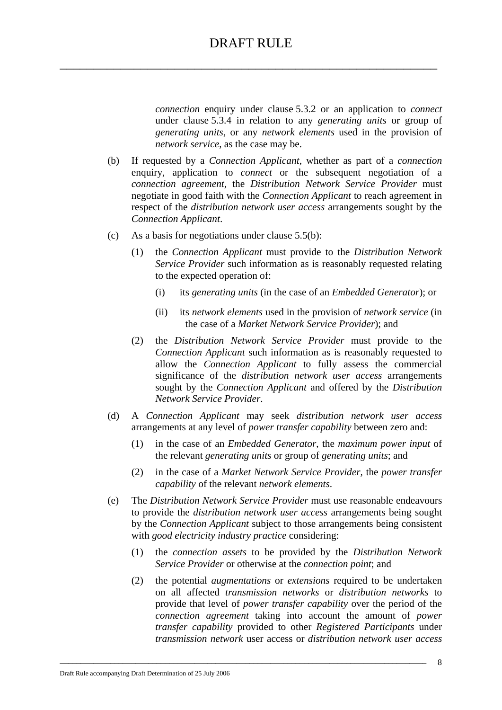*connection* enquiry under clause 5.3.2 or an application to *connect*  under clause 5.3.4 in relation to any *generating units* or group of *generating units*, or any *network elements* used in the provision of *network service*, as the case may be.

- (b) If requested by a *Connection Applicant*, whether as part of a *connection* enquiry, application to *connect* or the subsequent negotiation of a *connection agreement*, the *Distribution Network Service Provider* must negotiate in good faith with the *Connection Applicant* to reach agreement in respect of the *distribution network user access* arrangements sought by the *Connection Applicant*.
- (c) As a basis for negotiations under clause 5.5(b):
	- (1) the *Connection Applicant* must provide to the *Distribution Network Service Provider* such information as is reasonably requested relating to the expected operation of:
		- (i) its *generating units* (in the case of an *Embedded Generator*); or
		- (ii) its *network elements* used in the provision of *network service* (in the case of a *Market Network Service Provider*); and
	- (2) the *Distribution Network Service Provider* must provide to the *Connection Applicant* such information as is reasonably requested to allow the *Connection Applicant* to fully assess the commercial significance of the *distribution network user access* arrangements sought by the *Connection Applicant* and offered by the *Distribution Network Service Provider*.
- (d) A *Connection Applicant* may seek *distribution network user access* arrangements at any level of *power transfer capability* between zero and:
	- (1) in the case of an *Embedded Generator*, the *maximum power input* of the relevant *generating units* or group of *generating units*; and
	- (2) in the case of a *Market Network Service Provider,* the *power transfer capability* of the relevant *network elements*.
- (e) The *Distribution Network Service Provider* must use reasonable endeavours to provide the *distribution network user access* arrangements being sought by the *Connection Applicant* subject to those arrangements being consistent with *good electricity industry practice* considering:
	- (1) the *connection assets* to be provided by the *Distribution Network Service Provider* or otherwise at the *connection point*; and
	- (2) the potential *augmentations* or *extensions* required to be undertaken on all affected *transmission networks* or *distribution networks* to provide that level of *power transfer capability* over the period of the *connection agreement* taking into account the amount of *power transfer capability* provided to other *Registered Participants* under *transmission network* user access or *distribution network user access*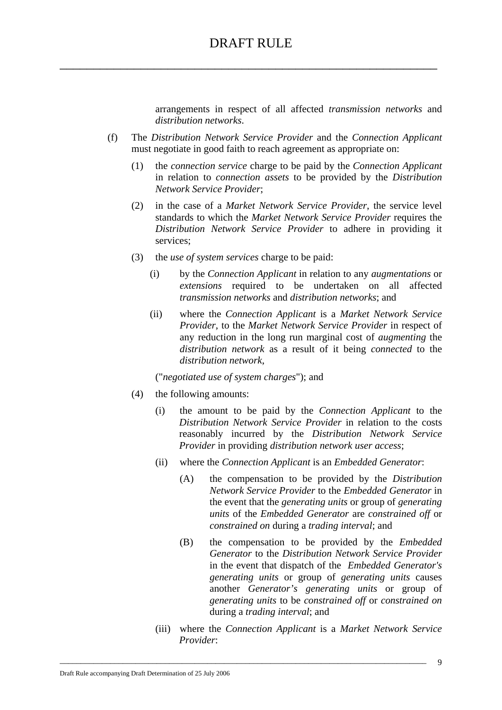arrangements in respect of all affected *transmission networks* and *distribution networks*.

- (f) The *Distribution Network Service Provider* and the *Connection Applicant*  must negotiate in good faith to reach agreement as appropriate on:
	- (1) the *connection service* charge to be paid by the *Connection Applicant*  in relation to *connection assets* to be provided by the *Distribution Network Service Provider*;
	- (2) in the case of a *Market Network Service Provider*, the service level standards to which the *Market Network Service Provider* requires the *Distribution Network Service Provider* to adhere in providing it services;
	- (3) the *use of system services* charge to be paid:
		- (i) by the *Connection Applicant* in relation to any *augmentations* or *extensions* required to be undertaken on all affected *transmission networks* and *distribution networks*; and
		- (ii) where the *Connection Applicant* is a *Market Network Service Provider*, to the *Market Network Service Provider* in respect of any reduction in the long run marginal cost of *augmenting* the *distribution network* as a result of it being *connected* to the *distribution network*,

("*negotiated use of system charges*"); and

- (4) the following amounts:
	- (i) the amount to be paid by the *Connection Applicant* to the *Distribution Network Service Provider* in relation to the costs reasonably incurred by the *Distribution Network Service Provider* in providing *distribution network user access*;
	- (ii) where the *Connection Applicant* is an *Embedded Generator*:
		- (A) the compensation to be provided by the *Distribution Network Service Provider* to the *Embedded Generator* in the event that the *generating units* or group of *generating units* of the *Embedded Generator* are *constrained off* or *constrained on* during a *trading interval*; and
		- (B) the compensation to be provided by the *Embedded Generator* to the *Distribution Network Service Provider* in the event that dispatch of the *Embedded Generator's generating units* or group of *generating units* causes another *Generator's generating units* or group of *generating units* to be *constrained off* or *constrained on*  during a *trading interval*; and
	- (iii) where the *Connection Applicant* is a *Market Network Service Provider*: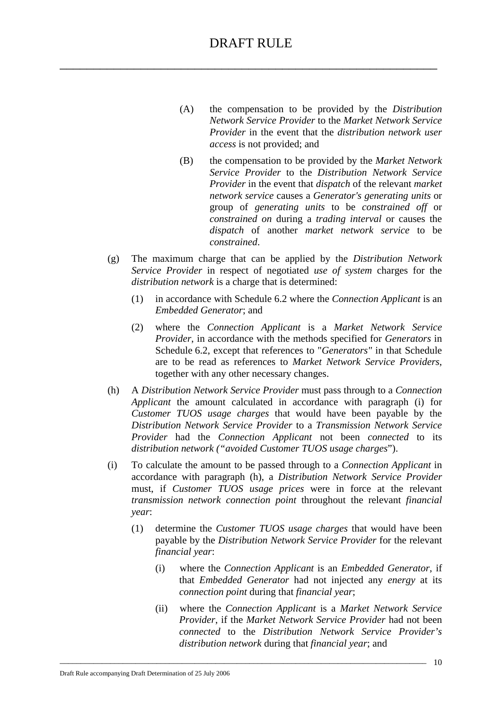- (A) the compensation to be provided by the *Distribution Network Service Provider* to the *Market Network Service Provider* in the event that the *distribution network user access* is not provided; and
- (B) the compensation to be provided by the *Market Network Service Provider* to the *Distribution Network Service Provider* in the event that *dispatch* of the relevant *market network service* causes a *Generator's generating units* or group of *generating units* to be *constrained off* or *constrained on* during a *trading interval* or causes the *dispatch* of another *market network service* to be *constrained*.
- (g) The maximum charge that can be applied by the *Distribution Network Service Provider* in respect of negotiated *use of system* charges for the *distribution network* is a charge that is determined:
	- (1) in accordance with Schedule 6.2 where the *Connection Applicant* is an *Embedded Generator*; and
	- (2) where the *Connection Applicant* is a *Market Network Service Provider*, in accordance with the methods specified for *Generators* in Schedule 6.2, except that references to "*Generators"* in that Schedule are to be read as references to *Market Network Service Providers*, together with any other necessary changes.
- (h) A *Distribution Network Service Provider* must pass through to a *Connection Applicant* the amount calculated in accordance with paragraph (i) for *Customer TUOS usage charges* that would have been payable by the *Distribution Network Service Provider* to a *Transmission Network Service Provider* had the *Connection Applicant* not been *connected* to its *distribution network ("avoided Customer TUOS usage charges*").
- (i) To calculate the amount to be passed through to a *Connection Applicant* in accordance with paragraph (h), a *Distribution Network Service Provider*  must, if *Customer TUOS usage prices* were in force at the relevant *transmission network connection point* throughout the relevant *financial year*:
	- (1) determine the *Customer TUOS usage charges* that would have been payable by the *Distribution Network Service Provider* for the relevant *financial year*:
		- (i) where the *Connection Applicant* is an *Embedded Generator*, if that *Embedded Generator* had not injected any *energy* at its *connection point* during that *financial year*;
		- (ii) where the *Connection Applicant* is a *Market Network Service Provider*, if the *Market Network Service Provider* had not been *connected* to the *Distribution Network Service Provider's distribution network* during that *financial year*; and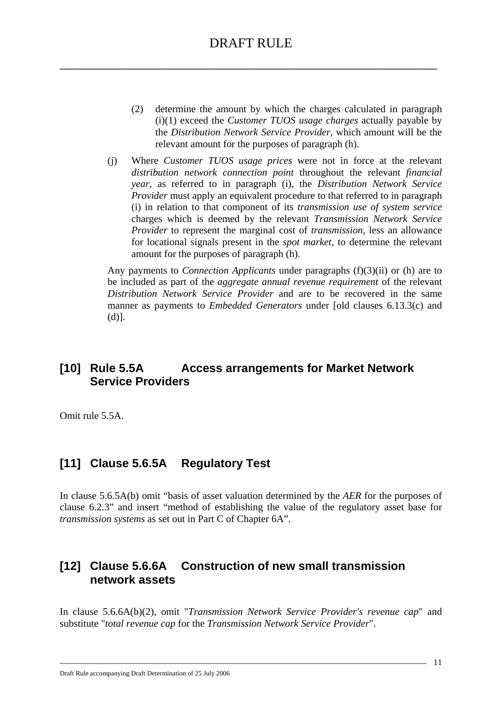- (2) determine the amount by which the charges calculated in paragraph (i)(1) exceed the *Customer TUOS usage charges* actually payable by the *Distribution Network Service Provider*, which amount will be the relevant amount for the purposes of paragraph (h).
- (j) Where *Customer TUOS usage prices* were not in force at the relevant *distribution network connection point* throughout the relevant *financial year*, as referred to in paragraph (i), the *Distribution Network Service Provider* must apply an equivalent procedure to that referred to in paragraph (i) in relation to that component of its *transmission use of system service*  charges which is deemed by the relevant *Transmission Network Service Provider* to represent the marginal cost of *transmission*, less an allowance for locational signals present in the *spot market*, to determine the relevant amount for the purposes of paragraph (h).

Any payments to *Connection Applicants* under paragraphs (f)(3)(ii) or (h) are to be included as part of the *aggregate annual revenue requirement* of the relevant *Distribution Network Service Provider* and are to be recovered in the same manner as payments to *Embedded Generators* under [old clauses 6.13.3(c) and (d)].

### **[10] Rule 5.5A Access arrangements for Market Network Service Providers**

Omit rule 5.5A.

# **[11] Clause 5.6.5A Regulatory Test**

In clause 5.6.5A(b) omit "basis of asset valuation determined by the *AER* for the purposes of clause 6.2.3" and insert "method of establishing the value of the regulatory asset base for *transmission systems* as set out in Part C of Chapter 6A".

# **[12] Clause 5.6.6A Construction of new small transmission network assets**

In clause 5.6.6A(b)(2), omit "*Transmission Network Service Provider's revenue cap*" and substitute "*total revenue cap* for the *Transmission Network Service Provider*".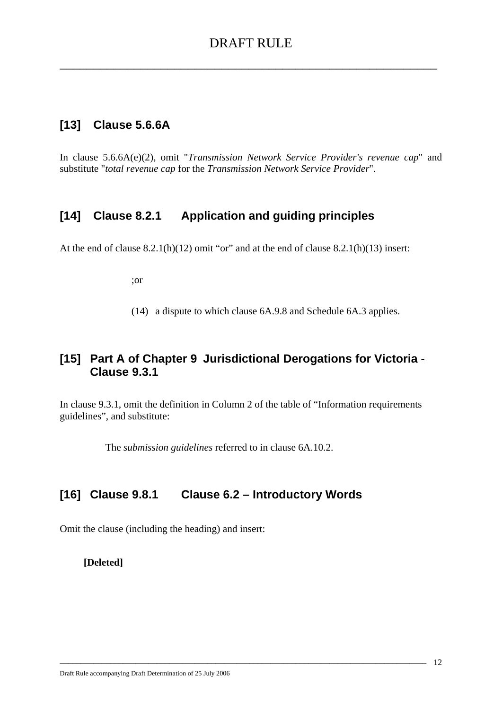### **[13] Clause 5.6.6A**

In clause 5.6.6A(e)(2), omit "*Transmission Network Service Provider's revenue cap*" and substitute "*total revenue cap* for the *Transmission Network Service Provider*".

### **[14] Clause 8.2.1 Application and guiding principles**

At the end of clause  $8.2.1(h)(12)$  omit "or" and at the end of clause  $8.2.1(h)(13)$  insert:

;or

(14) a dispute to which clause 6A.9.8 and Schedule 6A.3 applies.

### **[15] Part A of Chapter 9 Jurisdictional Derogations for Victoria - Clause 9.3.1**

In clause 9.3.1, omit the definition in Column 2 of the table of "Information requirements guidelines", and substitute:

\_\_\_\_\_\_\_\_\_\_\_\_\_\_\_\_\_\_\_\_\_\_\_\_\_\_\_\_\_\_\_\_\_\_\_\_\_\_\_\_\_\_\_\_\_\_\_\_\_\_\_\_\_\_\_\_\_\_\_\_\_\_\_\_\_\_\_\_\_\_\_\_\_\_\_\_\_\_\_\_\_\_\_\_\_\_\_

The *submission guidelines* referred to in clause 6A.10.2.

### **[16] Clause 9.8.1 Clause 6.2 – Introductory Words**

Omit the clause (including the heading) and insert:

**[Deleted]**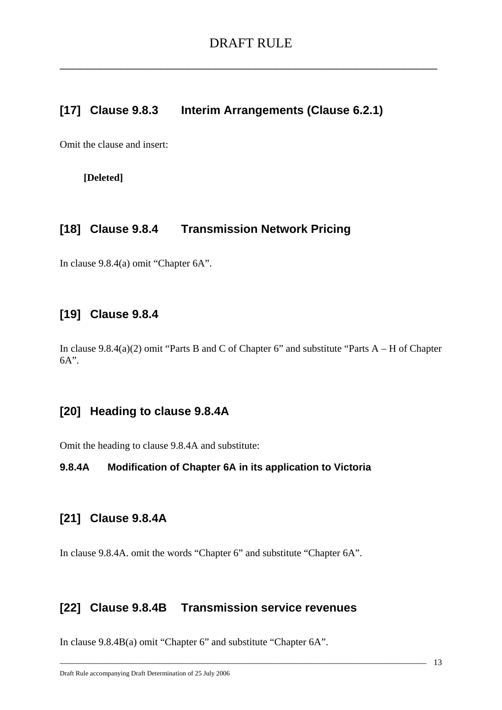### **[17] Clause 9.8.3 Interim Arrangements (Clause 6.2.1)**

Omit the clause and insert:

**[Deleted]** 

# **[18] Clause 9.8.4 Transmission Network Pricing**

In clause 9.8.4(a) omit "Chapter 6A".

### **[19] Clause 9.8.4**

In clause 9.8.4(a)(2) omit "Parts B and C of Chapter 6" and substitute "Parts A – H of Chapter 6A".

### **[20] Heading to clause 9.8.4A**

Omit the heading to clause 9.8.4A and substitute:

### **9.8.4A Modification of Chapter 6A in its application to Victoria**

### **[21] Clause 9.8.4A**

In clause 9.8.4A. omit the words "Chapter 6" and substitute "Chapter 6A".

# **[22] Clause 9.8.4B Transmission service revenues**

\_\_\_\_\_\_\_\_\_\_\_\_\_\_\_\_\_\_\_\_\_\_\_\_\_\_\_\_\_\_\_\_\_\_\_\_\_\_\_\_\_\_\_\_\_\_\_\_\_\_\_\_\_\_\_\_\_\_\_\_\_\_\_\_\_\_\_\_\_\_\_\_\_\_\_\_\_\_\_\_\_\_\_\_\_\_\_

In clause 9.8.4B(a) omit "Chapter 6" and substitute "Chapter 6A".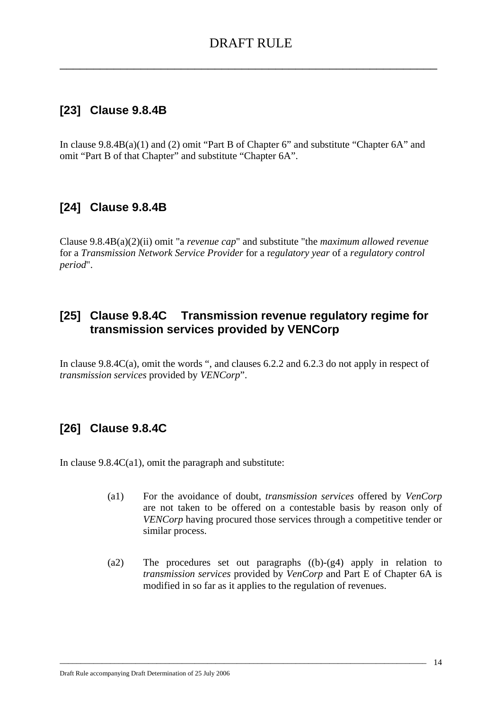# **[23] Clause 9.8.4B**

In clause 9.8.4B(a)(1) and (2) omit "Part B of Chapter 6" and substitute "Chapter 6A" and omit "Part B of that Chapter" and substitute "Chapter 6A".

# **[24] Clause 9.8.4B**

Clause 9.8.4B(a)(2)(ii) omit "a *revenue cap*" and substitute "the *maximum allowed revenue* for a *Transmission Network Service Provider* for a r*egulatory year* of a *regulatory control period*".

### **[25] Clause 9.8.4C Transmission revenue regulatory regime for transmission services provided by VENCorp**

In clause 9.8.4C(a), omit the words ", and clauses 6.2.2 and 6.2.3 do not apply in respect of *transmission services* provided by *VENCorp*".

# **[26] Clause 9.8.4C**

In clause  $9.8.4C(a1)$ , omit the paragraph and substitute:

- (a1) For the avoidance of doubt, *transmission services* offered by *VenCorp* are not taken to be offered on a contestable basis by reason only of *VENCorp* having procured those services through a competitive tender or similar process.
- (a2) The procedures set out paragraphs ((b)-(g4) apply in relation to *transmission services* provided by *VenCorp* and Part E of Chapter 6A is modified in so far as it applies to the regulation of revenues.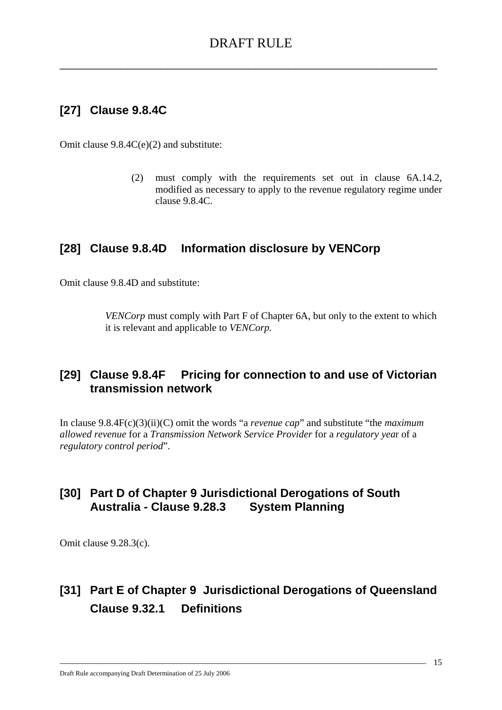# **[27] Clause 9.8.4C**

Omit clause 9.8.4C(e)(2) and substitute:

(2) must comply with the requirements set out in clause 6A.14.2, modified as necessary to apply to the revenue regulatory regime under clause 9.8.4C.

# **[28] Clause 9.8.4D Information disclosure by VENCorp**

Omit clause 9.8.4D and substitute:

*VENCorp* must comply with Part F of Chapter 6A, but only to the extent to which it is relevant and applicable to *VENCorp.*

# **[29] Clause 9.8.4F Pricing for connection to and use of Victorian transmission network**

In clause 9.8.4F(c)(3)(ii)(C) omit the words "a *revenue cap*" and substitute "the *maximum allowed revenue* for a *Transmission Network Service Provider* for a *regulatory yea*r of a *regulatory control period*".

# **[30] Part D of Chapter 9 Jurisdictional Derogations of South Australia - Clause 9.28.3 System Planning**

Omit clause 9.28.3(c).

# **[31] Part E of Chapter 9 Jurisdictional Derogations of Queensland Clause 9.32.1 Definitions**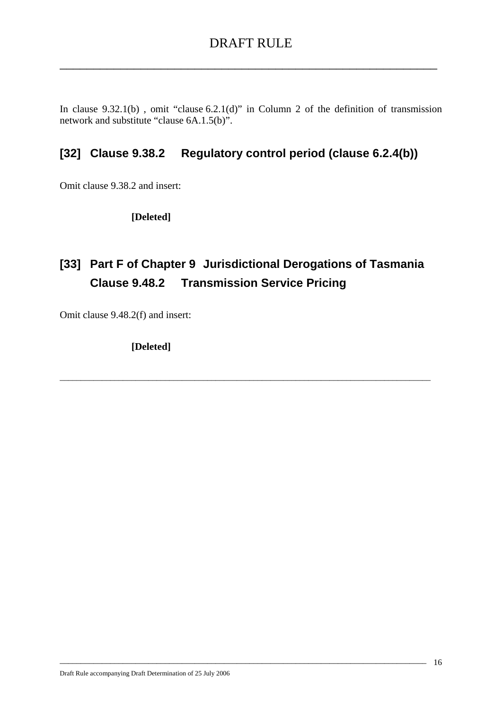In clause 9.32.1(b) , omit "clause 6.2.1(d)" in Column 2 of the definition of transmission network and substitute "clause 6A.1.5(b)".

# **[32] Clause 9.38.2 Regulatory control period (clause 6.2.4(b))**

Omit clause 9.38.2 and insert:

 **[Deleted]** 

# **[33] Part F of Chapter 9 Jurisdictional Derogations of Tasmania Clause 9.48.2 Transmission Service Pricing**

\_\_\_\_\_\_\_\_\_\_\_\_\_\_\_\_\_\_\_\_\_\_\_\_\_\_\_\_\_\_\_\_\_\_\_\_\_\_\_\_\_\_\_\_\_\_\_\_\_\_\_\_\_\_\_\_\_\_\_\_\_\_\_\_\_\_\_\_\_\_\_\_\_\_\_\_\_\_\_\_\_\_\_\_\_\_\_\_

\_\_\_\_\_\_\_\_\_\_\_\_\_\_\_\_\_\_\_\_\_\_\_\_\_\_\_\_\_\_\_\_\_\_\_\_\_\_\_\_\_\_\_\_\_\_\_\_\_\_\_\_\_\_\_\_\_\_\_\_\_\_\_\_\_\_\_\_\_\_\_\_\_\_\_\_\_\_\_\_\_\_\_\_\_\_\_

Omit clause 9.48.2(f) and insert:

 **[Deleted]**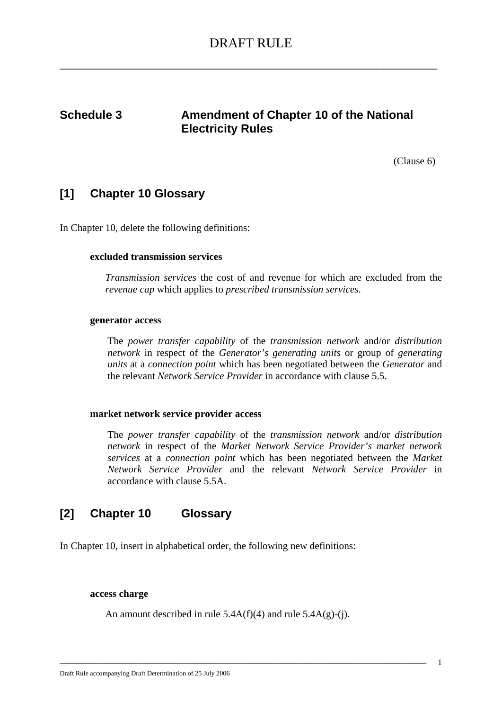# **Schedule 3** Amendment of Chapter 10 of the National **Electricity Rules**

(Clause 6)

### **[1] Chapter 10 Glossary**

In Chapter 10, delete the following definitions:

#### **excluded transmission services**

*Transmission services* the cost of and revenue for which are excluded from the *revenue cap* which applies to *prescribed transmission services*.

#### **generator access**

The *power transfer capability* of the *transmission network* and/or *distribution network* in respect of the *Generator's generating units* or group of *generating units* at a *connection point* which has been negotiated between the *Generator* and the relevant *Network Service Provider* in accordance with clause 5.5.

#### **market network service provider access**

The *power transfer capability* of the *transmission network* and/or *distribution network* in respect of the *Market Network Service Provider's market network services* at a *connection point* which has been negotiated between the *Market Network Service Provider* and the relevant *Network Service Provider* in accordance with clause 5.5A.

### **[2] Chapter 10 Glossary**

In Chapter 10, insert in alphabetical order, the following new definitions:

#### **access charge**

An amount described in rule  $5.4A(f)(4)$  and rule  $5.4A(g)-(i)$ .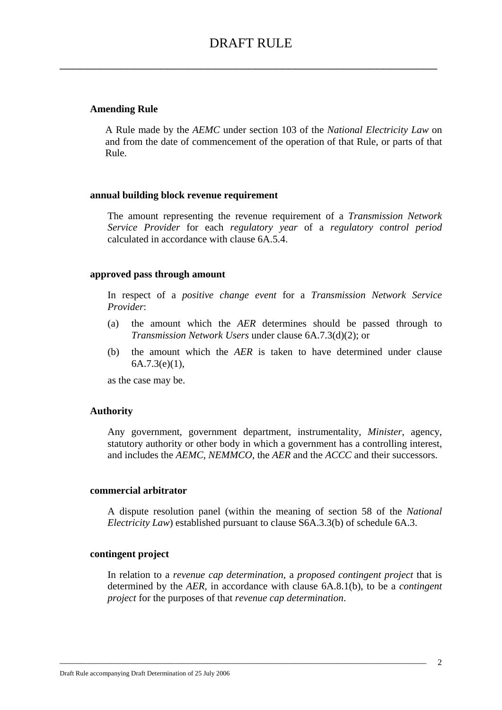#### **Amending Rule**

A Rule made by the *AEMC* under section 103 of the *National Electricity Law* on and from the date of commencement of the operation of that Rule, or parts of that Rule.

#### **annual building block revenue requirement**

The amount representing the revenue requirement of a *Transmission Network Service Provider* for each *regulatory year* of a *regulatory control period* calculated in accordance with clause 6A.5.4.

#### **approved pass through amount**

In respect of a *positive change event* for a *Transmission Network Service Provider*:

- (a) the amount which the *AER* determines should be passed through to *Transmission Network Users* under clause 6A.7.3(d)(2); or
- (b) the amount which the *AER* is taken to have determined under clause  $6A.7.3(e)(1),$

as the case may be.

#### **Authority**

Any government, government department, instrumentality, *Minister*, agency, statutory authority or other body in which a government has a controlling interest, and includes the *AEMC*, *NEMMCO*, the *AER* and the *ACCC* and their successors.

#### **commercial arbitrator**

A dispute resolution panel (within the meaning of section 58 of the *National Electricity Law*) established pursuant to clause S6A.3.3(b) of schedule 6A.3.

#### **contingent project**

In relation to a *revenue cap determination,* a *proposed contingent project* that is determined by the *AER*, in accordance with clause 6A.8.1(b), to be a *contingent project* for the purposes of that *revenue cap determination*.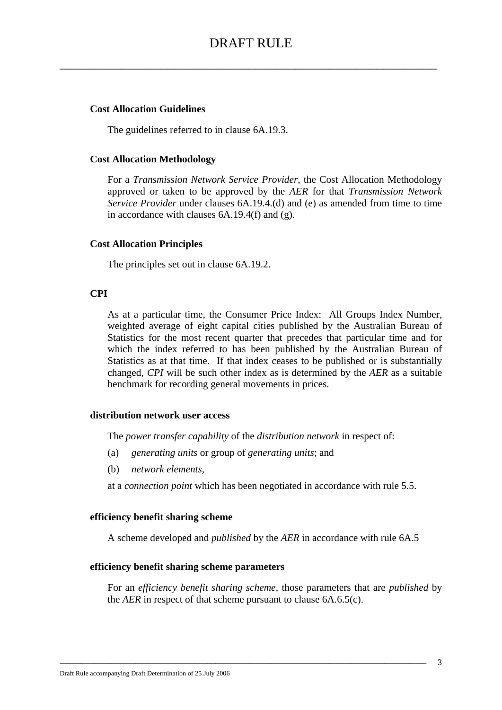## **Cost Allocation Guidelines**

The guidelines referred to in clause 6A.19.3.

### **Cost Allocation Methodology**

For a *Transmission Network Service Provider*, the Cost Allocation Methodology approved or taken to be approved by the *AER* for that *Transmission Network Service Provider* under clauses 6A.19.4.(d) and (e) as amended from time to time in accordance with clauses 6A.19.4(f) and (g).

## **Cost Allocation Principles**

The principles set out in clause 6A.19.2.

## **CPI**

As at a particular time, the Consumer Price Index: All Groups Index Number, weighted average of eight capital cities published by the Australian Bureau of Statistics for the most recent quarter that precedes that particular time and for which the index referred to has been published by the Australian Bureau of Statistics as at that time. If that index ceases to be published or is substantially changed, *CPI* will be such other index as is determined by the *AER* as a suitable benchmark for recording general movements in prices.

### **distribution network user access**

The *power transfer capability* of the *distribution network* in respect of:

- (a) *generating units* or group of *generating units*; and
- (b) *network elements*,

at a *connection point* which has been negotiated in accordance with rule 5.5.

### **efficiency benefit sharing scheme**

A scheme developed and *published* by the *AER* in accordance with rule 6A.5

\_\_\_\_\_\_\_\_\_\_\_\_\_\_\_\_\_\_\_\_\_\_\_\_\_\_\_\_\_\_\_\_\_\_\_\_\_\_\_\_\_\_\_\_\_\_\_\_\_\_\_\_\_\_\_\_\_\_\_\_\_\_\_\_\_\_\_\_\_\_\_\_\_\_\_\_\_\_\_\_\_\_\_\_\_\_\_

### **efficiency benefit sharing scheme parameters**

For an *efficiency benefit sharing scheme*, those parameters that are *published* by the *AER* in respect of that scheme pursuant to clause 6A.6.5(c).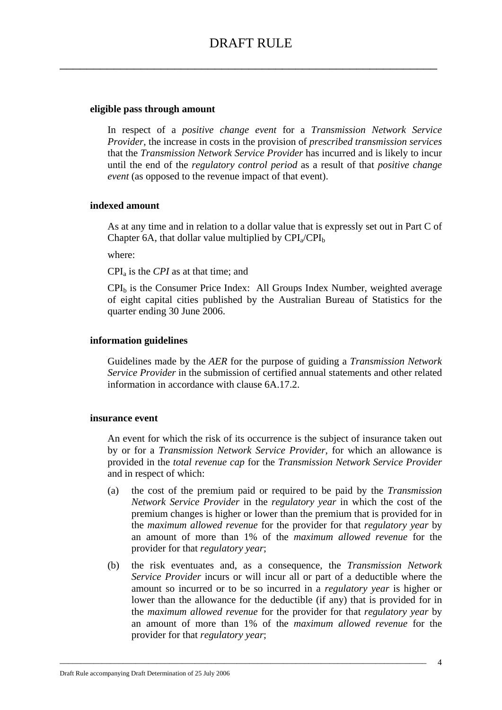## **eligible pass through amount**

In respect of a *positive change event* for a *Transmission Network Service Provider*, the increase in costs in the provision of *prescribed transmission services* that the *Transmission Network Service Provider* has incurred and is likely to incur until the end of the *regulatory control period* as a result of that *positive change event* (as opposed to the revenue impact of that event).

### **indexed amount**

As at any time and in relation to a dollar value that is expressly set out in Part C of Chapter 6A, that dollar value multiplied by  $\text{CPI}_a/\text{CPI}_b$ 

where:

CPIa is the *CPI* as at that time; and

 $CPI<sub>b</sub>$  is the Consumer Price Index: All Groups Index Number, weighted average of eight capital cities published by the Australian Bureau of Statistics for the quarter ending 30 June 2006.

## **information guidelines**

Guidelines made by the *AER* for the purpose of guiding a *Transmission Network Service Provider* in the submission of certified annual statements and other related information in accordance with clause 6A.17.2.

### **insurance event**

An event for which the risk of its occurrence is the subject of insurance taken out by or for a *Transmission Network Service Provider*, for which an allowance is provided in the *total revenue cap* for the *Transmission Network Service Provider* and in respect of which:

- (a) the cost of the premium paid or required to be paid by the *Transmission Network Service Provider* in the *regulatory year* in which the cost of the premium changes is higher or lower than the premium that is provided for in the *maximum allowed revenue* for the provider for that *regulatory year* by an amount of more than 1% of the *maximum allowed revenue* for the provider for that *regulatory year*;
- (b) the risk eventuates and, as a consequence, the *Transmission Network Service Provider* incurs or will incur all or part of a deductible where the amount so incurred or to be so incurred in a *regulatory year* is higher or lower than the allowance for the deductible (if any) that is provided for in the *maximum allowed revenue* for the provider for that *regulatory year* by an amount of more than 1% of the *maximum allowed revenue* for the provider for that *regulatory year*;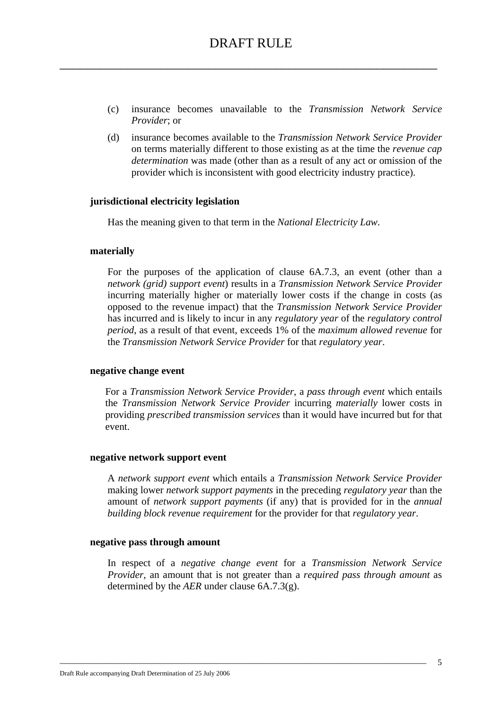- (c) insurance becomes unavailable to the *Transmission Network Service Provider*; or
- (d) insurance becomes available to the *Transmission Network Service Provider*  on terms materially different to those existing as at the time the *revenue cap determination* was made (other than as a result of any act or omission of the provider which is inconsistent with good electricity industry practice).

#### **jurisdictional electricity legislation**

Has the meaning given to that term in the *National Electricity Law*.

#### **materially**

For the purposes of the application of clause 6A.7.3, an event (other than a *network (grid) support event*) results in a *Transmission Network Service Provider* incurring materially higher or materially lower costs if the change in costs (as opposed to the revenue impact) that the *Transmission Network Service Provider* has incurred and is likely to incur in any *regulatory year* of the *regulatory control period*, as a result of that event, exceeds 1% of the *maximum allowed revenue* for the *Transmission Network Service Provider* for that *regulatory year*.

#### **negative change event**

For a *Transmission Network Service Provider*, a *pass through event* which entails the *Transmission Network Service Provider* incurring *materially* lower costs in providing *prescribed transmission services* than it would have incurred but for that event.

#### **negative network support event**

A *network support event* which entails a *Transmission Network Service Provider* making lower *network support payments* in the preceding *regulatory year* than the amount of *network support payments* (if any) that is provided for in the *annual building block revenue requirement* for the provider for that *regulatory year*.

#### **negative pass through amount**

In respect of a *negative change event* for a *Transmission Network Service Provider*, an amount that is not greater than a *required pass through amount* as determined by the *AER* under clause 6A.7.3(g).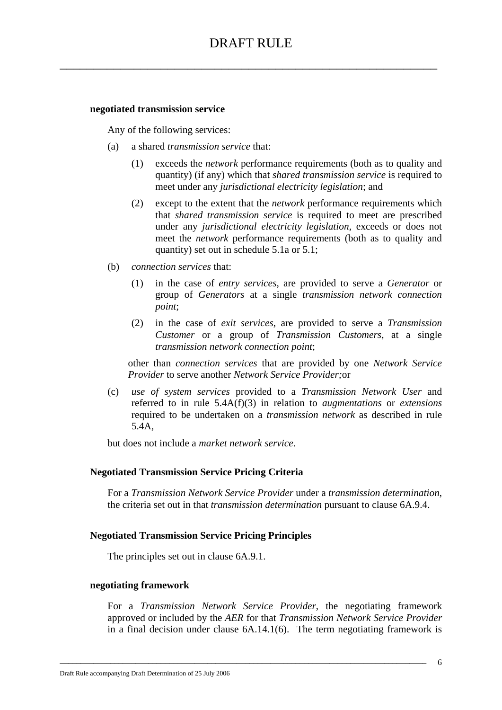#### **negotiated transmission service**

Any of the following services:

- (a) a shared *transmission service* that:
	- (1) exceeds the *network* performance requirements (both as to quality and quantity) (if any) which that *shared transmission service* is required to meet under any *jurisdictional electricity legislation*; and
	- (2) except to the extent that the *network* performance requirements which that *shared transmission service* is required to meet are prescribed under any *jurisdictional electricity legislation*, exceeds or does not meet the *network* performance requirements (both as to quality and quantity) set out in schedule 5.1a or 5.1;
- (b) *connection services* that:
	- (1) in the case of *entry services*, are provided to serve a *Generator* or group of *Generators* at a single *transmission network connection point*;
	- (2) in the case of *exit services*, are provided to serve a *Transmission Customer* or a group of *Transmission Customers*, at a single *transmission network connection point*;

other than *connection services* that are provided by one *Network Service Provider* to serve another *Network Service Provider;*or

(c) *use of system services* provided to a *Transmission Network User* and referred to in rule 5.4A(f)(3) in relation to *augmentations* or *extensions* required to be undertaken on a *transmission network* as described in rule 5.4A,

but does not include a *market network service*.

### **Negotiated Transmission Service Pricing Criteria**

For a *Transmission Network Service Provider* under a *transmission determination*, the criteria set out in that *transmission determination* pursuant to clause 6A.9.4.

### **Negotiated Transmission Service Pricing Principles**

The principles set out in clause 6A.9.1.

#### **negotiating framework**

For a *Transmission Network Service Provider*, the negotiating framework approved or included by the *AER* for that *Transmission Network Service Provider* in a final decision under clause 6A.14.1(6). The term negotiating framework is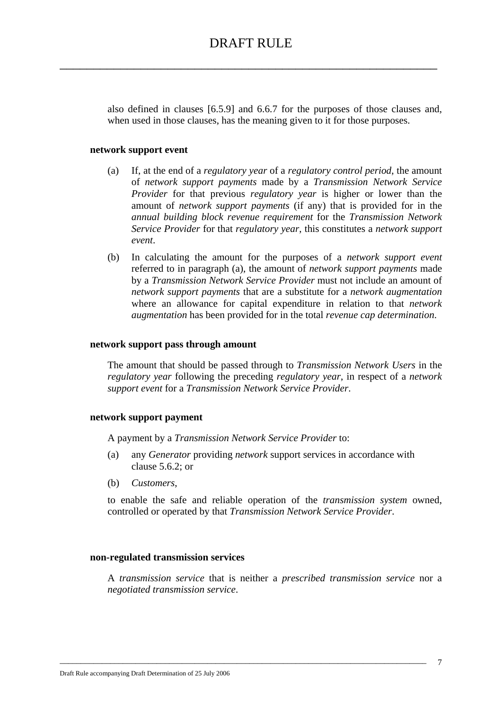also defined in clauses [6.5.9] and 6.6.7 for the purposes of those clauses and, when used in those clauses, has the meaning given to it for those purposes.

#### **network support event**

- (a) If, at the end of a *regulatory year* of a *regulatory control period*, the amount of *network support payments* made by a *Transmission Network Service Provider* for that previous *regulatory year* is higher or lower than the amount of *network support payments* (if any) that is provided for in the *annual building block revenue requirement* for the *Transmission Network Service Provider* for that *regulatory year*, this constitutes a *network support event*.
- (b) In calculating the amount for the purposes of a *network support event* referred to in paragraph (a), the amount of *network support payments* made by a *Transmission Network Service Provider* must not include an amount of *network support payments* that are a substitute for a *network augmentation* where an allowance for capital expenditure in relation to that *network augmentation* has been provided for in the total *revenue cap determination*.

#### **network support pass through amount**

The amount that should be passed through to *Transmission Network Users* in the *regulatory year* following the preceding *regulatory year*, in respect of a *network support event* for a *Transmission Network Service Provider*.

#### **network support payment**

A payment by a *Transmission Network Service Provider* to:

- (a) any *Generator* providing *network* support services in accordance with clause 5.6.2; or
- (b) *Customers*,

to enable the safe and reliable operation of the *transmission system* owned, controlled or operated by that *Transmission Network Service Provider*.

#### **non-regulated transmission services**

A *transmission service* that is neither a *prescribed transmission service* nor a *negotiated transmission service*.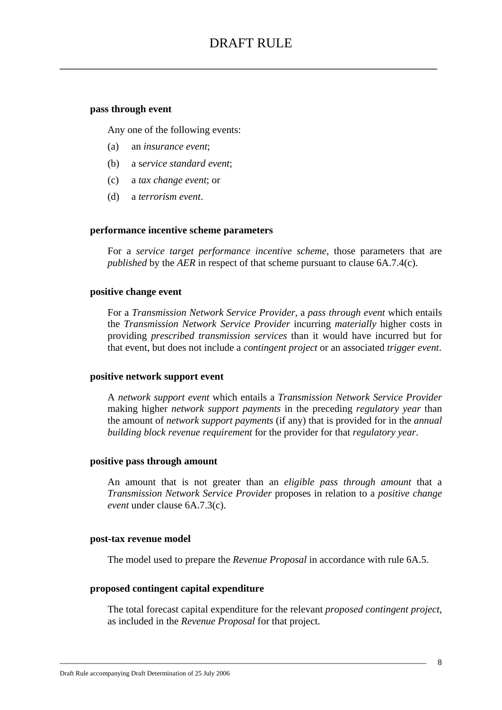#### **pass through event**

Any one of the following events:

- (a) an *insurance event*;
- (b) a s*ervice standard event*;
- (c) a *tax change event*; or
- (d) a *terrorism event*.

#### **performance incentive scheme parameters**

For a *service target performance incentive scheme*, those parameters that are *published* by the *AER* in respect of that scheme pursuant to clause 6A.7.4(c).

#### **positive change event**

For a *Transmission Network Service Provider*, a *pass through event* which entails the *Transmission Network Service Provider* incurring *materially* higher costs in providing *prescribed transmission services* than it would have incurred but for that event, but does not include a *contingent project* or an associated *trigger event*.

#### **positive network support event**

A *network support event* which entails a *Transmission Network Service Provider* making higher *network support payments* in the preceding *regulatory year* than the amount of *network support payments* (if any) that is provided for in the *annual building block revenue requirement* for the provider for that *regulatory year*.

#### **positive pass through amount**

An amount that is not greater than an *eligible pass through amount* that a *Transmission Network Service Provider* proposes in relation to a *positive change event* under clause 6A.7.3(c).

#### **post-tax revenue model**

The model used to prepare the *Revenue Proposal* in accordance with rule 6A.5.

#### **proposed contingent capital expenditure**

The total forecast capital expenditure for the relevant *proposed contingent project*, as included in the *Revenue Proposal* for that project.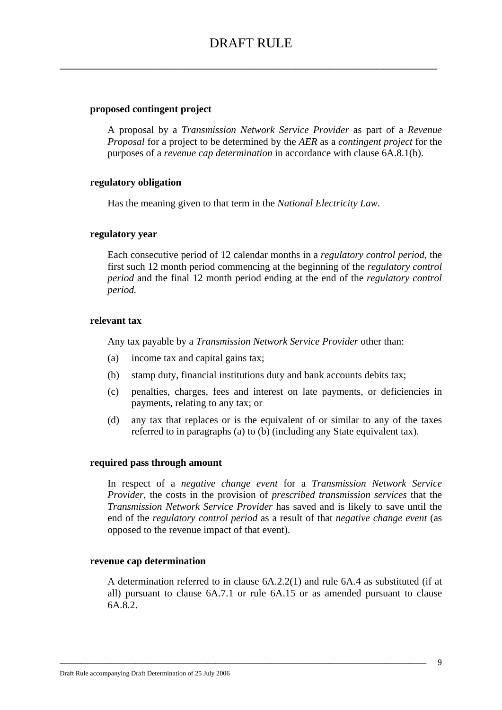### **proposed contingent project**

A proposal by a *Transmission Network Service Provider* as part of a *Revenue Proposal* for a project to be determined by the *AER* as a *contingent project* for the purposes of a *revenue cap determination* in accordance with clause 6A.8.1(b).

#### **regulatory obligation**

Has the meaning given to that term in the *National Electricity Law*.

#### **regulatory year**

Each consecutive period of 12 calendar months in a *regulatory control period*, the first such 12 month period commencing at the beginning of the *regulatory control period* and the final 12 month period ending at the end of the *regulatory control period.*

#### **relevant tax**

Any tax payable by a *Transmission Network Service Provider* other than:

- (a) income tax and capital gains tax;
- (b) stamp duty, financial institutions duty and bank accounts debits tax;
- (c) penalties, charges, fees and interest on late payments, or deficiencies in payments, relating to any tax; or
- (d) any tax that replaces or is the equivalent of or similar to any of the taxes referred to in paragraphs (a) to (b) (including any State equivalent tax).

#### **required pass through amount**

In respect of a *negative change event* for a *Transmission Network Service Provider*, the costs in the provision of *prescribed transmission services* that the *Transmission Network Service Provider* has saved and is likely to save until the end of the *regulatory control period* as a result of that *negative change event* (as opposed to the revenue impact of that event).

#### **revenue cap determination**

A determination referred to in clause 6A.2.2(1) and rule 6A.4 as substituted (if at all) pursuant to clause 6A.7.1 or rule 6A.15 or as amended pursuant to clause 6A.8.2.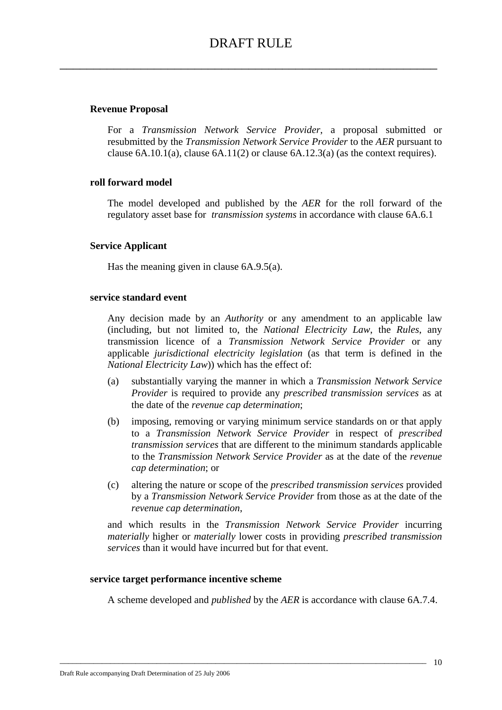## **Revenue Proposal**

For a *Transmission Network Service Provider*, a proposal submitted or resubmitted by the *Transmission Network Service Provider* to the *AER* pursuant to clause  $6A.10.1(a)$ , clause  $6A.11(2)$  or clause  $6A.12.3(a)$  (as the context requires).

## **roll forward model**

The model developed and published by the *AER* for the roll forward of the regulatory asset base for *transmission systems* in accordance with clause 6A.6.1

### **Service Applicant**

Has the meaning given in clause 6A.9.5(a).

### **service standard event**

Any decision made by an *Authority* or any amendment to an applicable law (including, but not limited to, the *National Electricity Law*, the *Rules*, any transmission licence of a *Transmission Network Service Provider* or any applicable *jurisdictional electricity legislation* (as that term is defined in the *National Electricity Law*)) which has the effect of:

- (a) substantially varying the manner in which a *Transmission Network Service Provider* is required to provide any *prescribed transmission services* as at the date of the *revenue cap determination*;
- (b) imposing, removing or varying minimum service standards on or that apply to a *Transmission Network Service Provider* in respect of *prescribed transmission services* that are different to the minimum standards applicable to the *Transmission Network Service Provider* as at the date of the *revenue cap determination*; or
- (c) altering the nature or scope of the *prescribed transmission services* provided by a *Transmission Network Service Provider* from those as at the date of the *revenue cap determination*,

and which results in the *Transmission Network Service Provider* incurring *materially* higher or *materially* lower costs in providing *prescribed transmission services* than it would have incurred but for that event.

### **service target performance incentive scheme**

A scheme developed and *published* by the *AER* is accordance with clause 6A.7.4.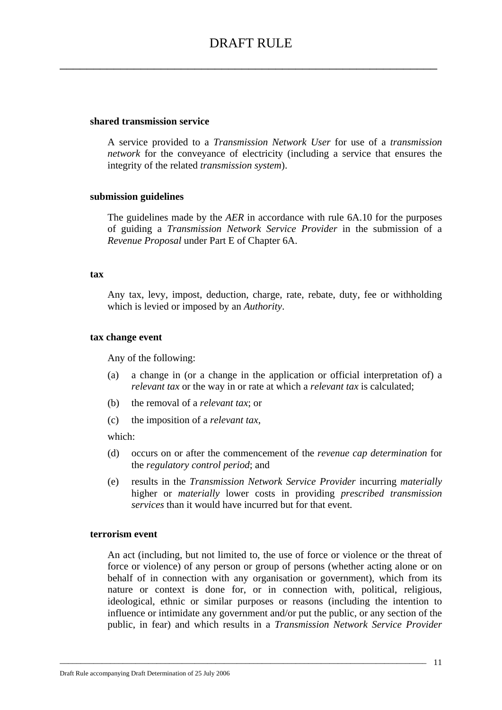#### **shared transmission service**

A service provided to a *Transmission Network User* for use of a *transmission network* for the conveyance of electricity (including a service that ensures the integrity of the related *transmission system*).

#### **submission guidelines**

The guidelines made by the *AER* in accordance with rule 6A.10 for the purposes of guiding a *Transmission Network Service Provider* in the submission of a *Revenue Proposal* under Part E of Chapter 6A.

#### **tax**

Any tax, levy, impost, deduction, charge, rate, rebate, duty, fee or withholding which is levied or imposed by an *Authority*.

## **tax change event**

Any of the following:

- (a) a change in (or a change in the application or official interpretation of) a *relevant tax* or the way in or rate at which a *relevant tax* is calculated;
- (b) the removal of a *relevant tax*; or
- (c) the imposition of a *relevant tax*,

which:

- (d) occurs on or after the commencement of the *revenue cap determination* for the *regulatory control period*; and
- (e) results in the *Transmission Network Service Provider* incurring *materially* higher or *materially* lower costs in providing *prescribed transmission services* than it would have incurred but for that event.

#### **terrorism event**

An act (including, but not limited to, the use of force or violence or the threat of force or violence) of any person or group of persons (whether acting alone or on behalf of in connection with any organisation or government), which from its nature or context is done for, or in connection with, political, religious, ideological, ethnic or similar purposes or reasons (including the intention to influence or intimidate any government and/or put the public, or any section of the public, in fear) and which results in a *Transmission Network Service Provider*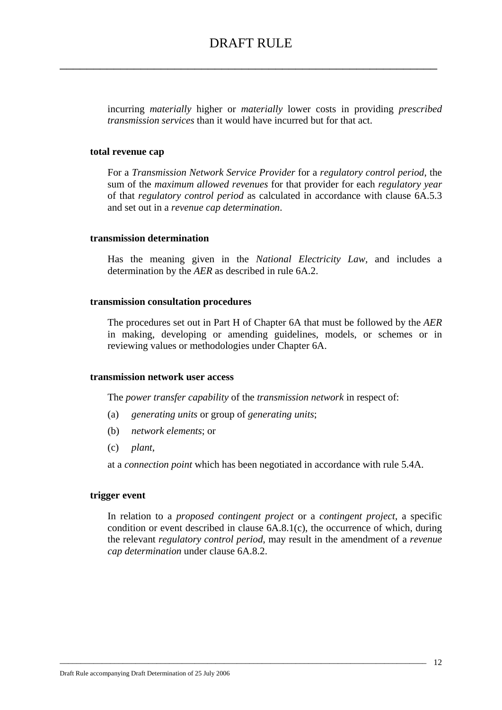incurring *materially* higher or *materially* lower costs in providing *prescribed transmission services* than it would have incurred but for that act.

#### **total revenue cap**

For a *Transmission Network Service Provider* for a *regulatory control period*, the sum of the *maximum allowed revenues* for that provider for each *regulatory year* of that *regulatory control period* as calculated in accordance with clause 6A.5.3 and set out in a *revenue cap determination*.

### **transmission determination**

Has the meaning given in the *National Electricity Law,* and includes a determination by the *AER* as described in rule 6A.2.

#### **transmission consultation procedures**

The procedures set out in Part H of Chapter 6A that must be followed by the *AER* in making, developing or amending guidelines, models, or schemes or in reviewing values or methodologies under Chapter 6A.

#### **transmission network user access**

The *power transfer capability* of the *transmission network* in respect of:

- (a) *generating units* or group of *generating units*;
- (b) *network elements*; or
- (c) *plant*,

at a *connection point* which has been negotiated in accordance with rule 5.4A.

#### **trigger event**

In relation to a *proposed contingent project* or a *contingent project*, a specific condition or event described in clause 6A.8.1(c), the occurrence of which, during the relevant *regulatory control period*, may result in the amendment of a *revenue cap determination* under clause 6A.8.2.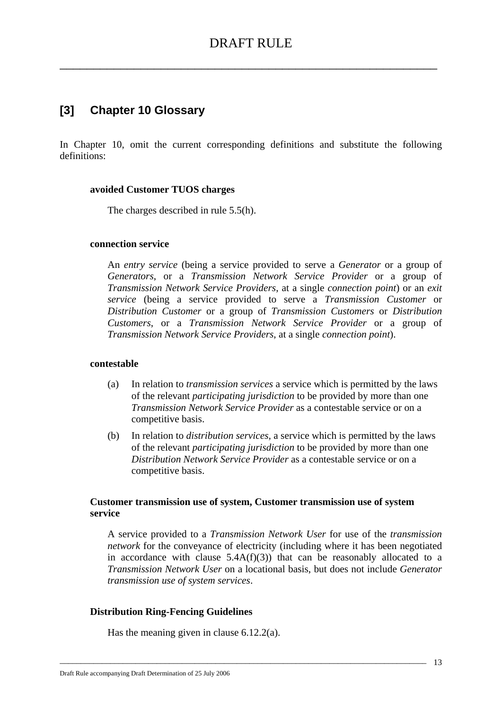# **[3] Chapter 10 Glossary**

In Chapter 10, omit the current corresponding definitions and substitute the following definitions:

### **avoided Customer TUOS charges**

The charges described in rule 5.5(h).

### **connection service**

An *entry service* (being a service provided to serve a *Generator* or a group of *Generators*, or a *Transmission Network Service Provider* or a group of *Transmission Network Service Providers*, at a single *connection point*) or an *exit service* (being a service provided to serve a *Transmission Customer* or *Distribution Customer* or a group of *Transmission Customers* or *Distribution Customers*, or a *Transmission Network Service Provider* or a group of *Transmission Network Service Providers*, at a single *connection point*).

### **contestable**

- (a) In relation to *transmission services* a service which is permitted by the laws of the relevant *participating jurisdiction* to be provided by more than one *Transmission Network Service Provider* as a contestable service or on a competitive basis.
- (b) In relation to *distribution services,* a service which is permitted by the laws of the relevant *participating jurisdiction* to be provided by more than one *Distribution Network Service Provider* as a contestable service or on a competitive basis.

## **Customer transmission use of system, Customer transmission use of system service**

\_\_\_\_\_\_\_\_\_\_\_\_\_\_\_\_\_\_\_\_\_\_\_\_\_\_\_\_\_\_\_\_\_\_\_\_\_\_\_\_\_\_\_\_\_\_\_\_\_\_\_\_\_\_\_\_\_\_\_\_\_\_\_\_\_\_\_\_\_\_\_\_\_\_\_\_\_\_\_\_\_\_\_\_\_\_\_

A service provided to a *Transmission Network User* for use of the *transmission network* for the conveyance of electricity (including where it has been negotiated in accordance with clause  $5.4A(f)(3)$  that can be reasonably allocated to a *Transmission Network User* on a locational basis, but does not include *Generator transmission use of system services*.

### **Distribution Ring-Fencing Guidelines**

Has the meaning given in clause 6.12.2(a).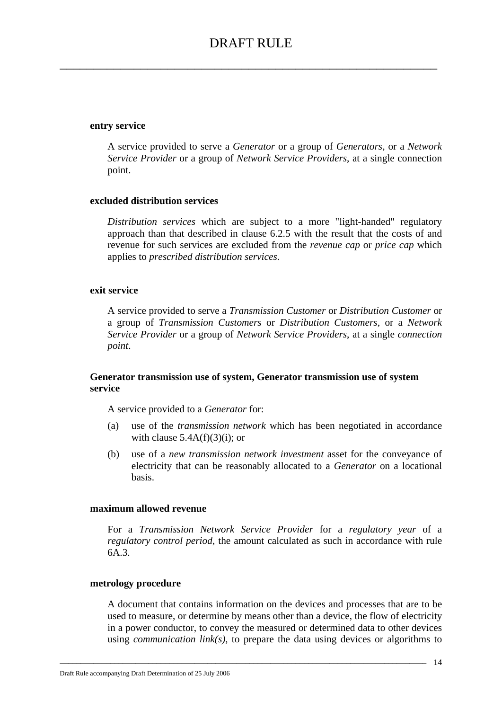#### **entry service**

A service provided to serve a *Generator* or a group of *Generators*, or a *Network Service Provider* or a group of *Network Service Providers*, at a single connection point.

#### **excluded distribution services**

*Distribution services* which are subject to a more "light-handed" regulatory approach than that described in clause 6.2.5 with the result that the costs of and revenue for such services are excluded from the *revenue cap* or *price cap* which applies to *prescribed distribution services.*

#### **exit service**

A service provided to serve a *Transmission Customer* or *Distribution Customer* or a group of *Transmission Customers* or *Distribution Customers*, or a *Network Service Provider* or a group of *Network Service Providers*, at a single *connection point*.

### **Generator transmission use of system, Generator transmission use of system service**

A service provided to a *Generator* for:

- (a) use of the *transmission network* which has been negotiated in accordance with clause  $5.4A(f)(3)(i)$ ; or
- (b) use of a *new transmission network investment* asset for the conveyance of electricity that can be reasonably allocated to a *Generator* on a locational basis.

#### **maximum allowed revenue**

For a *Transmission Network Service Provider* for a *regulatory year* of a *regulatory control period*, the amount calculated as such in accordance with rule 6A.3.

#### **metrology procedure**

A document that contains information on the devices and processes that are to be used to measure, or determine by means other than a device, the flow of electricity in a power conductor, to convey the measured or determined data to other devices using *communication link(s)*, to prepare the data using devices or algorithms to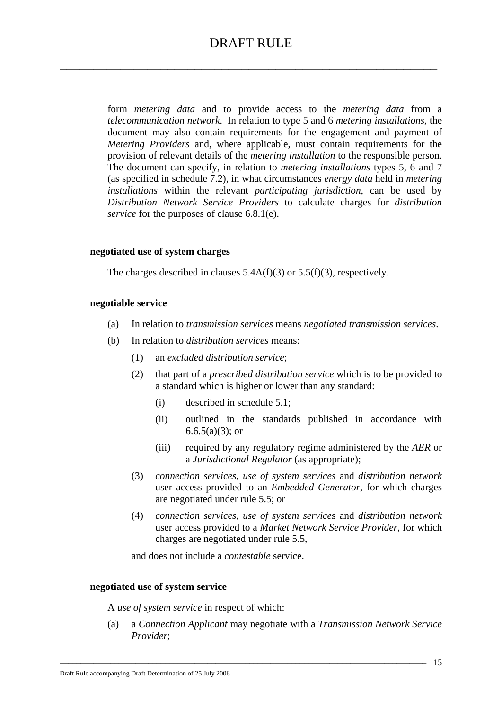form *metering data* and to provide access to the *metering data* from a *telecommunication network*. In relation to type 5 and 6 *metering installations*, the document may also contain requirements for the engagement and payment of *Metering Providers* and, where applicable, must contain requirements for the provision of relevant details of the *metering installation* to the responsible person. The document can specify, in relation to *metering installations* types 5, 6 and 7 (as specified in schedule 7.2), in what circumstances *energy data* held in *metering installations* within the relevant *participating jurisdiction*, can be used by *Distribution Network Service Providers* to calculate charges for *distribution service* for the purposes of clause 6.8.1(e).

### **negotiated use of system charges**

The charges described in clauses 5.4A(f)(3) or 5.5(f)(3), respectively.

## **negotiable service**

- (a) In relation to *transmission services* means *negotiated transmission services*.
- (b) In relation to *distribution services* means:
	- (1) an *excluded distribution service*;
	- (2) that part of a *prescribed distribution service* which is to be provided to a standard which is higher or lower than any standard:
		- (i) described in schedule 5.1;
		- (ii) outlined in the standards published in accordance with  $6.6.5(a)(3)$ ; or
		- (iii) required by any regulatory regime administered by the *AER* or a *Jurisdictional Regulator* (as appropriate);
	- (3) *connection services*, *use of system services* and *distribution network* user access provided to an *Embedded Generator*, for which charges are negotiated under rule 5.5; or
	- (4) *connection services*, *use of system service*s and *distribution network* user access provided to a *Market Network Service Provider*, for which charges are negotiated under rule 5.5,

and does not include a *contestable* service.

### **negotiated use of system service**

A *use of system service* in respect of which:

(a) a *Connection Applicant* may negotiate with a *Transmission Network Service Provider*;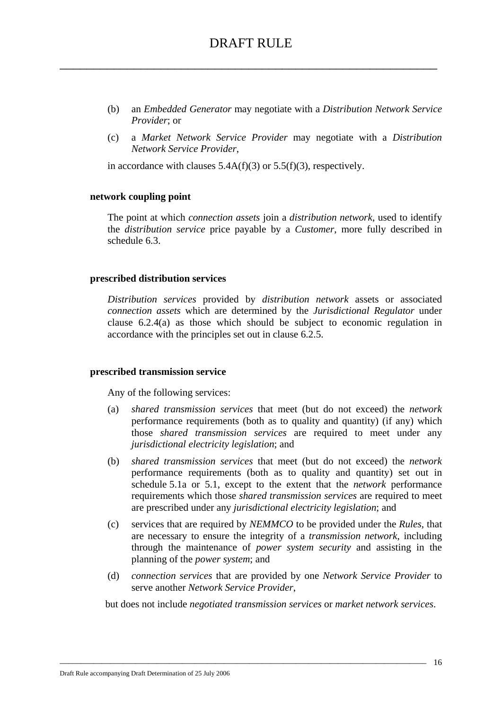- (b) an *Embedded Generator* may negotiate with a *Distribution Network Service Provider*; or
- (c) a *Market Network Service Provider* may negotiate with a *Distribution Network Service Provider*,

in accordance with clauses 5.4A(f)(3) or 5.5(f)(3), respectively.

#### **network coupling point**

The point at which *connection assets* join a *distribution network*, used to identify the *distribution service* price payable by a *Customer*, more fully described in schedule 6.3.

#### **prescribed distribution services**

*Distribution services* provided by *distribution network* assets or associated *connection assets* which are determined by the *Jurisdictional Regulator* under clause 6.2.4(a) as those which should be subject to economic regulation in accordance with the principles set out in clause 6.2.5.

#### **prescribed transmission service**

Any of the following services:

- (a) *shared transmission services* that meet (but do not exceed) the *network* performance requirements (both as to quality and quantity) (if any) which those *shared transmission services* are required to meet under any *jurisdictional electricity legislation*; and
- (b) *shared transmission services* that meet (but do not exceed) the *network* performance requirements (both as to quality and quantity) set out in schedule 5.1a or 5.1, except to the extent that the *network* performance requirements which those *shared transmission services* are required to meet are prescribed under any *jurisdictional electricity legislation*; and
- (c) services that are required by *NEMMCO* to be provided under the *Rules*, that are necessary to ensure the integrity of a *transmission network*, including through the maintenance of *power system security* and assisting in the planning of the *power system*; and
- (d) *connection services* that are provided by one *Network Service Provider* to serve another *Network Service Provider*,

but does not include *negotiated transmission services* or *market network services*.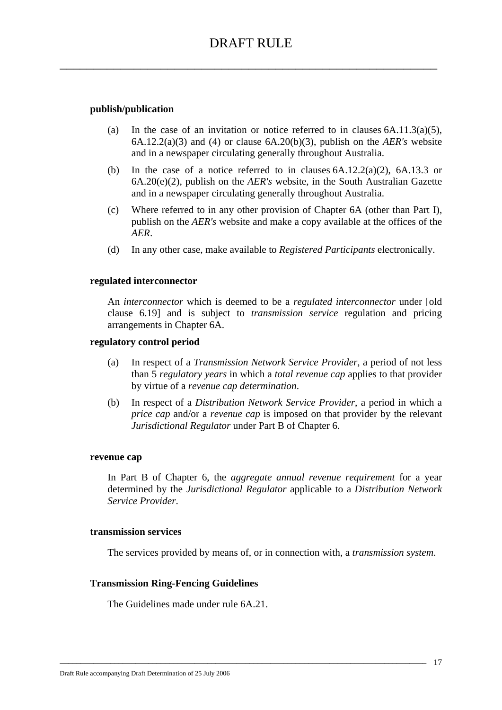## **publish/publication**

- (a) In the case of an invitation or notice referred to in clauses  $6A.11.3(a)(5)$ , 6A.12.2(a)(3) and (4) or clause 6A.20(b)(3), publish on the *AER's* website and in a newspaper circulating generally throughout Australia.
- (b) In the case of a notice referred to in clauses  $6A.12.2(a)(2)$ ,  $6A.13.3$  or 6A.20(e)(2), publish on the *AER's* website, in the South Australian Gazette and in a newspaper circulating generally throughout Australia.
- (c) Where referred to in any other provision of Chapter 6A (other than Part I), publish on the *AER's* website and make a copy available at the offices of the *AER*.
- (d) In any other case, make available to *Registered Participants* electronically.

### **regulated interconnector**

An *interconnector* which is deemed to be a *regulated interconnector* under [old clause 6.19] and is subject to *transmission service* regulation and pricing arrangements in Chapter 6A.

#### **regulatory control period**

- (a) In respect of a *Transmission Network Service Provider*, a period of not less than 5 *regulatory years* in which a *total revenue cap* applies to that provider by virtue of a *revenue cap determination*.
- (b) In respect of a *Distribution Network Service Provider*, a period in which a *price cap* and/or a *revenue cap* is imposed on that provider by the relevant *Jurisdictional Regulator* under Part B of Chapter 6.

#### **revenue cap**

In Part B of Chapter 6, the *aggregate annual revenue requirement* for a year determined by the *Jurisdictional Regulator* applicable to a *Distribution Network Service Provider*.

## **transmission services**

The services provided by means of, or in connection with, a *transmission system*.

\_\_\_\_\_\_\_\_\_\_\_\_\_\_\_\_\_\_\_\_\_\_\_\_\_\_\_\_\_\_\_\_\_\_\_\_\_\_\_\_\_\_\_\_\_\_\_\_\_\_\_\_\_\_\_\_\_\_\_\_\_\_\_\_\_\_\_\_\_\_\_\_\_\_\_\_\_\_\_\_\_\_\_\_\_\_\_

### **Transmission Ring-Fencing Guidelines**

The Guidelines made under rule 6A.21.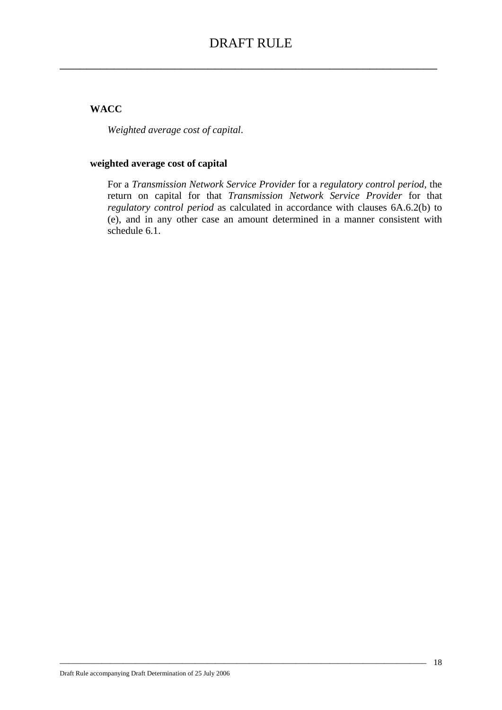## **WACC**

*Weighted average cost of capital*.

## **weighted average cost of capital**

For a *Transmission Network Service Provider* for a *regulatory control period*, the return on capital for that *Transmission Network Service Provider* for that *regulatory control period* as calculated in accordance with clauses 6A.6.2(b) to (e), and in any other case an amount determined in a manner consistent with schedule 6.1.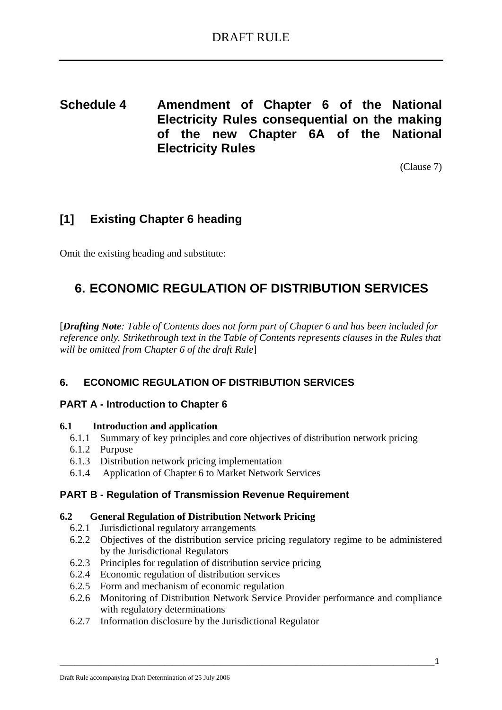**Schedule 4 Amendment of Chapter 6 of the National Electricity Rules consequential on the making of the new Chapter 6A of the National Electricity Rules** 

(Clause 7)

# **[1] Existing Chapter 6 heading**

Omit the existing heading and substitute:

# **6. ECONOMIC REGULATION OF DISTRIBUTION SERVICES**

[*Drafting Note: Table of Contents does not form part of Chapter 6 and has been included for reference only. Strikethrough text in the Table of Contents represents clauses in the Rules that will be omitted from Chapter 6 of the draft Rule*]

## **6. ECONOMIC REGULATION OF DISTRIBUTION SERVICES**

## **PART A - Introduction to Chapter 6**

## **6.1 Introduction and application**

- 6.1.1 Summary of key principles and core objectives of distribution network pricing
- 6.1.2 Purpose
- 6.1.3 Distribution network pricing implementation
- 6.1.4 Application of Chapter 6 to Market Network Services

## **PART B - Regulation of Transmission Revenue Requirement**

### **6.2 General Regulation of Distribution Network Pricing**

- 6.2.1 Jurisdictional regulatory arrangements
- 6.2.2 Objectives of the distribution service pricing regulatory regime to be administered by the Jurisdictional Regulators
- 6.2.3 Principles for regulation of distribution service pricing
- 6.2.4 Economic regulation of distribution services
- 6.2.5 Form and mechanism of economic regulation
- 6.2.6 Monitoring of Distribution Network Service Provider performance and compliance with regulatory determinations
- 6.2.7 Information disclosure by the Jurisdictional Regulator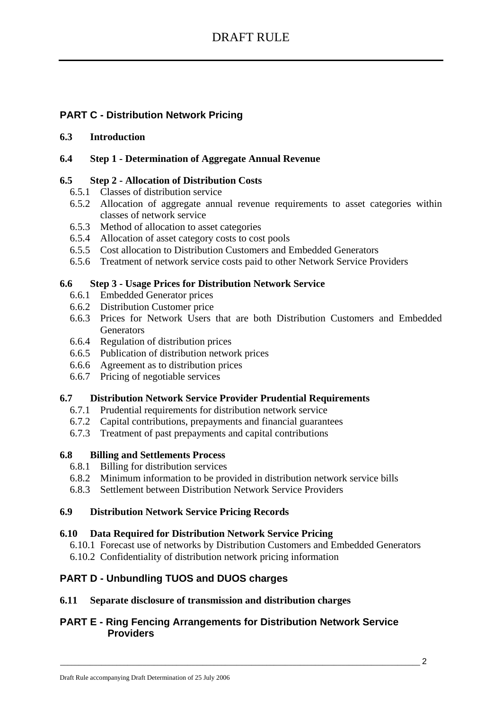## **PART C - Distribution Network Pricing**

## **6.3 Introduction**

## **6.4 Step 1 - Determination of Aggregate Annual Revenue**

## **6.5 Step 2 - Allocation of Distribution Costs**

- 6.5.1 Classes of distribution service
- 6.5.2 Allocation of aggregate annual revenue requirements to asset categories within classes of network service
- 6.5.3 Method of allocation to asset categories
- 6.5.4 Allocation of asset category costs to cost pools
- 6.5.5 Cost allocation to Distribution Customers and Embedded Generators
- 6.5.6 Treatment of network service costs paid to other Network Service Providers

## **6.6 Step 3 - Usage Prices for Distribution Network Service**

- 6.6.1 Embedded Generator prices
- 6.6.2 Distribution Customer price
- 6.6.3 Prices for Network Users that are both Distribution Customers and Embedded **Generators**
- 6.6.4 Regulation of distribution prices
- 6.6.5 Publication of distribution network prices
- 6.6.6 Agreement as to distribution prices
- 6.6.7 Pricing of negotiable services

### **6.7 Distribution Network Service Provider Prudential Requirements**

- 6.7.1 Prudential requirements for distribution network service
- 6.7.2 Capital contributions, prepayments and financial guarantees
- 6.7.3 Treatment of past prepayments and capital contributions

## **6.8 Billing and Settlements Process**

- 6.8.1 Billing for distribution services
- 6.8.2 Minimum information to be provided in distribution network service bills
- 6.8.3 Settlement between Distribution Network Service Providers

## **6.9 Distribution Network Service Pricing Records**

### **6.10 Data Required for Distribution Network Service Pricing**

- 6.10.1 Forecast use of networks by Distribution Customers and Embedded Generators
- 6.10.2 Confidentiality of distribution network pricing information

## **PART D - Unbundling TUOS and DUOS charges**

## **6.11 Separate disclosure of transmission and distribution charges**

## **PART E - Ring Fencing Arrangements for Distribution Network Service Providers**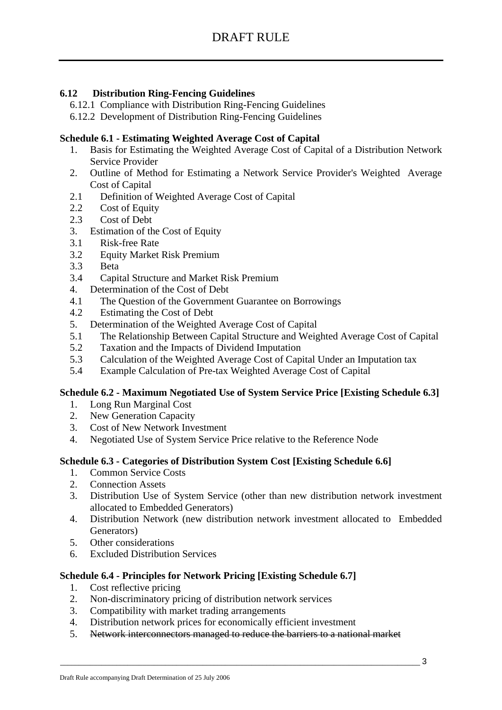## **6.12 Distribution Ring-Fencing Guidelines**

- 6.12.1 Compliance with Distribution Ring-Fencing Guidelines
- 6.12.2 Development of Distribution Ring-Fencing Guidelines

## **Schedule 6.1 - Estimating Weighted Average Cost of Capital**

- 1. Basis for Estimating the Weighted Average Cost of Capital of a Distribution Network Service Provider
- 2. Outline of Method for Estimating a Network Service Provider's Weighted Average Cost of Capital
- 2.1 Definition of Weighted Average Cost of Capital
- 2.2 Cost of Equity
- 2.3 Cost of Debt
- 3. Estimation of the Cost of Equity
- 3.1 Risk-free Rate
- 3.2 Equity Market Risk Premium
- 3.3 Beta
- 3.4 Capital Structure and Market Risk Premium
- 4. Determination of the Cost of Debt
- 4.1 The Question of the Government Guarantee on Borrowings
- 4.2 Estimating the Cost of Debt
- 5. Determination of the Weighted Average Cost of Capital
- 5.1 The Relationship Between Capital Structure and Weighted Average Cost of Capital
- 5.2 Taxation and the Impacts of Dividend Imputation
- 5.3 Calculation of the Weighted Average Cost of Capital Under an Imputation tax
- 5.4 Example Calculation of Pre-tax Weighted Average Cost of Capital

## **Schedule 6.2 - Maximum Negotiated Use of System Service Price [Existing Schedule 6.3]**

- 1. Long Run Marginal Cost
- 2. New Generation Capacity
- 3. Cost of New Network Investment
- 4. Negotiated Use of System Service Price relative to the Reference Node

## **Schedule 6.3 - Categories of Distribution System Cost [Existing Schedule 6.6]**

- 1. Common Service Costs
- 2. Connection Assets
- 3. Distribution Use of System Service (other than new distribution network investment allocated to Embedded Generators)
- 4. Distribution Network (new distribution network investment allocated to Embedded Generators)
- 5. Other considerations
- 6. Excluded Distribution Services

### **Schedule 6.4 - Principles for Network Pricing [Existing Schedule 6.7]**

- 1. Cost reflective pricing
- 2. Non-discriminatory pricing of distribution network services
- 3. Compatibility with market trading arrangements
- 4. Distribution network prices for economically efficient investment
- 5. Network interconnectors managed to reduce the barriers to a national market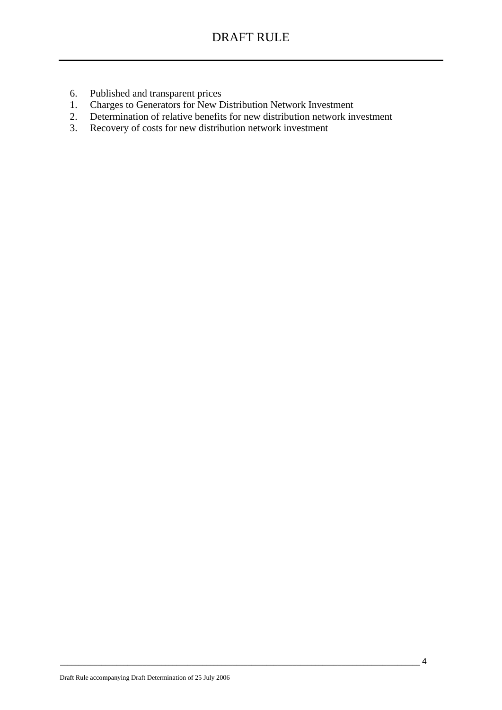- 6. Published and transparent prices
- 1. Charges to Generators for New Distribution Network Investment
- 2. Determination of relative benefits for new distribution network investment
- 3. Recovery of costs for new distribution network investment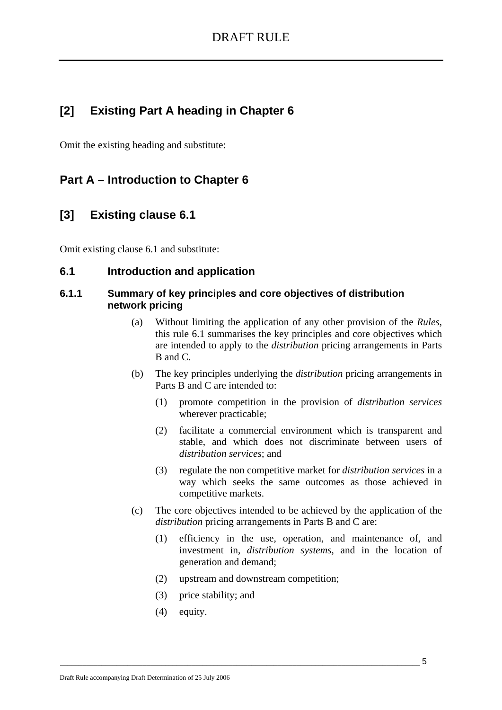# **[2] Existing Part A heading in Chapter 6**

Omit the existing heading and substitute:

## **Part A – Introduction to Chapter 6**

## **[3] Existing clause 6.1**

Omit existing clause 6.1 and substitute:

## **6.1 Introduction and application**

## **6.1.1 Summary of key principles and core objectives of distribution network pricing**

- (a) Without limiting the application of any other provision of the *Rules*, this rule 6.1 summarises the key principles and core objectives which are intended to apply to the *distribution* pricing arrangements in Parts B and C.
- (b) The key principles underlying the *distribution* pricing arrangements in Parts B and C are intended to:
	- (1) promote competition in the provision of *distribution services* wherever practicable;
	- (2) facilitate a commercial environment which is transparent and stable, and which does not discriminate between users of *distribution services*; and
	- (3) regulate the non competitive market for *distribution services* in a way which seeks the same outcomes as those achieved in competitive markets.
- (c) The core objectives intended to be achieved by the application of the *distribution* pricing arrangements in Parts B and C are:
	- (1) efficiency in the use, operation, and maintenance of, and investment in, *distribution systems*, and in the location of generation and demand;
	- (2) upstream and downstream competition;
	- (3) price stability; and
	- (4) equity.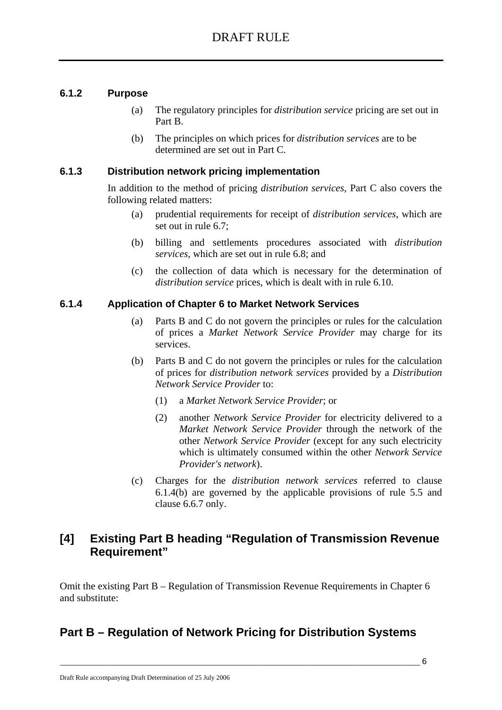## **6.1.2 Purpose**

- (a) The regulatory principles for *distribution service* pricing are set out in Part B.
- (b) The principles on which prices for *distribution services* are to be determined are set out in Part C.

## **6.1.3 Distribution network pricing implementation**

In addition to the method of pricing *distribution services*, Part C also covers the following related matters:

- (a) prudential requirements for receipt of *distribution services*, which are set out in rule 6.7;
- (b) billing and settlements procedures associated with *distribution services*, which are set out in rule 6.8; and
- (c) the collection of data which is necessary for the determination of *distribution service* prices, which is dealt with in rule 6.10.

## **6.1.4 Application of Chapter 6 to Market Network Services**

- (a) Parts B and C do not govern the principles or rules for the calculation of prices a *Market Network Service Provider* may charge for its services.
- (b) Parts B and C do not govern the principles or rules for the calculation of prices for *distribution network services* provided by a *Distribution Network Service Provider* to:
	- (1) a *Market Network Service Provider*; or
	- (2) another *Network Service Provider* for electricity delivered to a *Market Network Service Provider* through the network of the other *Network Service Provider* (except for any such electricity which is ultimately consumed within the other *Network Service Provider's network*).
- (c) Charges for the *distribution network services* referred to clause 6.1.4(b) are governed by the applicable provisions of rule 5.5 and clause 6.6.7 only.

## **[4] Existing Part B heading "Regulation of Transmission Revenue Requirement"**

Omit the existing Part B – Regulation of Transmission Revenue Requirements in Chapter 6 and substitute:

# **Part B – Regulation of Network Pricing for Distribution Systems**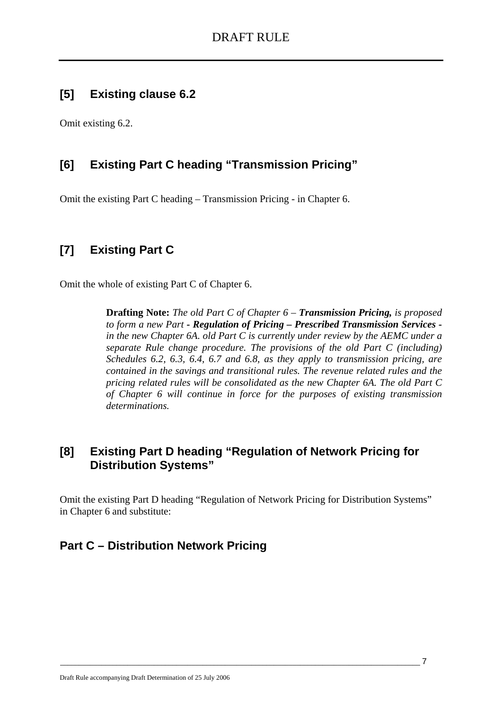# **[5] Existing clause 6.2**

Omit existing 6.2.

# **[6] Existing Part C heading "Transmission Pricing"**

Omit the existing Part C heading – Transmission Pricing - in Chapter 6.

# **[7] Existing Part C**

Omit the whole of existing Part C of Chapter 6.

**Drafting Note:** *The old Part C of Chapter 6 – Transmission Pricing, is proposed to form a new Part - Regulation of Pricing – Prescribed Transmission Services in the new Chapter 6A. old Part C is currently under review by the AEMC under a separate Rule change procedure. The provisions of the old Part C (including) Schedules 6.2, 6.3, 6.4, 6.7 and 6.8, as they apply to transmission pricing, are contained in the savings and transitional rules. The revenue related rules and the pricing related rules will be consolidated as the new Chapter 6A. The old Part C of Chapter 6 will continue in force for the purposes of existing transmission determinations.*

# **[8] Existing Part D heading "Regulation of Network Pricing for Distribution Systems"**

Omit the existing Part D heading "Regulation of Network Pricing for Distribution Systems" in Chapter 6 and substitute:

# **Part C – Distribution Network Pricing**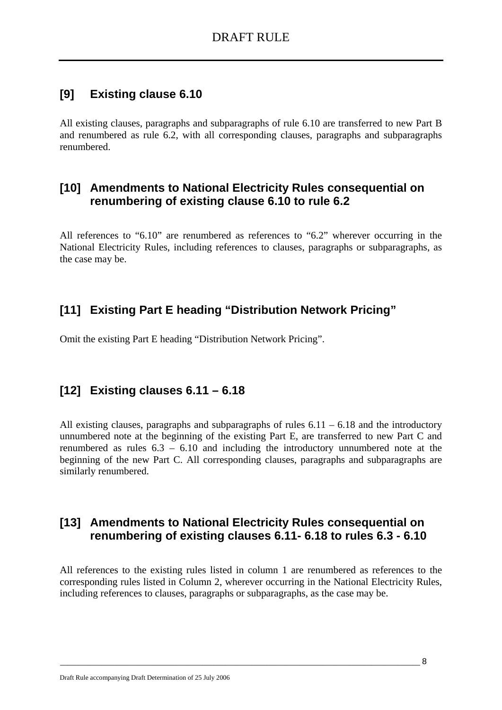# **[9] Existing clause 6.10**

All existing clauses, paragraphs and subparagraphs of rule 6.10 are transferred to new Part B and renumbered as rule 6.2, with all corresponding clauses, paragraphs and subparagraphs renumbered.

## **[10] Amendments to National Electricity Rules consequential on renumbering of existing clause 6.10 to rule 6.2**

All references to "6.10" are renumbered as references to "6.2" wherever occurring in the National Electricity Rules, including references to clauses, paragraphs or subparagraphs, as the case may be.

# **[11] Existing Part E heading "Distribution Network Pricing"**

Omit the existing Part E heading "Distribution Network Pricing".

# **[12] Existing clauses 6.11 – 6.18**

All existing clauses, paragraphs and subparagraphs of rules  $6.11 - 6.18$  and the introductory unnumbered note at the beginning of the existing Part E, are transferred to new Part C and renumbered as rules 6.3 – 6.10 and including the introductory unnumbered note at the beginning of the new Part C. All corresponding clauses, paragraphs and subparagraphs are similarly renumbered.

## **[13] Amendments to National Electricity Rules consequential on renumbering of existing clauses 6.11- 6.18 to rules 6.3 - 6.10**

All references to the existing rules listed in column 1 are renumbered as references to the corresponding rules listed in Column 2, wherever occurring in the National Electricity Rules, including references to clauses, paragraphs or subparagraphs, as the case may be.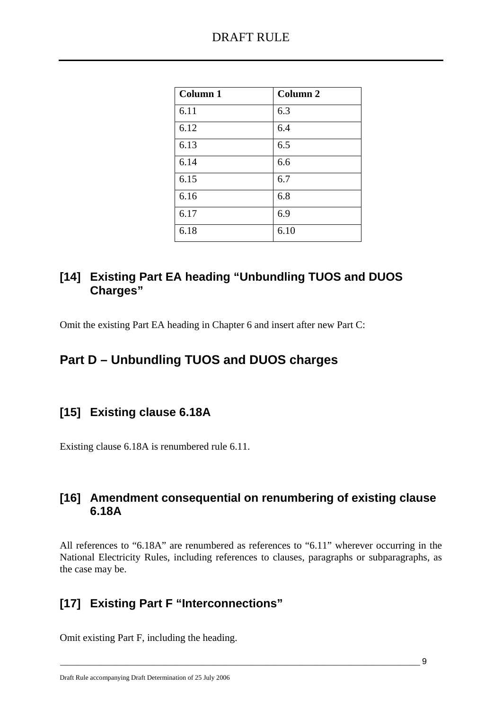| <b>Column 1</b> | <b>Column 2</b> |
|-----------------|-----------------|
| 6.11            | 6.3             |
| 6.12            | 6.4             |
| 6.13            | 6.5             |
| 6.14            | 6.6             |
| 6.15            | 6.7             |
| 6.16            | 6.8             |
| 6.17            | 6.9             |
| 6.18            | 6.10            |

# **[14] Existing Part EA heading "Unbundling TUOS and DUOS Charges"**

Omit the existing Part EA heading in Chapter 6 and insert after new Part C:

# **Part D – Unbundling TUOS and DUOS charges**

# **[15] Existing clause 6.18A**

Existing clause 6.18A is renumbered rule 6.11.

# **[16] Amendment consequential on renumbering of existing clause 6.18A**

All references to "6.18A" are renumbered as references to "6.11" wherever occurring in the National Electricity Rules, including references to clauses, paragraphs or subparagraphs, as the case may be.

# **[17] Existing Part F "Interconnections"**

Omit existing Part F, including the heading.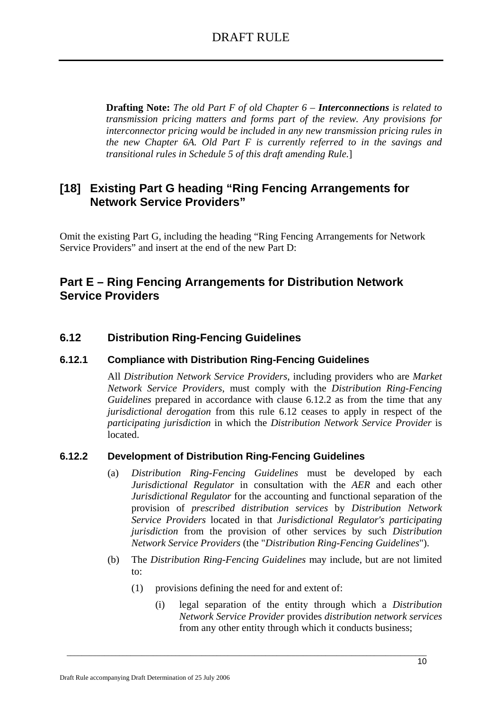**Drafting Note:** *The old Part F of old Chapter 6 – Interconnections is related to transmission pricing matters and forms part of the review. Any provisions for interconnector pricing would be included in any new transmission pricing rules in the new Chapter 6A. Old Part F is currently referred to in the savings and transitional rules in Schedule 5 of this draft amending Rule.*]

# **[18] Existing Part G heading "Ring Fencing Arrangements for Network Service Providers"**

Omit the existing Part G, including the heading "Ring Fencing Arrangements for Network Service Providers" and insert at the end of the new Part D:

## **Part E – Ring Fencing Arrangements for Distribution Network Service Providers**

## **6.12 Distribution Ring-Fencing Guidelines**

## **6.12.1 Compliance with Distribution Ring-Fencing Guidelines**

All *Distribution Network Service Providers*, including providers who are *Market Network Service Providers*, must comply with the *Distribution Ring-Fencing Guidelines* prepared in accordance with clause 6.12.2 as from the time that any *jurisdictional derogation* from this rule 6.12 ceases to apply in respect of the *participating jurisdiction* in which the *Distribution Network Service Provider* is located.

## **6.12.2 Development of Distribution Ring-Fencing Guidelines**

- (a) *Distribution Ring-Fencing Guidelines* must be developed by each *Jurisdictional Regulator* in consultation with the *AER* and each other *Jurisdictional Regulator* for the accounting and functional separation of the provision of *prescribed distribution services* by *Distribution Network Service Providers* located in that *Jurisdictional Regulator's participating jurisdiction* from the provision of other services by such *Distribution Network Service Providers* (the "*Distribution Ring-Fencing Guidelines*").
- (b) The *Distribution Ring-Fencing Guidelines* may include, but are not limited to:
	- (1) provisions defining the need for and extent of:

 $\_$  , and the set of the set of the set of the set of the set of the set of the set of the set of the set of the set of the set of the set of the set of the set of the set of the set of the set of the set of the set of th

(i) legal separation of the entity through which a *Distribution Network Service Provider* provides *distribution network services* from any other entity through which it conducts business;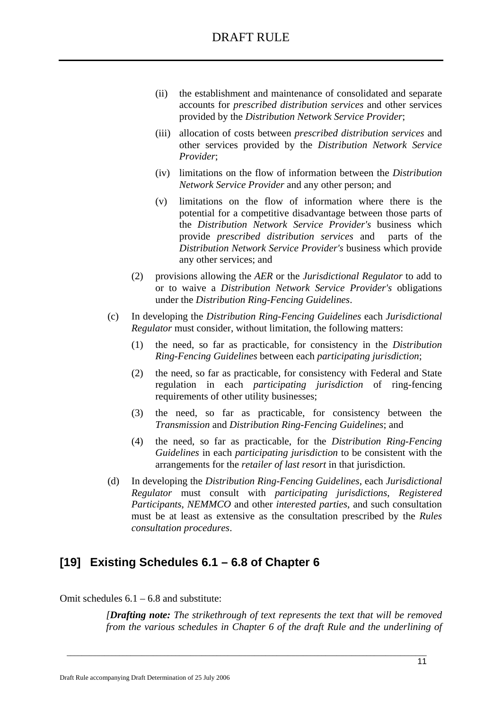- (ii) the establishment and maintenance of consolidated and separate accounts for *prescribed distribution services* and other services provided by the *Distribution Network Service Provider*;
- (iii) allocation of costs between *prescribed distribution services* and other services provided by the *Distribution Network Service Provider*;
- (iv) limitations on the flow of information between the *Distribution Network Service Provider* and any other person; and
- (v) limitations on the flow of information where there is the potential for a competitive disadvantage between those parts of the *Distribution Network Service Provider's* business which provide *prescribed distribution services* and parts of the *Distribution Network Service Provider's* business which provide any other services; and
- (2) provisions allowing the *AER* or the *Jurisdictional Regulator* to add to or to waive a *Distribution Network Service Provider's* obligations under the *Distribution Ring-Fencing Guidelines*.
- (c) In developing the *Distribution Ring-Fencing Guidelines* each *Jurisdictional Regulator* must consider, without limitation, the following matters:
	- (1) the need, so far as practicable, for consistency in the *Distribution Ring-Fencing Guidelines* between each *participating jurisdiction*;
	- (2) the need, so far as practicable, for consistency with Federal and State regulation in each *participating jurisdiction* of ring-fencing requirements of other utility businesses;
	- (3) the need, so far as practicable, for consistency between the *Transmission* and *Distribution Ring-Fencing Guidelines*; and
	- (4) the need, so far as practicable, for the *Distribution Ring-Fencing Guidelines* in each *participating jurisdiction* to be consistent with the arrangements for the *retailer of last resort* in that jurisdiction.
- (d) In developing the *Distribution Ring-Fencing Guidelines*, each *Jurisdictional Regulator* must consult with *participating jurisdictions*, *Registered Participants*, *NEMMCO* and other *interested parties*, and such consultation must be at least as extensive as the consultation prescribed by the *Rules consultation procedures*.

# **[19] Existing Schedules 6.1 – 6.8 of Chapter 6**

### Omit schedules  $6.1 - 6.8$  and substitute:

*[Drafting note: The strikethrough of text represents the text that will be removed from the various schedules in Chapter 6 of the draft Rule and the underlining of*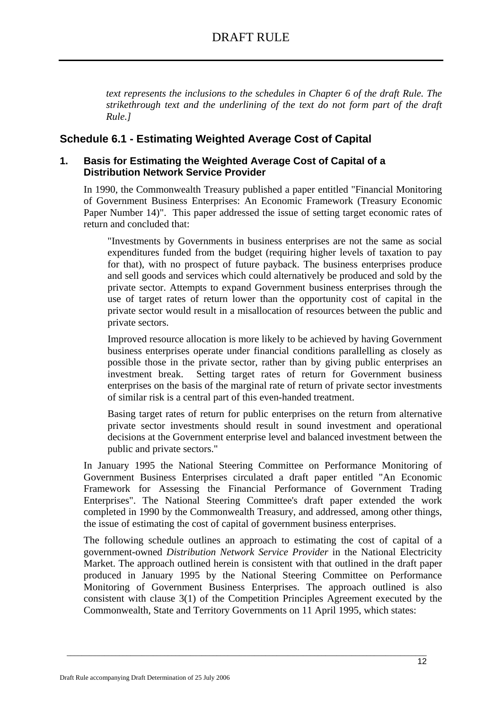*text represents the inclusions to the schedules in Chapter 6 of the draft Rule. The strikethrough text and the underlining of the text do not form part of the draft Rule.]* 

## **Schedule 6.1 - Estimating Weighted Average Cost of Capital**

## **1. Basis for Estimating the Weighted Average Cost of Capital of a Distribution Network Service Provider**

In 1990, the Commonwealth Treasury published a paper entitled "Financial Monitoring of Government Business Enterprises: An Economic Framework (Treasury Economic Paper Number 14)". This paper addressed the issue of setting target economic rates of return and concluded that:

"Investments by Governments in business enterprises are not the same as social expenditures funded from the budget (requiring higher levels of taxation to pay for that), with no prospect of future payback. The business enterprises produce and sell goods and services which could alternatively be produced and sold by the private sector. Attempts to expand Government business enterprises through the use of target rates of return lower than the opportunity cost of capital in the private sector would result in a misallocation of resources between the public and private sectors.

Improved resource allocation is more likely to be achieved by having Government business enterprises operate under financial conditions parallelling as closely as possible those in the private sector, rather than by giving public enterprises an investment break. Setting target rates of return for Government business enterprises on the basis of the marginal rate of return of private sector investments of similar risk is a central part of this even-handed treatment.

Basing target rates of return for public enterprises on the return from alternative private sector investments should result in sound investment and operational decisions at the Government enterprise level and balanced investment between the public and private sectors."

In January 1995 the National Steering Committee on Performance Monitoring of Government Business Enterprises circulated a draft paper entitled "An Economic Framework for Assessing the Financial Performance of Government Trading Enterprises". The National Steering Committee's draft paper extended the work completed in 1990 by the Commonwealth Treasury, and addressed, among other things, the issue of estimating the cost of capital of government business enterprises.

The following schedule outlines an approach to estimating the cost of capital of a government-owned *Distribution Network Service Provider* in the National Electricity Market. The approach outlined herein is consistent with that outlined in the draft paper produced in January 1995 by the National Steering Committee on Performance Monitoring of Government Business Enterprises. The approach outlined is also consistent with clause 3(1) of the Competition Principles Agreement executed by the Commonwealth, State and Territory Governments on 11 April 1995, which states: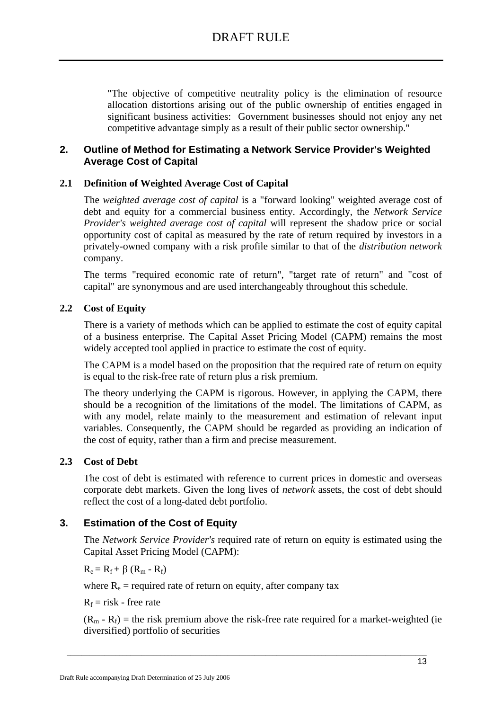"The objective of competitive neutrality policy is the elimination of resource allocation distortions arising out of the public ownership of entities engaged in significant business activities: Government businesses should not enjoy any net competitive advantage simply as a result of their public sector ownership."

## **2. Outline of Method for Estimating a Network Service Provider's Weighted Average Cost of Capital**

## **2.1 Definition of Weighted Average Cost of Capital**

The *weighted average cost of capital* is a "forward looking" weighted average cost of debt and equity for a commercial business entity. Accordingly, the *Network Service Provider's weighted average cost of capital* will represent the shadow price or social opportunity cost of capital as measured by the rate of return required by investors in a privately-owned company with a risk profile similar to that of the *distribution network*  company.

The terms "required economic rate of return", "target rate of return" and "cost of capital" are synonymous and are used interchangeably throughout this schedule.

## **2.2 Cost of Equity**

There is a variety of methods which can be applied to estimate the cost of equity capital of a business enterprise. The Capital Asset Pricing Model (CAPM) remains the most widely accepted tool applied in practice to estimate the cost of equity.

The CAPM is a model based on the proposition that the required rate of return on equity is equal to the risk-free rate of return plus a risk premium.

The theory underlying the CAPM is rigorous. However, in applying the CAPM, there should be a recognition of the limitations of the model. The limitations of CAPM, as with any model, relate mainly to the measurement and estimation of relevant input variables. Consequently, the CAPM should be regarded as providing an indication of the cost of equity, rather than a firm and precise measurement.

## **2.3 Cost of Debt**

The cost of debt is estimated with reference to current prices in domestic and overseas corporate debt markets. Given the long lives of *network* assets, the cost of debt should reflect the cost of a long-dated debt portfolio.

## **3. Estimation of the Cost of Equity**

The *Network Service Provider's* required rate of return on equity is estimated using the Capital Asset Pricing Model (CAPM):

 $R_e = R_f + \beta (R_m - R_f)$ 

where  $R_e$  = required rate of return on equity, after company tax

 $R_f$  = risk - free rate

 $(R_m - R_f)$  = the risk premium above the risk-free rate required for a market-weighted (ie diversified) portfolio of securities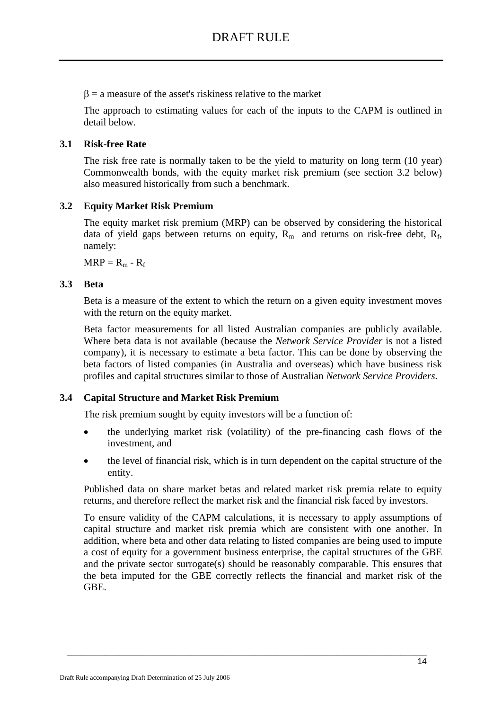$\beta$  = a measure of the asset's riskiness relative to the market

The approach to estimating values for each of the inputs to the CAPM is outlined in detail below.

## **3.1 Risk-free Rate**

The risk free rate is normally taken to be the yield to maturity on long term (10 year) Commonwealth bonds, with the equity market risk premium (see section 3.2 below) also measured historically from such a benchmark.

## **3.2 Equity Market Risk Premium**

The equity market risk premium (MRP) can be observed by considering the historical data of yield gaps between returns on equity,  $R_m$  and returns on risk-free debt,  $R_f$ , namely:

 $MRP = R_m - R_f$ 

## **3.3 Beta**

Beta is a measure of the extent to which the return on a given equity investment moves with the return on the equity market.

Beta factor measurements for all listed Australian companies are publicly available. Where beta data is not available (because the *Network Service Provider* is not a listed company), it is necessary to estimate a beta factor. This can be done by observing the beta factors of listed companies (in Australia and overseas) which have business risk profiles and capital structures similar to those of Australian *Network Service Providers*.

## **3.4 Capital Structure and Market Risk Premium**

The risk premium sought by equity investors will be a function of:

- the underlying market risk (volatility) of the pre-financing cash flows of the investment, and
- the level of financial risk, which is in turn dependent on the capital structure of the entity.

Published data on share market betas and related market risk premia relate to equity returns, and therefore reflect the market risk and the financial risk faced by investors.

To ensure validity of the CAPM calculations, it is necessary to apply assumptions of capital structure and market risk premia which are consistent with one another. In addition, where beta and other data relating to listed companies are being used to impute a cost of equity for a government business enterprise, the capital structures of the GBE and the private sector surrogate(s) should be reasonably comparable. This ensures that the beta imputed for the GBE correctly reflects the financial and market risk of the GBE.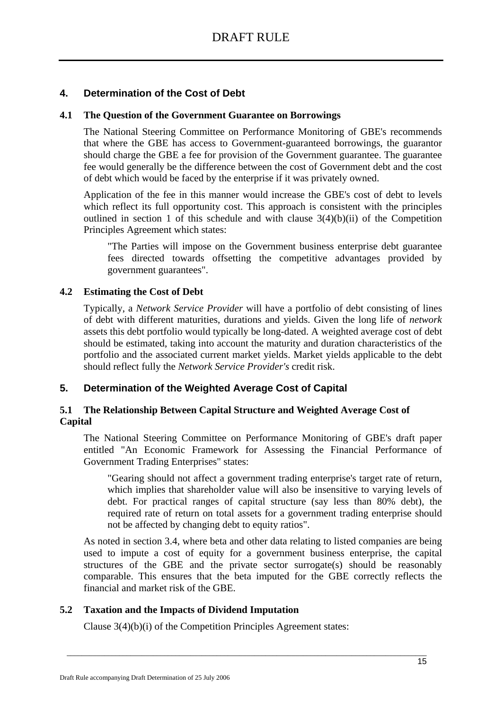## **4. Determination of the Cost of Debt**

## **4.1 The Question of the Government Guarantee on Borrowings**

The National Steering Committee on Performance Monitoring of GBE's recommends that where the GBE has access to Government-guaranteed borrowings, the guarantor should charge the GBE a fee for provision of the Government guarantee. The guarantee fee would generally be the difference between the cost of Government debt and the cost of debt which would be faced by the enterprise if it was privately owned.

Application of the fee in this manner would increase the GBE's cost of debt to levels which reflect its full opportunity cost. This approach is consistent with the principles outlined in section 1 of this schedule and with clause  $3(4)(b)(ii)$  of the Competition Principles Agreement which states:

"The Parties will impose on the Government business enterprise debt guarantee fees directed towards offsetting the competitive advantages provided by government guarantees".

### **4.2 Estimating the Cost of Debt**

Typically, a *Network Service Provider* will have a portfolio of debt consisting of lines of debt with different maturities, durations and yields. Given the long life of *network*  assets this debt portfolio would typically be long-dated. A weighted average cost of debt should be estimated, taking into account the maturity and duration characteristics of the portfolio and the associated current market yields. Market yields applicable to the debt should reflect fully the *Network Service Provider's* credit risk.

## **5. Determination of the Weighted Average Cost of Capital**

## **5.1 The Relationship Between Capital Structure and Weighted Average Cost of Capital**

The National Steering Committee on Performance Monitoring of GBE's draft paper entitled "An Economic Framework for Assessing the Financial Performance of Government Trading Enterprises" states:

"Gearing should not affect a government trading enterprise's target rate of return, which implies that shareholder value will also be insensitive to varying levels of debt. For practical ranges of capital structure (say less than 80% debt), the required rate of return on total assets for a government trading enterprise should not be affected by changing debt to equity ratios".

As noted in section 3.4, where beta and other data relating to listed companies are being used to impute a cost of equity for a government business enterprise, the capital structures of the GBE and the private sector surrogate(s) should be reasonably comparable. This ensures that the beta imputed for the GBE correctly reflects the financial and market risk of the GBE.

 $\_$  , and the set of the set of the set of the set of the set of the set of the set of the set of the set of the set of the set of the set of the set of the set of the set of the set of the set of the set of the set of th

## **5.2 Taxation and the Impacts of Dividend Imputation**

Clause 3(4)(b)(i) of the Competition Principles Agreement states: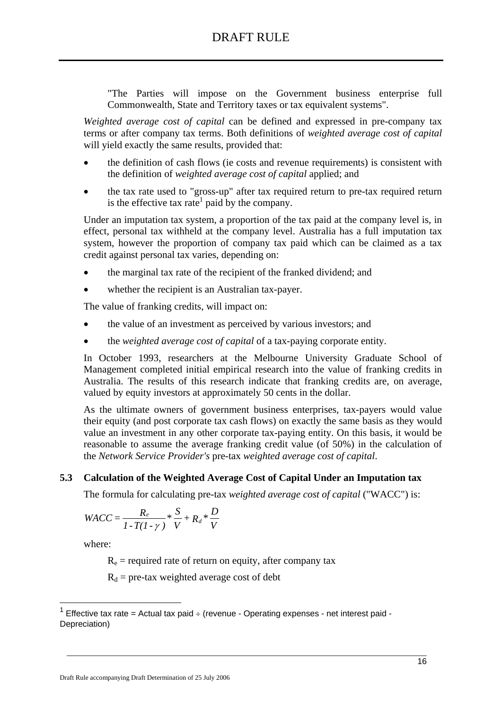"The Parties will impose on the Government business enterprise full Commonwealth, State and Territory taxes or tax equivalent systems".

*Weighted average cost of capital* can be defined and expressed in pre-company tax terms or after company tax terms. Both definitions of *weighted average cost of capital* will yield exactly the same results, provided that:

- the definition of cash flows (ie costs and revenue requirements) is consistent with the definition of *weighted average cost of capital* applied; and
- the tax rate used to "gross-up" after tax required return to pre-tax required return is the effective tax rate<sup>1</sup> paid by the company.

Under an imputation tax system, a proportion of the tax paid at the company level is, in effect, personal tax withheld at the company level. Australia has a full imputation tax system, however the proportion of company tax paid which can be claimed as a tax credit against personal tax varies, depending on:

- the marginal tax rate of the recipient of the franked dividend; and
- whether the recipient is an Australian tax-payer.

The value of franking credits, will impact on:

- the value of an investment as perceived by various investors; and
- the *weighted average cost of capital* of a tax-paying corporate entity.

In October 1993, researchers at the Melbourne University Graduate School of Management completed initial empirical research into the value of franking credits in Australia. The results of this research indicate that franking credits are, on average, valued by equity investors at approximately 50 cents in the dollar.

As the ultimate owners of government business enterprises, tax-payers would value their equity (and post corporate tax cash flows) on exactly the same basis as they would value an investment in any other corporate tax-paying entity. On this basis, it would be reasonable to assume the average franking credit value (of 50%) in the calculation of the *Network Service Provider's* pre-tax *weighted average cost of capital*.

## **5.3 Calculation of the Weighted Average Cost of Capital Under an Imputation tax**

The formula for calculating pre-tax *weighted average cost of capital* ("WACC") is:

$$
WACC = \frac{R_e}{1 - T(1 - \gamma)} * \frac{S}{V} + R_d * \frac{D}{V}
$$

where:

<u>.</u>

 $R_e$  = required rate of return on equity, after company tax

 $R_d$  = pre-tax weighted average cost of debt

<sup>1</sup> Effective tax rate = Actual tax paid  $\div$  (revenue - Operating expenses - net interest paid -Depreciation)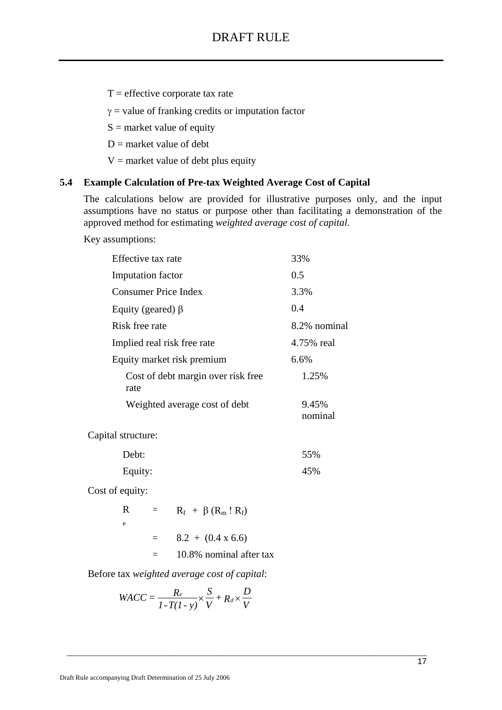$T =$  effective corporate tax rate

 $\gamma$  = value of franking credits or imputation factor

 $S =$  market value of equity

 $D$  = market value of debt

 $V =$  market value of debt plus equity

## **5.4 Example Calculation of Pre-tax Weighted Average Cost of Capital**

The calculations below are provided for illustrative purposes only, and the input assumptions have no status or purpose other than facilitating a demonstration of the approved method for estimating *weighted average cost of capital*.

Key assumptions:

| Effective tax rate                         | 33%              |
|--------------------------------------------|------------------|
| Imputation factor                          | 0.5              |
| Consumer Price Index                       | 3.3%             |
| Equity (geared) $\beta$                    | 0.4              |
| 8.2% nominal<br>Risk free rate             |                  |
| 4.75% real<br>Implied real risk free rate  |                  |
| Equity market risk premium                 | 6.6%             |
| Cost of debt margin over risk free<br>rate | 1.25%            |
| Weighted average cost of debt              | 9.45%<br>nominal |
| Capital structure:                         |                  |
| Debt:                                      | 55%              |
| Equity:                                    | 45%              |

Cost of equity:

| R | $\equiv$ | $R_f + \beta (R_m \cdot R_f)$ |
|---|----------|-------------------------------|
| e |          |                               |
|   |          | $8.2 + (0.4 \times 6.6)$      |
|   |          | 10.8% nominal after tax       |

Before tax *weighted average cost of capital*:

$$
WACC = \frac{R_e}{1 - T(1 - y)} \times \frac{S}{V} + R_d \times \frac{D}{V}
$$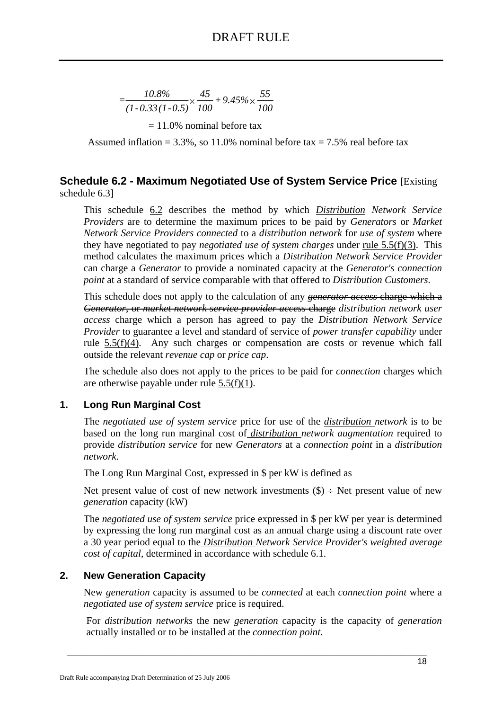$$
=\frac{10.8\%}{(1-0.33(1-0.5)}\times\frac{45}{100}+9.45\% \times \frac{55}{100}
$$

 $= 11.0\%$  nominal before tax

Assumed inflation =  $3.3\%$ , so 11.0% nominal before tax =  $7.5\%$  real before tax

## **Schedule 6.2 - Maximum Negotiated Use of System Service Price [**Existing schedule 6.3]

This schedule 6.2 describes the method by which *Distribution Network Service Providers* are to determine the maximum prices to be paid by *Generators* or *Market Network Service Providers connected* to a *distribution network* for *use of system* where they have negotiated to pay *negotiated use of system charges* under rule 5.5(f)(3). This method calculates the maximum prices which a *Distribution Network Service Provider* can charge a *Generator* to provide a nominated capacity at the *Generator's connection point* at a standard of service comparable with that offered to *Distribution Customers*.

This schedule does not apply to the calculation of any *generator access* charge which a *Generator*, or *market network service provider access* charge *distribution network user access* charge which a person has agreed to pay the *Distribution Network Service Provider* to guarantee a level and standard of service of *power transfer capability* under rule 5.5(f)(4). Any such charges or compensation are costs or revenue which fall outside the relevant *revenue cap* or *price cap*.

The schedule also does not apply to the prices to be paid for *connection* charges which are otherwise payable under rule 5.5(f)(1).

## **1. Long Run Marginal Cost**

The *negotiated use of system service* price for use of the *distribution network* is to be based on the long run marginal cost of *distribution network augmentation* required to provide *distribution service* for new *Generators* at a *connection point* in a *distribution network*.

The Long Run Marginal Cost, expressed in \$ per kW is defined as

Net present value of cost of new network investments  $(\$) \div$  Net present value of new *generation* capacity (kW)

The *negotiated use of system service* price expressed in \$ per kW per year is determined by expressing the long run marginal cost as an annual charge using a discount rate over a 30 year period equal to the *Distribution Network Service Provider's weighted average cost of capital*, determined in accordance with schedule 6.1.

## **2. New Generation Capacity**

New *generation* capacity is assumed to be *connected* at each *connection point* where a *negotiated use of system service* price is required.

For *distribution networks* the new *generation* capacity is the capacity of *generation* actually installed or to be installed at the *connection point*.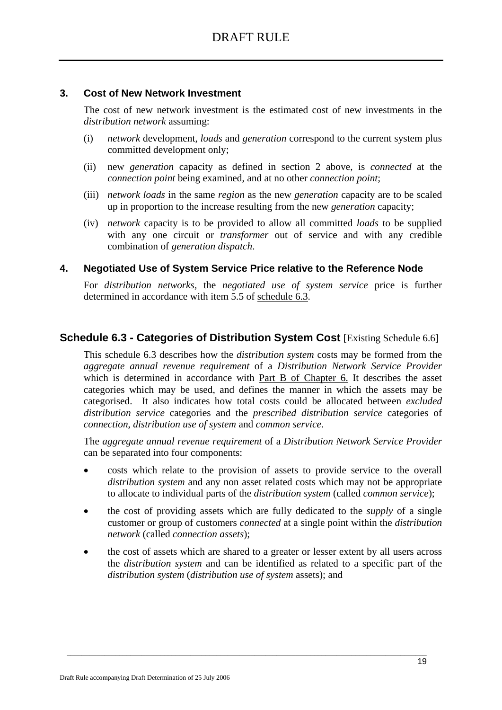## **3. Cost of New Network Investment**

The cost of new network investment is the estimated cost of new investments in the *distribution network* assuming:

- (i) *network* development, *loads* and *generation* correspond to the current system plus committed development only;
- (ii) new *generation* capacity as defined in section 2 above, is *connected* at the *connection point* being examined, and at no other *connection point*;
- (iii) *network loads* in the same *region* as the new *generation* capacity are to be scaled up in proportion to the increase resulting from the new *generation* capacity;
- (iv) *network* capacity is to be provided to allow all committed *loads* to be supplied with any one circuit or *transformer* out of service and with any credible combination of *generation dispatch*.

### **4. Negotiated Use of System Service Price relative to the Reference Node**

For *distribution networks,* the *negotiated use of system service* price is further determined in accordance with item 5.5 of schedule 6.3.

## **Schedule 6.3 - Categories of Distribution System Cost [Existing Schedule 6.6]**

This schedule 6.3 describes how the *distribution system* costs may be formed from the *aggregate annual revenue requirement* of a *Distribution Network Service Provider* which is determined in accordance with Part B of Chapter 6. It describes the asset categories which may be used, and defines the manner in which the assets may be categorised. It also indicates how total costs could be allocated between *excluded distribution service* categories and the *prescribed distribution service* categories of *connection*, *distribution use of system* and *common service*.

The *aggregate annual revenue requirement* of a *Distribution Network Service Provider*  can be separated into four components:

- costs which relate to the provision of assets to provide service to the overall *distribution system* and any non asset related costs which may not be appropriate to allocate to individual parts of the *distribution system* (called *common service*);
- the cost of providing assets which are fully dedicated to the *supply* of a single customer or group of customers *connected* at a single point within the *distribution network* (called *connection assets*);
- the cost of assets which are shared to a greater or lesser extent by all users across the *distribution system* and can be identified as related to a specific part of the *distribution system* (*distribution use of system* assets); and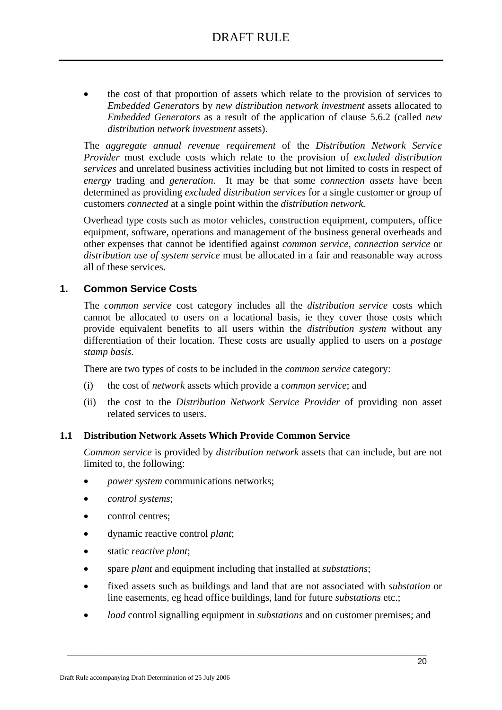• the cost of that proportion of assets which relate to the provision of services to *Embedded Generators* by *new distribution network investment* assets allocated to *Embedded Generators* as a result of the application of clause 5.6.2 (called *new distribution network investment* assets).

The *aggregate annual revenue requirement* of the *Distribution Network Service Provider* must exclude costs which relate to the provision of *excluded distribution services* and unrelated business activities including but not limited to costs in respect of *energy* trading and *generation*. It may be that some *connection assets* have been determined as providing *excluded distribution services* for a single customer or group of customers *connected* at a single point within the *distribution network.*

Overhead type costs such as motor vehicles, construction equipment, computers, office equipment, software, operations and management of the business general overheads and other expenses that cannot be identified against *common service*, *connection service* or *distribution use of system service* must be allocated in a fair and reasonable way across all of these services.

## **1. Common Service Costs**

The *common service* cost category includes all the *distribution service* costs which cannot be allocated to users on a locational basis, ie they cover those costs which provide equivalent benefits to all users within the *distribution system* without any differentiation of their location. These costs are usually applied to users on a *postage stamp basis*.

There are two types of costs to be included in the *common service* category:

- (i) the cost of *network* assets which provide a *common service*; and
- (ii) the cost to the *Distribution Network Service Provider* of providing non asset related services to users.

### **1.1 Distribution Network Assets Which Provide Common Service**

*Common service* is provided by *distribution network* assets that can include, but are not limited to, the following:

- *power system* communications networks;
- *control systems*;
- control centres;
- dynamic reactive control *plant*;
- static *reactive plant*;
- spare *plant* and equipment including that installed at *substations*;
- fixed assets such as buildings and land that are not associated with *substation* or line easements, eg head office buildings, land for future *substations* etc.;
- *load* control signalling equipment in *substations* and on customer premises; and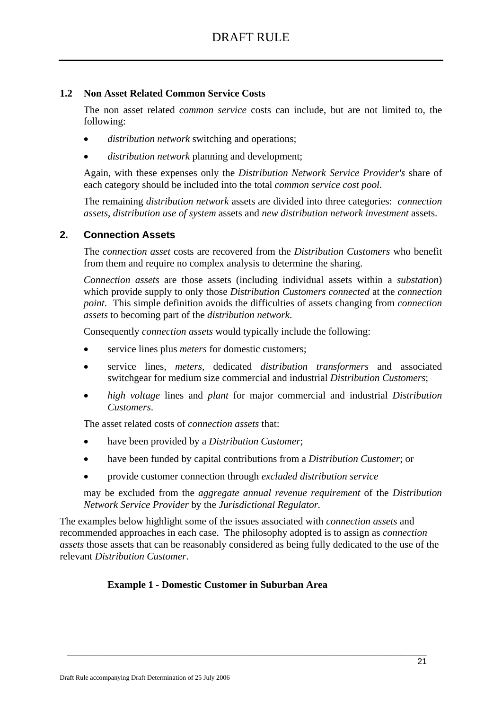### **1.2 Non Asset Related Common Service Costs**

The non asset related *common service* costs can include, but are not limited to, the following:

- *distribution network* switching and operations;
- *distribution network* planning and development;

Again, with these expenses only the *Distribution Network Service Provider's* share of each category should be included into the total *common service cost pool*.

The remaining *distribution network* assets are divided into three categories: *connection assets*, *distribution use of system* assets and *new distribution network investment* assets.

### **2. Connection Assets**

The *connection asset* costs are recovered from the *Distribution Customers* who benefit from them and require no complex analysis to determine the sharing.

*Connection assets* are those assets (including individual assets within a *substation*) which provide supply to only those *Distribution Customers connected* at the *connection point*. This simple definition avoids the difficulties of assets changing from *connection assets* to becoming part of the *distribution network*.

Consequently *connection assets* would typically include the following:

- service lines plus *meters* for domestic customers:
- service lines, *meters*, dedicated *distribution transformers* and associated switchgear for medium size commercial and industrial *Distribution Customers*;
- *high voltage* lines and *plant* for major commercial and industrial *Distribution Customers*.

The asset related costs of *connection assets* that:

- have been provided by a *Distribution Customer*;
- have been funded by capital contributions from a *Distribution Customer*; or
- provide customer connection through *excluded distribution service*

may be excluded from the *aggregate annual revenue requirement* of the *Distribution Network Service Provider* by the *Jurisdictional Regulator.*

The examples below highlight some of the issues associated with *connection assets* and recommended approaches in each case. The philosophy adopted is to assign as *connection assets* those assets that can be reasonably considered as being fully dedicated to the use of the relevant *Distribution Customer*.

 $\_$  , and the set of the set of the set of the set of the set of the set of the set of the set of the set of the set of the set of the set of the set of the set of the set of the set of the set of the set of the set of th

#### **Example 1 - Domestic Customer in Suburban Area**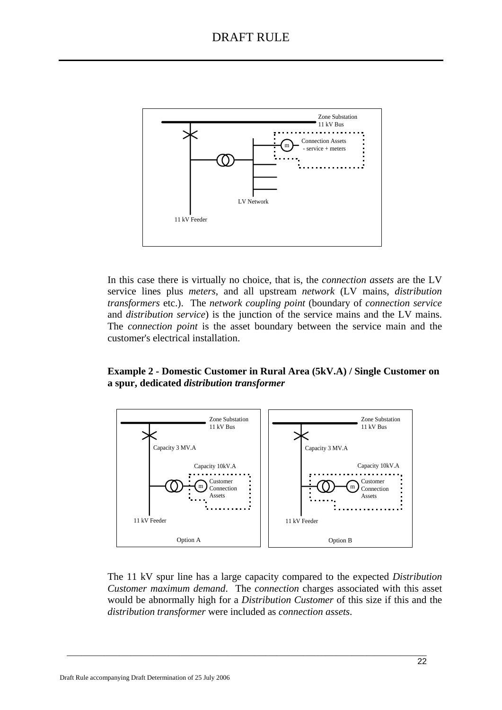

In this case there is virtually no choice, that is, the *connection assets* are the LV service lines plus *meters*, and all upstream *network* (LV mains, *distribution transformers* etc.). The *network coupling point* (boundary of *connection service*  and *distribution service*) is the junction of the service mains and the LV mains. The *connection point* is the asset boundary between the service main and the customer's electrical installation.

### **Example 2 - Domestic Customer in Rural Area (5kV.A) / Single Customer on a spur, dedicated** *distribution transformer*



The 11 kV spur line has a large capacity compared to the expected *Distribution Customer maximum demand*. The *connection* charges associated with this asset would be abnormally high for a *Distribution Customer* of this size if this and the *distribution transformer* were included as *connection assets*.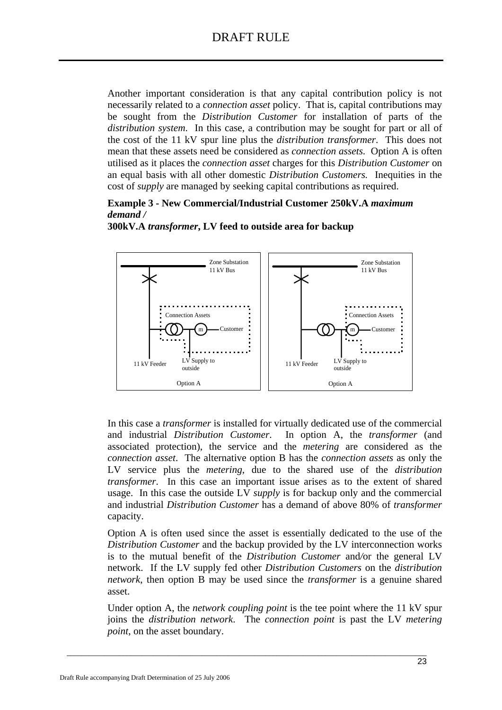Another important consideration is that any capital contribution policy is not necessarily related to a *connection asset* policy. That is, capital contributions may be sought from the *Distribution Customer* for installation of parts of the *distribution system*. In this case, a contribution may be sought for part or all of the cost of the 11 kV spur line plus the *distribution transformer*. This does not mean that these assets need be considered as *connection assets*. Option A is often utilised as it places the *connection asset* charges for this *Distribution Customer* on an equal basis with all other domestic *Distribution Customers.* Inequities in the cost of *supply* are managed by seeking capital contributions as required.

### **Example 3 - New Commercial/Industrial Customer 250kV.A** *maximum demand /*



**300kV.A** *transformer***, LV feed to outside area for backup** 

In this case a *transformer* is installed for virtually dedicated use of the commercial and industrial *Distribution Customer*. In option A, the *transformer* (and associated protection), the service and the *metering* are considered as the *connection asset*. The alternative option B has the *connection assets* as only the LV service plus the *metering*, due to the shared use of the *distribution transformer*. In this case an important issue arises as to the extent of shared usage. In this case the outside LV *supply* is for backup only and the commercial and industrial *Distribution Customer* has a demand of above 80% of *transformer* capacity.

Option A is often used since the asset is essentially dedicated to the use of the *Distribution Customer* and the backup provided by the LV interconnection works is to the mutual benefit of the *Distribution Customer* and*/*or the general LV network. If the LV supply fed other *Distribution Customers* on the *distribution network*, then option B may be used since the *transformer* is a genuine shared asset.

Under option A, the *network coupling point* is the tee point where the 11 kV spur joins the *distribution network*. The *connection point* is past the LV *metering point*, on the asset boundary.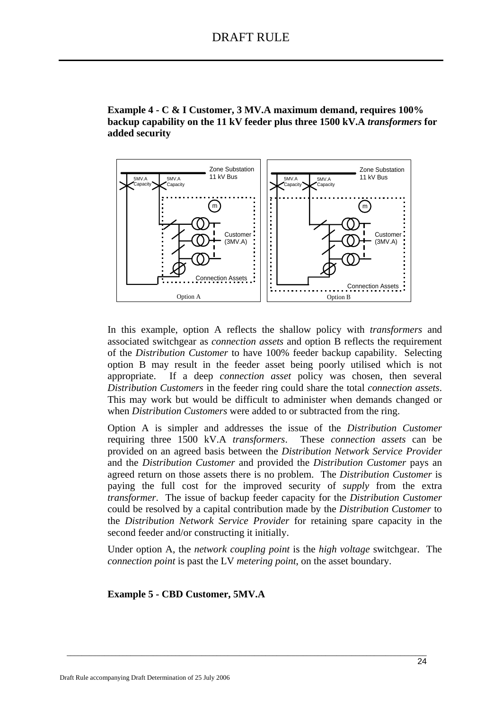**Example 4 - C & I Customer, 3 MV.A maximum demand, requires 100% backup capability on the 11 kV feeder plus three 1500 kV.A** *transformers* **for added security** 



In this example, option A reflects the shallow policy with *transformers* and associated switchgear as *connection assets* and option B reflects the requirement of the *Distribution Customer* to have 100% feeder backup capability. Selecting option B may result in the feeder asset being poorly utilised which is not appropriate. If a deep *connection asset* policy was chosen, then several *Distribution Customers* in the feeder ring could share the total *connection assets*. This may work but would be difficult to administer when demands changed or when *Distribution Customers* were added to or subtracted from the ring.

Option A is simpler and addresses the issue of the *Distribution Customer* requiring three 1500 kV.A *transformers*. These *connection assets* can be provided on an agreed basis between the *Distribution Network Service Provider*  and the *Distribution Customer* and provided the *Distribution Customer* pays an agreed return on those assets there is no problem. The *Distribution Customer* is paying the full cost for the improved security of *supply* from the extra *transformer*. The issue of backup feeder capacity for the *Distribution Customer*  could be resolved by a capital contribution made by the *Distribution Customer* to the *Distribution Network Service Provider* for retaining spare capacity in the second feeder and/or constructing it initially.

Under option A, the *network coupling point* is the *high voltage* switchgear. The *connection point* is past the LV *metering point*, on the asset boundary.

 $\_$  , and the set of the set of the set of the set of the set of the set of the set of the set of the set of the set of the set of the set of the set of the set of the set of the set of the set of the set of the set of th

**Example 5 - CBD Customer, 5MV.A**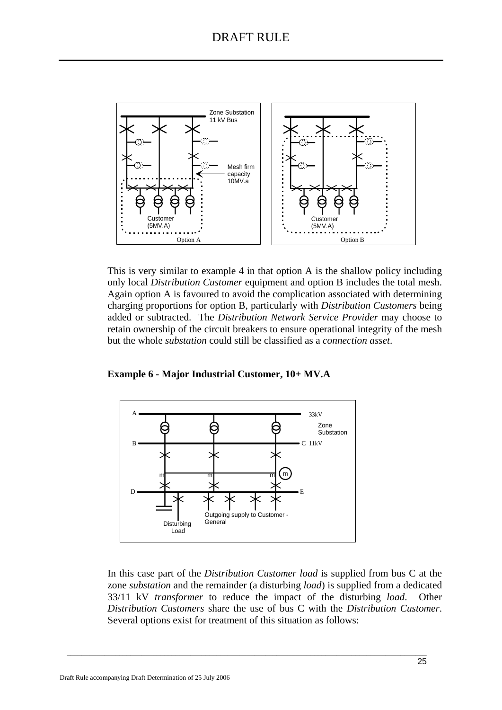

This is very similar to example 4 in that option A is the shallow policy including only local *Distribution Customer* equipment and option B includes the total mesh. Again option A is favoured to avoid the complication associated with determining charging proportions for option B, particularly with *Distribution Customers* being added or subtracted. The *Distribution Network Service Provider* may choose to retain ownership of the circuit breakers to ensure operational integrity of the mesh but the whole *substation* could still be classified as a *connection asset*.

**Example 6 - Major Industrial Customer, 10+ MV.A** 



In this case part of the *Distribution Customer load* is supplied from bus C at the zone *substation* and the remainder (a disturbing *load*) is supplied from a dedicated 33/11 kV *transformer* to reduce the impact of the disturbing *load*. Other *Distribution Customers* share the use of bus C with the *Distribution Customer*. Several options exist for treatment of this situation as follows: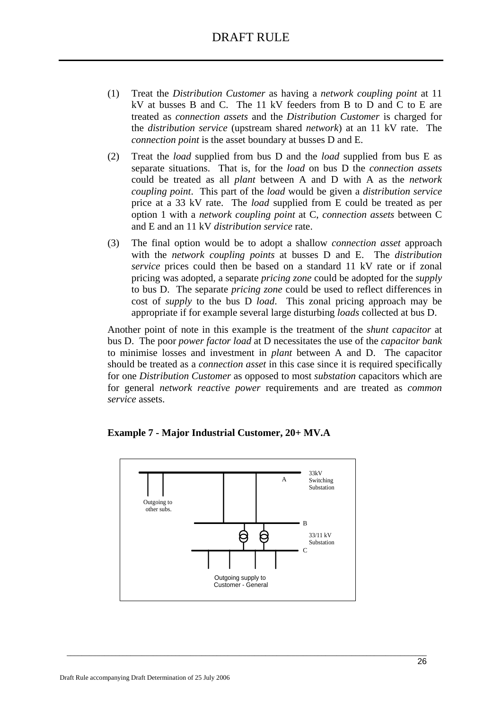- (1) Treat the *Distribution Customer* as having a *network coupling point* at 11 kV at busses B and C. The 11 kV feeders from B to D and C to E are treated as *connection assets* and the *Distribution Customer* is charged for the *distribution service* (upstream shared *network*) at an 11 kV rate. The *connection point* is the asset boundary at busses D and E.
- (2) Treat the *load* supplied from bus D and the *load* supplied from bus E as separate situations. That is, for the *load* on bus D the *connection assets*  could be treated as all *plant* between A and D with A as the *network coupling point*. This part of the *load* would be given a *distribution service*  price at a 33 kV rate. The *load* supplied from E could be treated as per option 1 with a *network coupling point* at C, *connection assets* between C and E and an 11 kV *distribution service* rate.
- (3) The final option would be to adopt a shallow *connection asset* approach with the *network coupling points* at busses D and E. The *distribution service* prices could then be based on a standard 11 kV rate or if zonal pricing was adopted, a separate *pricing zone* could be adopted for the *supply* to bus D. The separate *pricing zone* could be used to reflect differences in cost of *supply* to the bus D *load*. This zonal pricing approach may be appropriate if for example several large disturbing *loads* collected at bus D.

Another point of note in this example is the treatment of the *shunt capacitor* at bus D. The poor *power factor load* at D necessitates the use of the *capacitor bank* to minimise losses and investment in *plant* between A and D. The capacitor should be treated as a *connection asset* in this case since it is required specifically for one *Distribution Customer* as opposed to most *substation* capacitors which are for general *network reactive power* requirements and are treated as *common service* assets.



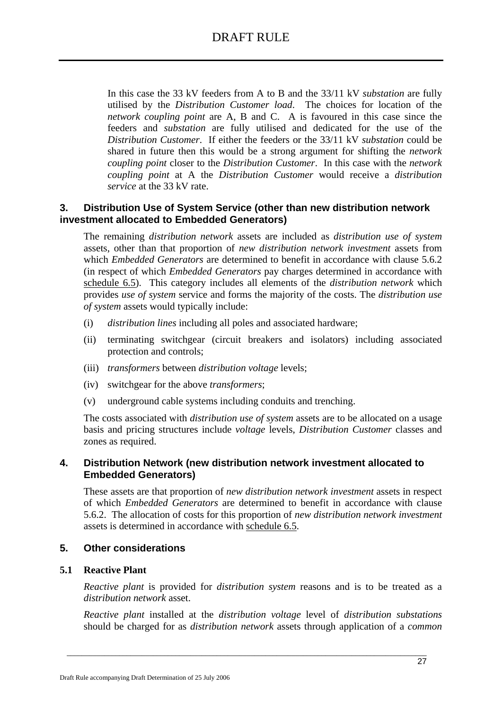In this case the 33 kV feeders from A to B and the 33/11 kV *substation* are fully utilised by the *Distribution Customer load*. The choices for location of the *network coupling point* are A, B and C. A is favoured in this case since the feeders and *substation* are fully utilised and dedicated for the use of the *Distribution Customer*. If either the feeders or the 33/11 kV *substation* could be shared in future then this would be a strong argument for shifting the *network coupling point* closer to the *Distribution Customer*. In this case with the *network coupling point* at A the *Distribution Customer* would receive a *distribution service* at the 33 kV rate.

### **3. Distribution Use of System Service (other than new distribution network investment allocated to Embedded Generators)**

The remaining *distribution network* assets are included as *distribution use of system*  assets, other than that proportion of *new distribution network investment* assets from which *Embedded Generators* are determined to benefit in accordance with clause 5.6.2 (in respect of which *Embedded Generators* pay charges determined in accordance with schedule 6.5). This category includes all elements of the *distribution network* which provides *use of system* service and forms the majority of the costs. The *distribution use of system* assets would typically include:

- (i) *distribution lines* including all poles and associated hardware;
- (ii) terminating switchgear (circuit breakers and isolators) including associated protection and controls;
- (iii) *transformers* between *distribution voltage* levels;
- (iv) switchgear for the above *transformers*;
- (v) underground cable systems including conduits and trenching.

The costs associated with *distribution use of system* assets are to be allocated on a usage basis and pricing structures include *voltage* levels, *Distribution Customer* classes and zones as required.

### **4. Distribution Network (new distribution network investment allocated to Embedded Generators)**

These assets are that proportion of *new distribution network investment* assets in respect of which *Embedded Generators* are determined to benefit in accordance with clause 5.6.2. The allocation of costs for this proportion of *new distribution network investment* assets is determined in accordance with schedule 6.5.

### **5. Other considerations**

### **5.1 Reactive Plant**

*Reactive plant* is provided for *distribution system* reasons and is to be treated as a *distribution network* asset.

*Reactive plant* installed at the *distribution voltage* level of *distribution substations* should be charged for as *distribution network* assets through application of a *common*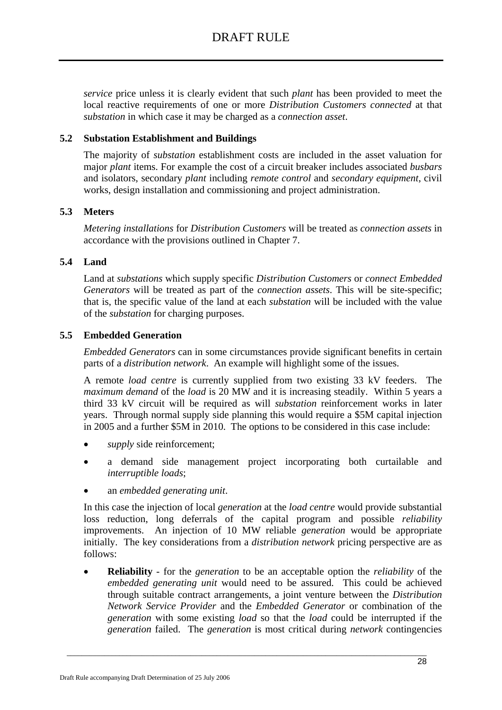*service* price unless it is clearly evident that such *plant* has been provided to meet the local reactive requirements of one or more *Distribution Customers connected* at that *substation* in which case it may be charged as a *connection asset*.

### **5.2 Substation Establishment and Buildings**

The majority of *substation* establishment costs are included in the asset valuation for major *plant* items. For example the cost of a circuit breaker includes associated *busbars*  and isolators, secondary *plant* including *remote control* and *secondary equipment*, civil works, design installation and commissioning and project administration.

### **5.3 Meters**

*Metering installations* for *Distribution Customers* will be treated as *connection assets* in accordance with the provisions outlined in Chapter 7.

### **5.4 Land**

Land at *substations* which supply specific *Distribution Customers* or *connect Embedded Generators* will be treated as part of the *connection assets*. This will be site-specific; that is, the specific value of the land at each *substation* will be included with the value of the *substation* for charging purposes.

### **5.5 Embedded Generation**

*Embedded Generators* can in some circumstances provide significant benefits in certain parts of a *distribution network*. An example will highlight some of the issues.

A remote *load centre* is currently supplied from two existing 33 kV feeders. The *maximum demand* of the *load* is 20 MW and it is increasing steadily. Within 5 years a third 33 kV circuit will be required as will *substation* reinforcement works in later years. Through normal supply side planning this would require a \$5M capital injection in 2005 and a further \$5M in 2010. The options to be considered in this case include:

- supply side reinforcement;
- a demand side management project incorporating both curtailable and *interruptible loads*;
- an *embedded generating unit*.

In this case the injection of local *generation* at the *load centre* would provide substantial loss reduction, long deferrals of the capital program and possible *reliability* improvements. An injection of 10 MW reliable *generation* would be appropriate initially. The key considerations from a *distribution network* pricing perspective are as follows:

• **Reliability** - for the *generation* to be an acceptable option the *reliability* of the *embedded generating unit* would need to be assured. This could be achieved through suitable contract arrangements, a joint venture between the *Distribution Network Service Provider* and the *Embedded Generator* or combination of the *generation* with some existing *load* so that the *load* could be interrupted if the *generation* failed. The *generation* is most critical during *network* contingencies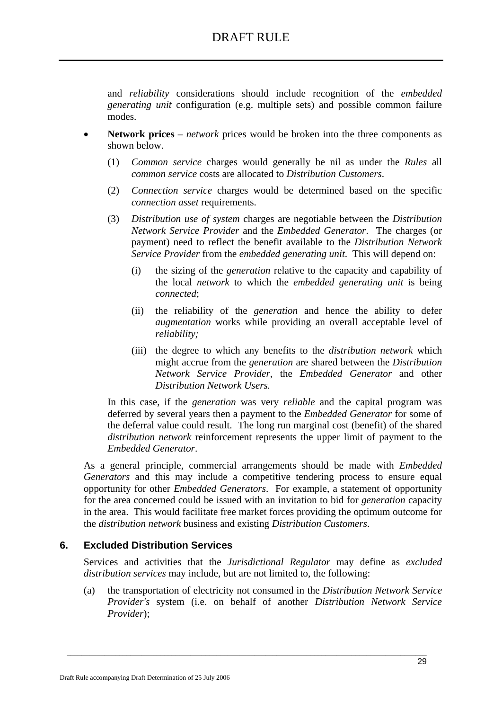and *reliability* considerations should include recognition of the *embedded generating unit* configuration (e.g. multiple sets) and possible common failure modes.

- **Network prices** *network* prices would be broken into the three components as shown below.
	- (1) *Common service* charges would generally be nil as under the *Rules* all *common service* costs are allocated to *Distribution Customers*.
	- (2) *Connection service* charges would be determined based on the specific *connection asset* requirements.
	- (3) *Distribution use of system* charges are negotiable between the *Distribution Network Service Provider* and the *Embedded Generator*. The charges (or payment) need to reflect the benefit available to the *Distribution Network Service Provider* from the *embedded generating unit*. This will depend on:
		- (i) the sizing of the *generation* relative to the capacity and capability of the local *network* to which the *embedded generating unit* is being *connected*;
		- (ii) the reliability of the *generation* and hence the ability to defer *augmentation* works while providing an overall acceptable level of *reliability;*
		- (iii) the degree to which any benefits to the *distribution network* which might accrue from the *generation* are shared between the *Distribution Network Service Provider*, the *Embedded Generator* and other *Distribution Network Users.*

In this case, if the *generation* was very *reliable* and the capital program was deferred by several years then a payment to the *Embedded Generator* for some of the deferral value could result. The long run marginal cost (benefit) of the shared *distribution network* reinforcement represents the upper limit of payment to the *Embedded Generator*.

As a general principle, commercial arrangements should be made with *Embedded Generators* and this may include a competitive tendering process to ensure equal opportunity for other *Embedded Generators*. For example, a statement of opportunity for the area concerned could be issued with an invitation to bid for *generation* capacity in the area. This would facilitate free market forces providing the optimum outcome for the *distribution network* business and existing *Distribution Customers*.

### **6. Excluded Distribution Services**

Services and activities that the *Jurisdictional Regulator* may define as *excluded distribution services* may include, but are not limited to, the following:

(a) the transportation of electricity not consumed in the *Distribution Network Service Provider's* system (i.e. on behalf of another *Distribution Network Service Provider*);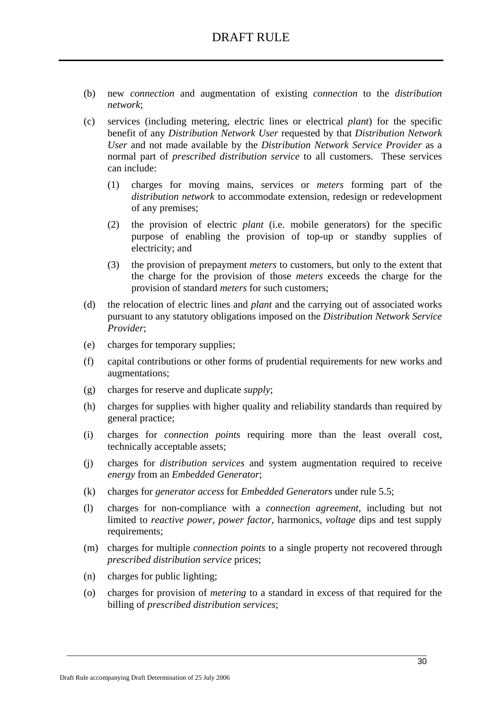- (b) new *connection* and augmentation of existing *connection* to the *distribution network*;
- (c) services (including metering, electric lines or electrical *plant*) for the specific benefit of any *Distribution Network User* requested by that *Distribution Network User* and not made available by the *Distribution Network Service Provider* as a normal part of *prescribed distribution service* to all customers. These services can include:
	- (1) charges for moving mains, services or *meters* forming part of the *distribution network* to accommodate extension, redesign or redevelopment of any premises;
	- (2) the provision of electric *plant* (i.e. mobile generators) for the specific purpose of enabling the provision of top-up or standby supplies of electricity; and
	- (3) the provision of prepayment *meters* to customers, but only to the extent that the charge for the provision of those *meters* exceeds the charge for the provision of standard *meters* for such customers;
- (d) the relocation of electric lines and *plant* and the carrying out of associated works pursuant to any statutory obligations imposed on the *Distribution Network Service Provider*;
- (e) charges for temporary supplies;
- (f) capital contributions or other forms of prudential requirements for new works and augmentations;
- (g) charges for reserve and duplicate *supply*;
- (h) charges for supplies with higher quality and reliability standards than required by general practice;
- (i) charges for *connection points* requiring more than the least overall cost, technically acceptable assets;
- (j) charges for *distribution services* and system augmentation required to receive *energy* from an *Embedded Generator*;
- (k) charges for *generator access* for *Embedded Generators* under rule 5.5;
- (l) charges for non-compliance with a *connection agreement*, including but not limited to *reactive power*, *power factor*, harmonics, *voltage* dips and test supply requirements;
- (m) charges for multiple *connection points* to a single property not recovered through *prescribed distribution service* prices;
- (n) charges for public lighting;
- (o) charges for provision of *metering* to a standard in excess of that required for the billing of *prescribed distribution services*;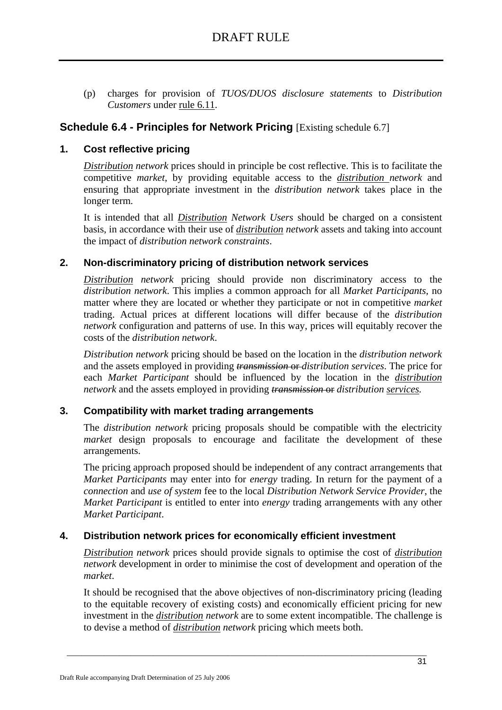(p) charges for provision of *TUOS/DUOS disclosure statements* to *Distribution Customers* under rule 6.11.

### **Schedule 6.4 - Principles for Network Pricing** *[Existing schedule 6.7]*

### **1. Cost reflective pricing**

*Distribution network* prices should in principle be cost reflective. This is to facilitate the competitive *market*, by providing equitable access to the *distribution network* and ensuring that appropriate investment in the *distribution network* takes place in the longer term.

It is intended that all *Distribution Network Users* should be charged on a consistent basis, in accordance with their use of *distribution network* assets and taking into account the impact of *distribution network constraints*.

### **2. Non-discriminatory pricing of distribution network services**

*Distribution network* pricing should provide non discriminatory access to the *distribution network*. This implies a common approach for all *Market Participants*, no matter where they are located or whether they participate or not in competitive *market* trading. Actual prices at different locations will differ because of the *distribution network* configuration and patterns of use. In this way, prices will equitably recover the costs of the *distribution network*.

*Distribution network* pricing should be based on the location in the *distribution network*  and the assets employed in providing *transmission* or *distribution services*. The price for each *Market Participant* should be influenced by the location in the *distribution network* and the assets employed in providing *transmission* or *distribution services.*

### **3. Compatibility with market trading arrangements**

The *distribution network* pricing proposals should be compatible with the electricity *market* design proposals to encourage and facilitate the development of these arrangements.

The pricing approach proposed should be independent of any contract arrangements that *Market Participants* may enter into for *energy* trading. In return for the payment of a *connection* and *use of system* fee to the local *Distribution Network Service Provider*, the *Market Participant* is entitled to enter into *energy* trading arrangements with any other *Market Participant*.

### **4. Distribution network prices for economically efficient investment**

*Distribution network* prices should provide signals to optimise the cost of *distribution network* development in order to minimise the cost of development and operation of the *market*.

It should be recognised that the above objectives of non-discriminatory pricing (leading to the equitable recovery of existing costs) and economically efficient pricing for new investment in the *distribution network* are to some extent incompatible. The challenge is to devise a method of *distribution network* pricing which meets both.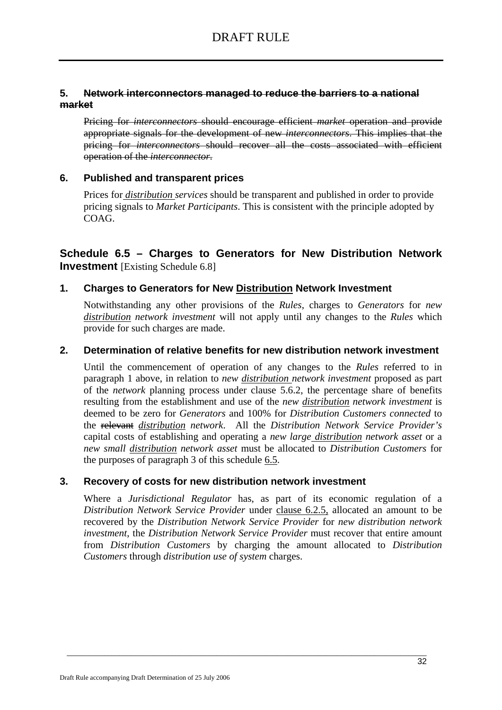### **5. Network interconnectors managed to reduce the barriers to a national market**

Pricing for *interconnectors* should encourage efficient *market* operation and provide appropriate signals for the development of new *interconnectors*. This implies that the pricing for *interconnectors* should recover all the costs associated with efficient operation of the *interconnector*.

### **6. Published and transparent prices**

Prices for *distribution services* should be transparent and published in order to provide pricing signals to *Market Participants*. This is consistent with the principle adopted by COAG.

### **Schedule 6.5 – Charges to Generators for New Distribution Network Investment** [Existing Schedule 6.8]

### **1. Charges to Generators for New Distribution Network Investment**

Notwithstanding any other provisions of the *Rules*, charges to *Generators* for *new distribution network investment* will not apply until any changes to the *Rules* which provide for such charges are made.

### **2. Determination of relative benefits for new distribution network investment**

Until the commencement of operation of any changes to the *Rules* referred to in paragraph 1 above, in relation to *new distribution network investment* proposed as part of the *network* planning process under clause 5.6.2, the percentage share of benefits resulting from the establishment and use of the *new distribution network investment* is deemed to be zero for *Generators* and 100% for *Distribution Customers connected* to the relevant *distribution network*. All the *Distribution Network Service Provider's*  capital costs of establishing and operating a *new large distribution network asset* or a *new small distribution network asset* must be allocated to *Distribution Customers* for the purposes of paragraph 3 of this schedule 6.5.

### **3. Recovery of costs for new distribution network investment**

Where a *Jurisdictional Regulator* has, as part of its economic regulation of a *Distribution Network Service Provider* under clause 6.2.5, allocated an amount to be recovered by the *Distribution Network Service Provider* for *new distribution network investment*, the *Distribution Network Service Provider* must recover that entire amount from *Distribution Customers* by charging the amount allocated to *Distribution Customers* through *distribution use of system* charges.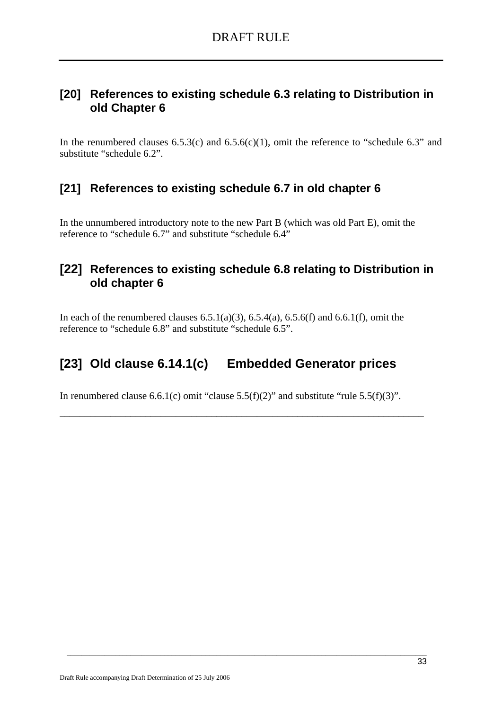# **[20] References to existing schedule 6.3 relating to Distribution in old Chapter 6**

In the renumbered clauses  $6.5.3(c)$  and  $6.5.6(c)(1)$ , omit the reference to "schedule  $6.3$ " and substitute "schedule 6.2".

# **[21] References to existing schedule 6.7 in old chapter 6**

In the unnumbered introductory note to the new Part B (which was old Part E), omit the reference to "schedule 6.7" and substitute "schedule 6.4"

# **[22] References to existing schedule 6.8 relating to Distribution in old chapter 6**

In each of the renumbered clauses  $6.5.1(a)(3)$ ,  $6.5.4(a)$ ,  $6.5.6(f)$  and  $6.6.1(f)$ , omit the reference to "schedule 6.8" and substitute "schedule 6.5".

# **[23] Old clause 6.14.1(c) Embedded Generator prices**

In renumbered clause 6.6.1(c) omit "clause 5.5(f)(2)" and substitute "rule 5.5(f)(3)".

\_\_\_\_\_\_\_\_\_\_\_\_\_\_\_\_\_\_\_\_\_\_\_\_\_\_\_\_\_\_\_\_\_\_\_\_\_\_\_\_\_\_\_\_\_\_\_\_\_\_\_\_\_\_\_\_\_\_\_\_\_\_\_\_\_\_\_\_\_\_\_\_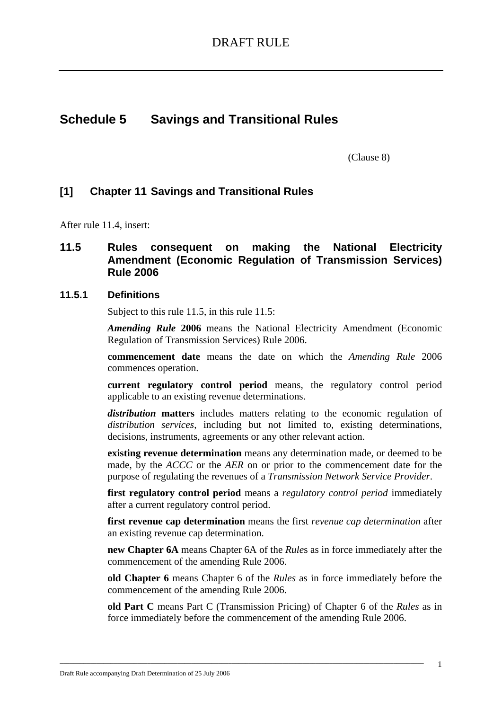# **Schedule 5 Savings and Transitional Rules**

(Clause 8)

### **[1] Chapter 11 Savings and Transitional Rules**

After rule 11.4, insert:

### **11.5 Rules consequent on making the National Electricity Amendment (Economic Regulation of Transmission Services) Rule 2006**

#### **11.5.1 Definitions**

Subject to this rule 11.5, in this rule 11.5:

*Amending Rule* **2006** means the National Electricity Amendment (Economic Regulation of Transmission Services) Rule 2006.

**commencement date** means the date on which the *Amending Rule* 2006 commences operation.

**current regulatory control period** means, the regulatory control period applicable to an existing revenue determinations.

*distribution* **matters** includes matters relating to the economic regulation of *distribution services*, including but not limited to, existing determinations, decisions, instruments, agreements or any other relevant action.

**existing revenue determination** means any determination made, or deemed to be made, by the *ACCC* or the *AER* on or prior to the commencement date for the purpose of regulating the revenues of a *Transmission Network Service Provider*.

**first regulatory control period** means a *regulatory control period* immediately after a current regulatory control period.

**first revenue cap determination** means the first *revenue cap determination* after an existing revenue cap determination.

**new Chapter 6A** means Chapter 6A of the *Rule*s as in force immediately after the commencement of the amending Rule 2006.

**old Chapter 6** means Chapter 6 of the *Rules* as in force immediately before the commencement of the amending Rule 2006.

**old Part C** means Part C (Transmission Pricing) of Chapter 6 of the *Rules* as in force immediately before the commencement of the amending Rule 2006.

\_\_\_\_\_\_\_\_\_\_\_\_\_\_\_\_\_\_\_\_\_\_\_\_\_\_\_\_\_\_\_\_\_\_\_\_\_\_\_\_\_\_\_\_\_\_\_\_\_\_\_\_\_\_\_\_\_\_\_\_\_\_\_\_\_\_\_\_\_\_\_\_\_\_\_\_\_\_\_\_\_\_\_\_\_\_\_\_\_\_\_\_\_\_\_\_\_\_\_\_\_\_\_\_\_\_\_\_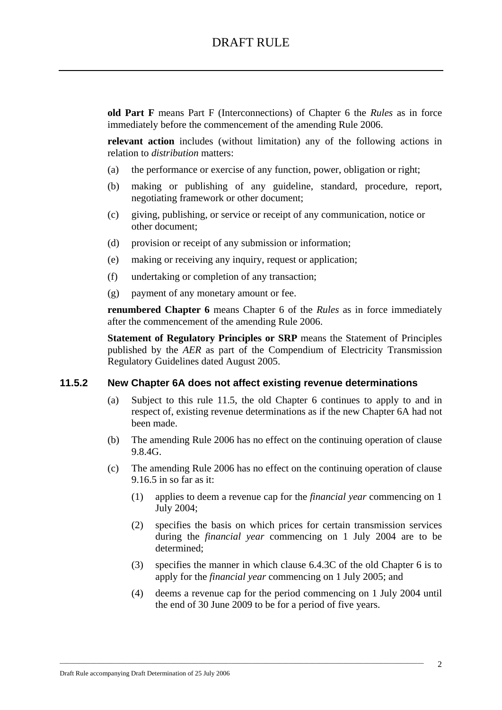**old Part F** means Part F (Interconnections) of Chapter 6 the *Rules* as in force immediately before the commencement of the amending Rule 2006.

**relevant action** includes (without limitation) any of the following actions in relation to *distribution* matters:

- (a) the performance or exercise of any function, power, obligation or right;
- (b) making or publishing of any guideline, standard, procedure, report, negotiating framework or other document;
- (c) giving, publishing, or service or receipt of any communication, notice or other document;
- (d) provision or receipt of any submission or information;
- (e) making or receiving any inquiry, request or application;
- (f) undertaking or completion of any transaction;
- (g) payment of any monetary amount or fee.

**renumbered Chapter 6** means Chapter 6 of the *Rules* as in force immediately after the commencement of the amending Rule 2006.

**Statement of Regulatory Principles or SRP** means the Statement of Principles published by the *AER* as part of the Compendium of Electricity Transmission Regulatory Guidelines dated August 2005.

### **11.5.2 New Chapter 6A does not affect existing revenue determinations**

- (a) Subject to this rule 11.5, the old Chapter 6 continues to apply to and in respect of, existing revenue determinations as if the new Chapter 6A had not been made.
- (b) The amending Rule 2006 has no effect on the continuing operation of clause 9.8.4G.
- (c) The amending Rule 2006 has no effect on the continuing operation of clause 9.16.5 in so far as it:
	- (1) applies to deem a revenue cap for the *financial year* commencing on 1 July 2004;
	- (2) specifies the basis on which prices for certain transmission services during the *financial year* commencing on 1 July 2004 are to be determined;
	- (3) specifies the manner in which clause 6.4.3C of the old Chapter 6 is to apply for the *financial year* commencing on 1 July 2005; and
	- (4) deems a revenue cap for the period commencing on 1 July 2004 until the end of 30 June 2009 to be for a period of five years.

\_\_\_\_\_\_\_\_\_\_\_\_\_\_\_\_\_\_\_\_\_\_\_\_\_\_\_\_\_\_\_\_\_\_\_\_\_\_\_\_\_\_\_\_\_\_\_\_\_\_\_\_\_\_\_\_\_\_\_\_\_\_\_\_\_\_\_\_\_\_\_\_\_\_\_\_\_\_\_\_\_\_\_\_\_\_\_\_\_\_\_\_\_\_\_\_\_\_\_\_\_\_\_\_\_\_\_\_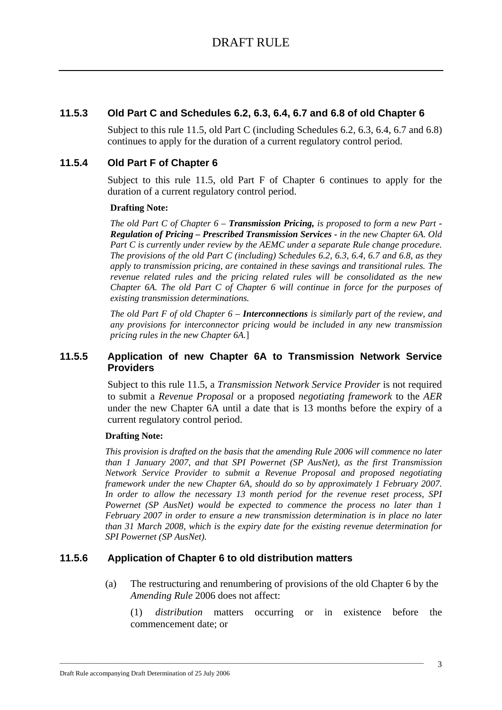### **11.5.3 Old Part C and Schedules 6.2, 6.3, 6.4, 6.7 and 6.8 of old Chapter 6**

Subject to this rule 11.5, old Part C (including Schedules 6.2, 6.3, 6.4, 6.7 and 6.8) continues to apply for the duration of a current regulatory control period.

### **11.5.4 Old Part F of Chapter 6**

Subject to this rule 11.5, old Part F of Chapter 6 continues to apply for the duration of a current regulatory control period.

### **Drafting Note:**

*The old Part C of Chapter 6 – Transmission Pricing, is proposed to form a new Part - Regulation of Pricing – Prescribed Transmission Services - in the new Chapter 6A. Old Part C is currently under review by the AEMC under a separate Rule change procedure. The provisions of the old Part C (including) Schedules 6.2, 6.3, 6.4, 6.7 and 6.8, as they apply to transmission pricing, are contained in these savings and transitional rules. The revenue related rules and the pricing related rules will be consolidated as the new Chapter 6A. The old Part C of Chapter 6 will continue in force for the purposes of existing transmission determinations.*

*The old Part F of old Chapter 6 – Interconnections is similarly part of the review, and any provisions for interconnector pricing would be included in any new transmission pricing rules in the new Chapter 6A.*]

### **11.5.5 Application of new Chapter 6A to Transmission Network Service Providers**

Subject to this rule 11.5, a *Transmission Network Service Provider* is not required to submit a *Revenue Proposal* or a proposed *negotiating framework* to the *AER* under the new Chapter 6A until a date that is 13 months before the expiry of a current regulatory control period.

#### **Drafting Note:**

*This provision is drafted on the basis that the amending Rule 2006 will commence no later than 1 January 2007, and that SPI Powernet (SP AusNet), as the first Transmission Network Service Provider to submit a Revenue Proposal and proposed negotiating framework under the new Chapter 6A, should do so by approximately 1 February 2007. In order to allow the necessary 13 month period for the revenue reset process, SPI Powernet (SP AusNet) would be expected to commence the process no later than 1 February 2007 in order to ensure a new transmission determination is in place no later than 31 March 2008, which is the expiry date for the existing revenue determination for SPI Powernet (SP AusNet).*

### **11.5.6 Application of Chapter 6 to old distribution matters**

(a) The restructuring and renumbering of provisions of the old Chapter 6 by the *Amending Rule* 2006 does not affect:

\_\_\_\_\_\_\_\_\_\_\_\_\_\_\_\_\_\_\_\_\_\_\_\_\_\_\_\_\_\_\_\_\_\_\_\_\_\_\_\_\_\_\_\_\_\_\_\_\_\_\_\_\_\_\_\_\_\_\_\_\_\_\_\_\_\_\_\_\_\_\_\_\_\_\_\_\_\_\_\_\_\_\_\_\_\_\_\_\_\_\_\_\_\_\_\_\_\_\_\_\_\_\_\_\_\_\_\_

(1) *distribution* matters occurring or in existence before the commencement date; or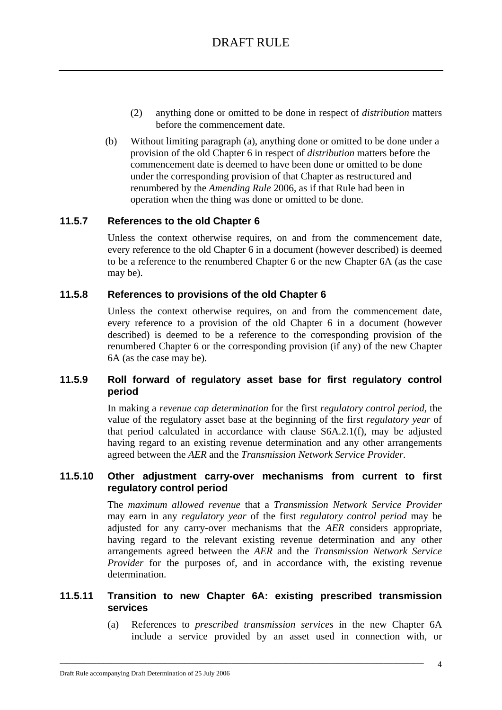- (2) anything done or omitted to be done in respect of *distribution* matters before the commencement date.
- (b) Without limiting paragraph (a), anything done or omitted to be done under a provision of the old Chapter 6 in respect of *distribution* matters before the commencement date is deemed to have been done or omitted to be done under the corresponding provision of that Chapter as restructured and renumbered by the *Amending Rule* 2006, as if that Rule had been in operation when the thing was done or omitted to be done.

### **11.5.7 References to the old Chapter 6**

Unless the context otherwise requires, on and from the commencement date, every reference to the old Chapter 6 in a document (however described) is deemed to be a reference to the renumbered Chapter 6 or the new Chapter 6A (as the case may be).

### **11.5.8 References to provisions of the old Chapter 6**

Unless the context otherwise requires, on and from the commencement date, every reference to a provision of the old Chapter 6 in a document (however described) is deemed to be a reference to the corresponding provision of the renumbered Chapter 6 or the corresponding provision (if any) of the new Chapter 6A (as the case may be).

### **11.5.9 Roll forward of regulatory asset base for first regulatory control period**

In making a *revenue cap determination* for the first *regulatory control period*, the value of the regulatory asset base at the beginning of the first *regulatory year* of that period calculated in accordance with clause S6A.2.1(f), may be adjusted having regard to an existing revenue determination and any other arrangements agreed between the *AER* and the *Transmission Network Service Provider.*

### **11.5.10 Other adjustment carry-over mechanisms from current to first regulatory control period**

The *maximum allowed revenue* that a *Transmission Network Service Provider*  may earn in any *regulatory year* of the first *regulatory control period* may be adjusted for any carry-over mechanisms that the *AER* considers appropriate, having regard to the relevant existing revenue determination and any other arrangements agreed between the *AER* and the *Transmission Network Service Provider* for the purposes of, and in accordance with, the existing revenue determination.

### **11.5.11 Transition to new Chapter 6A: existing prescribed transmission services**

\_\_\_\_\_\_\_\_\_\_\_\_\_\_\_\_\_\_\_\_\_\_\_\_\_\_\_\_\_\_\_\_\_\_\_\_\_\_\_\_\_\_\_\_\_\_\_\_\_\_\_\_\_\_\_\_\_\_\_\_\_\_\_\_\_\_\_\_\_\_\_\_\_\_\_\_\_\_\_\_\_\_\_\_\_\_\_\_\_\_\_\_\_\_\_\_\_\_\_\_\_\_\_\_\_\_\_\_

(a) References to *prescribed transmission services* in the new Chapter 6A include a service provided by an asset used in connection with, or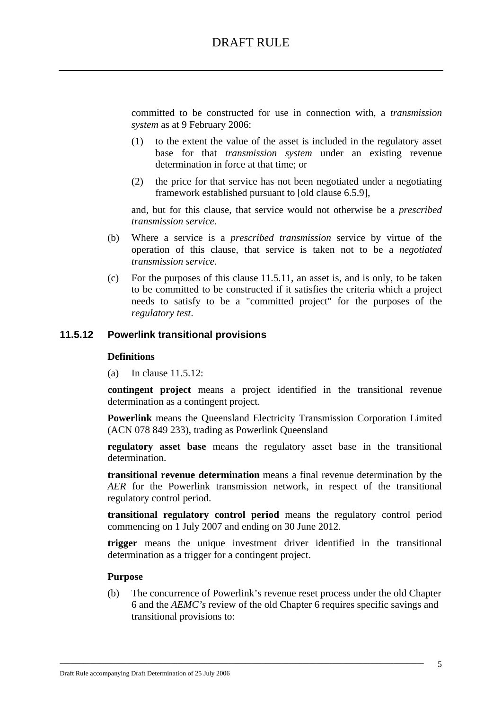committed to be constructed for use in connection with, a *transmission system* as at 9 February 2006:

- (1) to the extent the value of the asset is included in the regulatory asset base for that *transmission system* under an existing revenue determination in force at that time; or
- (2) the price for that service has not been negotiated under a negotiating framework established pursuant to [old clause 6.5.9],

and, but for this clause, that service would not otherwise be a *prescribed transmission service*.

- (b) Where a service is a *prescribed transmission* service by virtue of the operation of this clause, that service is taken not to be a *negotiated transmission service*.
- (c) For the purposes of this clause 11.5.11, an asset is, and is only, to be taken to be committed to be constructed if it satisfies the criteria which a project needs to satisfy to be a "committed project" for the purposes of the *regulatory test*.

### **11.5.12 Powerlink transitional provisions**

#### **Definitions**

(a) In clause 11.5.12:

**contingent project** means a project identified in the transitional revenue determination as a contingent project.

**Powerlink** means the Queensland Electricity Transmission Corporation Limited (ACN 078 849 233), trading as Powerlink Queensland

**regulatory asset base** means the regulatory asset base in the transitional determination.

**transitional revenue determination** means a final revenue determination by the *AER* for the Powerlink transmission network, in respect of the transitional regulatory control period.

**transitional regulatory control period** means the regulatory control period commencing on 1 July 2007 and ending on 30 June 2012.

**trigger** means the unique investment driver identified in the transitional determination as a trigger for a contingent project.

#### **Purpose**

(b) The concurrence of Powerlink's revenue reset process under the old Chapter 6 and the *AEMC's* review of the old Chapter 6 requires specific savings and transitional provisions to:

\_\_\_\_\_\_\_\_\_\_\_\_\_\_\_\_\_\_\_\_\_\_\_\_\_\_\_\_\_\_\_\_\_\_\_\_\_\_\_\_\_\_\_\_\_\_\_\_\_\_\_\_\_\_\_\_\_\_\_\_\_\_\_\_\_\_\_\_\_\_\_\_\_\_\_\_\_\_\_\_\_\_\_\_\_\_\_\_\_\_\_\_\_\_\_\_\_\_\_\_\_\_\_\_\_\_\_\_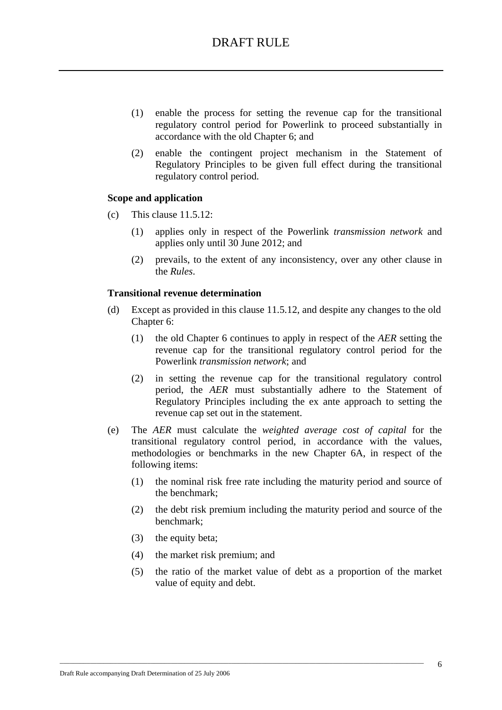- (1) enable the process for setting the revenue cap for the transitional regulatory control period for Powerlink to proceed substantially in accordance with the old Chapter 6; and
- (2) enable the contingent project mechanism in the Statement of Regulatory Principles to be given full effect during the transitional regulatory control period.

### **Scope and application**

- (c) This clause 11.5.12:
	- (1) applies only in respect of the Powerlink *transmission network* and applies only until 30 June 2012; and
	- (2) prevails, to the extent of any inconsistency, over any other clause in the *Rules*.

### **Transitional revenue determination**

- (d) Except as provided in this clause 11.5.12, and despite any changes to the old Chapter 6:
	- (1) the old Chapter 6 continues to apply in respect of the *AER* setting the revenue cap for the transitional regulatory control period for the Powerlink *transmission network*; and
	- (2) in setting the revenue cap for the transitional regulatory control period, the *AER* must substantially adhere to the Statement of Regulatory Principles including the ex ante approach to setting the revenue cap set out in the statement.
- (e) The *AER* must calculate the *weighted average cost of capital* for the transitional regulatory control period, in accordance with the values, methodologies or benchmarks in the new Chapter 6A, in respect of the following items:
	- (1) the nominal risk free rate including the maturity period and source of the benchmark;
	- (2) the debt risk premium including the maturity period and source of the benchmark;
	- (3) the equity beta;
	- (4) the market risk premium; and

\_\_\_\_\_\_\_\_\_\_\_\_\_\_\_\_\_\_\_\_\_\_\_\_\_\_\_\_\_\_\_\_\_\_\_\_\_\_\_\_\_\_\_\_\_\_\_\_\_\_\_\_\_\_\_\_\_\_\_\_\_\_\_\_\_\_\_\_\_\_\_\_\_\_\_\_\_\_\_\_\_\_\_\_\_\_\_\_\_\_\_\_\_\_\_\_\_\_\_\_\_\_\_\_\_\_\_\_

(5) the ratio of the market value of debt as a proportion of the market value of equity and debt.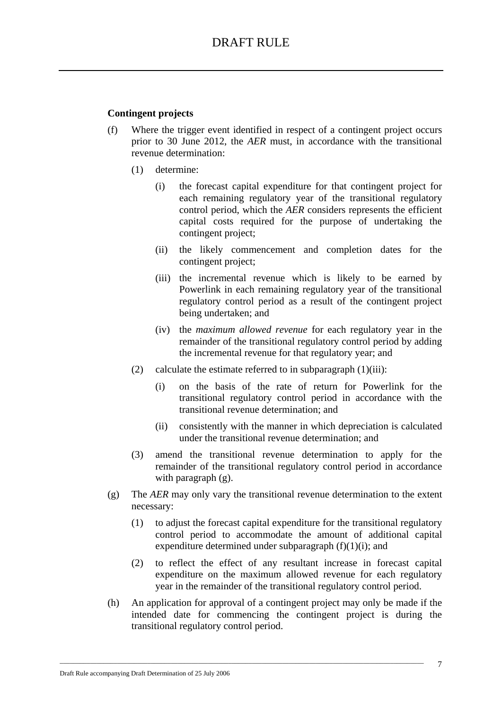### **Contingent projects**

- (f) Where the trigger event identified in respect of a contingent project occurs prior to 30 June 2012, the *AER* must, in accordance with the transitional revenue determination:
	- (1) determine:
		- (i) the forecast capital expenditure for that contingent project for each remaining regulatory year of the transitional regulatory control period, which the *AER* considers represents the efficient capital costs required for the purpose of undertaking the contingent project;
		- (ii) the likely commencement and completion dates for the contingent project;
		- (iii) the incremental revenue which is likely to be earned by Powerlink in each remaining regulatory year of the transitional regulatory control period as a result of the contingent project being undertaken; and
		- (iv) the *maximum allowed revenue* for each regulatory year in the remainder of the transitional regulatory control period by adding the incremental revenue for that regulatory year; and
	- (2) calculate the estimate referred to in subparagraph  $(1)(iii)$ :
		- (i) on the basis of the rate of return for Powerlink for the transitional regulatory control period in accordance with the transitional revenue determination; and
		- (ii) consistently with the manner in which depreciation is calculated under the transitional revenue determination; and
	- (3) amend the transitional revenue determination to apply for the remainder of the transitional regulatory control period in accordance with paragraph  $(g)$ .
- (g) The *AER* may only vary the transitional revenue determination to the extent necessary:
	- (1) to adjust the forecast capital expenditure for the transitional regulatory control period to accommodate the amount of additional capital expenditure determined under subparagraph  $(f)(1)(i)$ ; and
	- (2) to reflect the effect of any resultant increase in forecast capital expenditure on the maximum allowed revenue for each regulatory year in the remainder of the transitional regulatory control period.
- (h) An application for approval of a contingent project may only be made if the intended date for commencing the contingent project is during the transitional regulatory control period.

\_\_\_\_\_\_\_\_\_\_\_\_\_\_\_\_\_\_\_\_\_\_\_\_\_\_\_\_\_\_\_\_\_\_\_\_\_\_\_\_\_\_\_\_\_\_\_\_\_\_\_\_\_\_\_\_\_\_\_\_\_\_\_\_\_\_\_\_\_\_\_\_\_\_\_\_\_\_\_\_\_\_\_\_\_\_\_\_\_\_\_\_\_\_\_\_\_\_\_\_\_\_\_\_\_\_\_\_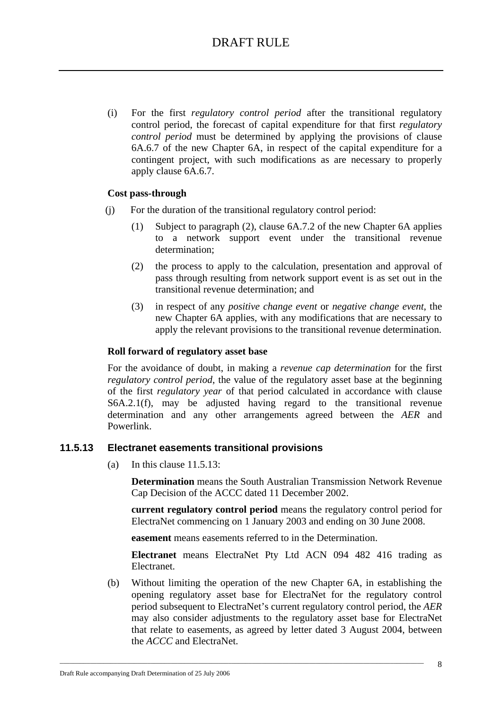(i) For the first *regulatory control period* after the transitional regulatory control period, the forecast of capital expenditure for that first *regulatory control period* must be determined by applying the provisions of clause 6A.6.7 of the new Chapter 6A, in respect of the capital expenditure for a contingent project, with such modifications as are necessary to properly apply clause 6A.6.7.

### **Cost pass-through**

- (j) For the duration of the transitional regulatory control period:
	- (1) Subject to paragraph (2), clause 6A.7.2 of the new Chapter 6A applies to a network support event under the transitional revenue determination;
	- (2) the process to apply to the calculation, presentation and approval of pass through resulting from network support event is as set out in the transitional revenue determination; and
	- (3) in respect of any *positive change event* or *negative change event*, the new Chapter 6A applies, with any modifications that are necessary to apply the relevant provisions to the transitional revenue determination.

### **Roll forward of regulatory asset base**

For the avoidance of doubt, in making a *revenue cap determination* for the first *regulatory control period*, the value of the regulatory asset base at the beginning of the first *regulatory year* of that period calculated in accordance with clause S6A.2.1(f), may be adjusted having regard to the transitional revenue determination and any other arrangements agreed between the *AER* and Powerlink.

#### **11.5.13 Electranet easements transitional provisions**

(a) In this clause 11.5.13:

**Determination** means the South Australian Transmission Network Revenue Cap Decision of the ACCC dated 11 December 2002.

**current regulatory control period** means the regulatory control period for ElectraNet commencing on 1 January 2003 and ending on 30 June 2008.

**easement** means easements referred to in the Determination.

\_\_\_\_\_\_\_\_\_\_\_\_\_\_\_\_\_\_\_\_\_\_\_\_\_\_\_\_\_\_\_\_\_\_\_\_\_\_\_\_\_\_\_\_\_\_\_\_\_\_\_\_\_\_\_\_\_\_\_\_\_\_\_\_\_\_\_\_\_\_\_\_\_\_\_\_\_\_\_\_\_\_\_\_\_\_\_\_\_\_\_\_\_\_\_\_\_\_\_\_\_\_\_\_\_\_\_\_

**Electranet** means ElectraNet Pty Ltd ACN 094 482 416 trading as Electranet.

(b) Without limiting the operation of the new Chapter 6A, in establishing the opening regulatory asset base for ElectraNet for the regulatory control period subsequent to ElectraNet's current regulatory control period, the *AER* may also consider adjustments to the regulatory asset base for ElectraNet that relate to easements, as agreed by letter dated 3 August 2004, between the *ACCC* and ElectraNet.